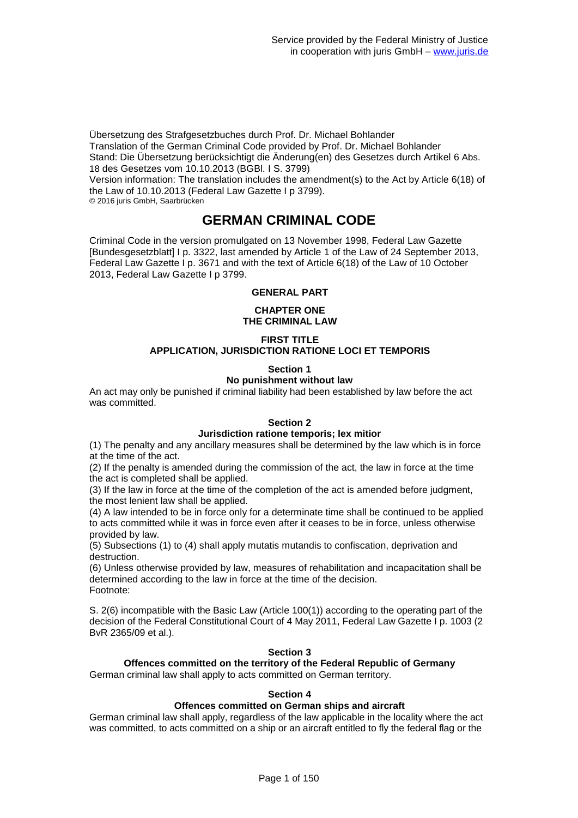Übersetzung des Strafgesetzbuches durch Prof. Dr. Michael Bohlander Translation of the German Criminal Code provided by Prof. Dr. Michael Bohlander Stand: Die Übersetzung berücksichtigt die Änderung(en) des Gesetzes durch Artikel 6 Abs. 18 des Gesetzes vom 10.10.2013 (BGBl. I S. 3799)

Version information: The translation includes the amendment(s) to the Act by Article 6(18) of the Law of 10.10.2013 (Federal Law Gazette I p 3799). © 2016 juris GmbH, Saarbrücken

# **GERMAN CRIMINAL CODE**

Criminal Code in the version promulgated on 13 November 1998, Federal Law Gazette [Bundesgesetzblatt] I p. 3322, last amended by Article 1 of the Law of 24 September 2013, Federal Law Gazette I p. 3671 and with the text of Article 6(18) of the Law of 10 October 2013, Federal Law Gazette I p 3799.

## **GENERAL PART**

## **CHAPTER ONE THE CRIMINAL LAW**

#### **FIRST TITLE APPLICATION, JURISDICTION RATIONE LOCI ET TEMPORIS**

## **Section 1**

## **No punishment without law**

An act may only be punished if criminal liability had been established by law before the act was committed.

#### **Section 2**

#### **Jurisdiction ratione temporis; lex mitior**

(1) The penalty and any ancillary measures shall be determined by the law which is in force at the time of the act.

(2) If the penalty is amended during the commission of the act, the law in force at the time the act is completed shall be applied.

(3) If the law in force at the time of the completion of the act is amended before judgment, the most lenient law shall be applied.

(4) A law intended to be in force only for a determinate time shall be continued to be applied to acts committed while it was in force even after it ceases to be in force, unless otherwise provided by law.

(5) Subsections (1) to (4) shall apply mutatis mutandis to confiscation, deprivation and destruction.

(6) Unless otherwise provided by law, measures of rehabilitation and incapacitation shall be determined according to the law in force at the time of the decision. Footnote:

S. 2(6) incompatible with the Basic Law (Article 100(1)) according to the operating part of the decision of the Federal Constitutional Court of 4 May 2011, Federal Law Gazette I p. 1003 (2 BvR 2365/09 et al.).

## **Section 3**

#### **Offences committed on the territory of the Federal Republic of Germany** German criminal law shall apply to acts committed on German territory.

**Section 4**

## **Offences committed on German ships and aircraft**

German criminal law shall apply, regardless of the law applicable in the locality where the act was committed, to acts committed on a ship or an aircraft entitled to fly the federal flag or the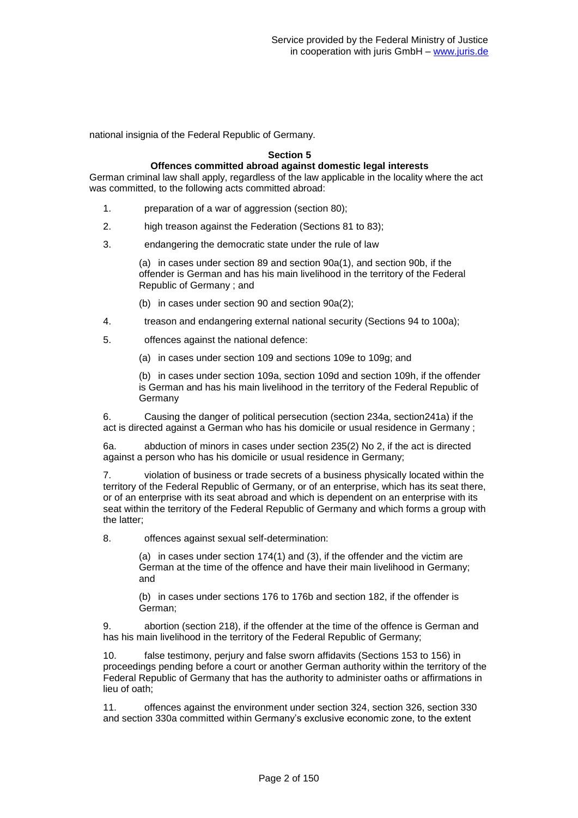national insignia of the Federal Republic of Germany.

#### **Section 5**

#### **Offences committed abroad against domestic legal interests**

German criminal law shall apply, regardless of the law applicable in the locality where the act was committed, to the following acts committed abroad:

- 1. preparation of a war of aggression (section 80);
- 2. high treason against the Federation (Sections 81 to 83);
- 3. endangering the democratic state under the rule of law

(a) in cases under section 89 and section 90a(1), and section 90b, if the offender is German and has his main livelihood in the territory of the Federal Republic of Germany ; and

- (b) in cases under section 90 and section 90a(2);
- 4. treason and endangering external national security (Sections 94 to 100a);
- 5. offences against the national defence:
	- (a) in cases under section 109 and sections 109e to 109g; and

(b) in cases under section 109a, section 109d and section 109h, if the offender is German and has his main livelihood in the territory of the Federal Republic of **Germany** 

6. Causing the danger of political persecution (section 234a, section241a) if the act is directed against a German who has his domicile or usual residence in Germany ;

6a. abduction of minors in cases under section 235(2) No 2, if the act is directed against a person who has his domicile or usual residence in Germany;

7. violation of business or trade secrets of a business physically located within the territory of the Federal Republic of Germany, or of an enterprise, which has its seat there, or of an enterprise with its seat abroad and which is dependent on an enterprise with its seat within the territory of the Federal Republic of Germany and which forms a group with the latter;

8. offences against sexual self-determination:

(a) in cases under section 174(1) and (3), if the offender and the victim are German at the time of the offence and have their main livelihood in Germany; and

(b) in cases under sections 176 to 176b and section 182, if the offender is German;

9. abortion (section 218), if the offender at the time of the offence is German and has his main livelihood in the territory of the Federal Republic of Germany;

10. false testimony, perjury and false sworn affidavits (Sections 153 to 156) in proceedings pending before a court or another German authority within the territory of the Federal Republic of Germany that has the authority to administer oaths or affirmations in lieu of oath;

11. offences against the environment under section 324, section 326, section 330 and section 330a committed within Germany's exclusive economic zone, to the extent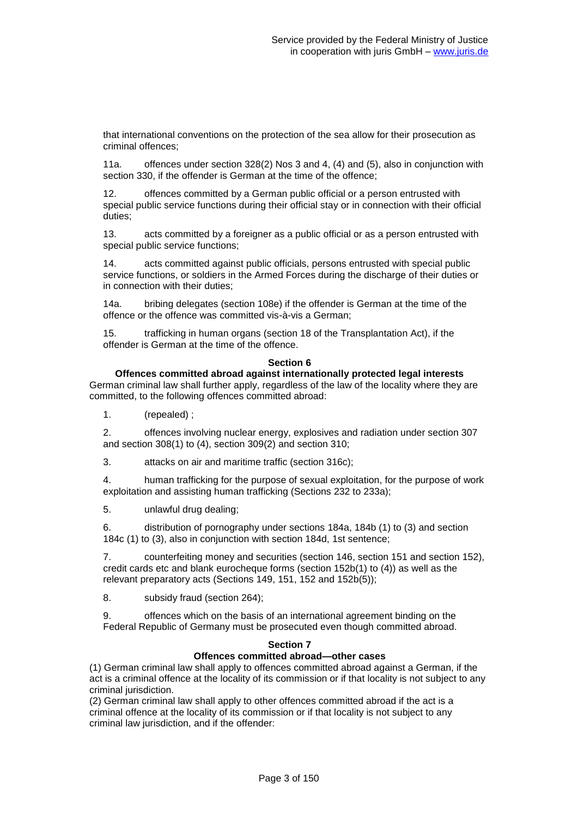that international conventions on the protection of the sea allow for their prosecution as criminal offences;

11a. offences under section 328(2) Nos 3 and 4, (4) and (5), also in conjunction with section 330, if the offender is German at the time of the offence;

12. offences committed by a German public official or a person entrusted with special public service functions during their official stay or in connection with their official duties;

13. acts committed by a foreigner as a public official or as a person entrusted with special public service functions;

14. acts committed against public officials, persons entrusted with special public service functions, or soldiers in the Armed Forces during the discharge of their duties or in connection with their duties;

14a. bribing delegates (section 108e) if the offender is German at the time of the offence or the offence was committed vis-à-vis a German;

15. trafficking in human organs (section 18 of the Transplantation Act), if the offender is German at the time of the offence.

## **Section 6**

**Offences committed abroad against internationally protected legal interests** German criminal law shall further apply, regardless of the law of the locality where they are committed, to the following offences committed abroad:

1. (repealed) ;

2. offences involving nuclear energy, explosives and radiation under section 307 and section 308(1) to (4), section 309(2) and section 310;

3. attacks on air and maritime traffic (section 316c);

4. human trafficking for the purpose of sexual exploitation, for the purpose of work exploitation and assisting human trafficking (Sections 232 to 233a);

5. unlawful drug dealing;

6. distribution of pornography under sections 184a, 184b (1) to (3) and section 184c (1) to (3), also in conjunction with section 184d, 1st sentence;

7. counterfeiting money and securities (section 146, section 151 and section 152), credit cards etc and blank eurocheque forms (section 152b(1) to (4)) as well as the relevant preparatory acts (Sections 149, 151, 152 and 152b(5));

8. subsidy fraud (section 264);

9. offences which on the basis of an international agreement binding on the Federal Republic of Germany must be prosecuted even though committed abroad.

#### **Section 7**

## **Offences committed abroad—other cases**

(1) German criminal law shall apply to offences committed abroad against a German, if the act is a criminal offence at the locality of its commission or if that locality is not subject to any criminal jurisdiction.

(2) German criminal law shall apply to other offences committed abroad if the act is a criminal offence at the locality of its commission or if that locality is not subject to any criminal law jurisdiction, and if the offender: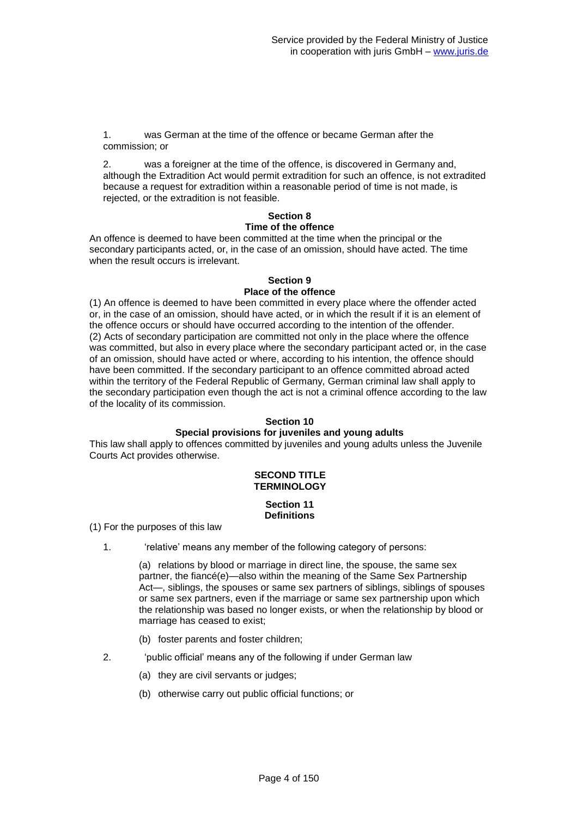1. was German at the time of the offence or became German after the commission; or

2. was a foreigner at the time of the offence, is discovered in Germany and, although the Extradition Act would permit extradition for such an offence, is not extradited because a request for extradition within a reasonable period of time is not made, is rejected, or the extradition is not feasible.

## **Section 8 Time of the offence**

An offence is deemed to have been committed at the time when the principal or the secondary participants acted, or, in the case of an omission, should have acted. The time when the result occurs is irrelevant.

# **Section 9**

## **Place of the offence**

(1) An offence is deemed to have been committed in every place where the offender acted or, in the case of an omission, should have acted, or in which the result if it is an element of the offence occurs or should have occurred according to the intention of the offender. (2) Acts of secondary participation are committed not only in the place where the offence was committed, but also in every place where the secondary participant acted or, in the case of an omission, should have acted or where, according to his intention, the offence should have been committed. If the secondary participant to an offence committed abroad acted within the territory of the Federal Republic of Germany, German criminal law shall apply to the secondary participation even though the act is not a criminal offence according to the law of the locality of its commission.

## **Section 10**

## **Special provisions for juveniles and young adults**

This law shall apply to offences committed by juveniles and young adults unless the Juvenile Courts Act provides otherwise.

## **SECOND TITLE TERMINOLOGY**

## **Section 11 Definitions**

(1) For the purposes of this law

1. 'relative' means any member of the following category of persons:

(a) relations by blood or marriage in direct line, the spouse, the same sex partner, the fiancé(e)—also within the meaning of the Same Sex Partnership Act—, siblings, the spouses or same sex partners of siblings, siblings of spouses or same sex partners, even if the marriage or same sex partnership upon which the relationship was based no longer exists, or when the relationship by blood or marriage has ceased to exist;

- (b) foster parents and foster children;
- 2. 'public official' means any of the following if under German law
	- (a) they are civil servants or judges;
	- (b) otherwise carry out public official functions; or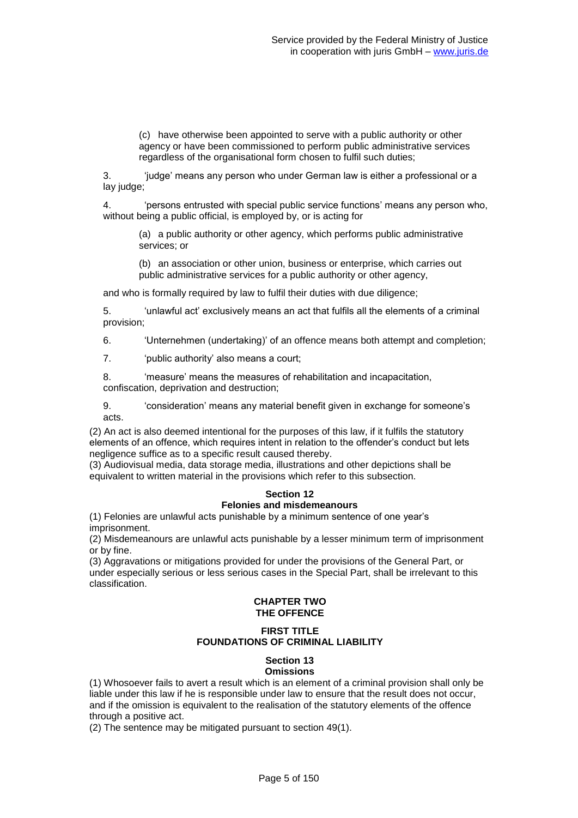(c) have otherwise been appointed to serve with a public authority or other agency or have been commissioned to perform public administrative services regardless of the organisational form chosen to fulfil such duties;

3. 'judge' means any person who under German law is either a professional or a lay judge;

4. 'persons entrusted with special public service functions' means any person who, without being a public official, is employed by, or is acting for

(a) a public authority or other agency, which performs public administrative services; or

(b) an association or other union, business or enterprise, which carries out public administrative services for a public authority or other agency,

and who is formally required by law to fulfil their duties with due diligence;

5. 'unlawful act' exclusively means an act that fulfils all the elements of a criminal provision;

6. 'Unternehmen (undertaking)' of an offence means both attempt and completion;

7. 'public authority' also means a court;

8. 'measure' means the measures of rehabilitation and incapacitation, confiscation, deprivation and destruction;

9. 'consideration' means any material benefit given in exchange for someone's acts.

(2) An act is also deemed intentional for the purposes of this law, if it fulfils the statutory elements of an offence, which requires intent in relation to the offender's conduct but lets negligence suffice as to a specific result caused thereby.

(3) Audiovisual media, data storage media, illustrations and other depictions shall be equivalent to written material in the provisions which refer to this subsection.

## **Section 12 Felonies and misdemeanours**

(1) Felonies are unlawful acts punishable by a minimum sentence of one year's imprisonment.

(2) Misdemeanours are unlawful acts punishable by a lesser minimum term of imprisonment or by fine.

(3) Aggravations or mitigations provided for under the provisions of the General Part, or under especially serious or less serious cases in the Special Part, shall be irrelevant to this classification.

#### **CHAPTER TWO THE OFFENCE**

## **FIRST TITLE FOUNDATIONS OF CRIMINAL LIABILITY**

#### **Section 13 Omissions**

(1) Whosoever fails to avert a result which is an element of a criminal provision shall only be liable under this law if he is responsible under law to ensure that the result does not occur, and if the omission is equivalent to the realisation of the statutory elements of the offence through a positive act.

(2) The sentence may be mitigated pursuant to section 49(1).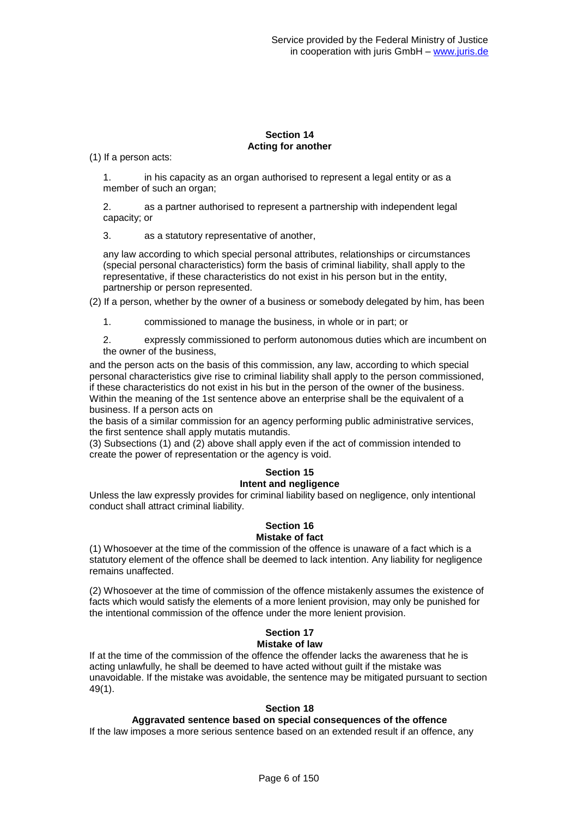## **Section 14 Acting for another**

(1) If a person acts:

1. in his capacity as an organ authorised to represent a legal entity or as a member of such an organ;

2. as a partner authorised to represent a partnership with independent legal capacity; or

3. as a statutory representative of another,

any law according to which special personal attributes, relationships or circumstances (special personal characteristics) form the basis of criminal liability, shall apply to the representative, if these characteristics do not exist in his person but in the entity, partnership or person represented.

(2) If a person, whether by the owner of a business or somebody delegated by him, has been

1. commissioned to manage the business, in whole or in part; or

2. expressly commissioned to perform autonomous duties which are incumbent on the owner of the business,

and the person acts on the basis of this commission, any law, according to which special personal characteristics give rise to criminal liability shall apply to the person commissioned, if these characteristics do not exist in his but in the person of the owner of the business. Within the meaning of the 1st sentence above an enterprise shall be the equivalent of a business. If a person acts on

the basis of a similar commission for an agency performing public administrative services, the first sentence shall apply mutatis mutandis.

(3) Subsections (1) and (2) above shall apply even if the act of commission intended to create the power of representation or the agency is void.

## **Section 15**

## **Intent and negligence**

Unless the law expressly provides for criminal liability based on negligence, only intentional conduct shall attract criminal liability.

#### **Section 16 Mistake of fact**

(1) Whosoever at the time of the commission of the offence is unaware of a fact which is a statutory element of the offence shall be deemed to lack intention. Any liability for negligence remains unaffected.

(2) Whosoever at the time of commission of the offence mistakenly assumes the existence of facts which would satisfy the elements of a more lenient provision, may only be punished for the intentional commission of the offence under the more lenient provision.

#### **Section 17 Mistake of law**

If at the time of the commission of the offence the offender lacks the awareness that he is acting unlawfully, he shall be deemed to have acted without guilt if the mistake was unavoidable. If the mistake was avoidable, the sentence may be mitigated pursuant to section 49(1).

#### **Section 18**

#### **Aggravated sentence based on special consequences of the offence**

If the law imposes a more serious sentence based on an extended result if an offence, any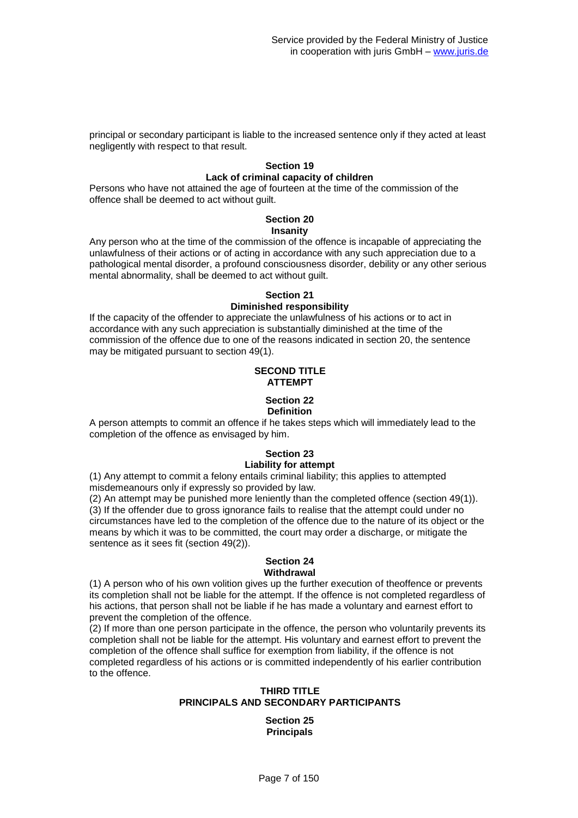principal or secondary participant is liable to the increased sentence only if they acted at least negligently with respect to that result.

## **Section 19 Lack of criminal capacity of children**

Persons who have not attained the age of fourteen at the time of the commission of the offence shall be deemed to act without guilt.

#### **Section 20 Insanity**

Any person who at the time of the commission of the offence is incapable of appreciating the unlawfulness of their actions or of acting in accordance with any such appreciation due to a pathological mental disorder, a profound consciousness disorder, debility or any other serious mental abnormality, shall be deemed to act without guilt.

## **Section 21**

## **Diminished responsibility**

If the capacity of the offender to appreciate the unlawfulness of his actions or to act in accordance with any such appreciation is substantially diminished at the time of the commission of the offence due to one of the reasons indicated in section 20, the sentence may be mitigated pursuant to section 49(1).

#### **SECOND TITLE ATTEMPT**

# **Section 22**

## **Definition**

A person attempts to commit an offence if he takes steps which will immediately lead to the completion of the offence as envisaged by him.

## **Section 23 Liability for attempt**

(1) Any attempt to commit a felony entails criminal liability; this applies to attempted misdemeanours only if expressly so provided by law.

(2) An attempt may be punished more leniently than the completed offence (section 49(1)). (3) If the offender due to gross ignorance fails to realise that the attempt could under no circumstances have led to the completion of the offence due to the nature of its object or the means by which it was to be committed, the court may order a discharge, or mitigate the sentence as it sees fit (section 49(2)).

#### **Section 24 Withdrawal**

(1) A person who of his own volition gives up the further execution of theoffence or prevents its completion shall not be liable for the attempt. If the offence is not completed regardless of his actions, that person shall not be liable if he has made a voluntary and earnest effort to prevent the completion of the offence.

(2) If more than one person participate in the offence, the person who voluntarily prevents its completion shall not be liable for the attempt. His voluntary and earnest effort to prevent the completion of the offence shall suffice for exemption from liability, if the offence is not completed regardless of his actions or is committed independently of his earlier contribution to the offence.

#### **THIRD TITLE PRINCIPALS AND SECONDARY PARTICIPANTS**

**Section 25 Principals**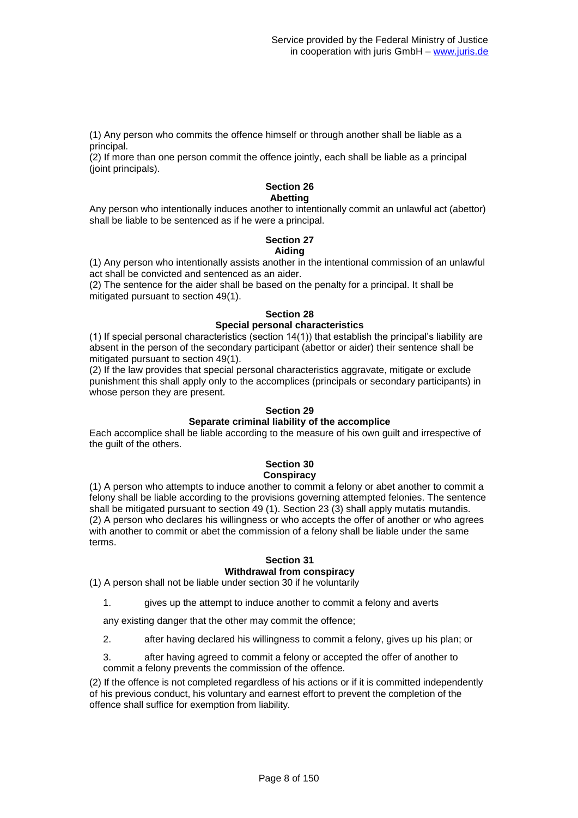(1) Any person who commits the offence himself or through another shall be liable as a principal.

(2) If more than one person commit the offence jointly, each shall be liable as a principal (joint principals).

#### **Section 26 Abetting**

Any person who intentionally induces another to intentionally commit an unlawful act (abettor) shall be liable to be sentenced as if he were a principal.

#### **Section 27 Aiding**

(1) Any person who intentionally assists another in the intentional commission of an unlawful act shall be convicted and sentenced as an aider.

(2) The sentence for the aider shall be based on the penalty for a principal. It shall be mitigated pursuant to section 49(1).

## **Section 28**

## **Special personal characteristics**

(1) If special personal characteristics (section 14(1)) that establish the principal's liability are absent in the person of the secondary participant (abettor or aider) their sentence shall be mitigated pursuant to section 49(1).

(2) If the law provides that special personal characteristics aggravate, mitigate or exclude punishment this shall apply only to the accomplices (principals or secondary participants) in whose person they are present.

# **Section 29**

## **Separate criminal liability of the accomplice**

Each accomplice shall be liable according to the measure of his own guilt and irrespective of the guilt of the others.

#### **Section 30 Conspiracy**

(1) A person who attempts to induce another to commit a felony or abet another to commit a felony shall be liable according to the provisions governing attempted felonies. The sentence shall be mitigated pursuant to section 49 (1). Section 23 (3) shall apply mutatis mutandis. (2) A person who declares his willingness or who accepts the offer of another or who agrees with another to commit or abet the commission of a felony shall be liable under the same terms.

## **Section 31 Withdrawal from conspiracy**

(1) A person shall not be liable under section 30 if he voluntarily

1. gives up the attempt to induce another to commit a felony and averts

any existing danger that the other may commit the offence;

- 2. after having declared his willingness to commit a felony, gives up his plan; or
- 3. after having agreed to commit a felony or accepted the offer of another to commit a felony prevents the commission of the offence.

(2) If the offence is not completed regardless of his actions or if it is committed independently of his previous conduct, his voluntary and earnest effort to prevent the completion of the offence shall suffice for exemption from liability.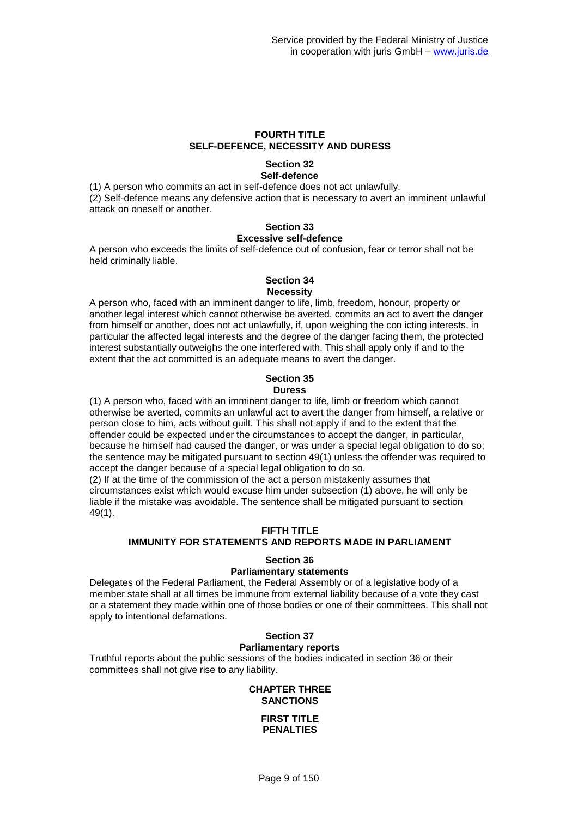## **FOURTH TITLE SELF-DEFENCE, NECESSITY AND DURESS**

#### **Section 32 Self-defence**

(1) A person who commits an act in self-defence does not act unlawfully.

(2) Self-defence means any defensive action that is necessary to avert an imminent unlawful attack on oneself or another.

# **Section 33**

## **Excessive self-defence**

A person who exceeds the limits of self-defence out of confusion, fear or terror shall not be held criminally liable.

#### **Section 34 Necessity**

A person who, faced with an imminent danger to life, limb, freedom, honour, property or another legal interest which cannot otherwise be averted, commits an act to avert the danger from himself or another, does not act unlawfully, if, upon weighing the con icting interests, in particular the affected legal interests and the degree of the danger facing them, the protected interest substantially outweighs the one interfered with. This shall apply only if and to the extent that the act committed is an adequate means to avert the danger.

# **Section 35**

**Duress**

(1) A person who, faced with an imminent danger to life, limb or freedom which cannot otherwise be averted, commits an unlawful act to avert the danger from himself, a relative or person close to him, acts without guilt. This shall not apply if and to the extent that the offender could be expected under the circumstances to accept the danger, in particular, because he himself had caused the danger, or was under a special legal obligation to do so; the sentence may be mitigated pursuant to section 49(1) unless the offender was required to accept the danger because of a special legal obligation to do so.

(2) If at the time of the commission of the act a person mistakenly assumes that circumstances exist which would excuse him under subsection (1) above, he will only be liable if the mistake was avoidable. The sentence shall be mitigated pursuant to section 49(1).

## **FIFTH TITLE**

# **IMMUNITY FOR STATEMENTS AND REPORTS MADE IN PARLIAMENT**

## **Section 36**

## **Parliamentary statements**

Delegates of the Federal Parliament, the Federal Assembly or of a legislative body of a member state shall at all times be immune from external liability because of a vote they cast or a statement they made within one of those bodies or one of their committees. This shall not apply to intentional defamations.

#### **Section 37 Parliamentary reports**

Truthful reports about the public sessions of the bodies indicated in section 36 or their committees shall not give rise to any liability.

## **CHAPTER THREE SANCTIONS**

#### **FIRST TITLE PENALTIES**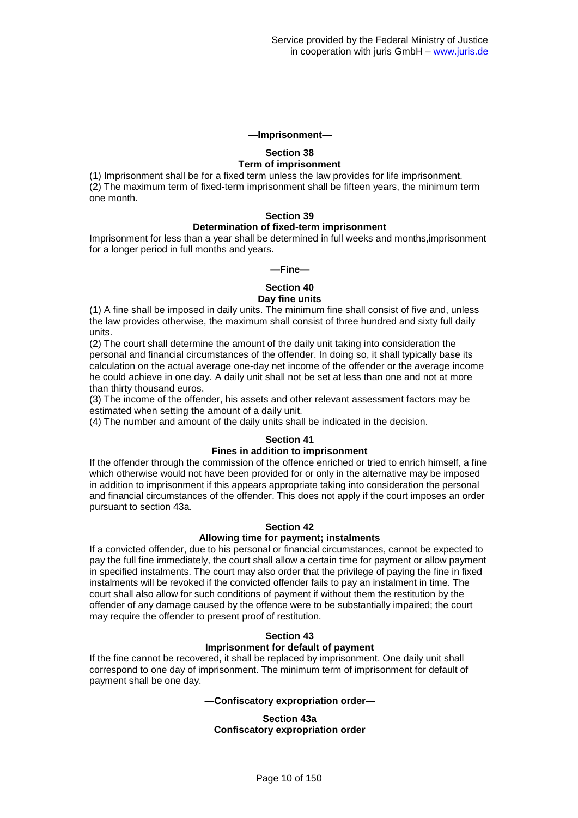#### **—Imprisonment—**

## **Section 38 Term of imprisonment**

(1) Imprisonment shall be for a fixed term unless the law provides for life imprisonment. (2) The maximum term of fixed-term imprisonment shall be fifteen years, the minimum term one month.

## **Section 39 Determination of fixed-term imprisonment**

Imprisonment for less than a year shall be determined in full weeks and months,imprisonment for a longer period in full months and years.

#### **—Fine—**

#### **Section 40 Day fine units**

(1) A fine shall be imposed in daily units. The minimum fine shall consist of five and, unless the law provides otherwise, the maximum shall consist of three hundred and sixty full daily units.

(2) The court shall determine the amount of the daily unit taking into consideration the personal and financial circumstances of the offender. In doing so, it shall typically base its calculation on the actual average one-day net income of the offender or the average income he could achieve in one day. A daily unit shall not be set at less than one and not at more than thirty thousand euros.

(3) The income of the offender, his assets and other relevant assessment factors may be estimated when setting the amount of a daily unit.

(4) The number and amount of the daily units shall be indicated in the decision.

#### **Section 41**

## **Fines in addition to imprisonment**

If the offender through the commission of the offence enriched or tried to enrich himself, a fine which otherwise would not have been provided for or only in the alternative may be imposed in addition to imprisonment if this appears appropriate taking into consideration the personal and financial circumstances of the offender. This does not apply if the court imposes an order pursuant to section 43a.

#### **Section 42**

#### **Allowing time for payment; instalments**

If a convicted offender, due to his personal or financial circumstances, cannot be expected to pay the full fine immediately, the court shall allow a certain time for payment or allow payment in specified instalments. The court may also order that the privilege of paying the fine in fixed instalments will be revoked if the convicted offender fails to pay an instalment in time. The court shall also allow for such conditions of payment if without them the restitution by the offender of any damage caused by the offence were to be substantially impaired; the court may require the offender to present proof of restitution.

## **Section 43**

## **Imprisonment for default of payment**

If the fine cannot be recovered, it shall be replaced by imprisonment. One daily unit shall correspond to one day of imprisonment. The minimum term of imprisonment for default of payment shall be one day.

**—Confiscatory expropriation order—**

#### **Section 43a Confiscatory expropriation order**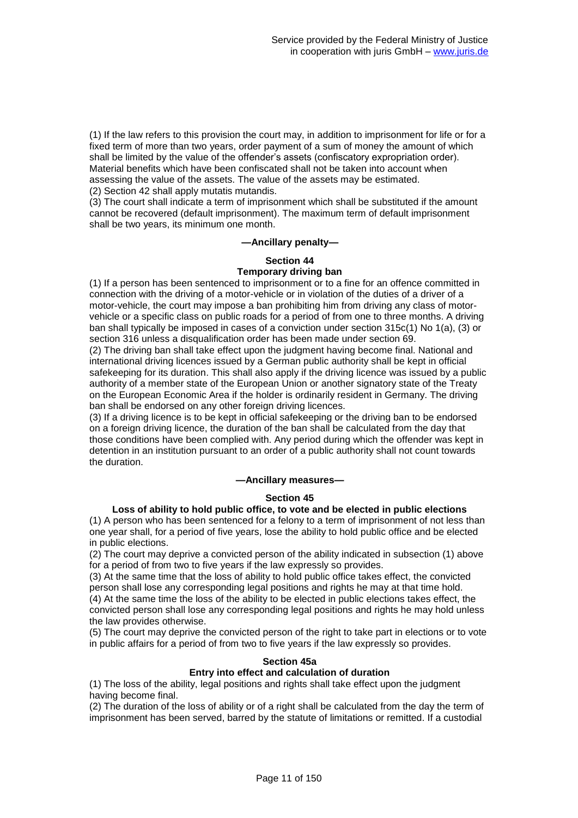(1) If the law refers to this provision the court may, in addition to imprisonment for life or for a fixed term of more than two years, order payment of a sum of money the amount of which shall be limited by the value of the offender's assets (confiscatory expropriation order). Material benefits which have been confiscated shall not be taken into account when assessing the value of the assets. The value of the assets may be estimated. (2) Section 42 shall apply mutatis mutandis.

(3) The court shall indicate a term of imprisonment which shall be substituted if the amount cannot be recovered (default imprisonment). The maximum term of default imprisonment shall be two years, its minimum one month.

#### **—Ancillary penalty—**

#### **Section 44 Temporary driving ban**

(1) If a person has been sentenced to imprisonment or to a fine for an offence committed in connection with the driving of a motor-vehicle or in violation of the duties of a driver of a motor-vehicle, the court may impose a ban prohibiting him from driving any class of motorvehicle or a specific class on public roads for a period of from one to three months. A driving ban shall typically be imposed in cases of a conviction under section 315c(1) No 1(a), (3) or section 316 unless a disqualification order has been made under section 69.

(2) The driving ban shall take effect upon the judgment having become final. National and international driving licences issued by a German public authority shall be kept in official safekeeping for its duration. This shall also apply if the driving licence was issued by a public authority of a member state of the European Union or another signatory state of the Treaty on the European Economic Area if the holder is ordinarily resident in Germany. The driving ban shall be endorsed on any other foreign driving licences.

(3) If a driving licence is to be kept in official safekeeping or the driving ban to be endorsed on a foreign driving licence, the duration of the ban shall be calculated from the day that those conditions have been complied with. Any period during which the offender was kept in detention in an institution pursuant to an order of a public authority shall not count towards the duration.

#### **—Ancillary measures—**

#### **Section 45**

**Loss of ability to hold public office, to vote and be elected in public elections**

(1) A person who has been sentenced for a felony to a term of imprisonment of not less than one year shall, for a period of five years, lose the ability to hold public office and be elected in public elections.

(2) The court may deprive a convicted person of the ability indicated in subsection (1) above for a period of from two to five years if the law expressly so provides.

(3) At the same time that the loss of ability to hold public office takes effect, the convicted person shall lose any corresponding legal positions and rights he may at that time hold. (4) At the same time the loss of the ability to be elected in public elections takes effect, the convicted person shall lose any corresponding legal positions and rights he may hold unless the law provides otherwise.

(5) The court may deprive the convicted person of the right to take part in elections or to vote in public affairs for a period of from two to five years if the law expressly so provides.

#### **Section 45a**

# **Entry into effect and calculation of duration**

(1) The loss of the ability, legal positions and rights shall take effect upon the judgment having become final.

(2) The duration of the loss of ability or of a right shall be calculated from the day the term of imprisonment has been served, barred by the statute of limitations or remitted. If a custodial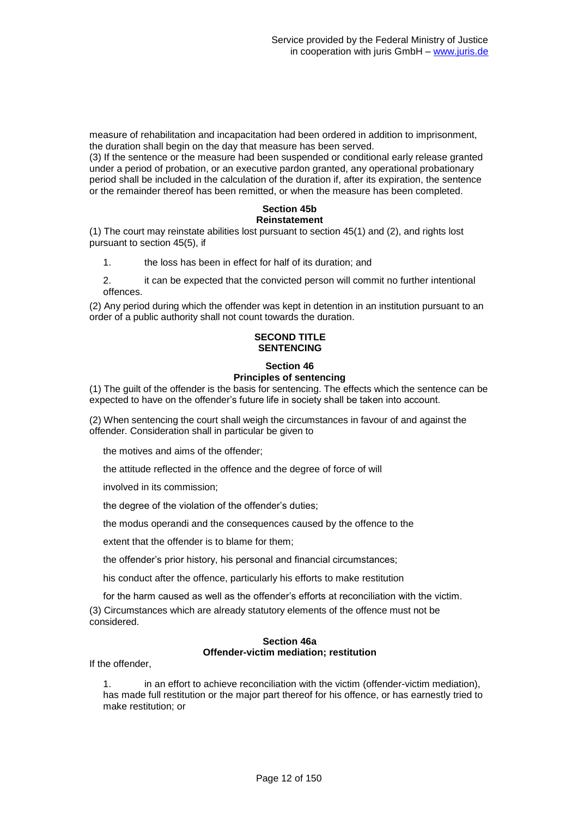measure of rehabilitation and incapacitation had been ordered in addition to imprisonment, the duration shall begin on the day that measure has been served.

(3) If the sentence or the measure had been suspended or conditional early release granted under a period of probation, or an executive pardon granted, any operational probationary period shall be included in the calculation of the duration if, after its expiration, the sentence or the remainder thereof has been remitted, or when the measure has been completed.

#### **Section 45b Reinstatement**

(1) The court may reinstate abilities lost pursuant to section 45(1) and (2), and rights lost pursuant to section 45(5), if

1. the loss has been in effect for half of its duration; and

2. it can be expected that the convicted person will commit no further intentional offences.

(2) Any period during which the offender was kept in detention in an institution pursuant to an order of a public authority shall not count towards the duration.

#### **SECOND TITLE SENTENCING**

## **Section 46**

## **Principles of sentencing**

(1) The guilt of the offender is the basis for sentencing. The effects which the sentence can be expected to have on the offender's future life in society shall be taken into account.

(2) When sentencing the court shall weigh the circumstances in favour of and against the offender. Consideration shall in particular be given to

the motives and aims of the offender;

the attitude reflected in the offence and the degree of force of will

involved in its commission;

the degree of the violation of the offender's duties;

the modus operandi and the consequences caused by the offence to the

extent that the offender is to blame for them;

the offender's prior history, his personal and financial circumstances;

his conduct after the offence, particularly his efforts to make restitution

for the harm caused as well as the offender's efforts at reconciliation with the victim.

(3) Circumstances which are already statutory elements of the offence must not be considered.

#### **Section 46a Offender-victim mediation; restitution**

If the offender,

1. in an effort to achieve reconciliation with the victim (offender-victim mediation), has made full restitution or the major part thereof for his offence, or has earnestly tried to make restitution; or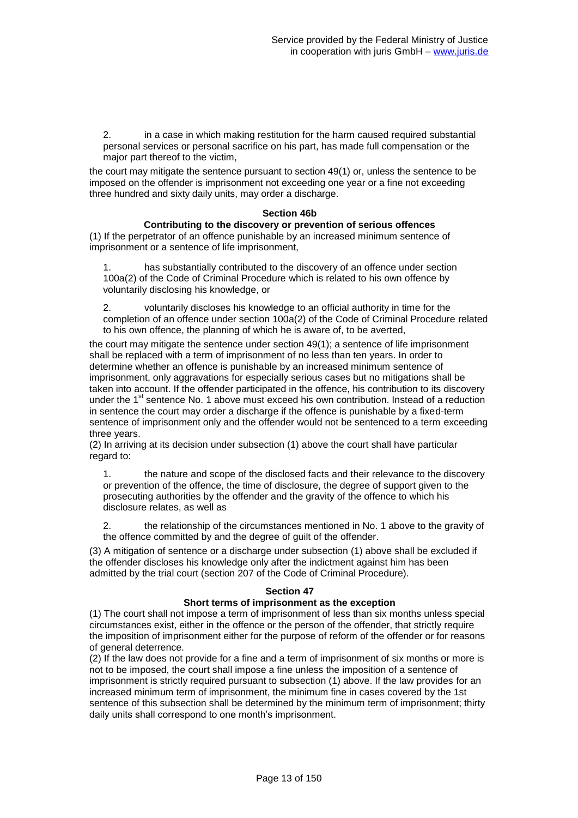2. in a case in which making restitution for the harm caused required substantial personal services or personal sacrifice on his part, has made full compensation or the major part thereof to the victim,

the court may mitigate the sentence pursuant to section 49(1) or, unless the sentence to be imposed on the offender is imprisonment not exceeding one year or a fine not exceeding three hundred and sixty daily units, may order a discharge.

#### **Section 46b**

#### **Contributing to the discovery or prevention of serious offences**

(1) If the perpetrator of an offence punishable by an increased minimum sentence of imprisonment or a sentence of life imprisonment,

1. has substantially contributed to the discovery of an offence under section 100a(2) of the Code of Criminal Procedure which is related to his own offence by voluntarily disclosing his knowledge, or

2. voluntarily discloses his knowledge to an official authority in time for the completion of an offence under section 100a(2) of the Code of Criminal Procedure related to his own offence, the planning of which he is aware of, to be averted,

the court may mitigate the sentence under section 49(1); a sentence of life imprisonment shall be replaced with a term of imprisonment of no less than ten years. In order to determine whether an offence is punishable by an increased minimum sentence of imprisonment, only aggravations for especially serious cases but no mitigations shall be taken into account. If the offender participated in the offence, his contribution to its discovery under the 1<sup>st</sup> sentence No. 1 above must exceed his own contribution. Instead of a reduction in sentence the court may order a discharge if the offence is punishable by a fixed-term sentence of imprisonment only and the offender would not be sentenced to a term exceeding three years.

(2) In arriving at its decision under subsection (1) above the court shall have particular regard to:

1. the nature and scope of the disclosed facts and their relevance to the discovery or prevention of the offence, the time of disclosure, the degree of support given to the prosecuting authorities by the offender and the gravity of the offence to which his disclosure relates, as well as

2. the relationship of the circumstances mentioned in No. 1 above to the gravity of the offence committed by and the degree of guilt of the offender.

(3) A mitigation of sentence or a discharge under subsection (1) above shall be excluded if the offender discloses his knowledge only after the indictment against him has been admitted by the trial court (section 207 of the Code of Criminal Procedure).

#### **Section 47**

## **Short terms of imprisonment as the exception**

(1) The court shall not impose a term of imprisonment of less than six months unless special circumstances exist, either in the offence or the person of the offender, that strictly require the imposition of imprisonment either for the purpose of reform of the offender or for reasons of general deterrence.

(2) If the law does not provide for a fine and a term of imprisonment of six months or more is not to be imposed, the court shall impose a fine unless the imposition of a sentence of imprisonment is strictly required pursuant to subsection (1) above. If the law provides for an increased minimum term of imprisonment, the minimum fine in cases covered by the 1st sentence of this subsection shall be determined by the minimum term of imprisonment; thirty daily units shall correspond to one month's imprisonment.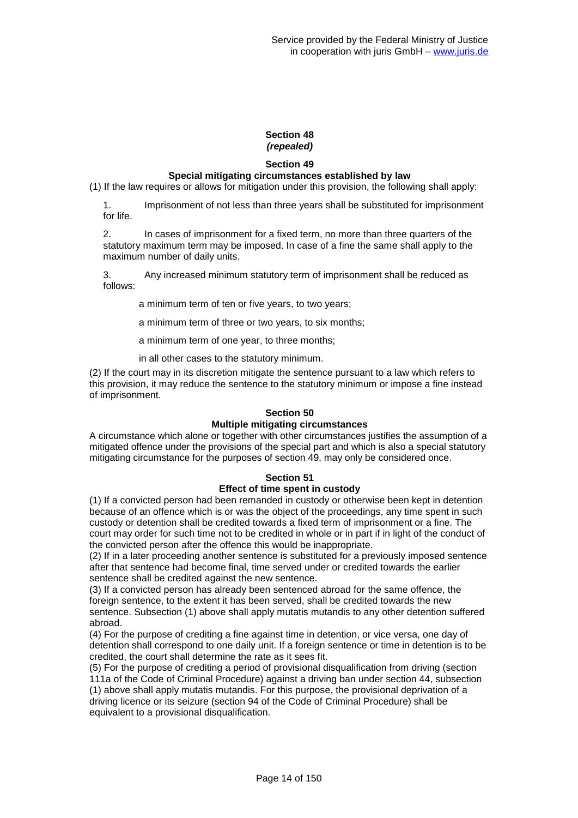#### **Section 48** *(repealed)*

## **Section 49**

#### **Special mitigating circumstances established by law**

(1) If the law requires or allows for mitigation under this provision, the following shall apply:

1. Imprisonment of not less than three years shall be substituted for imprisonment for life.

2. In cases of imprisonment for a fixed term, no more than three quarters of the statutory maximum term may be imposed. In case of a fine the same shall apply to the maximum number of daily units.

3. Any increased minimum statutory term of imprisonment shall be reduced as follows:

a minimum term of ten or five years, to two years;

a minimum term of three or two years, to six months;

a minimum term of one year, to three months;

in all other cases to the statutory minimum.

(2) If the court may in its discretion mitigate the sentence pursuant to a law which refers to this provision, it may reduce the sentence to the statutory minimum or impose a fine instead of imprisonment.

## **Section 50**

#### **Multiple mitigating circumstances**

A circumstance which alone or together with other circumstances justifies the assumption of a mitigated offence under the provisions of the special part and which is also a special statutory mitigating circumstance for the purposes of section 49, may only be considered once.

## **Section 51**

#### **Effect of time spent in custody**

(1) If a convicted person had been remanded in custody or otherwise been kept in detention because of an offence which is or was the object of the proceedings, any time spent in such custody or detention shall be credited towards a fixed term of imprisonment or a fine. The court may order for such time not to be credited in whole or in part if in light of the conduct of the convicted person after the offence this would be inappropriate.

(2) If in a later proceeding another sentence is substituted for a previously imposed sentence after that sentence had become final, time served under or credited towards the earlier sentence shall be credited against the new sentence.

(3) If a convicted person has already been sentenced abroad for the same offence, the foreign sentence, to the extent it has been served, shall be credited towards the new sentence. Subsection (1) above shall apply mutatis mutandis to any other detention suffered abroad.

(4) For the purpose of crediting a fine against time in detention, or vice versa, one day of detention shall correspond to one daily unit. If a foreign sentence or time in detention is to be credited, the court shall determine the rate as it sees fit.

(5) For the purpose of crediting a period of provisional disqualification from driving (section 111a of the Code of Criminal Procedure) against a driving ban under section 44, subsection (1) above shall apply mutatis mutandis. For this purpose, the provisional deprivation of a driving licence or its seizure (section 94 of the Code of Criminal Procedure) shall be equivalent to a provisional disqualification.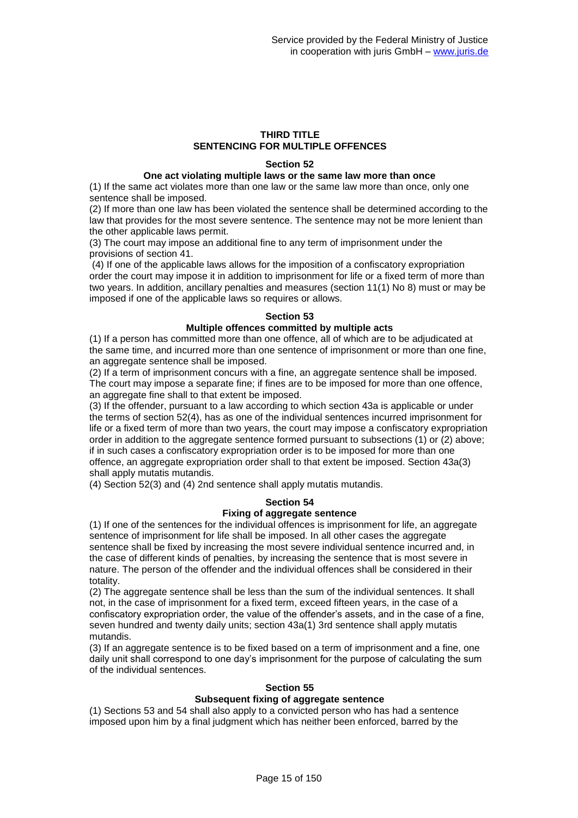## **THIRD TITLE SENTENCING FOR MULTIPLE OFFENCES**

#### **Section 52**

## **One act violating multiple laws or the same law more than once**

(1) If the same act violates more than one law or the same law more than once, only one sentence shall be imposed.

(2) If more than one law has been violated the sentence shall be determined according to the law that provides for the most severe sentence. The sentence may not be more lenient than the other applicable laws permit.

(3) The court may impose an additional fine to any term of imprisonment under the provisions of section 41.

(4) If one of the applicable laws allows for the imposition of a confiscatory expropriation order the court may impose it in addition to imprisonment for life or a fixed term of more than two years. In addition, ancillary penalties and measures (section 11(1) No 8) must or may be imposed if one of the applicable laws so requires or allows.

#### **Section 53**

## **Multiple offences committed by multiple acts**

(1) If a person has committed more than one offence, all of which are to be adjudicated at the same time, and incurred more than one sentence of imprisonment or more than one fine, an aggregate sentence shall be imposed.

(2) If a term of imprisonment concurs with a fine, an aggregate sentence shall be imposed. The court may impose a separate fine; if fines are to be imposed for more than one offence, an aggregate fine shall to that extent be imposed.

(3) If the offender, pursuant to a law according to which section 43a is applicable or under the terms of section 52(4), has as one of the individual sentences incurred imprisonment for life or a fixed term of more than two years, the court may impose a confiscatory expropriation order in addition to the aggregate sentence formed pursuant to subsections (1) or (2) above; if in such cases a confiscatory expropriation order is to be imposed for more than one offence, an aggregate expropriation order shall to that extent be imposed. Section 43a(3) shall apply mutatis mutandis.

(4) Section 52(3) and (4) 2nd sentence shall apply mutatis mutandis.

#### **Section 54**

#### **Fixing of aggregate sentence**

(1) If one of the sentences for the individual offences is imprisonment for life, an aggregate sentence of imprisonment for life shall be imposed. In all other cases the aggregate sentence shall be fixed by increasing the most severe individual sentence incurred and, in the case of different kinds of penalties, by increasing the sentence that is most severe in nature. The person of the offender and the individual offences shall be considered in their totality.

(2) The aggregate sentence shall be less than the sum of the individual sentences. It shall not, in the case of imprisonment for a fixed term, exceed fifteen years, in the case of a confiscatory expropriation order, the value of the offender's assets, and in the case of a fine, seven hundred and twenty daily units; section 43a(1) 3rd sentence shall apply mutatis mutandis.

(3) If an aggregate sentence is to be fixed based on a term of imprisonment and a fine, one daily unit shall correspond to one day's imprisonment for the purpose of calculating the sum of the individual sentences.

## **Section 55**

## **Subsequent fixing of aggregate sentence**

(1) Sections 53 and 54 shall also apply to a convicted person who has had a sentence imposed upon him by a final judgment which has neither been enforced, barred by the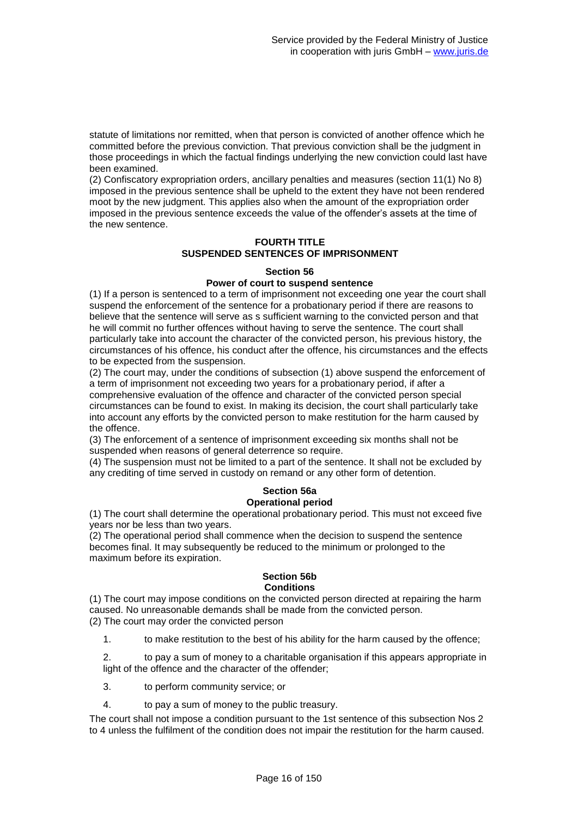statute of limitations nor remitted, when that person is convicted of another offence which he committed before the previous conviction. That previous conviction shall be the judgment in those proceedings in which the factual findings underlying the new conviction could last have been examined.

(2) Confiscatory expropriation orders, ancillary penalties and measures (section 11(1) No 8) imposed in the previous sentence shall be upheld to the extent they have not been rendered moot by the new judgment. This applies also when the amount of the expropriation order imposed in the previous sentence exceeds the value of the offender's assets at the time of the new sentence.

## **FOURTH TITLE SUSPENDED SENTENCES OF IMPRISONMENT**

#### **Section 56**

#### **Power of court to suspend sentence**

(1) If a person is sentenced to a term of imprisonment not exceeding one year the court shall suspend the enforcement of the sentence for a probationary period if there are reasons to believe that the sentence will serve as s sufficient warning to the convicted person and that he will commit no further offences without having to serve the sentence. The court shall particularly take into account the character of the convicted person, his previous history, the circumstances of his offence, his conduct after the offence, his circumstances and the effects to be expected from the suspension.

(2) The court may, under the conditions of subsection (1) above suspend the enforcement of a term of imprisonment not exceeding two years for a probationary period, if after a comprehensive evaluation of the offence and character of the convicted person special circumstances can be found to exist. In making its decision, the court shall particularly take into account any efforts by the convicted person to make restitution for the harm caused by the offence.

(3) The enforcement of a sentence of imprisonment exceeding six months shall not be suspended when reasons of general deterrence so require.

(4) The suspension must not be limited to a part of the sentence. It shall not be excluded by any crediting of time served in custody on remand or any other form of detention.

## **Section 56a Operational period**

(1) The court shall determine the operational probationary period. This must not exceed five years nor be less than two years.

(2) The operational period shall commence when the decision to suspend the sentence becomes final. It may subsequently be reduced to the minimum or prolonged to the maximum before its expiration.

#### **Section 56b Conditions**

(1) The court may impose conditions on the convicted person directed at repairing the harm caused. No unreasonable demands shall be made from the convicted person. (2) The court may order the convicted person

1. to make restitution to the best of his ability for the harm caused by the offence;

2. to pay a sum of money to a charitable organisation if this appears appropriate in light of the offence and the character of the offender;

3. to perform community service; or

4. to pay a sum of money to the public treasury.

The court shall not impose a condition pursuant to the 1st sentence of this subsection Nos 2 to 4 unless the fulfilment of the condition does not impair the restitution for the harm caused.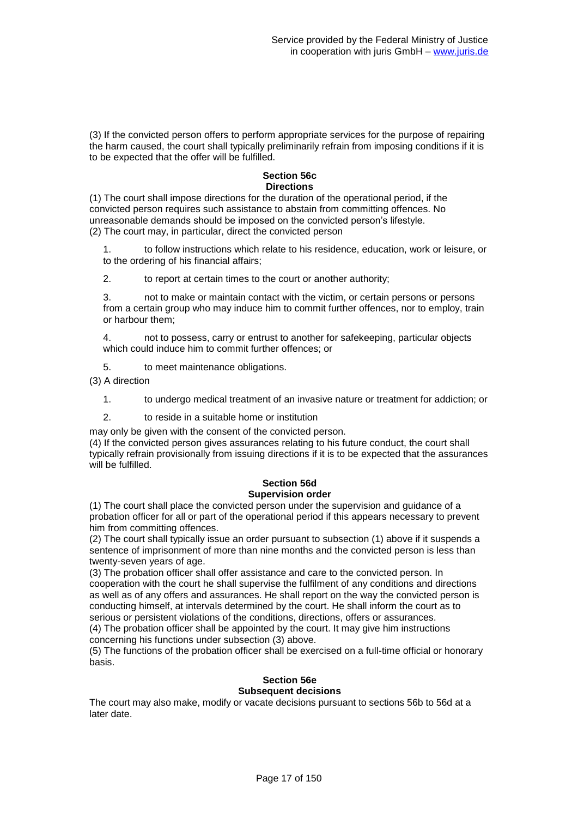(3) If the convicted person offers to perform appropriate services for the purpose of repairing the harm caused, the court shall typically preliminarily refrain from imposing conditions if it is to be expected that the offer will be fulfilled.

#### **Section 56c Directions**

(1) The court shall impose directions for the duration of the operational period, if the convicted person requires such assistance to abstain from committing offences. No unreasonable demands should be imposed on the convicted person's lifestyle. (2) The court may, in particular, direct the convicted person

1. to follow instructions which relate to his residence, education, work or leisure, or to the ordering of his financial affairs;

2. to report at certain times to the court or another authority;

3. not to make or maintain contact with the victim, or certain persons or persons from a certain group who may induce him to commit further offences, nor to employ, train or harbour them;

4. not to possess, carry or entrust to another for safekeeping, particular objects which could induce him to commit further offences; or

5. to meet maintenance obligations.

(3) A direction

later date.

1. to undergo medical treatment of an invasive nature or treatment for addiction; or

2. to reside in a suitable home or institution

may only be given with the consent of the convicted person.

(4) If the convicted person gives assurances relating to his future conduct, the court shall typically refrain provisionally from issuing directions if it is to be expected that the assurances will be fulfilled.

#### **Section 56d Supervision order**

(1) The court shall place the convicted person under the supervision and guidance of a probation officer for all or part of the operational period if this appears necessary to prevent him from committing offences.

(2) The court shall typically issue an order pursuant to subsection (1) above if it suspends a sentence of imprisonment of more than nine months and the convicted person is less than twenty-seven years of age.

(3) The probation officer shall offer assistance and care to the convicted person. In cooperation with the court he shall supervise the fulfilment of any conditions and directions as well as of any offers and assurances. He shall report on the way the convicted person is conducting himself, at intervals determined by the court. He shall inform the court as to serious or persistent violations of the conditions, directions, offers or assurances.

(4) The probation officer shall be appointed by the court. It may give him instructions concerning his functions under subsection (3) above.

(5) The functions of the probation officer shall be exercised on a full-time official or honorary basis.

#### **Section 56e Subsequent decisions**

The court may also make, modify or vacate decisions pursuant to sections 56b to 56d at a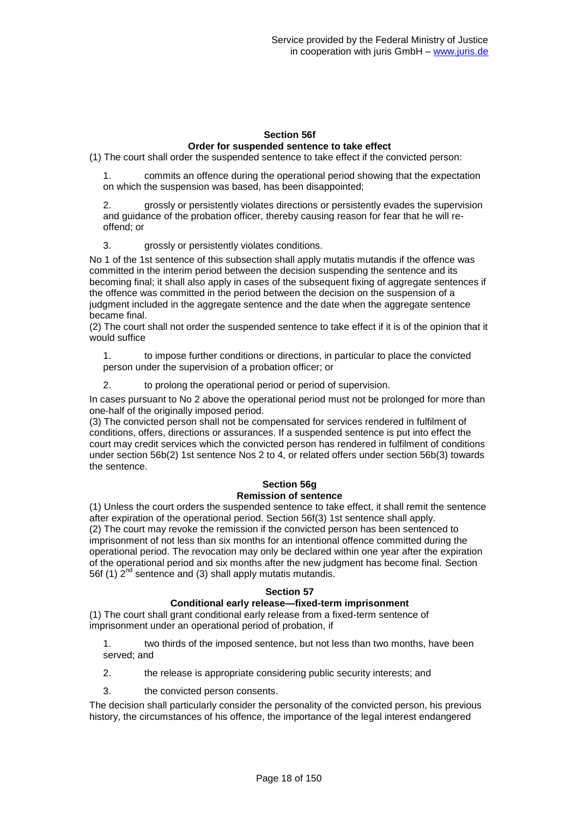## **Section 56f Order for suspended sentence to take effect**

(1) The court shall order the suspended sentence to take effect if the convicted person:

1. commits an offence during the operational period showing that the expectation on which the suspension was based, has been disappointed;

2. grossly or persistently violates directions or persistently evades the supervision and guidance of the probation officer, thereby causing reason for fear that he will reoffend; or

3. grossly or persistently violates conditions.

No 1 of the 1st sentence of this subsection shall apply mutatis mutandis if the offence was committed in the interim period between the decision suspending the sentence and its becoming final; it shall also apply in cases of the subsequent fixing of aggregate sentences if the offence was committed in the period between the decision on the suspension of a judgment included in the aggregate sentence and the date when the aggregate sentence became final.

(2) The court shall not order the suspended sentence to take effect if it is of the opinion that it would suffice

1. to impose further conditions or directions, in particular to place the convicted person under the supervision of a probation officer; or

2. to prolong the operational period or period of supervision.

In cases pursuant to No 2 above the operational period must not be prolonged for more than one-half of the originally imposed period.

(3) The convicted person shall not be compensated for services rendered in fulfilment of conditions, offers, directions or assurances. If a suspended sentence is put into effect the court may credit services which the convicted person has rendered in fulfilment of conditions under section 56b(2) 1st sentence Nos 2 to 4, or related offers under section 56b(3) towards the sentence.

# **Section 56g**

## **Remission of sentence**

(1) Unless the court orders the suspended sentence to take effect, it shall remit the sentence after expiration of the operational period. Section 56f(3) 1st sentence shall apply. (2) The court may revoke the remission if the convicted person has been sentenced to imprisonment of not less than six months for an intentional offence committed during the operational period. The revocation may only be declared within one year after the expiration of the operational period and six months after the new judgment has become final. Section 56f (1)  $2^{nd}$  sentence and (3) shall apply mutatis mutandis.

#### **Section 57**

## **Conditional early release—fixed-term imprisonment**

(1) The court shall grant conditional early release from a fixed-term sentence of imprisonment under an operational period of probation, if

1. two thirds of the imposed sentence, but not less than two months, have been served; and

2. the release is appropriate considering public security interests; and

3. the convicted person consents.

The decision shall particularly consider the personality of the convicted person, his previous history, the circumstances of his offence, the importance of the legal interest endangered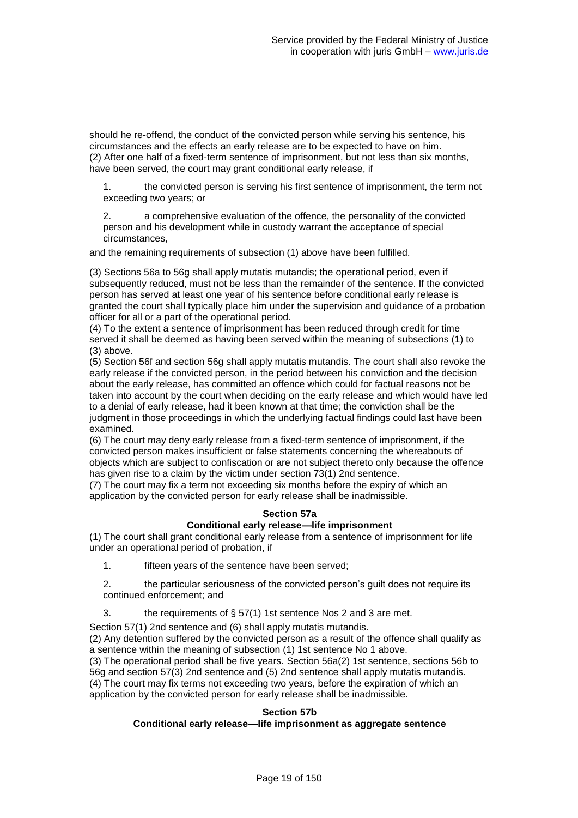should he re-offend, the conduct of the convicted person while serving his sentence, his circumstances and the effects an early release are to be expected to have on him. (2) After one half of a fixed-term sentence of imprisonment, but not less than six months, have been served, the court may grant conditional early release, if

1. the convicted person is serving his first sentence of imprisonment, the term not exceeding two years; or

2. a comprehensive evaluation of the offence, the personality of the convicted person and his development while in custody warrant the acceptance of special circumstances,

and the remaining requirements of subsection (1) above have been fulfilled.

(3) Sections 56a to 56g shall apply mutatis mutandis; the operational period, even if subsequently reduced, must not be less than the remainder of the sentence. If the convicted person has served at least one year of his sentence before conditional early release is granted the court shall typically place him under the supervision and guidance of a probation officer for all or a part of the operational period.

(4) To the extent a sentence of imprisonment has been reduced through credit for time served it shall be deemed as having been served within the meaning of subsections (1) to (3) above.

(5) Section 56f and section 56g shall apply mutatis mutandis. The court shall also revoke the early release if the convicted person, in the period between his conviction and the decision about the early release, has committed an offence which could for factual reasons not be taken into account by the court when deciding on the early release and which would have led to a denial of early release, had it been known at that time; the conviction shall be the judgment in those proceedings in which the underlying factual findings could last have been examined.

(6) The court may deny early release from a fixed-term sentence of imprisonment, if the convicted person makes insufficient or false statements concerning the whereabouts of objects which are subject to confiscation or are not subject thereto only because the offence has given rise to a claim by the victim under section 73(1) 2nd sentence.

(7) The court may fix a term not exceeding six months before the expiry of which an application by the convicted person for early release shall be inadmissible.

#### **Section 57a**

## **Conditional early release—life imprisonment**

(1) The court shall grant conditional early release from a sentence of imprisonment for life under an operational period of probation, if

1. fifteen years of the sentence have been served;

2. the particular seriousness of the convicted person's guilt does not require its continued enforcement; and

3. the requirements of § 57(1) 1st sentence Nos 2 and 3 are met.

Section 57(1) 2nd sentence and (6) shall apply mutatis mutandis.

(2) Any detention suffered by the convicted person as a result of the offence shall qualify as a sentence within the meaning of subsection (1) 1st sentence No 1 above.

(3) The operational period shall be five years. Section 56a(2) 1st sentence, sections 56b to 56g and section 57(3) 2nd sentence and (5) 2nd sentence shall apply mutatis mutandis. (4) The court may fix terms not exceeding two years, before the expiration of which an application by the convicted person for early release shall be inadmissible.

#### **Section 57b**

## **Conditional early release—life imprisonment as aggregate sentence**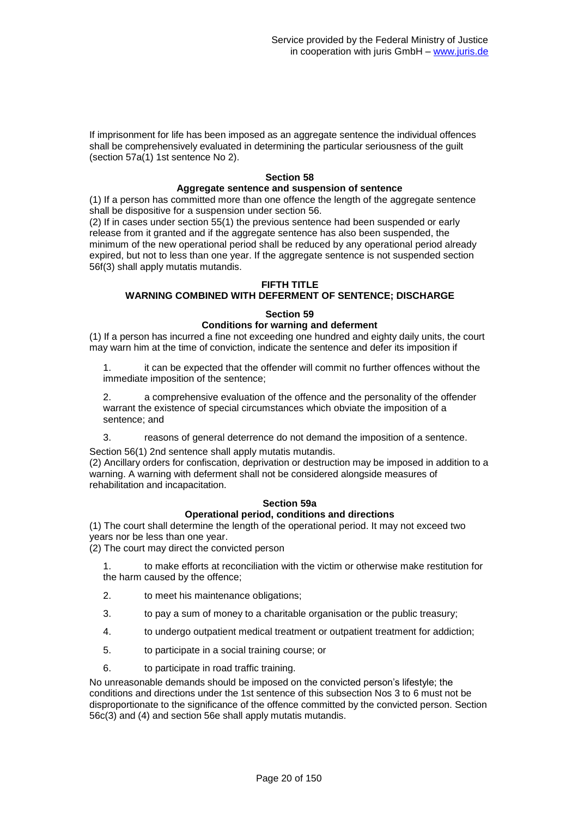If imprisonment for life has been imposed as an aggregate sentence the individual offences shall be comprehensively evaluated in determining the particular seriousness of the guilt (section 57a(1) 1st sentence No 2).

## **Section 58**

## **Aggregate sentence and suspension of sentence**

(1) If a person has committed more than one offence the length of the aggregate sentence shall be dispositive for a suspension under section 56.

(2) If in cases under section 55(1) the previous sentence had been suspended or early release from it granted and if the aggregate sentence has also been suspended, the minimum of the new operational period shall be reduced by any operational period already expired, but not to less than one year. If the aggregate sentence is not suspended section 56f(3) shall apply mutatis mutandis.

## **FIFTH TITLE**

## **WARNING COMBINED WITH DEFERMENT OF SENTENCE; DISCHARGE**

#### **Section 59**

## **Conditions for warning and deferment**

(1) If a person has incurred a fine not exceeding one hundred and eighty daily units, the court may warn him at the time of conviction, indicate the sentence and defer its imposition if

1. it can be expected that the offender will commit no further offences without the immediate imposition of the sentence;

2. a comprehensive evaluation of the offence and the personality of the offender warrant the existence of special circumstances which obviate the imposition of a sentence; and

3. reasons of general deterrence do not demand the imposition of a sentence.

Section 56(1) 2nd sentence shall apply mutatis mutandis.

(2) Ancillary orders for confiscation, deprivation or destruction may be imposed in addition to a warning. A warning with deferment shall not be considered alongside measures of rehabilitation and incapacitation.

#### **Section 59a**

## **Operational period, conditions and directions**

(1) The court shall determine the length of the operational period. It may not exceed two years nor be less than one year.

(2) The court may direct the convicted person

1. to make efforts at reconciliation with the victim or otherwise make restitution for the harm caused by the offence;

- 2. to meet his maintenance obligations;
- 3. to pay a sum of money to a charitable organisation or the public treasury;
- 4. to undergo outpatient medical treatment or outpatient treatment for addiction;
- 5. to participate in a social training course; or
- 6. to participate in road traffic training.

No unreasonable demands should be imposed on the convicted person's lifestyle; the conditions and directions under the 1st sentence of this subsection Nos 3 to 6 must not be disproportionate to the significance of the offence committed by the convicted person. Section 56c(3) and (4) and section 56e shall apply mutatis mutandis.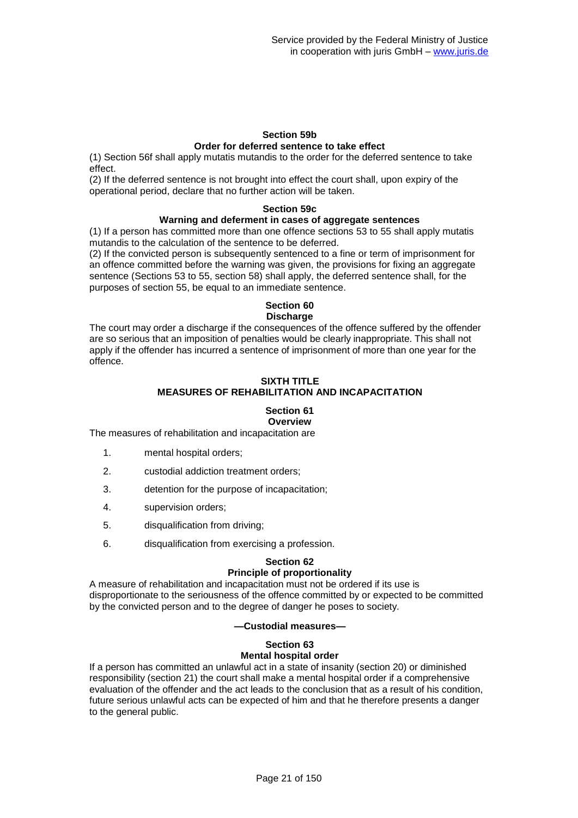## **Section 59b Order for deferred sentence to take effect**

(1) Section 56f shall apply mutatis mutandis to the order for the deferred sentence to take effect.

(2) If the deferred sentence is not brought into effect the court shall, upon expiry of the operational period, declare that no further action will be taken.

#### **Section 59c**

#### **Warning and deferment in cases of aggregate sentences**

(1) If a person has committed more than one offence sections 53 to 55 shall apply mutatis mutandis to the calculation of the sentence to be deferred.

(2) If the convicted person is subsequently sentenced to a fine or term of imprisonment for an offence committed before the warning was given, the provisions for fixing an aggregate sentence (Sections 53 to 55, section 58) shall apply, the deferred sentence shall, for the purposes of section 55, be equal to an immediate sentence.

#### **Section 60 Discharge**

The court may order a discharge if the consequences of the offence suffered by the offender are so serious that an imposition of penalties would be clearly inappropriate. This shall not apply if the offender has incurred a sentence of imprisonment of more than one year for the offence.

#### **SIXTH TITLE MEASURES OF REHABILITATION AND INCAPACITATION**

#### **Section 61 Overview**

The measures of rehabilitation and incapacitation are

- 1. mental hospital orders;
- 2. custodial addiction treatment orders;
- 3. detention for the purpose of incapacitation;
- 4. supervision orders;
- 5. disqualification from driving;
- 6. disqualification from exercising a profession.

## **Section 62 Principle of proportionality**

A measure of rehabilitation and incapacitation must not be ordered if its use is disproportionate to the seriousness of the offence committed by or expected to be committed by the convicted person and to the degree of danger he poses to society.

#### **—Custodial measures—**

#### **Section 63 Mental hospital order**

If a person has committed an unlawful act in a state of insanity (section 20) or diminished responsibility (section 21) the court shall make a mental hospital order if a comprehensive evaluation of the offender and the act leads to the conclusion that as a result of his condition, future serious unlawful acts can be expected of him and that he therefore presents a danger to the general public.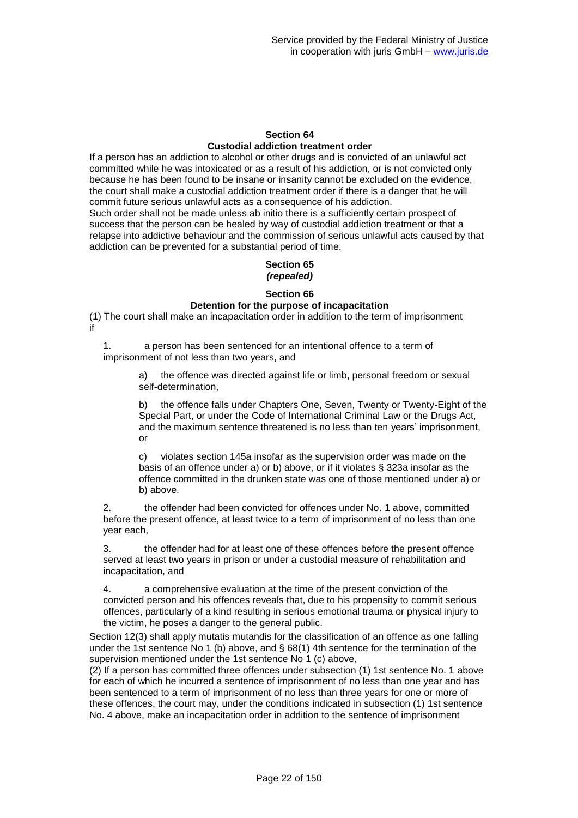## **Section 64 Custodial addiction treatment order**

If a person has an addiction to alcohol or other drugs and is convicted of an unlawful act committed while he was intoxicated or as a result of his addiction, or is not convicted only because he has been found to be insane or insanity cannot be excluded on the evidence, the court shall make a custodial addiction treatment order if there is a danger that he will commit future serious unlawful acts as a consequence of his addiction. Such order shall not be made unless ab initio there is a sufficiently certain prospect of success that the person can be healed by way of custodial addiction treatment or that a relapse into addictive behaviour and the commission of serious unlawful acts caused by that addiction can be prevented for a substantial period of time.

# **Section 65**

*(repealed)*

#### **Section 66 Detention for the purpose of incapacitation**

(1) The court shall make an incapacitation order in addition to the term of imprisonment if

1. a person has been sentenced for an intentional offence to a term of imprisonment of not less than two years, and

> a) the offence was directed against life or limb, personal freedom or sexual self-determination,

b) the offence falls under Chapters One, Seven, Twenty or Twenty-Eight of the Special Part, or under the Code of International Criminal Law or the Drugs Act, and the maximum sentence threatened is no less than ten years' imprisonment, or

c) violates section 145a insofar as the supervision order was made on the basis of an offence under a) or b) above, or if it violates § 323a insofar as the offence committed in the drunken state was one of those mentioned under a) or b) above.

2. the offender had been convicted for offences under No. 1 above, committed before the present offence, at least twice to a term of imprisonment of no less than one year each,

3. the offender had for at least one of these offences before the present offence served at least two years in prison or under a custodial measure of rehabilitation and incapacitation, and

a comprehensive evaluation at the time of the present conviction of the convicted person and his offences reveals that, due to his propensity to commit serious offences, particularly of a kind resulting in serious emotional trauma or physical injury to the victim, he poses a danger to the general public.

Section 12(3) shall apply mutatis mutandis for the classification of an offence as one falling under the 1st sentence No 1 (b) above, and § 68(1) 4th sentence for the termination of the supervision mentioned under the 1st sentence No 1 (c) above,

(2) If a person has committed three offences under subsection (1) 1st sentence No. 1 above for each of which he incurred a sentence of imprisonment of no less than one year and has been sentenced to a term of imprisonment of no less than three years for one or more of these offences, the court may, under the conditions indicated in subsection (1) 1st sentence No. 4 above, make an incapacitation order in addition to the sentence of imprisonment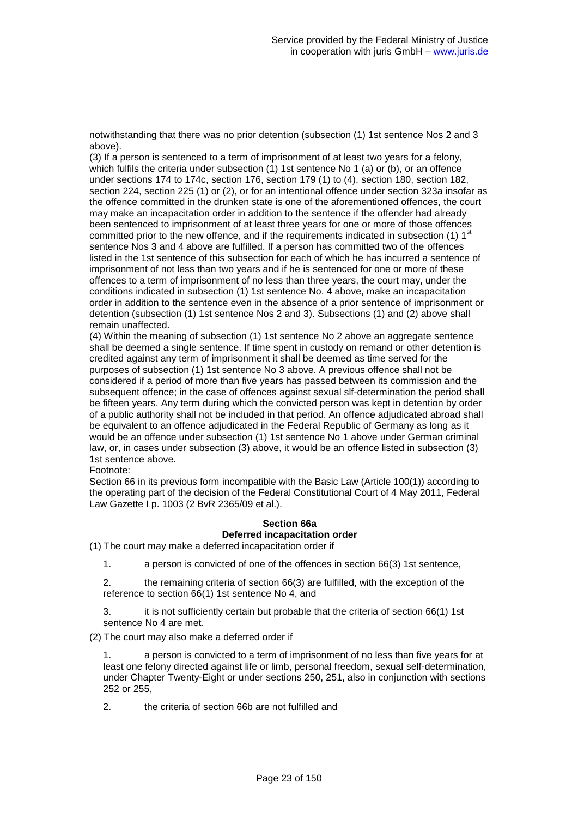notwithstanding that there was no prior detention (subsection (1) 1st sentence Nos 2 and 3 above).

(3) If a person is sentenced to a term of imprisonment of at least two years for a felony, which fulfils the criteria under subsection (1) 1st sentence No 1 (a) or (b), or an offence under sections 174 to 174c, section 176, section 179 (1) to (4), section 180, section 182, section 224, section 225 (1) or (2), or for an intentional offence under section 323a insofar as the offence committed in the drunken state is one of the aforementioned offences, the court may make an incapacitation order in addition to the sentence if the offender had already been sentenced to imprisonment of at least three years for one or more of those offences committed prior to the new offence, and if the requirements indicated in subsection (1)  $1^s$ sentence Nos 3 and 4 above are fulfilled. If a person has committed two of the offences listed in the 1st sentence of this subsection for each of which he has incurred a sentence of imprisonment of not less than two years and if he is sentenced for one or more of these offences to a term of imprisonment of no less than three years, the court may, under the conditions indicated in subsection (1) 1st sentence No. 4 above, make an incapacitation order in addition to the sentence even in the absence of a prior sentence of imprisonment or detention (subsection (1) 1st sentence Nos 2 and 3). Subsections (1) and (2) above shall remain unaffected.

(4) Within the meaning of subsection (1) 1st sentence No 2 above an aggregate sentence shall be deemed a single sentence. If time spent in custody on remand or other detention is credited against any term of imprisonment it shall be deemed as time served for the purposes of subsection (1) 1st sentence No 3 above. A previous offence shall not be considered if a period of more than five years has passed between its commission and the subsequent offence; in the case of offences against sexual slf-determination the period shall be fifteen years. Any term during which the convicted person was kept in detention by order of a public authority shall not be included in that period. An offence adjudicated abroad shall be equivalent to an offence adjudicated in the Federal Republic of Germany as long as it would be an offence under subsection (1) 1st sentence No 1 above under German criminal law, or, in cases under subsection (3) above, it would be an offence listed in subsection (3) 1st sentence above.

Footnote:

Section 66 in its previous form incompatible with the Basic Law (Article 100(1)) according to the operating part of the decision of the Federal Constitutional Court of 4 May 2011, Federal Law Gazette I p. 1003 (2 BvR 2365/09 et al.).

## **Section 66a Deferred incapacitation order**

(1) The court may make a deferred incapacitation order if

1. a person is convicted of one of the offences in section 66(3) 1st sentence,

2. the remaining criteria of section 66(3) are fulfilled, with the exception of the reference to section 66(1) 1st sentence No 4, and

3. it is not sufficiently certain but probable that the criteria of section 66(1) 1st sentence No 4 are met.

(2) The court may also make a deferred order if

1. a person is convicted to a term of imprisonment of no less than five years for at least one felony directed against life or limb, personal freedom, sexual self-determination, under Chapter Twenty-Eight or under sections 250, 251, also in conjunction with sections 252 or 255,

2. the criteria of section 66b are not fulfilled and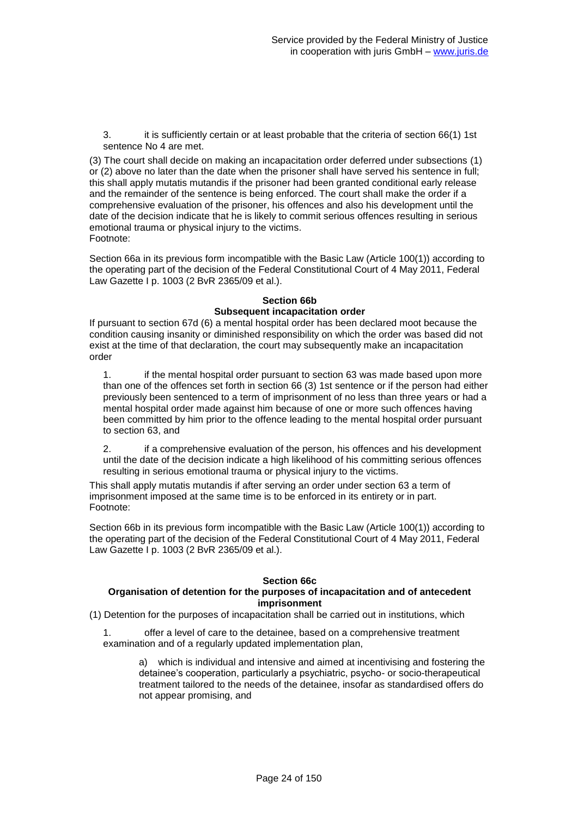3. it is sufficiently certain or at least probable that the criteria of section 66(1) 1st sentence No 4 are met.

(3) The court shall decide on making an incapacitation order deferred under subsections (1) or (2) above no later than the date when the prisoner shall have served his sentence in full; this shall apply mutatis mutandis if the prisoner had been granted conditional early release and the remainder of the sentence is being enforced. The court shall make the order if a comprehensive evaluation of the prisoner, his offences and also his development until the date of the decision indicate that he is likely to commit serious offences resulting in serious emotional trauma or physical injury to the victims. Footnote:

Section 66a in its previous form incompatible with the Basic Law (Article 100(1)) according to the operating part of the decision of the Federal Constitutional Court of 4 May 2011, Federal Law Gazette I p. 1003 (2 BvR 2365/09 et al.).

## **Section 66b Subsequent incapacitation order**

If pursuant to section 67d (6) a mental hospital order has been declared moot because the condition causing insanity or diminished responsibility on which the order was based did not exist at the time of that declaration, the court may subsequently make an incapacitation order

1. if the mental hospital order pursuant to section 63 was made based upon more than one of the offences set forth in section 66 (3) 1st sentence or if the person had either previously been sentenced to a term of imprisonment of no less than three years or had a mental hospital order made against him because of one or more such offences having been committed by him prior to the offence leading to the mental hospital order pursuant to section 63, and

2. if a comprehensive evaluation of the person, his offences and his development until the date of the decision indicate a high likelihood of his committing serious offences resulting in serious emotional trauma or physical injury to the victims.

This shall apply mutatis mutandis if after serving an order under section 63 a term of imprisonment imposed at the same time is to be enforced in its entirety or in part. Footnote:

Section 66b in its previous form incompatible with the Basic Law (Article 100(1)) according to the operating part of the decision of the Federal Constitutional Court of 4 May 2011, Federal Law Gazette I p. 1003 (2 BvR 2365/09 et al.).

## **Section 66c**

## **Organisation of detention for the purposes of incapacitation and of antecedent imprisonment**

(1) Detention for the purposes of incapacitation shall be carried out in institutions, which

1. offer a level of care to the detainee, based on a comprehensive treatment examination and of a regularly updated implementation plan.

> a) which is individual and intensive and aimed at incentivising and fostering the detainee's cooperation, particularly a psychiatric, psycho- or socio-therapeutical treatment tailored to the needs of the detainee, insofar as standardised offers do not appear promising, and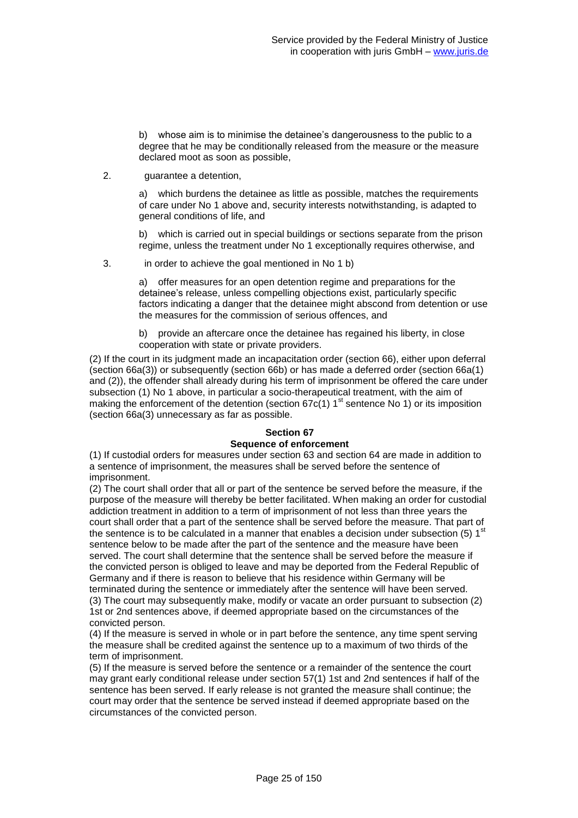b) whose aim is to minimise the detainee's dangerousness to the public to a degree that he may be conditionally released from the measure or the measure declared moot as soon as possible,

2. guarantee a detention,

a) which burdens the detainee as little as possible, matches the requirements of care under No 1 above and, security interests notwithstanding, is adapted to general conditions of life, and

b) which is carried out in special buildings or sections separate from the prison regime, unless the treatment under No 1 exceptionally requires otherwise, and

3. in order to achieve the goal mentioned in No 1 b)

a) offer measures for an open detention regime and preparations for the detainee's release, unless compelling objections exist, particularly specific factors indicating a danger that the detainee might abscond from detention or use the measures for the commission of serious offences, and

b) provide an aftercare once the detainee has regained his liberty, in close cooperation with state or private providers.

(2) If the court in its judgment made an incapacitation order (section 66), either upon deferral (section 66a(3)) or subsequently (section 66b) or has made a deferred order (section 66a(1) and (2)), the offender shall already during his term of imprisonment be offered the care under subsection (1) No 1 above, in particular a socio-therapeutical treatment, with the aim of making the enforcement of the detention (section  $67c(1) 1<sup>st</sup>$  sentence No 1) or its imposition (section 66a(3) unnecessary as far as possible.

## **Section 67**

#### **Sequence of enforcement**

(1) If custodial orders for measures under section 63 and section 64 are made in addition to a sentence of imprisonment, the measures shall be served before the sentence of imprisonment.

(2) The court shall order that all or part of the sentence be served before the measure, if the purpose of the measure will thereby be better facilitated. When making an order for custodial addiction treatment in addition to a term of imprisonment of not less than three years the court shall order that a part of the sentence shall be served before the measure. That part of the sentence is to be calculated in a manner that enables a decision under subsection (5)  $1<sup>st</sup>$ sentence below to be made after the part of the sentence and the measure have been served. The court shall determine that the sentence shall be served before the measure if the convicted person is obliged to leave and may be deported from the Federal Republic of Germany and if there is reason to believe that his residence within Germany will be terminated during the sentence or immediately after the sentence will have been served. (3) The court may subsequently make, modify or vacate an order pursuant to subsection (2) 1st or 2nd sentences above, if deemed appropriate based on the circumstances of the convicted person.

(4) If the measure is served in whole or in part before the sentence, any time spent serving the measure shall be credited against the sentence up to a maximum of two thirds of the term of imprisonment.

(5) If the measure is served before the sentence or a remainder of the sentence the court may grant early conditional release under section 57(1) 1st and 2nd sentences if half of the sentence has been served. If early release is not granted the measure shall continue; the court may order that the sentence be served instead if deemed appropriate based on the circumstances of the convicted person.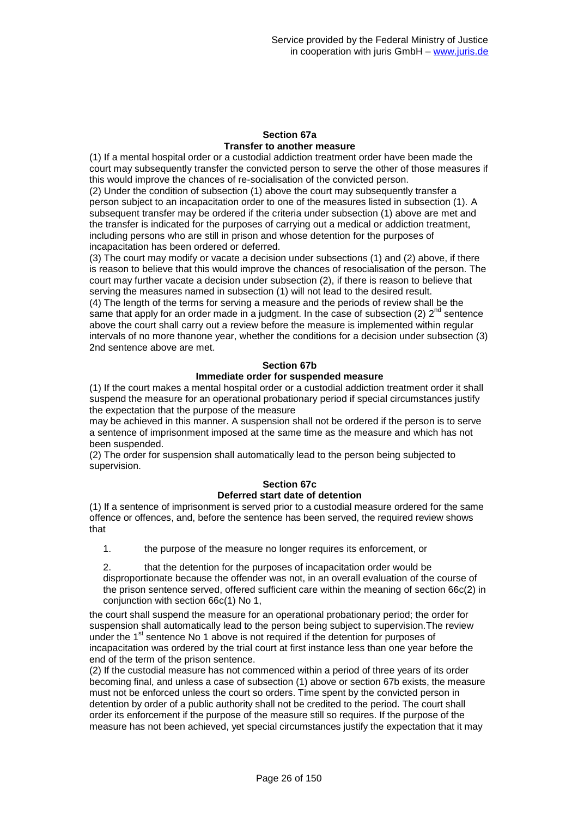## **Section 67a Transfer to another measure**

(1) If a mental hospital order or a custodial addiction treatment order have been made the court may subsequently transfer the convicted person to serve the other of those measures if this would improve the chances of re-socialisation of the convicted person.

(2) Under the condition of subsection (1) above the court may subsequently transfer a person subject to an incapacitation order to one of the measures listed in subsection (1). A subsequent transfer may be ordered if the criteria under subsection (1) above are met and the transfer is indicated for the purposes of carrying out a medical or addiction treatment, including persons who are still in prison and whose detention for the purposes of incapacitation has been ordered or deferred.

(3) The court may modify or vacate a decision under subsections (1) and (2) above, if there is reason to believe that this would improve the chances of resocialisation of the person. The court may further vacate a decision under subsection (2), if there is reason to believe that serving the measures named in subsection (1) will not lead to the desired result. (4) The length of the terms for serving a measure and the periods of review shall be the same that apply for an order made in a judgment. In the case of subsection (2)  $2^{nd}$  sentence above the court shall carry out a review before the measure is implemented within regular intervals of no more thanone year, whether the conditions for a decision under subsection (3) 2nd sentence above are met.

## **Section 67b**

## **Immediate order for suspended measure**

(1) If the court makes a mental hospital order or a custodial addiction treatment order it shall suspend the measure for an operational probationary period if special circumstances justify the expectation that the purpose of the measure

may be achieved in this manner. A suspension shall not be ordered if the person is to serve a sentence of imprisonment imposed at the same time as the measure and which has not been suspended.

(2) The order for suspension shall automatically lead to the person being subjected to supervision.

## **Section 67c**

#### **Deferred start date of detention**

(1) If a sentence of imprisonment is served prior to a custodial measure ordered for the same offence or offences, and, before the sentence has been served, the required review shows that

1. the purpose of the measure no longer requires its enforcement, or

that the detention for the purposes of incapacitation order would be disproportionate because the offender was not, in an overall evaluation of the course of the prison sentence served, offered sufficient care within the meaning of section 66c(2) in conjunction with section 66c(1) No 1,

the court shall suspend the measure for an operational probationary period; the order for suspension shall automatically lead to the person being subject to supervision.The review under the 1<sup>st</sup> sentence No 1 above is not required if the detention for purposes of incapacitation was ordered by the trial court at first instance less than one year before the end of the term of the prison sentence.

(2) If the custodial measure has not commenced within a period of three years of its order becoming final, and unless a case of subsection (1) above or section 67b exists, the measure must not be enforced unless the court so orders. Time spent by the convicted person in detention by order of a public authority shall not be credited to the period. The court shall order its enforcement if the purpose of the measure still so requires. If the purpose of the measure has not been achieved, yet special circumstances justify the expectation that it may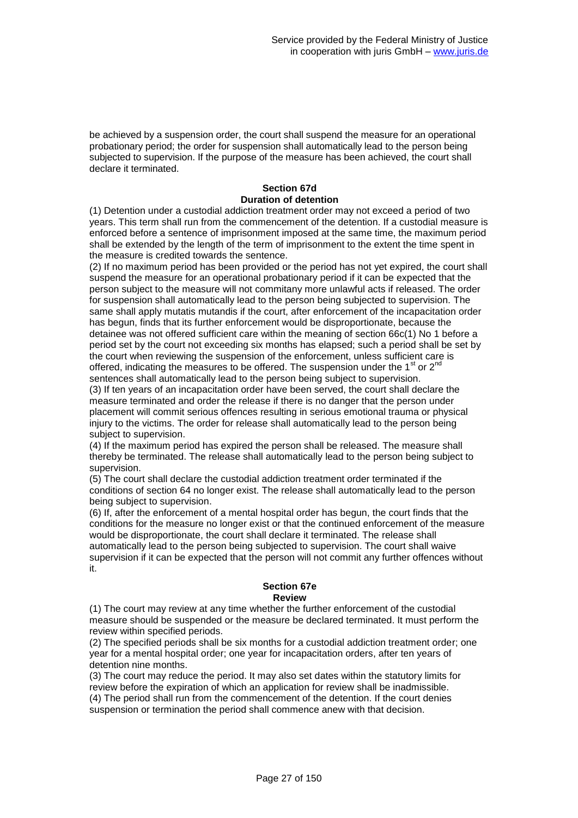be achieved by a suspension order, the court shall suspend the measure for an operational probationary period; the order for suspension shall automatically lead to the person being subjected to supervision. If the purpose of the measure has been achieved, the court shall declare it terminated.

## **Section 67d Duration of detention**

(1) Detention under a custodial addiction treatment order may not exceed a period of two years. This term shall run from the commencement of the detention. If a custodial measure is enforced before a sentence of imprisonment imposed at the same time, the maximum period shall be extended by the length of the term of imprisonment to the extent the time spent in the measure is credited towards the sentence.

(2) If no maximum period has been provided or the period has not yet expired, the court shall suspend the measure for an operational probationary period if it can be expected that the person subject to the measure will not commitany more unlawful acts if released. The order for suspension shall automatically lead to the person being subjected to supervision. The same shall apply mutatis mutandis if the court, after enforcement of the incapacitation order has begun, finds that its further enforcement would be disproportionate, because the detainee was not offered sufficient care within the meaning of section 66c(1) No 1 before a period set by the court not exceeding six months has elapsed; such a period shall be set by the court when reviewing the suspension of the enforcement, unless sufficient care is offered, indicating the measures to be offered. The suspension under the 1<sup>st</sup> or  $2^{n}$ sentences shall automatically lead to the person being subject to supervision.

(3) If ten years of an incapacitation order have been served, the court shall declare the measure terminated and order the release if there is no danger that the person under placement will commit serious offences resulting in serious emotional trauma or physical injury to the victims. The order for release shall automatically lead to the person being subject to supervision.

(4) If the maximum period has expired the person shall be released. The measure shall thereby be terminated. The release shall automatically lead to the person being subject to supervision.

(5) The court shall declare the custodial addiction treatment order terminated if the conditions of section 64 no longer exist. The release shall automatically lead to the person being subject to supervision.

(6) If, after the enforcement of a mental hospital order has begun, the court finds that the conditions for the measure no longer exist or that the continued enforcement of the measure would be disproportionate, the court shall declare it terminated. The release shall automatically lead to the person being subjected to supervision. The court shall waive supervision if it can be expected that the person will not commit any further offences without it.

#### **Section 67e Review**

(1) The court may review at any time whether the further enforcement of the custodial measure should be suspended or the measure be declared terminated. It must perform the review within specified periods.

(2) The specified periods shall be six months for a custodial addiction treatment order; one year for a mental hospital order; one year for incapacitation orders, after ten years of detention nine months.

(3) The court may reduce the period. It may also set dates within the statutory limits for review before the expiration of which an application for review shall be inadmissible. (4) The period shall run from the commencement of the detention. If the court denies suspension or termination the period shall commence anew with that decision.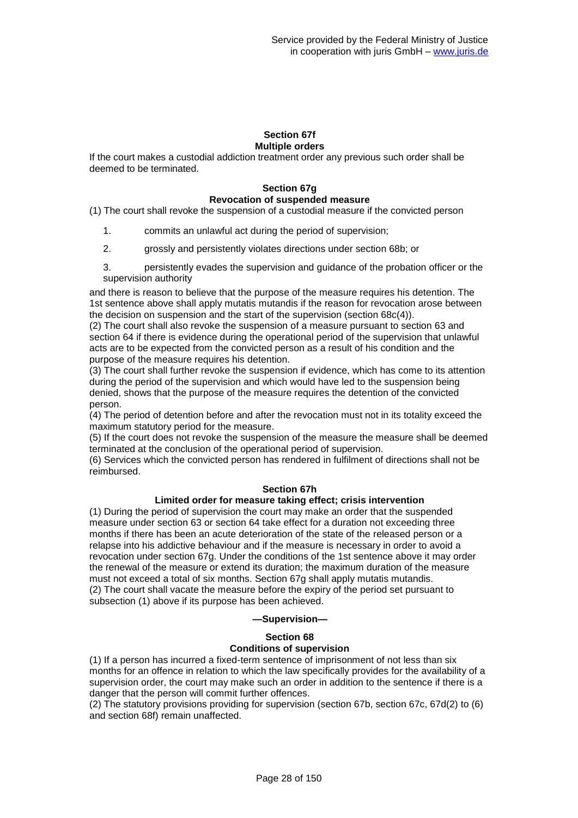#### **Section 67f Multiple orders**

If the court makes a custodial addiction treatment order any previous such order shall be deemed to be terminated.

# **Section 67g Revocation of suspended measure**

(1) The court shall revoke the suspension of a custodial measure if the convicted person

- 1. commits an unlawful act during the period of supervision;
- 2. grossly and persistently violates directions under section 68b; or
- 3. persistently evades the supervision and guidance of the probation officer or the supervision authority

and there is reason to believe that the purpose of the measure requires his detention. The 1st sentence above shall apply mutatis mutandis if the reason for revocation arose between the decision on suspension and the start of the supervision (section 68c(4)).

(2) The court shall also revoke the suspension of a measure pursuant to section 63 and section 64 if there is evidence during the operational period of the supervision that unlawful acts are to be expected from the convicted person as a result of his condition and the purpose of the measure requires his detention.

(3) The court shall further revoke the suspension if evidence, which has come to its attention during the period of the supervision and which would have led to the suspension being denied, shows that the purpose of the measure requires the detention of the convicted person.

(4) The period of detention before and after the revocation must not in its totality exceed the maximum statutory period for the measure.

(5) If the court does not revoke the suspension of the measure the measure shall be deemed terminated at the conclusion of the operational period of supervision.

(6) Services which the convicted person has rendered in fulfilment of directions shall not be reimbursed.

#### **Section 67h**

#### **Limited order for measure taking effect; crisis intervention**

(1) During the period of supervision the court may make an order that the suspended measure under section 63 or section 64 take effect for a duration not exceeding three months if there has been an acute deterioration of the state of the released person or a relapse into his addictive behaviour and if the measure is necessary in order to avoid a revocation under section 67g. Under the conditions of the 1st sentence above it may order the renewal of the measure or extend its duration; the maximum duration of the measure must not exceed a total of six months. Section 67g shall apply mutatis mutandis. (2) The court shall vacate the measure before the expiry of the period set pursuant to subsection (1) above if its purpose has been achieved.

**—Supervision—**

#### **Section 68**

#### **Conditions of supervision**

(1) If a person has incurred a fixed-term sentence of imprisonment of not less than six months for an offence in relation to which the law specifically provides for the availability of a supervision order, the court may make such an order in addition to the sentence if there is a danger that the person will commit further offences.

(2) The statutory provisions providing for supervision (section 67b, section 67c, 67d(2) to (6) and section 68f) remain unaffected.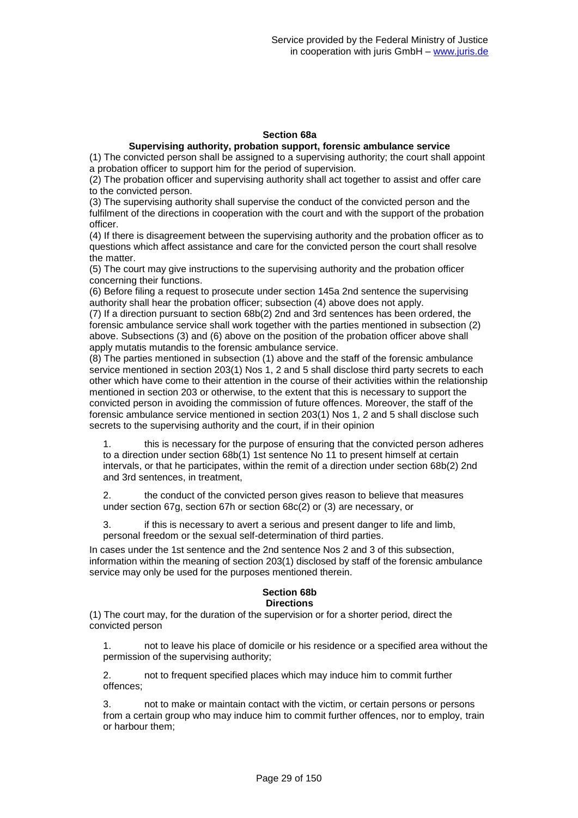#### **Section 68a**

## **Supervising authority, probation support, forensic ambulance service**

(1) The convicted person shall be assigned to a supervising authority; the court shall appoint a probation officer to support him for the period of supervision.

(2) The probation officer and supervising authority shall act together to assist and offer care to the convicted person.

(3) The supervising authority shall supervise the conduct of the convicted person and the fulfilment of the directions in cooperation with the court and with the support of the probation officer.

(4) If there is disagreement between the supervising authority and the probation officer as to questions which affect assistance and care for the convicted person the court shall resolve the matter.

(5) The court may give instructions to the supervising authority and the probation officer concerning their functions.

(6) Before filing a request to prosecute under section 145a 2nd sentence the supervising authority shall hear the probation officer; subsection (4) above does not apply.

(7) If a direction pursuant to section 68b(2) 2nd and 3rd sentences has been ordered, the forensic ambulance service shall work together with the parties mentioned in subsection (2) above. Subsections (3) and (6) above on the position of the probation officer above shall apply mutatis mutandis to the forensic ambulance service.

(8) The parties mentioned in subsection (1) above and the staff of the forensic ambulance service mentioned in section 203(1) Nos 1, 2 and 5 shall disclose third party secrets to each other which have come to their attention in the course of their activities within the relationship mentioned in section 203 or otherwise, to the extent that this is necessary to support the convicted person in avoiding the commission of future offences. Moreover, the staff of the forensic ambulance service mentioned in section 203(1) Nos 1, 2 and 5 shall disclose such secrets to the supervising authority and the court, if in their opinion

1. this is necessary for the purpose of ensuring that the convicted person adheres to a direction under section 68b(1) 1st sentence No 11 to present himself at certain intervals, or that he participates, within the remit of a direction under section 68b(2) 2nd and 3rd sentences, in treatment,

2. the conduct of the convicted person gives reason to believe that measures under section 67g, section 67h or section 68c(2) or (3) are necessary, or

3. if this is necessary to avert a serious and present danger to life and limb, personal freedom or the sexual self-determination of third parties.

In cases under the 1st sentence and the 2nd sentence Nos 2 and 3 of this subsection, information within the meaning of section 203(1) disclosed by staff of the forensic ambulance service may only be used for the purposes mentioned therein.

#### **Section 68b Directions**

(1) The court may, for the duration of the supervision or for a shorter period, direct the convicted person

1. not to leave his place of domicile or his residence or a specified area without the permission of the supervising authority;

2. not to frequent specified places which may induce him to commit further offences;

3. not to make or maintain contact with the victim, or certain persons or persons from a certain group who may induce him to commit further offences, nor to employ, train or harbour them;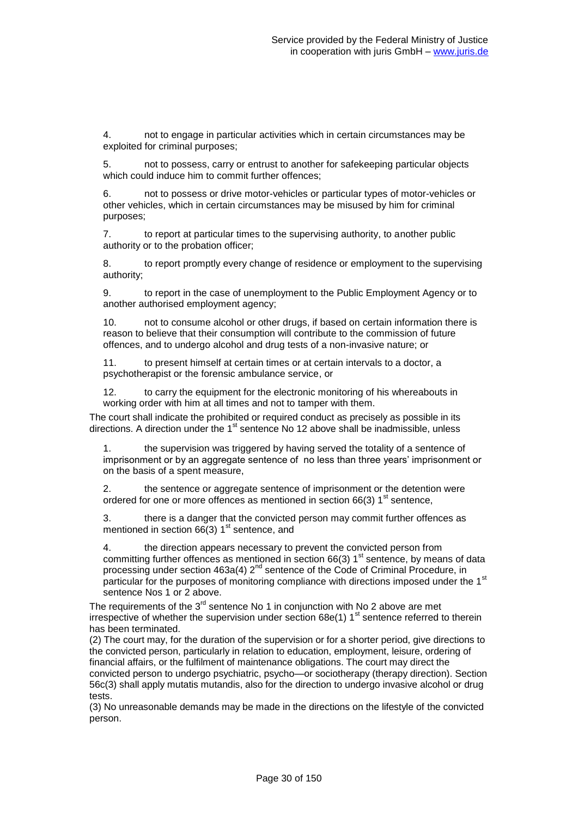4. not to engage in particular activities which in certain circumstances may be exploited for criminal purposes;

5. not to possess, carry or entrust to another for safekeeping particular objects which could induce him to commit further offences;

6. not to possess or drive motor-vehicles or particular types of motor-vehicles or other vehicles, which in certain circumstances may be misused by him for criminal purposes;

7. to report at particular times to the supervising authority, to another public authority or to the probation officer;

8. to report promptly every change of residence or employment to the supervising authority;

9. to report in the case of unemployment to the Public Employment Agency or to another authorised employment agency;

10. not to consume alcohol or other drugs, if based on certain information there is reason to believe that their consumption will contribute to the commission of future offences, and to undergo alcohol and drug tests of a non-invasive nature; or

11. to present himself at certain times or at certain intervals to a doctor, a psychotherapist or the forensic ambulance service, or

12. to carry the equipment for the electronic monitoring of his whereabouts in working order with him at all times and not to tamper with them.

The court shall indicate the prohibited or required conduct as precisely as possible in its directions. A direction under the  $1<sup>st</sup>$  sentence No 12 above shall be inadmissible, unless

1. the supervision was triggered by having served the totality of a sentence of imprisonment or by an aggregate sentence of no less than three years' imprisonment or on the basis of a spent measure,

2. the sentence or aggregate sentence of imprisonment or the detention were ordered for one or more offences as mentioned in section  $66(3)$  1<sup>st</sup> sentence,

3. there is a danger that the convicted person may commit further offences as mentioned in section  $66(3)$  1<sup>st</sup> sentence, and

4. the direction appears necessary to prevent the convicted person from committing further offences as mentioned in section  $66(3)$  1<sup>st</sup> sentence, by means of data processing under section 463a(4) 2<sup>nd</sup> sentence of the Code of Criminal Procedure, in particular for the purposes of monitoring compliance with directions imposed under the 1<sup>st</sup> sentence Nos 1 or 2 above.

The requirements of the  $3<sup>rd</sup>$  sentence No 1 in conjunction with No 2 above are met irrespective of whether the supervision under section  $68e(1)$  1<sup>st</sup> sentence referred to therein has been terminated.

(2) The court may, for the duration of the supervision or for a shorter period, give directions to the convicted person, particularly in relation to education, employment, leisure, ordering of financial affairs, or the fulfilment of maintenance obligations. The court may direct the convicted person to undergo psychiatric, psycho—or sociotherapy (therapy direction). Section 56c(3) shall apply mutatis mutandis, also for the direction to undergo invasive alcohol or drug tests.

(3) No unreasonable demands may be made in the directions on the lifestyle of the convicted person.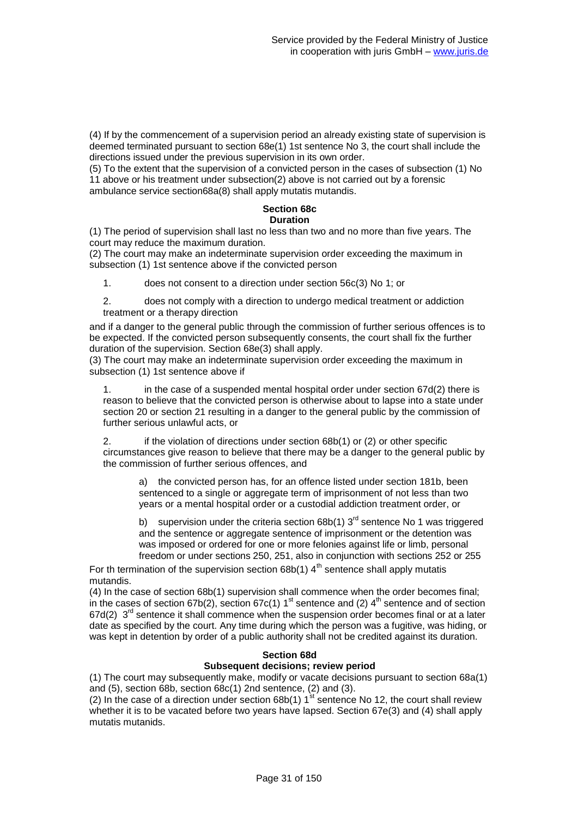(4) If by the commencement of a supervision period an already existing state of supervision is deemed terminated pursuant to section 68e(1) 1st sentence No 3, the court shall include the directions issued under the previous supervision in its own order.

(5) To the extent that the supervision of a convicted person in the cases of subsection (1) No 11 above or his treatment under subsection(2) above is not carried out by a forensic ambulance service section68a(8) shall apply mutatis mutandis.

# **Section 68c**

## **Duration**

(1) The period of supervision shall last no less than two and no more than five years. The court may reduce the maximum duration.

(2) The court may make an indeterminate supervision order exceeding the maximum in subsection (1) 1st sentence above if the convicted person

1. does not consent to a direction under section 56c(3) No 1; or

2. does not comply with a direction to undergo medical treatment or addiction treatment or a therapy direction

and if a danger to the general public through the commission of further serious offences is to be expected. If the convicted person subsequently consents, the court shall fix the further duration of the supervision. Section 68e(3) shall apply.

(3) The court may make an indeterminate supervision order exceeding the maximum in subsection (1) 1st sentence above if

1. in the case of a suspended mental hospital order under section 67d(2) there is reason to believe that the convicted person is otherwise about to lapse into a state under section 20 or section 21 resulting in a danger to the general public by the commission of further serious unlawful acts, or

2. if the violation of directions under section 68b(1) or (2) or other specific circumstances give reason to believe that there may be a danger to the general public by the commission of further serious offences, and

a) the convicted person has, for an offence listed under section 181b, been sentenced to a single or aggregate term of imprisonment of not less than two years or a mental hospital order or a custodial addiction treatment order, or

b) supervision under the criteria section  $68b(1) 3<sup>rd</sup>$  sentence No 1 was triggered and the sentence or aggregate sentence of imprisonment or the detention was was imposed or ordered for one or more felonies against life or limb, personal freedom or under sections 250, 251, also in conjunction with sections 252 or 255

For th termination of the supervision section  $68b(1)$  4<sup>th</sup> sentence shall apply mutatis mutandis.

(4) In the case of section 68b(1) supervision shall commence when the order becomes final; in the cases of section 67b(2), section 67c(1)  $1^{st}$  sentence and (2)  $4^{th}$  sentence and of section  $67d(2)$  3<sup>rd</sup> sentence it shall commence when the suspension order becomes final or at a later date as specified by the court. Any time during which the person was a fugitive, was hiding, or was kept in detention by order of a public authority shall not be credited against its duration.

## **Section 68d**

## **Subsequent decisions; review period**

(1) The court may subsequently make, modify or vacate decisions pursuant to section 68a(1) and (5), section 68b, section 68c(1) 2nd sentence, (2) and (3).

(2) In the case of a direction under section  $68b(1) 1^{st}$  sentence No 12, the court shall review whether it is to be vacated before two years have lapsed. Section 67e(3) and (4) shall apply mutatis mutanids.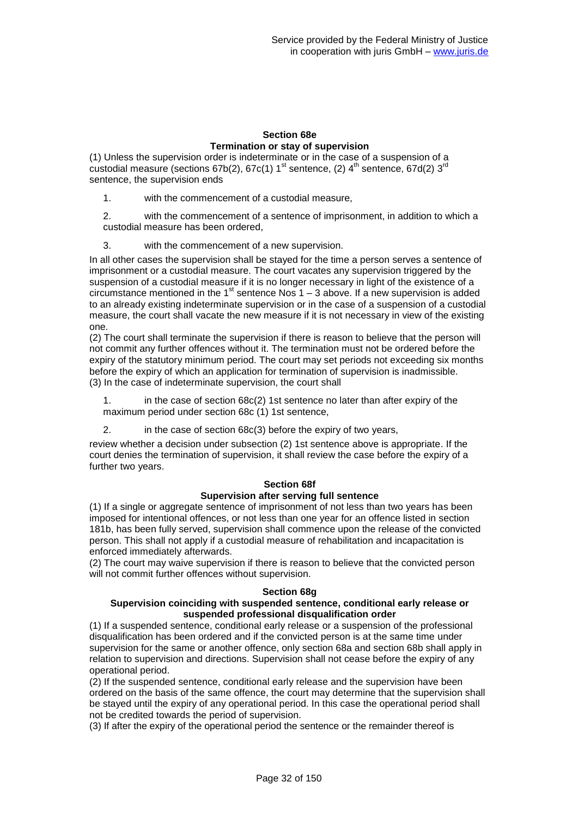## **Section 68e Termination or stay of supervision**

(1) Unless the supervision order is indeterminate or in the case of a suspension of a custodial measure (sections 67b(2), 67c(1) 1<sup>st</sup> sentence, (2) 4<sup>th</sup> sentence, 67d(2) 3<sup>rd</sup> sentence, the supervision ends

1. with the commencement of a custodial measure,

2. with the commencement of a sentence of imprisonment, in addition to which a custodial measure has been ordered,

3. with the commencement of a new supervision.

In all other cases the supervision shall be stayed for the time a person serves a sentence of imprisonment or a custodial measure. The court vacates any supervision triggered by the suspension of a custodial measure if it is no longer necessary in light of the existence of a circumstance mentioned in the 1<sup>st</sup> sentence Nos  $1 - 3$  above. If a new supervision is added to an already existing indeterminate supervision or in the case of a suspension of a custodial measure, the court shall vacate the new measure if it is not necessary in view of the existing one.

(2) The court shall terminate the supervision if there is reason to believe that the person will not commit any further offences without it. The termination must not be ordered before the expiry of the statutory minimum period. The court may set periods not exceeding six months before the expiry of which an application for termination of supervision is inadmissible. (3) In the case of indeterminate supervision, the court shall

1. in the case of section 68c(2) 1st sentence no later than after expiry of the maximum period under section 68c (1) 1st sentence,

2. in the case of section 68c(3) before the expiry of two years,

review whether a decision under subsection (2) 1st sentence above is appropriate. If the court denies the termination of supervision, it shall review the case before the expiry of a further two years.

## **Section 68f**

## **Supervision after serving full sentence**

(1) If a single or aggregate sentence of imprisonment of not less than two years has been imposed for intentional offences, or not less than one year for an offence listed in section 181b, has been fully served, supervision shall commence upon the release of the convicted person. This shall not apply if a custodial measure of rehabilitation and incapacitation is enforced immediately afterwards.

(2) The court may waive supervision if there is reason to believe that the convicted person will not commit further offences without supervision.

#### **Section 68g**

## **Supervision coinciding with suspended sentence, conditional early release or suspended professional disqualification order**

(1) If a suspended sentence, conditional early release or a suspension of the professional disqualification has been ordered and if the convicted person is at the same time under supervision for the same or another offence, only section 68a and section 68b shall apply in relation to supervision and directions. Supervision shall not cease before the expiry of any operational period.

(2) If the suspended sentence, conditional early release and the supervision have been ordered on the basis of the same offence, the court may determine that the supervision shall be stayed until the expiry of any operational period. In this case the operational period shall not be credited towards the period of supervision.

(3) If after the expiry of the operational period the sentence or the remainder thereof is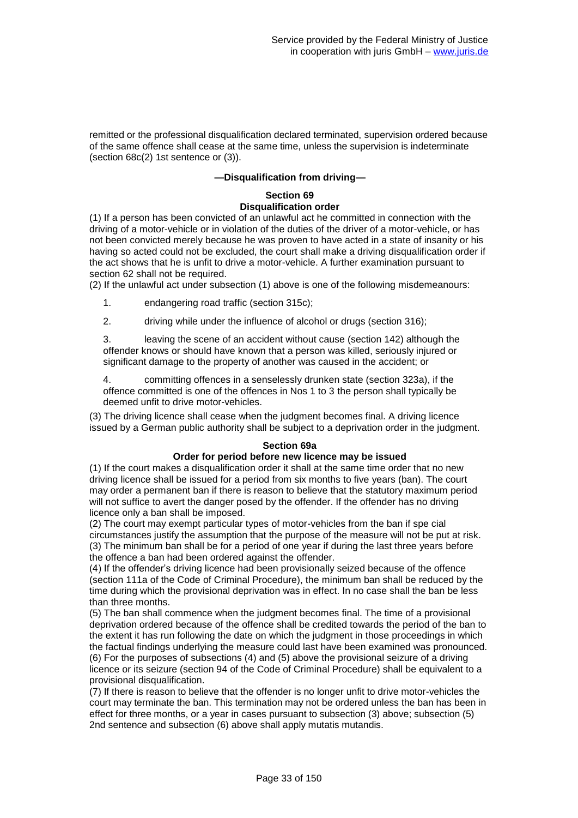remitted or the professional disqualification declared terminated, supervision ordered because of the same offence shall cease at the same time, unless the supervision is indeterminate (section 68c(2) 1st sentence or (3)).

## **—Disqualification from driving—**

#### **Section 69 Disqualification order**

(1) If a person has been convicted of an unlawful act he committed in connection with the driving of a motor-vehicle or in violation of the duties of the driver of a motor-vehicle, or has not been convicted merely because he was proven to have acted in a state of insanity or his having so acted could not be excluded, the court shall make a driving disqualification order if the act shows that he is unfit to drive a motor-vehicle. A further examination pursuant to section 62 shall not be required.

(2) If the unlawful act under subsection (1) above is one of the following misdemeanours:

1. endangering road traffic (section 315c);

2. driving while under the influence of alcohol or drugs (section 316);

3. leaving the scene of an accident without cause (section 142) although the offender knows or should have known that a person was killed, seriously injured or significant damage to the property of another was caused in the accident; or

4. committing offences in a senselessly drunken state (section 323a), if the offence committed is one of the offences in Nos 1 to 3 the person shall typically be deemed unfit to drive motor-vehicles.

(3) The driving licence shall cease when the judgment becomes final. A driving licence issued by a German public authority shall be subject to a deprivation order in the judgment.

#### **Section 69a**

## **Order for period before new licence may be issued**

(1) If the court makes a disqualification order it shall at the same time order that no new driving licence shall be issued for a period from six months to five years (ban). The court may order a permanent ban if there is reason to believe that the statutory maximum period will not suffice to avert the danger posed by the offender. If the offender has no driving licence only a ban shall be imposed.

(2) The court may exempt particular types of motor-vehicles from the ban if spe cial circumstances justify the assumption that the purpose of the measure will not be put at risk. (3) The minimum ban shall be for a period of one year if during the last three years before the offence a ban had been ordered against the offender.

(4) If the offender's driving licence had been provisionally seized because of the offence (section 111a of the Code of Criminal Procedure), the minimum ban shall be reduced by the time during which the provisional deprivation was in effect. In no case shall the ban be less than three months.

(5) The ban shall commence when the judgment becomes final. The time of a provisional deprivation ordered because of the offence shall be credited towards the period of the ban to the extent it has run following the date on which the judgment in those proceedings in which the factual findings underlying the measure could last have been examined was pronounced. (6) For the purposes of subsections (4) and (5) above the provisional seizure of a driving licence or its seizure (section 94 of the Code of Criminal Procedure) shall be equivalent to a provisional disqualification.

(7) If there is reason to believe that the offender is no longer unfit to drive motor-vehicles the court may terminate the ban. This termination may not be ordered unless the ban has been in effect for three months, or a year in cases pursuant to subsection (3) above; subsection (5) 2nd sentence and subsection (6) above shall apply mutatis mutandis.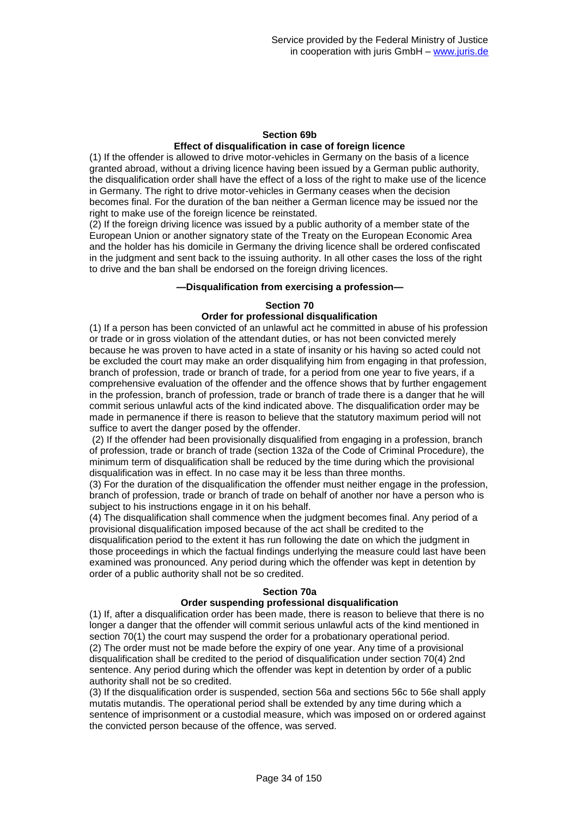#### **Section 69b Effect of disqualification in case of foreign licence**

(1) If the offender is allowed to drive motor-vehicles in Germany on the basis of a licence granted abroad, without a driving licence having been issued by a German public authority, the disqualification order shall have the effect of a loss of the right to make use of the licence in Germany. The right to drive motor-vehicles in Germany ceases when the decision becomes final. For the duration of the ban neither a German licence may be issued nor the right to make use of the foreign licence be reinstated.

(2) If the foreign driving licence was issued by a public authority of a member state of the European Union or another signatory state of the Treaty on the European Economic Area and the holder has his domicile in Germany the driving licence shall be ordered confiscated in the judgment and sent back to the issuing authority. In all other cases the loss of the right to drive and the ban shall be endorsed on the foreign driving licences.

#### **—Disqualification from exercising a profession—**

## **Section 70 Order for professional disqualification**

(1) If a person has been convicted of an unlawful act he committed in abuse of his profession or trade or in gross violation of the attendant duties, or has not been convicted merely because he was proven to have acted in a state of insanity or his having so acted could not be excluded the court may make an order disqualifying him from engaging in that profession, branch of profession, trade or branch of trade, for a period from one year to five years, if a comprehensive evaluation of the offender and the offence shows that by further engagement in the profession, branch of profession, trade or branch of trade there is a danger that he will commit serious unlawful acts of the kind indicated above. The disqualification order may be made in permanence if there is reason to believe that the statutory maximum period will not suffice to avert the danger posed by the offender.

(2) If the offender had been provisionally disqualified from engaging in a profession, branch of profession, trade or branch of trade (section 132a of the Code of Criminal Procedure), the minimum term of disqualification shall be reduced by the time during which the provisional disqualification was in effect. In no case may it be less than three months.

(3) For the duration of the disqualification the offender must neither engage in the profession, branch of profession, trade or branch of trade on behalf of another nor have a person who is subject to his instructions engage in it on his behalf.

(4) The disqualification shall commence when the judgment becomes final. Any period of a provisional disqualification imposed because of the act shall be credited to the disqualification period to the extent it has run following the date on which the judgment in those proceedings in which the factual findings underlying the measure could last have been examined was pronounced. Any period during which the offender was kept in detention by order of a public authority shall not be so credited.

## **Section 70a**

## **Order suspending professional disqualification**

(1) If, after a disqualification order has been made, there is reason to believe that there is no longer a danger that the offender will commit serious unlawful acts of the kind mentioned in section 70(1) the court may suspend the order for a probationary operational period. (2) The order must not be made before the expiry of one year. Any time of a provisional disqualification shall be credited to the period of disqualification under section 70(4) 2nd sentence. Any period during which the offender was kept in detention by order of a public authority shall not be so credited.

(3) If the disqualification order is suspended, section 56a and sections 56c to 56e shall apply mutatis mutandis. The operational period shall be extended by any time during which a sentence of imprisonment or a custodial measure, which was imposed on or ordered against the convicted person because of the offence, was served.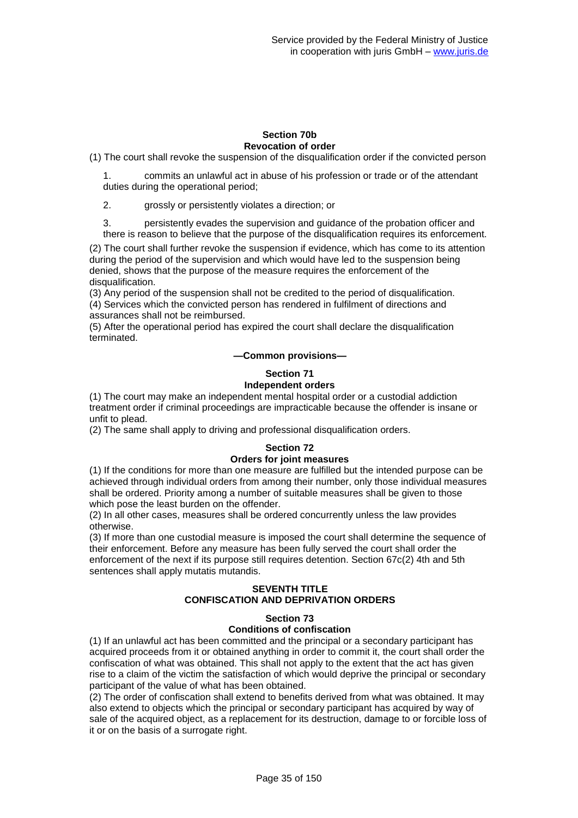## **Section 70b Revocation of order**

(1) The court shall revoke the suspension of the disqualification order if the convicted person

1. commits an unlawful act in abuse of his profession or trade or of the attendant duties during the operational period;

2. grossly or persistently violates a direction; or

3. persistently evades the supervision and guidance of the probation officer and there is reason to believe that the purpose of the disqualification requires its enforcement.

(2) The court shall further revoke the suspension if evidence, which has come to its attention during the period of the supervision and which would have led to the suspension being denied, shows that the purpose of the measure requires the enforcement of the disqualification.

(3) Any period of the suspension shall not be credited to the period of disqualification. (4) Services which the convicted person has rendered in fulfilment of directions and assurances shall not be reimbursed.

(5) After the operational period has expired the court shall declare the disqualification terminated.

#### **—Common provisions—**

## **Section 71**

## **Independent orders**

(1) The court may make an independent mental hospital order or a custodial addiction treatment order if criminal proceedings are impracticable because the offender is insane or unfit to plead.

(2) The same shall apply to driving and professional disqualification orders.

## **Section 72**

#### **Orders for joint measures**

(1) If the conditions for more than one measure are fulfilled but the intended purpose can be achieved through individual orders from among their number, only those individual measures shall be ordered. Priority among a number of suitable measures shall be given to those which pose the least burden on the offender.

(2) In all other cases, measures shall be ordered concurrently unless the law provides otherwise.

(3) If more than one custodial measure is imposed the court shall determine the sequence of their enforcement. Before any measure has been fully served the court shall order the enforcement of the next if its purpose still requires detention. Section 67c(2) 4th and 5th sentences shall apply mutatis mutandis.

## **SEVENTH TITLE CONFISCATION AND DEPRIVATION ORDERS**

#### **Section 73**

#### **Conditions of confiscation**

(1) If an unlawful act has been committed and the principal or a secondary participant has acquired proceeds from it or obtained anything in order to commit it, the court shall order the confiscation of what was obtained. This shall not apply to the extent that the act has given rise to a claim of the victim the satisfaction of which would deprive the principal or secondary participant of the value of what has been obtained.

(2) The order of confiscation shall extend to benefits derived from what was obtained. It may also extend to objects which the principal or secondary participant has acquired by way of sale of the acquired object, as a replacement for its destruction, damage to or forcible loss of it or on the basis of a surrogate right.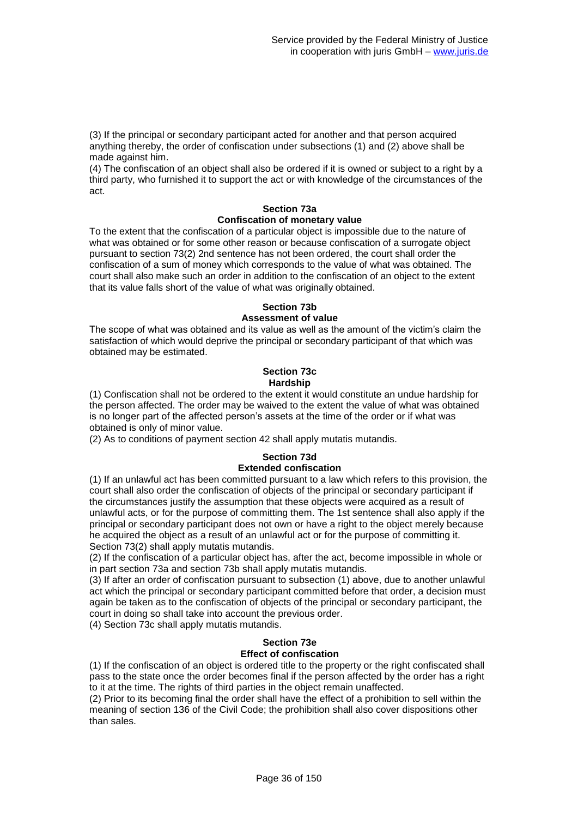(3) If the principal or secondary participant acted for another and that person acquired anything thereby, the order of confiscation under subsections (1) and (2) above shall be made against him.

(4) The confiscation of an object shall also be ordered if it is owned or subject to a right by a third party, who furnished it to support the act or with knowledge of the circumstances of the act.

# **Section 73a**

## **Confiscation of monetary value**

To the extent that the confiscation of a particular object is impossible due to the nature of what was obtained or for some other reason or because confiscation of a surrogate object pursuant to section 73(2) 2nd sentence has not been ordered, the court shall order the confiscation of a sum of money which corresponds to the value of what was obtained. The court shall also make such an order in addition to the confiscation of an object to the extent that its value falls short of the value of what was originally obtained.

#### **Section 73b Assessment of value**

The scope of what was obtained and its value as well as the amount of the victim's claim the satisfaction of which would deprive the principal or secondary participant of that which was obtained may be estimated.

#### **Section 73c Hardship**

(1) Confiscation shall not be ordered to the extent it would constitute an undue hardship for the person affected. The order may be waived to the extent the value of what was obtained is no longer part of the affected person's assets at the time of the order or if what was obtained is only of minor value.

(2) As to conditions of payment section 42 shall apply mutatis mutandis.

## **Section 73d Extended confiscation**

(1) If an unlawful act has been committed pursuant to a law which refers to this provision, the court shall also order the confiscation of objects of the principal or secondary participant if the circumstances justify the assumption that these objects were acquired as a result of unlawful acts, or for the purpose of committing them. The 1st sentence shall also apply if the principal or secondary participant does not own or have a right to the object merely because he acquired the object as a result of an unlawful act or for the purpose of committing it. Section 73(2) shall apply mutatis mutandis.

(2) If the confiscation of a particular object has, after the act, become impossible in whole or in part section 73a and section 73b shall apply mutatis mutandis.

(3) If after an order of confiscation pursuant to subsection (1) above, due to another unlawful act which the principal or secondary participant committed before that order, a decision must again be taken as to the confiscation of objects of the principal or secondary participant, the court in doing so shall take into account the previous order.

(4) Section 73c shall apply mutatis mutandis.

#### **Section 73e Effect of confiscation**

(1) If the confiscation of an object is ordered title to the property or the right confiscated shall pass to the state once the order becomes final if the person affected by the order has a right to it at the time. The rights of third parties in the object remain unaffected.

(2) Prior to its becoming final the order shall have the effect of a prohibition to sell within the meaning of section 136 of the Civil Code; the prohibition shall also cover dispositions other than sales.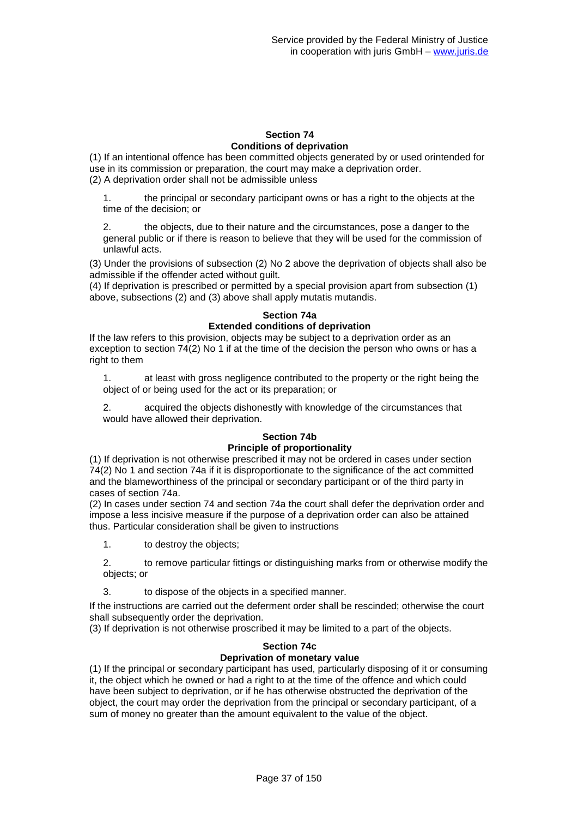#### **Section 74 Conditions of deprivation**

(1) If an intentional offence has been committed objects generated by or used orintended for use in its commission or preparation, the court may make a deprivation order. (2) A deprivation order shall not be admissible unless

1. the principal or secondary participant owns or has a right to the objects at the time of the decision; or

2. the objects, due to their nature and the circumstances, pose a danger to the general public or if there is reason to believe that they will be used for the commission of unlawful acts.

(3) Under the provisions of subsection (2) No 2 above the deprivation of objects shall also be admissible if the offender acted without guilt.

(4) If deprivation is prescribed or permitted by a special provision apart from subsection (1) above, subsections (2) and (3) above shall apply mutatis mutandis.

# **Section 74a Extended conditions of deprivation**

If the law refers to this provision, objects may be subject to a deprivation order as an exception to section 74(2) No 1 if at the time of the decision the person who owns or has a right to them

1. at least with gross negligence contributed to the property or the right being the object of or being used for the act or its preparation; or

2. acquired the objects dishonestly with knowledge of the circumstances that would have allowed their deprivation.

# **Section 74b**

# **Principle of proportionality**

(1) If deprivation is not otherwise prescribed it may not be ordered in cases under section 74(2) No 1 and section 74a if it is disproportionate to the significance of the act committed and the blameworthiness of the principal or secondary participant or of the third party in cases of section 74a.

(2) In cases under section 74 and section 74a the court shall defer the deprivation order and impose a less incisive measure if the purpose of a deprivation order can also be attained thus. Particular consideration shall be given to instructions

1. to destroy the objects;

2. to remove particular fittings or distinguishing marks from or otherwise modify the objects; or

3. to dispose of the objects in a specified manner.

If the instructions are carried out the deferment order shall be rescinded; otherwise the court shall subsequently order the deprivation.

(3) If deprivation is not otherwise proscribed it may be limited to a part of the objects.

## **Section 74c**

#### **Deprivation of monetary value**

(1) If the principal or secondary participant has used, particularly disposing of it or consuming it, the object which he owned or had a right to at the time of the offence and which could have been subject to deprivation, or if he has otherwise obstructed the deprivation of the object, the court may order the deprivation from the principal or secondary participant, of a sum of money no greater than the amount equivalent to the value of the object.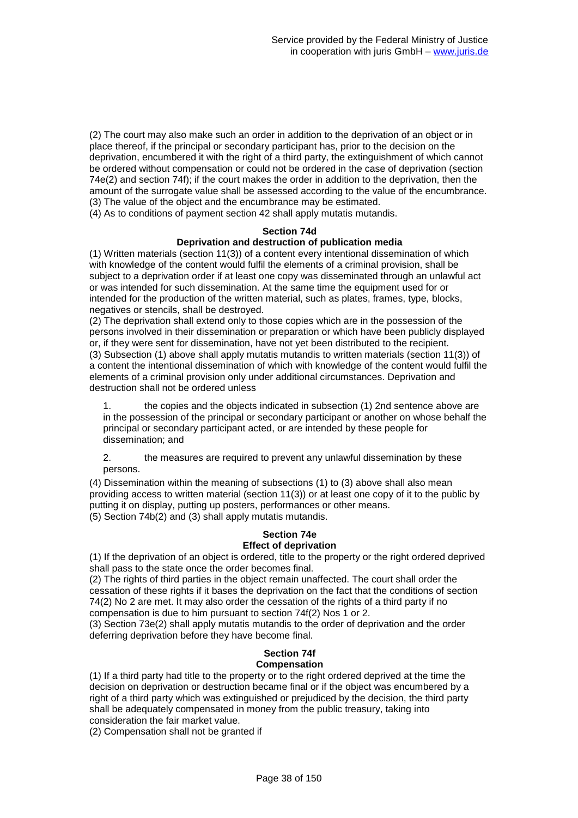(2) The court may also make such an order in addition to the deprivation of an object or in place thereof, if the principal or secondary participant has, prior to the decision on the deprivation, encumbered it with the right of a third party, the extinguishment of which cannot be ordered without compensation or could not be ordered in the case of deprivation (section 74e(2) and section 74f); if the court makes the order in addition to the deprivation, then the amount of the surrogate value shall be assessed according to the value of the encumbrance. (3) The value of the object and the encumbrance may be estimated.

(4) As to conditions of payment section 42 shall apply mutatis mutandis.

#### **Section 74d**

#### **Deprivation and destruction of publication media**

(1) Written materials (section 11(3)) of a content every intentional dissemination of which with knowledge of the content would fulfil the elements of a criminal provision, shall be subject to a deprivation order if at least one copy was disseminated through an unlawful act or was intended for such dissemination. At the same time the equipment used for or intended for the production of the written material, such as plates, frames, type, blocks, negatives or stencils, shall be destroyed.

(2) The deprivation shall extend only to those copies which are in the possession of the persons involved in their dissemination or preparation or which have been publicly displayed or, if they were sent for dissemination, have not yet been distributed to the recipient. (3) Subsection (1) above shall apply mutatis mutandis to written materials (section 11(3)) of a content the intentional dissemination of which with knowledge of the content would fulfil the elements of a criminal provision only under additional circumstances. Deprivation and destruction shall not be ordered unless

the copies and the objects indicated in subsection (1) 2nd sentence above are in the possession of the principal or secondary participant or another on whose behalf the principal or secondary participant acted, or are intended by these people for dissemination; and

2. the measures are required to prevent any unlawful dissemination by these persons.

(4) Dissemination within the meaning of subsections (1) to (3) above shall also mean providing access to written material (section 11(3)) or at least one copy of it to the public by putting it on display, putting up posters, performances or other means. (5) Section 74b(2) and (3) shall apply mutatis mutandis.

## **Section 74e**

## **Effect of deprivation**

(1) If the deprivation of an object is ordered, title to the property or the right ordered deprived shall pass to the state once the order becomes final.

(2) The rights of third parties in the object remain unaffected. The court shall order the cessation of these rights if it bases the deprivation on the fact that the conditions of section 74(2) No 2 are met. It may also order the cessation of the rights of a third party if no compensation is due to him pursuant to section 74f(2) Nos 1 or 2.

(3) Section 73e(2) shall apply mutatis mutandis to the order of deprivation and the order deferring deprivation before they have become final.

#### **Section 74f Compensation**

(1) If a third party had title to the property or to the right ordered deprived at the time the decision on deprivation or destruction became final or if the object was encumbered by a right of a third party which was extinguished or prejudiced by the decision, the third party shall be adequately compensated in money from the public treasury, taking into consideration the fair market value.

(2) Compensation shall not be granted if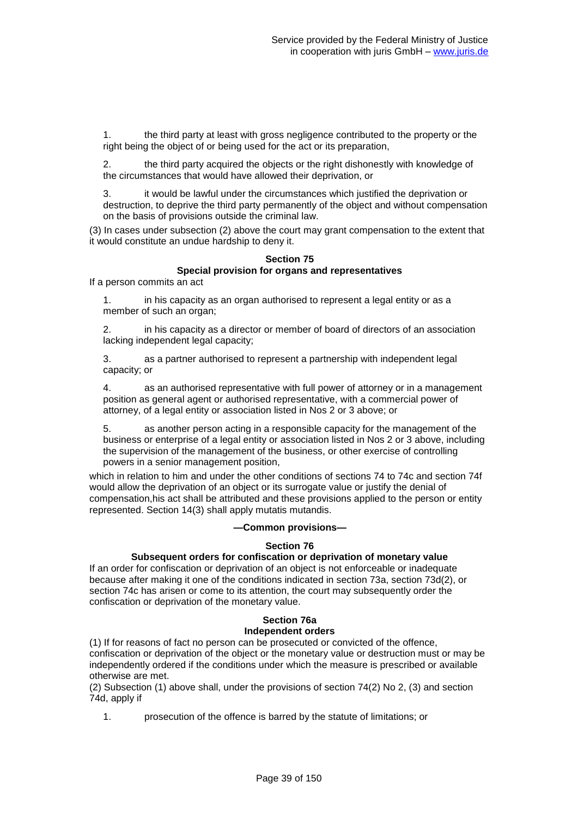1. the third party at least with gross negligence contributed to the property or the right being the object of or being used for the act or its preparation,

2. the third party acquired the objects or the right dishonestly with knowledge of the circumstances that would have allowed their deprivation, or

3. it would be lawful under the circumstances which justified the deprivation or destruction, to deprive the third party permanently of the object and without compensation on the basis of provisions outside the criminal law.

(3) In cases under subsection (2) above the court may grant compensation to the extent that it would constitute an undue hardship to deny it.

# **Section 75 Special provision for organs and representatives**

If a person commits an act

1. in his capacity as an organ authorised to represent a legal entity or as a member of such an organ;

2. in his capacity as a director or member of board of directors of an association lacking independent legal capacity;

3. as a partner authorised to represent a partnership with independent legal capacity; or

4. as an authorised representative with full power of attorney or in a management position as general agent or authorised representative, with a commercial power of attorney, of a legal entity or association listed in Nos 2 or 3 above; or

5. as another person acting in a responsible capacity for the management of the business or enterprise of a legal entity or association listed in Nos 2 or 3 above, including the supervision of the management of the business, or other exercise of controlling powers in a senior management position,

which in relation to him and under the other conditions of sections 74 to 74c and section 74f would allow the deprivation of an object or its surrogate value or justify the denial of compensation,his act shall be attributed and these provisions applied to the person or entity represented. Section 14(3) shall apply mutatis mutandis.

#### **—Common provisions—**

#### **Section 76**

#### **Subsequent orders for confiscation or deprivation of monetary value**

If an order for confiscation or deprivation of an object is not enforceable or inadequate because after making it one of the conditions indicated in section 73a, section 73d(2), or section 74c has arisen or come to its attention, the court may subsequently order the confiscation or deprivation of the monetary value.

#### **Section 76a Independent orders**

(1) If for reasons of fact no person can be prosecuted or convicted of the offence, confiscation or deprivation of the object or the monetary value or destruction must or may be independently ordered if the conditions under which the measure is prescribed or available otherwise are met.

(2) Subsection (1) above shall, under the provisions of section 74(2) No 2, (3) and section 74d, apply if

1. prosecution of the offence is barred by the statute of limitations; or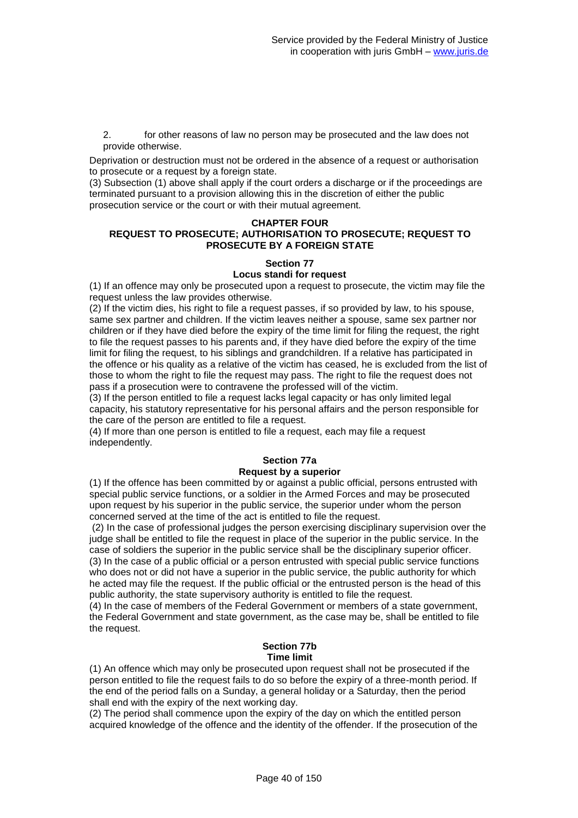2. for other reasons of law no person may be prosecuted and the law does not provide otherwise.

Deprivation or destruction must not be ordered in the absence of a request or authorisation to prosecute or a request by a foreign state.

(3) Subsection (1) above shall apply if the court orders a discharge or if the proceedings are terminated pursuant to a provision allowing this in the discretion of either the public prosecution service or the court or with their mutual agreement.

#### **CHAPTER FOUR REQUEST TO PROSECUTE; AUTHORISATION TO PROSECUTE; REQUEST TO PROSECUTE BY A FOREIGN STATE**

## **Section 77**

## **Locus standi for request**

(1) If an offence may only be prosecuted upon a request to prosecute, the victim may file the request unless the law provides otherwise.

(2) If the victim dies, his right to file a request passes, if so provided by law, to his spouse, same sex partner and children. If the victim leaves neither a spouse, same sex partner nor children or if they have died before the expiry of the time limit for filing the request, the right to file the request passes to his parents and, if they have died before the expiry of the time limit for filing the request, to his siblings and grandchildren. If a relative has participated in the offence or his quality as a relative of the victim has ceased, he is excluded from the list of those to whom the right to file the request may pass. The right to file the request does not pass if a prosecution were to contravene the professed will of the victim.

(3) If the person entitled to file a request lacks legal capacity or has only limited legal capacity, his statutory representative for his personal affairs and the person responsible for the care of the person are entitled to file a request.

(4) If more than one person is entitled to file a request, each may file a request independently.

## **Section 77a Request by a superior**

(1) If the offence has been committed by or against a public official, persons entrusted with special public service functions, or a soldier in the Armed Forces and may be prosecuted upon request by his superior in the public service, the superior under whom the person concerned served at the time of the act is entitled to file the request.

(2) In the case of professional judges the person exercising disciplinary supervision over the judge shall be entitled to file the request in place of the superior in the public service. In the case of soldiers the superior in the public service shall be the disciplinary superior officer. (3) In the case of a public official or a person entrusted with special public service functions who does not or did not have a superior in the public service, the public authority for which he acted may file the request. If the public official or the entrusted person is the head of this public authority, the state supervisory authority is entitled to file the request.

(4) In the case of members of the Federal Government or members of a state government, the Federal Government and state government, as the case may be, shall be entitled to file the request.

#### **Section 77b Time limit**

(1) An offence which may only be prosecuted upon request shall not be prosecuted if the person entitled to file the request fails to do so before the expiry of a three-month period. If the end of the period falls on a Sunday, a general holiday or a Saturday, then the period shall end with the expiry of the next working day.

(2) The period shall commence upon the expiry of the day on which the entitled person acquired knowledge of the offence and the identity of the offender. If the prosecution of the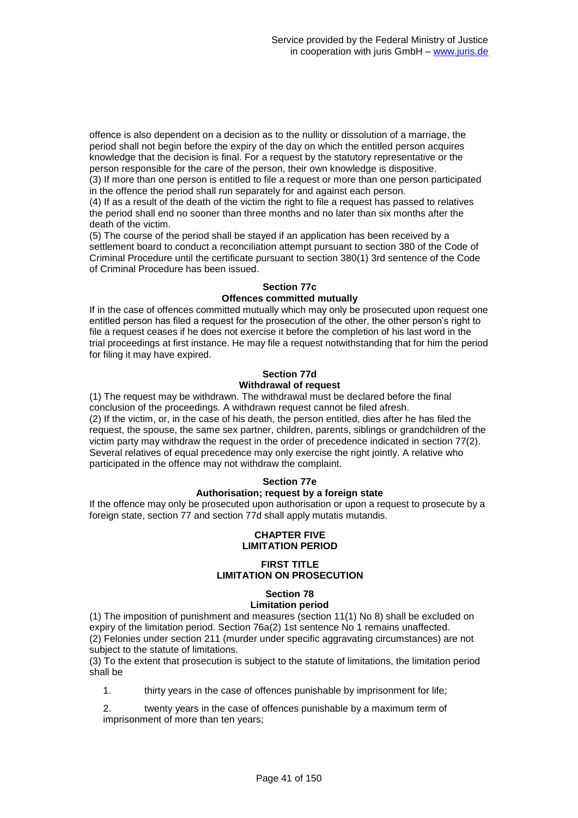offence is also dependent on a decision as to the nullity or dissolution of a marriage, the period shall not begin before the expiry of the day on which the entitled person acquires knowledge that the decision is final. For a request by the statutory representative or the person responsible for the care of the person, their own knowledge is dispositive.

(3) If more than one person is entitled to file a request or more than one person participated in the offence the period shall run separately for and against each person.

(4) If as a result of the death of the victim the right to file a request has passed to relatives the period shall end no sooner than three months and no later than six months after the death of the victim.

(5) The course of the period shall be stayed if an application has been received by a settlement board to conduct a reconciliation attempt pursuant to section 380 of the Code of Criminal Procedure until the certificate pursuant to section 380(1) 3rd sentence of the Code of Criminal Procedure has been issued.

#### **Section 77c Offences committed mutually**

If in the case of offences committed mutually which may only be prosecuted upon request one entitled person has filed a request for the prosecution of the other, the other person's right to file a request ceases if he does not exercise it before the completion of his last word in the trial proceedings at first instance. He may file a request notwithstanding that for him the period for filing it may have expired.

# **Section 77d**

# **Withdrawal of request**

(1) The request may be withdrawn. The withdrawal must be declared before the final conclusion of the proceedings. A withdrawn request cannot be filed afresh. (2) If the victim, or, in the case of his death, the person entitled, dies after he has filed the request, the spouse, the same sex partner, children, parents, siblings or grandchildren of the victim party may withdraw the request in the order of precedence indicated in section 77(2). Several relatives of equal precedence may only exercise the right jointly. A relative who participated in the offence may not withdraw the complaint.

# **Section 77e**

# **Authorisation; request by a foreign state**

If the offence may only be prosecuted upon authorisation or upon a request to prosecute by a foreign state, section 77 and section 77d shall apply mutatis mutandis.

#### **CHAPTER FIVE LIMITATION PERIOD**

# **FIRST TITLE LIMITATION ON PROSECUTION**

#### **Section 78 Limitation period**

(1) The imposition of punishment and measures (section 11(1) No 8) shall be excluded on expiry of the limitation period. Section 76a(2) 1st sentence No 1 remains unaffected. (2) Felonies under section 211 (murder under specific aggravating circumstances) are not subject to the statute of limitations.

(3) To the extent that prosecution is subject to the statute of limitations, the limitation period shall be

1. thirty years in the case of offences punishable by imprisonment for life;

2. twenty years in the case of offences punishable by a maximum term of imprisonment of more than ten years;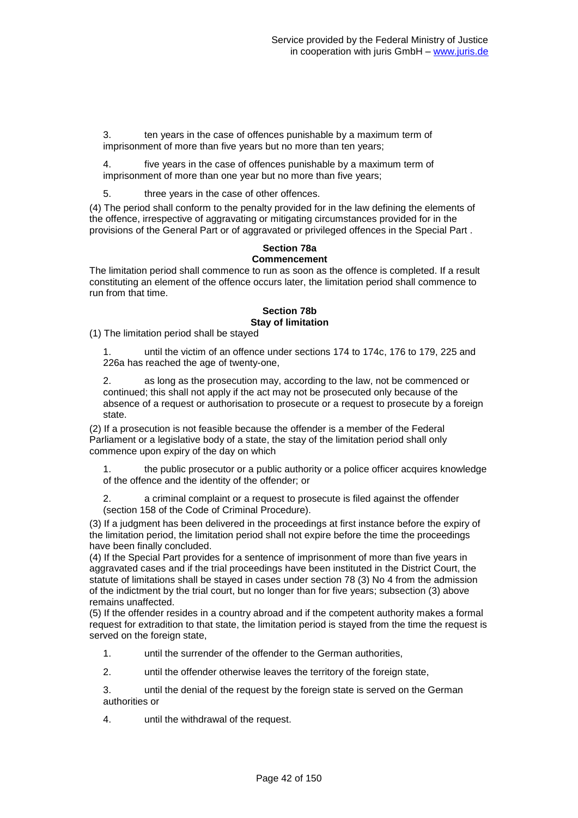3. ten years in the case of offences punishable by a maximum term of imprisonment of more than five years but no more than ten years;

4. five years in the case of offences punishable by a maximum term of imprisonment of more than one year but no more than five years;

5. three years in the case of other offences.

(4) The period shall conform to the penalty provided for in the law defining the elements of the offence, irrespective of aggravating or mitigating circumstances provided for in the provisions of the General Part or of aggravated or privileged offences in the Special Part .

#### **Section 78a Commencement**

The limitation period shall commence to run as soon as the offence is completed. If a result constituting an element of the offence occurs later, the limitation period shall commence to run from that time.

#### **Section 78b Stay of limitation**

(1) The limitation period shall be stayed

1. until the victim of an offence under sections 174 to 174c, 176 to 179, 225 and 226a has reached the age of twenty-one,

as long as the prosecution may, according to the law, not be commenced or continued; this shall not apply if the act may not be prosecuted only because of the absence of a request or authorisation to prosecute or a request to prosecute by a foreign state.

(2) If a prosecution is not feasible because the offender is a member of the Federal Parliament or a legislative body of a state, the stay of the limitation period shall only commence upon expiry of the day on which

1. the public prosecutor or a public authority or a police officer acquires knowledge of the offence and the identity of the offender; or

2. a criminal complaint or a request to prosecute is filed against the offender (section 158 of the Code of Criminal Procedure).

(3) If a judgment has been delivered in the proceedings at first instance before the expiry of the limitation period, the limitation period shall not expire before the time the proceedings have been finally concluded.

(4) If the Special Part provides for a sentence of imprisonment of more than five years in aggravated cases and if the trial proceedings have been instituted in the District Court, the statute of limitations shall be stayed in cases under section 78 (3) No 4 from the admission of the indictment by the trial court, but no longer than for five years; subsection (3) above remains unaffected.

(5) If the offender resides in a country abroad and if the competent authority makes a formal request for extradition to that state, the limitation period is stayed from the time the request is served on the foreign state,

- 1. until the surrender of the offender to the German authorities,
- 2. until the offender otherwise leaves the territory of the foreign state,

3. until the denial of the request by the foreign state is served on the German authorities or

4. until the withdrawal of the request.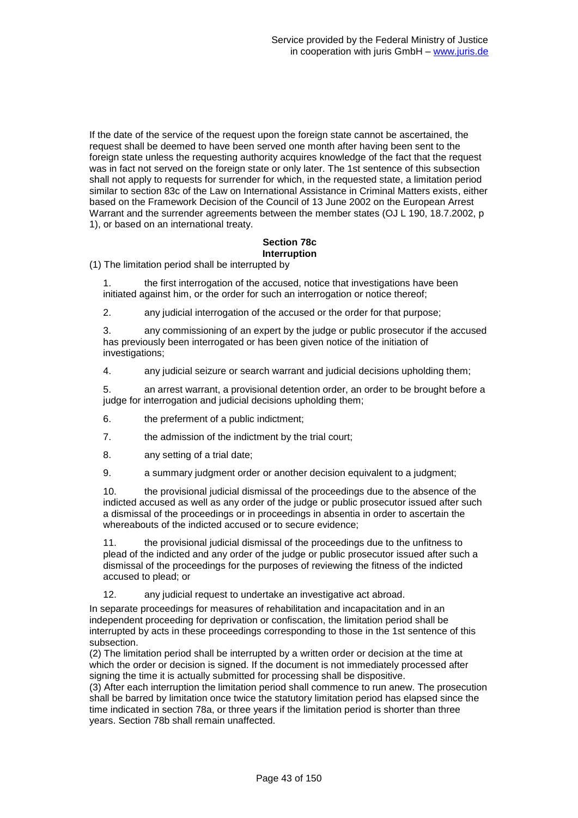If the date of the service of the request upon the foreign state cannot be ascertained, the request shall be deemed to have been served one month after having been sent to the foreign state unless the requesting authority acquires knowledge of the fact that the request was in fact not served on the foreign state or only later. The 1st sentence of this subsection shall not apply to requests for surrender for which, in the requested state, a limitation period similar to section 83c of the Law on International Assistance in Criminal Matters exists, either based on the Framework Decision of the Council of 13 June 2002 on the European Arrest Warrant and the surrender agreements between the member states (OJ L 190, 18.7.2002, p 1), or based on an international treaty.

# **Section 78c**

#### **Interruption**

(1) The limitation period shall be interrupted by

1. the first interrogation of the accused, notice that investigations have been initiated against him, or the order for such an interrogation or notice thereof;

2. any judicial interrogation of the accused or the order for that purpose;

3. any commissioning of an expert by the judge or public prosecutor if the accused has previously been interrogated or has been given notice of the initiation of investigations;

4. any judicial seizure or search warrant and judicial decisions upholding them;

5. an arrest warrant, a provisional detention order, an order to be brought before a judge for interrogation and judicial decisions upholding them;

6. the preferment of a public indictment;

7. the admission of the indictment by the trial court;

8. any setting of a trial date;

9. a summary judgment order or another decision equivalent to a judgment;

10. the provisional judicial dismissal of the proceedings due to the absence of the indicted accused as well as any order of the judge or public prosecutor issued after such a dismissal of the proceedings or in proceedings in absentia in order to ascertain the whereabouts of the indicted accused or to secure evidence;

11. the provisional judicial dismissal of the proceedings due to the unfitness to plead of the indicted and any order of the judge or public prosecutor issued after such a dismissal of the proceedings for the purposes of reviewing the fitness of the indicted accused to plead; or

12. any judicial request to undertake an investigative act abroad.

In separate proceedings for measures of rehabilitation and incapacitation and in an independent proceeding for deprivation or confiscation, the limitation period shall be interrupted by acts in these proceedings corresponding to those in the 1st sentence of this subsection.

(2) The limitation period shall be interrupted by a written order or decision at the time at which the order or decision is signed. If the document is not immediately processed after signing the time it is actually submitted for processing shall be dispositive.

(3) After each interruption the limitation period shall commence to run anew. The prosecution shall be barred by limitation once twice the statutory limitation period has elapsed since the time indicated in section 78a, or three years if the limitation period is shorter than three years. Section 78b shall remain unaffected.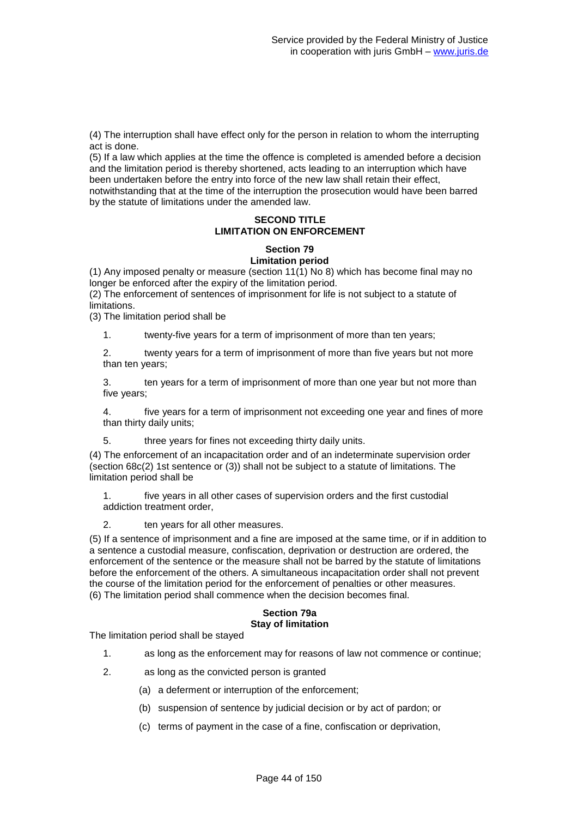(4) The interruption shall have effect only for the person in relation to whom the interrupting act is done.

(5) If a law which applies at the time the offence is completed is amended before a decision and the limitation period is thereby shortened, acts leading to an interruption which have been undertaken before the entry into force of the new law shall retain their effect, notwithstanding that at the time of the interruption the prosecution would have been barred by the statute of limitations under the amended law.

#### **SECOND TITLE LIMITATION ON ENFORCEMENT**

# **Section 79**

# **Limitation period**

(1) Any imposed penalty or measure (section 11(1) No 8) which has become final may no longer be enforced after the expiry of the limitation period.

(2) The enforcement of sentences of imprisonment for life is not subject to a statute of **limitations** 

(3) The limitation period shall be

1. twenty-five years for a term of imprisonment of more than ten years;

2. twenty years for a term of imprisonment of more than five years but not more than ten years;

3. ten years for a term of imprisonment of more than one year but not more than five years;

4. five years for a term of imprisonment not exceeding one year and fines of more than thirty daily units;

5. three years for fines not exceeding thirty daily units.

(4) The enforcement of an incapacitation order and of an indeterminate supervision order (section 68c(2) 1st sentence or (3)) shall not be subject to a statute of limitations. The limitation period shall be

1. five years in all other cases of supervision orders and the first custodial addiction treatment order,

2. ten years for all other measures.

(5) If a sentence of imprisonment and a fine are imposed at the same time, or if in addition to a sentence a custodial measure, confiscation, deprivation or destruction are ordered, the enforcement of the sentence or the measure shall not be barred by the statute of limitations before the enforcement of the others. A simultaneous incapacitation order shall not prevent the course of the limitation period for the enforcement of penalties or other measures. (6) The limitation period shall commence when the decision becomes final.

#### **Section 79a Stay of limitation**

The limitation period shall be stayed

- 1. as long as the enforcement may for reasons of law not commence or continue;
- 2. as long as the convicted person is granted
	- (a) a deferment or interruption of the enforcement;
	- (b) suspension of sentence by judicial decision or by act of pardon; or
	- (c) terms of payment in the case of a fine, confiscation or deprivation,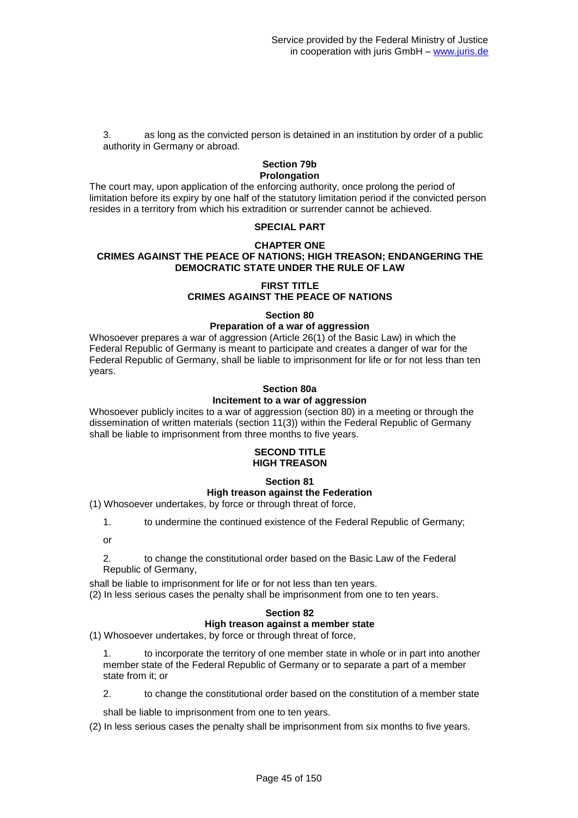3. as long as the convicted person is detained in an institution by order of a public authority in Germany or abroad.

# **Section 79b**

# **Prolongation**

The court may, upon application of the enforcing authority, once prolong the period of limitation before its expiry by one half of the statutory limitation period if the convicted person resides in a territory from which his extradition or surrender cannot be achieved.

## **SPECIAL PART**

#### **CHAPTER ONE CRIMES AGAINST THE PEACE OF NATIONS; HIGH TREASON; ENDANGERING THE DEMOCRATIC STATE UNDER THE RULE OF LAW**

#### **FIRST TITLE CRIMES AGAINST THE PEACE OF NATIONS**

#### **Section 80**

#### **Preparation of a war of aggression**

Whosoever prepares a war of aggression (Article 26(1) of the Basic Law) in which the Federal Republic of Germany is meant to participate and creates a danger of war for the Federal Republic of Germany, shall be liable to imprisonment for life or for not less than ten years.

#### **Section 80a**

# **Incitement to a war of aggression**

Whosoever publicly incites to a war of aggression (section 80) in a meeting or through the dissemination of written materials (section 11(3)) within the Federal Republic of Germany shall be liable to imprisonment from three months to five years.

#### **SECOND TITLE HIGH TREASON**

# **Section 81 High treason against the Federation**

(1) Whosoever undertakes, by force or through threat of force,

1. to undermine the continued existence of the Federal Republic of Germany;

 $\alpha$ r

2. to change the constitutional order based on the Basic Law of the Federal Republic of Germany,

shall be liable to imprisonment for life or for not less than ten years. (2) In less serious cases the penalty shall be imprisonment from one to ten years.

#### **Section 82 High treason against a member state**

(1) Whosoever undertakes, by force or through threat of force,

1. to incorporate the territory of one member state in whole or in part into another member state of the Federal Republic of Germany or to separate a part of a member state from it; or

2. to change the constitutional order based on the constitution of a member state

shall be liable to imprisonment from one to ten years.

(2) In less serious cases the penalty shall be imprisonment from six months to five years.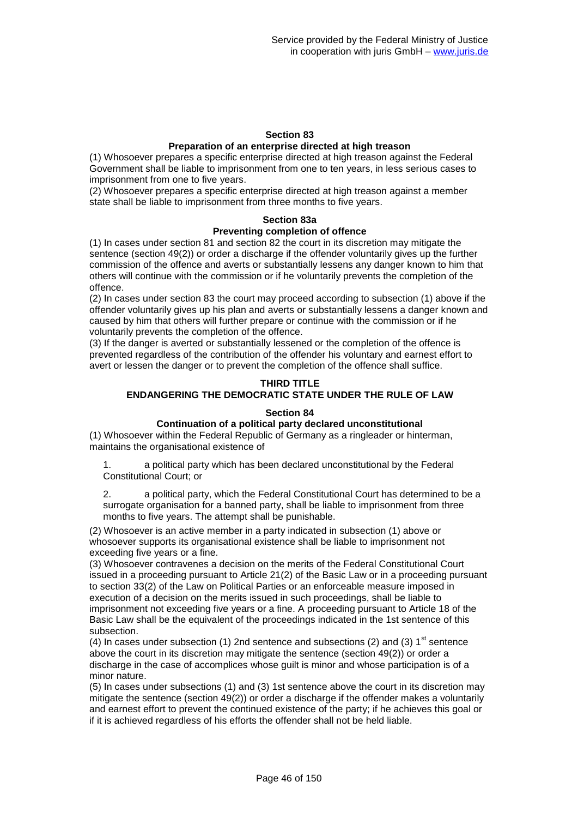#### **Section 83 Preparation of an enterprise directed at high treason**

(1) Whosoever prepares a specific enterprise directed at high treason against the Federal Government shall be liable to imprisonment from one to ten years, in less serious cases to imprisonment from one to five years.

(2) Whosoever prepares a specific enterprise directed at high treason against a member state shall be liable to imprisonment from three months to five years.

## **Section 83a Preventing completion of offence**

(1) In cases under section 81 and section 82 the court in its discretion may mitigate the sentence (section 49(2)) or order a discharge if the offender voluntarily gives up the further commission of the offence and averts or substantially lessens any danger known to him that others will continue with the commission or if he voluntarily prevents the completion of the offence.

(2) In cases under section 83 the court may proceed according to subsection (1) above if the offender voluntarily gives up his plan and averts or substantially lessens a danger known and caused by him that others will further prepare or continue with the commission or if he voluntarily prevents the completion of the offence.

(3) If the danger is averted or substantially lessened or the completion of the offence is prevented regardless of the contribution of the offender his voluntary and earnest effort to avert or lessen the danger or to prevent the completion of the offence shall suffice.

# **THIRD TITLE ENDANGERING THE DEMOCRATIC STATE UNDER THE RULE OF LAW**

# **Section 84**

# **Continuation of a political party declared unconstitutional** (1) Whosoever within the Federal Republic of Germany as a ringleader or hinterman,

maintains the organisational existence of

1. a political party which has been declared unconstitutional by the Federal Constitutional Court; or

2. a political party, which the Federal Constitutional Court has determined to be a surrogate organisation for a banned party, shall be liable to imprisonment from three months to five years. The attempt shall be punishable.

(2) Whosoever is an active member in a party indicated in subsection (1) above or whosoever supports its organisational existence shall be liable to imprisonment not exceeding five years or a fine.

(3) Whosoever contravenes a decision on the merits of the Federal Constitutional Court issued in a proceeding pursuant to Article 21(2) of the Basic Law or in a proceeding pursuant to section 33(2) of the Law on Political Parties or an enforceable measure imposed in execution of a decision on the merits issued in such proceedings, shall be liable to imprisonment not exceeding five years or a fine. A proceeding pursuant to Article 18 of the Basic Law shall be the equivalent of the proceedings indicated in the 1st sentence of this subsection.

(4) In cases under subsection (1) 2nd sentence and subsections (2) and (3)  $1<sup>st</sup>$  sentence above the court in its discretion may mitigate the sentence (section 49(2)) or order a discharge in the case of accomplices whose guilt is minor and whose participation is of a minor nature.

(5) In cases under subsections (1) and (3) 1st sentence above the court in its discretion may mitigate the sentence (section 49(2)) or order a discharge if the offender makes a voluntarily and earnest effort to prevent the continued existence of the party; if he achieves this goal or if it is achieved regardless of his efforts the offender shall not be held liable.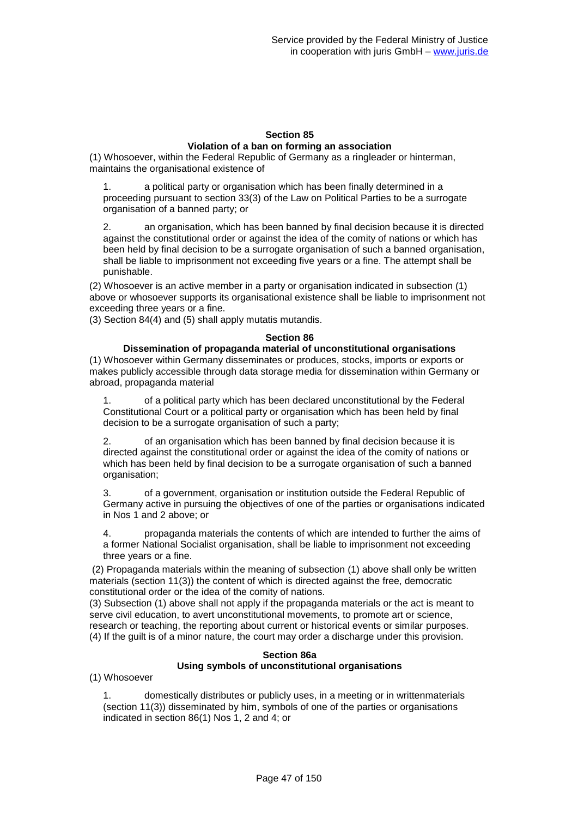#### **Section 85 Violation of a ban on forming an association**

(1) Whosoever, within the Federal Republic of Germany as a ringleader or hinterman, maintains the organisational existence of

1. a political party or organisation which has been finally determined in a proceeding pursuant to section 33(3) of the Law on Political Parties to be a surrogate organisation of a banned party; or

2. an organisation, which has been banned by final decision because it is directed against the constitutional order or against the idea of the comity of nations or which has been held by final decision to be a surrogate organisation of such a banned organisation, shall be liable to imprisonment not exceeding five years or a fine. The attempt shall be punishable.

(2) Whosoever is an active member in a party or organisation indicated in subsection (1) above or whosoever supports its organisational existence shall be liable to imprisonment not exceeding three years or a fine.

(3) Section 84(4) and (5) shall apply mutatis mutandis.

#### **Section 86**

#### **Dissemination of propaganda material of unconstitutional organisations** (1) Whosoever within Germany disseminates or produces, stocks, imports or exports or makes publicly accessible through data storage media for dissemination within Germany or abroad, propaganda material

1. of a political party which has been declared unconstitutional by the Federal Constitutional Court or a political party or organisation which has been held by final decision to be a surrogate organisation of such a party:

2. of an organisation which has been banned by final decision because it is directed against the constitutional order or against the idea of the comity of nations or which has been held by final decision to be a surrogate organisation of such a banned organisation;

3. of a government, organisation or institution outside the Federal Republic of Germany active in pursuing the objectives of one of the parties or organisations indicated in Nos 1 and 2 above; or

4. propaganda materials the contents of which are intended to further the aims of a former National Socialist organisation, shall be liable to imprisonment not exceeding three years or a fine.

(2) Propaganda materials within the meaning of subsection (1) above shall only be written materials (section 11(3)) the content of which is directed against the free, democratic constitutional order or the idea of the comity of nations.

(3) Subsection (1) above shall not apply if the propaganda materials or the act is meant to serve civil education, to avert unconstitutional movements, to promote art or science, research or teaching, the reporting about current or historical events or similar purposes. (4) If the guilt is of a minor nature, the court may order a discharge under this provision.

#### **Section 86a Using symbols of unconstitutional organisations**

(1) Whosoever

1. domestically distributes or publicly uses, in a meeting or in writtenmaterials (section 11(3)) disseminated by him, symbols of one of the parties or organisations indicated in section 86(1) Nos 1, 2 and 4; or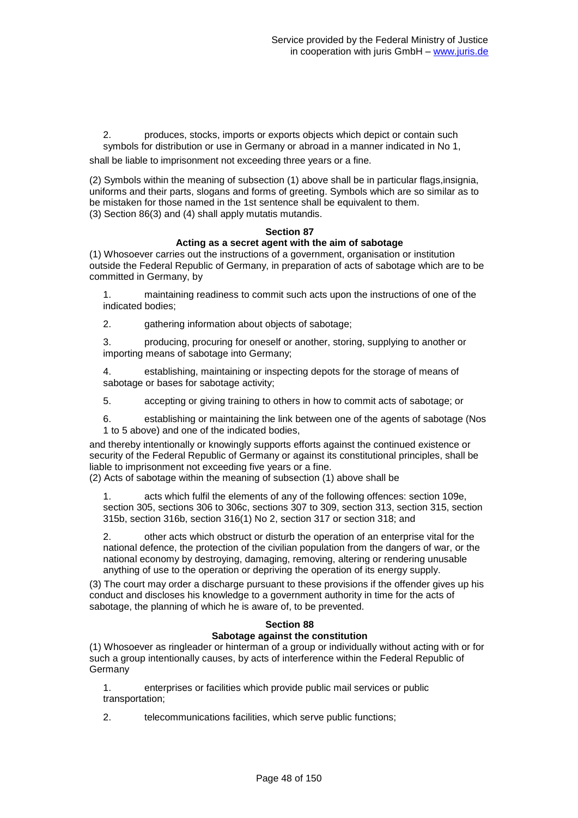2. produces, stocks, imports or exports objects which depict or contain such symbols for distribution or use in Germany or abroad in a manner indicated in No 1,

shall be liable to imprisonment not exceeding three years or a fine.

(2) Symbols within the meaning of subsection (1) above shall be in particular flags,insignia, uniforms and their parts, slogans and forms of greeting. Symbols which are so similar as to be mistaken for those named in the 1st sentence shall be equivalent to them. (3) Section 86(3) and (4) shall apply mutatis mutandis.

#### **Section 87**

#### **Acting as a secret agent with the aim of sabotage**

(1) Whosoever carries out the instructions of a government, organisation or institution outside the Federal Republic of Germany, in preparation of acts of sabotage which are to be committed in Germany, by

1. maintaining readiness to commit such acts upon the instructions of one of the indicated bodies;

2. gathering information about objects of sabotage;

3. producing, procuring for oneself or another, storing, supplying to another or importing means of sabotage into Germany;

4. establishing, maintaining or inspecting depots for the storage of means of sabotage or bases for sabotage activity;

5. accepting or giving training to others in how to commit acts of sabotage; or

6. establishing or maintaining the link between one of the agents of sabotage (Nos 1 to 5 above) and one of the indicated bodies,

and thereby intentionally or knowingly supports efforts against the continued existence or security of the Federal Republic of Germany or against its constitutional principles, shall be liable to imprisonment not exceeding five years or a fine.

(2) Acts of sabotage within the meaning of subsection (1) above shall be

1. acts which fulfil the elements of any of the following offences: section 109e, section 305, sections 306 to 306c, sections 307 to 309, section 313, section 315, section 315b, section 316b, section 316(1) No 2, section 317 or section 318; and

2. other acts which obstruct or disturb the operation of an enterprise vital for the national defence, the protection of the civilian population from the dangers of war, or the national economy by destroying, damaging, removing, altering or rendering unusable anything of use to the operation or depriving the operation of its energy supply.

(3) The court may order a discharge pursuant to these provisions if the offender gives up his conduct and discloses his knowledge to a government authority in time for the acts of sabotage, the planning of which he is aware of, to be prevented.

#### **Section 88**

#### **Sabotage against the constitution**

(1) Whosoever as ringleader or hinterman of a group or individually without acting with or for such a group intentionally causes, by acts of interference within the Federal Republic of **Germany** 

1. enterprises or facilities which provide public mail services or public transportation;

2. telecommunications facilities, which serve public functions;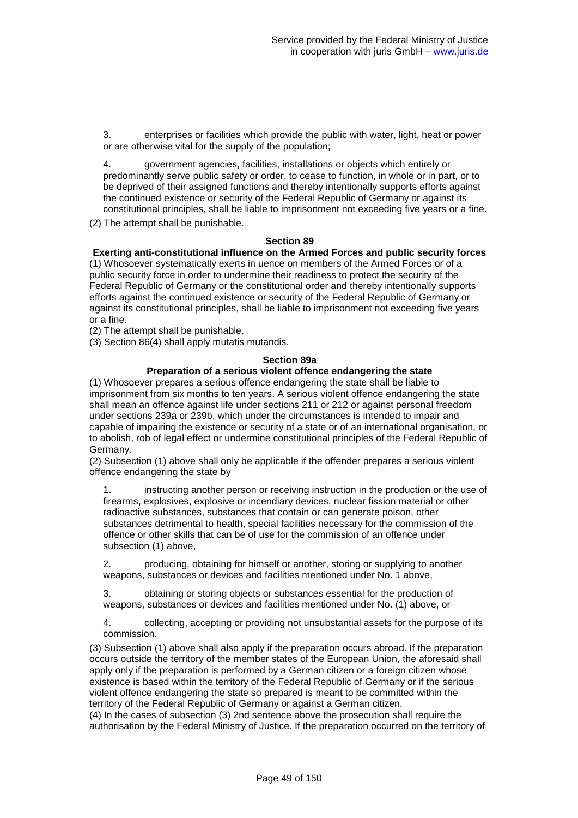3. enterprises or facilities which provide the public with water, light, heat or power or are otherwise vital for the supply of the population;

4. government agencies, facilities, installations or objects which entirely or predominantly serve public safety or order, to cease to function, in whole or in part, or to be deprived of their assigned functions and thereby intentionally supports efforts against the continued existence or security of the Federal Republic of Germany or against its constitutional principles, shall be liable to imprisonment not exceeding five years or a fine.

(2) The attempt shall be punishable.

#### **Section 89**

#### **Exerting anti-constitutional influence on the Armed Forces and public security forces**

(1) Whosoever systematically exerts in uence on members of the Armed Forces or of a public security force in order to undermine their readiness to protect the security of the Federal Republic of Germany or the constitutional order and thereby intentionally supports efforts against the continued existence or security of the Federal Republic of Germany or against its constitutional principles, shall be liable to imprisonment not exceeding five years or a fine.

(2) The attempt shall be punishable.

(3) Section 86(4) shall apply mutatis mutandis.

#### **Section 89a**

#### **Preparation of a serious violent offence endangering the state**

(1) Whosoever prepares a serious offence endangering the state shall be liable to imprisonment from six months to ten years. A serious violent offence endangering the state shall mean an offence against life under sections 211 or 212 or against personal freedom under sections 239a or 239b, which under the circumstances is intended to impair and capable of impairing the existence or security of a state or of an international organisation, or to abolish, rob of legal effect or undermine constitutional principles of the Federal Republic of Germany.

(2) Subsection (1) above shall only be applicable if the offender prepares a serious violent offence endangering the state by

1. instructing another person or receiving instruction in the production or the use of firearms, explosives, explosive or incendiary devices, nuclear fission material or other radioactive substances, substances that contain or can generate poison, other substances detrimental to health, special facilities necessary for the commission of the offence or other skills that can be of use for the commission of an offence under subsection (1) above,

2. producing, obtaining for himself or another, storing or supplying to another weapons, substances or devices and facilities mentioned under No. 1 above,

3. obtaining or storing objects or substances essential for the production of weapons, substances or devices and facilities mentioned under No. (1) above, or

4. collecting, accepting or providing not unsubstantial assets for the purpose of its commission.

(3) Subsection (1) above shall also apply if the preparation occurs abroad. If the preparation occurs outside the territory of the member states of the European Union, the aforesaid shall apply only if the preparation is performed by a German citizen or a foreign citizen whose existence is based within the territory of the Federal Republic of Germany or if the serious violent offence endangering the state so prepared is meant to be committed within the territory of the Federal Republic of Germany or against a German citizen.

(4) In the cases of subsection (3) 2nd sentence above the prosecution shall require the authorisation by the Federal Ministry of Justice. If the preparation occurred on the territory of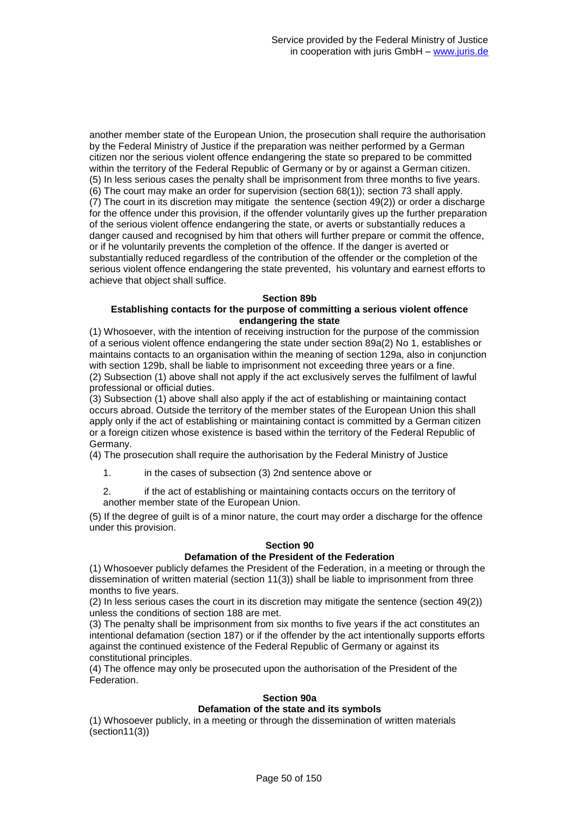another member state of the European Union, the prosecution shall require the authorisation by the Federal Ministry of Justice if the preparation was neither performed by a German citizen nor the serious violent offence endangering the state so prepared to be committed within the territory of the Federal Republic of Germany or by or against a German citizen. (5) In less serious cases the penalty shall be imprisonment from three months to five years. (6) The court may make an order for supervision (section 68(1)); section 73 shall apply. (7) The court in its discretion may mitigate the sentence (section 49(2)) or order a discharge for the offence under this provision, if the offender voluntarily gives up the further preparation of the serious violent offence endangering the state, or averts or substantially reduces a danger caused and recognised by him that others will further prepare or commit the offence, or if he voluntarily prevents the completion of the offence. If the danger is averted or substantially reduced regardless of the contribution of the offender or the completion of the serious violent offence endangering the state prevented, his voluntary and earnest efforts to achieve that object shall suffice.

#### **Section 89b**

#### **Establishing contacts for the purpose of committing a serious violent offence endangering the state**

(1) Whosoever, with the intention of receiving instruction for the purpose of the commission of a serious violent offence endangering the state under section 89a(2) No 1, establishes or maintains contacts to an organisation within the meaning of section 129a, also in conjunction with section 129b, shall be liable to imprisonment not exceeding three years or a fine. (2) Subsection (1) above shall not apply if the act exclusively serves the fulfilment of lawful professional or official duties.

(3) Subsection (1) above shall also apply if the act of establishing or maintaining contact occurs abroad. Outside the territory of the member states of the European Union this shall apply only if the act of establishing or maintaining contact is committed by a German citizen or a foreign citizen whose existence is based within the territory of the Federal Republic of Germany.

(4) The prosecution shall require the authorisation by the Federal Ministry of Justice

- 1. in the cases of subsection (3) 2nd sentence above or
- 2. if the act of establishing or maintaining contacts occurs on the territory of another member state of the European Union.

(5) If the degree of guilt is of a minor nature, the court may order a discharge for the offence under this provision.

#### **Section 90 Defamation of the President of the Federation**

(1) Whosoever publicly defames the President of the Federation, in a meeting or through the dissemination of written material (section 11(3)) shall be liable to imprisonment from three months to five years.

(2) In less serious cases the court in its discretion may mitigate the sentence (section 49(2)) unless the conditions of section 188 are met.

(3) The penalty shall be imprisonment from six months to five years if the act constitutes an intentional defamation (section 187) or if the offender by the act intentionally supports efforts against the continued existence of the Federal Republic of Germany or against its constitutional principles.

(4) The offence may only be prosecuted upon the authorisation of the President of the Federation.

#### **Section 90a Defamation of the state and its symbols**

(1) Whosoever publicly, in a meeting or through the dissemination of written materials (section11(3))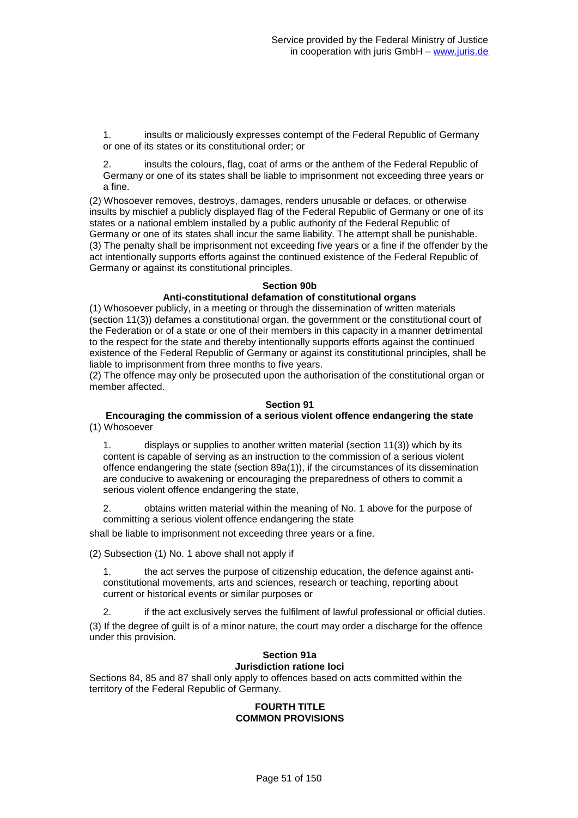1. insults or maliciously expresses contempt of the Federal Republic of Germany or one of its states or its constitutional order; or

2. insults the colours, flag, coat of arms or the anthem of the Federal Republic of Germany or one of its states shall be liable to imprisonment not exceeding three years or a fine.

(2) Whosoever removes, destroys, damages, renders unusable or defaces, or otherwise insults by mischief a publicly displayed flag of the Federal Republic of Germany or one of its states or a national emblem installed by a public authority of the Federal Republic of Germany or one of its states shall incur the same liability. The attempt shall be punishable. (3) The penalty shall be imprisonment not exceeding five years or a fine if the offender by the act intentionally supports efforts against the continued existence of the Federal Republic of Germany or against its constitutional principles.

#### **Section 90b**

#### **Anti-constitutional defamation of constitutional organs**

(1) Whosoever publicly, in a meeting or through the dissemination of written materials (section 11(3)) defames a constitutional organ, the government or the constitutional court of the Federation or of a state or one of their members in this capacity in a manner detrimental to the respect for the state and thereby intentionally supports efforts against the continued existence of the Federal Republic of Germany or against its constitutional principles, shall be liable to imprisonment from three months to five years.

(2) The offence may only be prosecuted upon the authorisation of the constitutional organ or member affected.

#### **Section 91**

#### **Encouraging the commission of a serious violent offence endangering the state** (1) Whosoever

1. displays or supplies to another written material (section 11(3)) which by its content is capable of serving as an instruction to the commission of a serious violent offence endangering the state (section 89a(1)), if the circumstances of its dissemination are conducive to awakening or encouraging the preparedness of others to commit a serious violent offence endangering the state,

2. obtains written material within the meaning of No. 1 above for the purpose of committing a serious violent offence endangering the state

shall be liable to imprisonment not exceeding three years or a fine.

(2) Subsection (1) No. 1 above shall not apply if

1. the act serves the purpose of citizenship education, the defence against anticonstitutional movements, arts and sciences, research or teaching, reporting about current or historical events or similar purposes or

2. if the act exclusively serves the fulfilment of lawful professional or official duties.

(3) If the degree of guilt is of a minor nature, the court may order a discharge for the offence under this provision.

# **Section 91a**

# **Jurisdiction ratione loci**

Sections 84, 85 and 87 shall only apply to offences based on acts committed within the territory of the Federal Republic of Germany.

#### **FOURTH TITLE COMMON PROVISIONS**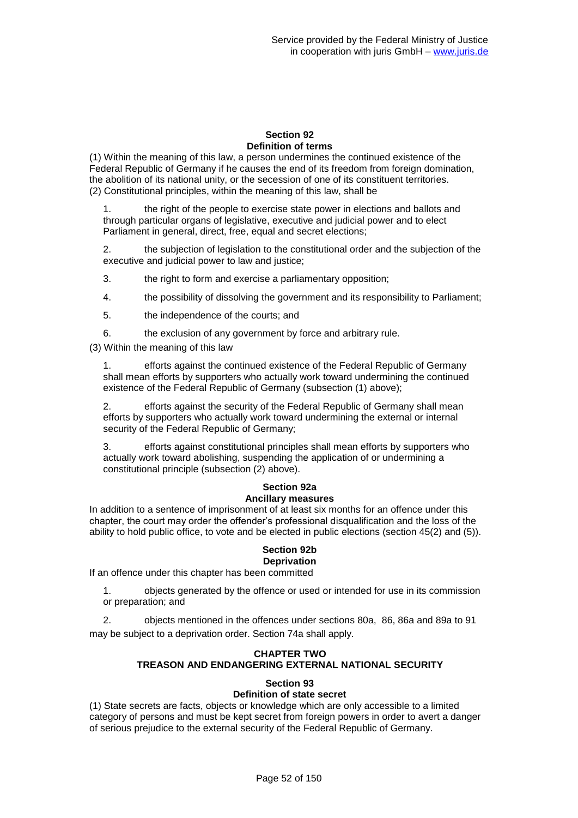#### **Section 92 Definition of terms**

(1) Within the meaning of this law, a person undermines the continued existence of the Federal Republic of Germany if he causes the end of its freedom from foreign domination, the abolition of its national unity, or the secession of one of its constituent territories. (2) Constitutional principles, within the meaning of this law, shall be

1. the right of the people to exercise state power in elections and ballots and through particular organs of legislative, executive and judicial power and to elect Parliament in general, direct, free, equal and secret elections;

2. the subjection of legislation to the constitutional order and the subjection of the executive and judicial power to law and justice;

3. the right to form and exercise a parliamentary opposition;

4. the possibility of dissolving the government and its responsibility to Parliament;

- 5. the independence of the courts; and
- 6. the exclusion of any government by force and arbitrary rule.

(3) Within the meaning of this law

1. efforts against the continued existence of the Federal Republic of Germany shall mean efforts by supporters who actually work toward undermining the continued existence of the Federal Republic of Germany (subsection (1) above);

efforts against the security of the Federal Republic of Germany shall mean efforts by supporters who actually work toward undermining the external or internal security of the Federal Republic of Germany;

3. efforts against constitutional principles shall mean efforts by supporters who actually work toward abolishing, suspending the application of or undermining a constitutional principle (subsection (2) above).

## **Section 92a Ancillary measures**

In addition to a sentence of imprisonment of at least six months for an offence under this chapter, the court may order the offender's professional disqualification and the loss of the ability to hold public office, to vote and be elected in public elections (section 45(2) and (5)).

# **Section 92b**

#### **Deprivation**

If an offence under this chapter has been committed

1. objects generated by the offence or used or intended for use in its commission or preparation; and

2. objects mentioned in the offences under sections 80a, 86, 86a and 89a to 91 may be subject to a deprivation order. Section 74a shall apply.

# **CHAPTER TWO TREASON AND ENDANGERING EXTERNAL NATIONAL SECURITY**

#### **Section 93 Definition of state secret**

(1) State secrets are facts, objects or knowledge which are only accessible to a limited category of persons and must be kept secret from foreign powers in order to avert a danger of serious prejudice to the external security of the Federal Republic of Germany.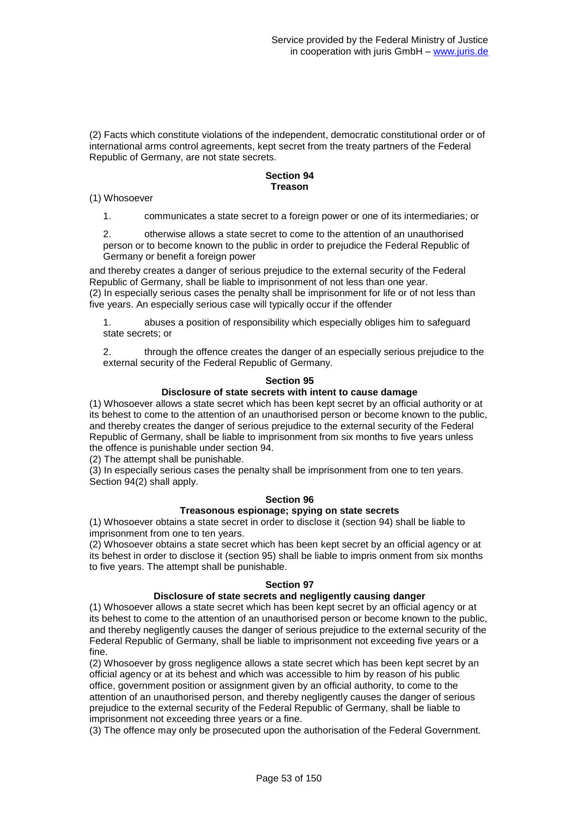(2) Facts which constitute violations of the independent, democratic constitutional order or of international arms control agreements, kept secret from the treaty partners of the Federal Republic of Germany, are not state secrets.

#### **Section 94 Treason**

(1) Whosoever

1. communicates a state secret to a foreign power or one of its intermediaries; or

2. otherwise allows a state secret to come to the attention of an unauthorised person or to become known to the public in order to prejudice the Federal Republic of Germany or benefit a foreign power

and thereby creates a danger of serious prejudice to the external security of the Federal Republic of Germany, shall be liable to imprisonment of not less than one year. (2) In especially serious cases the penalty shall be imprisonment for life or of not less than five years. An especially serious case will typically occur if the offender

1. abuses a position of responsibility which especially obliges him to safeguard state secrets; or

2. through the offence creates the danger of an especially serious prejudice to the external security of the Federal Republic of Germany.

#### **Section 95**

#### **Disclosure of state secrets with intent to cause damage**

(1) Whosoever allows a state secret which has been kept secret by an official authority or at its behest to come to the attention of an unauthorised person or become known to the public, and thereby creates the danger of serious prejudice to the external security of the Federal Republic of Germany, shall be liable to imprisonment from six months to five years unless the offence is punishable under section 94.

(2) The attempt shall be punishable.

(3) In especially serious cases the penalty shall be imprisonment from one to ten years. Section 94(2) shall apply.

#### **Section 96**

#### **Treasonous espionage; spying on state secrets**

(1) Whosoever obtains a state secret in order to disclose it (section 94) shall be liable to imprisonment from one to ten years.

(2) Whosoever obtains a state secret which has been kept secret by an official agency or at its behest in order to disclose it (section 95) shall be liable to impris onment from six months to five years. The attempt shall be punishable.

#### **Section 97**

#### **Disclosure of state secrets and negligently causing danger**

(1) Whosoever allows a state secret which has been kept secret by an official agency or at its behest to come to the attention of an unauthorised person or become known to the public, and thereby negligently causes the danger of serious prejudice to the external security of the Federal Republic of Germany, shall be liable to imprisonment not exceeding five years or a fine.

(2) Whosoever by gross negligence allows a state secret which has been kept secret by an official agency or at its behest and which was accessible to him by reason of his public office, government position or assignment given by an official authority, to come to the attention of an unauthorised person, and thereby negligently causes the danger of serious prejudice to the external security of the Federal Republic of Germany, shall be liable to imprisonment not exceeding three years or a fine.

(3) The offence may only be prosecuted upon the authorisation of the Federal Government.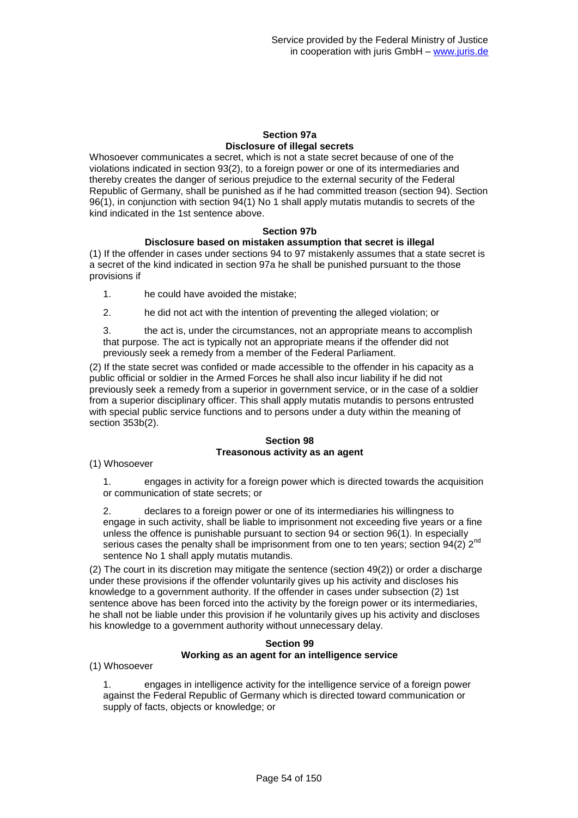#### **Section 97a Disclosure of illegal secrets**

Whosoever communicates a secret, which is not a state secret because of one of the violations indicated in section 93(2), to a foreign power or one of its intermediaries and thereby creates the danger of serious prejudice to the external security of the Federal Republic of Germany, shall be punished as if he had committed treason (section 94). Section 96(1), in conjunction with section 94(1) No 1 shall apply mutatis mutandis to secrets of the kind indicated in the 1st sentence above.

#### **Section 97b**

#### **Disclosure based on mistaken assumption that secret is illegal**

(1) If the offender in cases under sections 94 to 97 mistakenly assumes that a state secret is a secret of the kind indicated in section 97a he shall be punished pursuant to the those provisions if

1. he could have avoided the mistake;

2. he did not act with the intention of preventing the alleged violation; or

3. the act is, under the circumstances, not an appropriate means to accomplish that purpose. The act is typically not an appropriate means if the offender did not previously seek a remedy from a member of the Federal Parliament.

(2) If the state secret was confided or made accessible to the offender in his capacity as a public official or soldier in the Armed Forces he shall also incur liability if he did not previously seek a remedy from a superior in government service, or in the case of a soldier from a superior disciplinary officer. This shall apply mutatis mutandis to persons entrusted with special public service functions and to persons under a duty within the meaning of section 353b(2).

#### **Section 98 Treasonous activity as an agent**

(1) Whosoever

1. engages in activity for a foreign power which is directed towards the acquisition or communication of state secrets; or

2. declares to a foreign power or one of its intermediaries his willingness to engage in such activity, shall be liable to imprisonment not exceeding five years or a fine unless the offence is punishable pursuant to section 94 or section 96(1). In especially serious cases the penalty shall be imprisonment from one to ten years; section 94(2) 2<sup>nd</sup> sentence No 1 shall apply mutatis mutandis.

(2) The court in its discretion may mitigate the sentence (section 49(2)) or order a discharge under these provisions if the offender voluntarily gives up his activity and discloses his knowledge to a government authority. If the offender in cases under subsection (2) 1st sentence above has been forced into the activity by the foreign power or its intermediaries, he shall not be liable under this provision if he voluntarily gives up his activity and discloses his knowledge to a government authority without unnecessary delay.

#### **Section 99 Working as an agent for an intelligence service**

(1) Whosoever

1. engages in intelligence activity for the intelligence service of a foreign power against the Federal Republic of Germany which is directed toward communication or supply of facts, objects or knowledge; or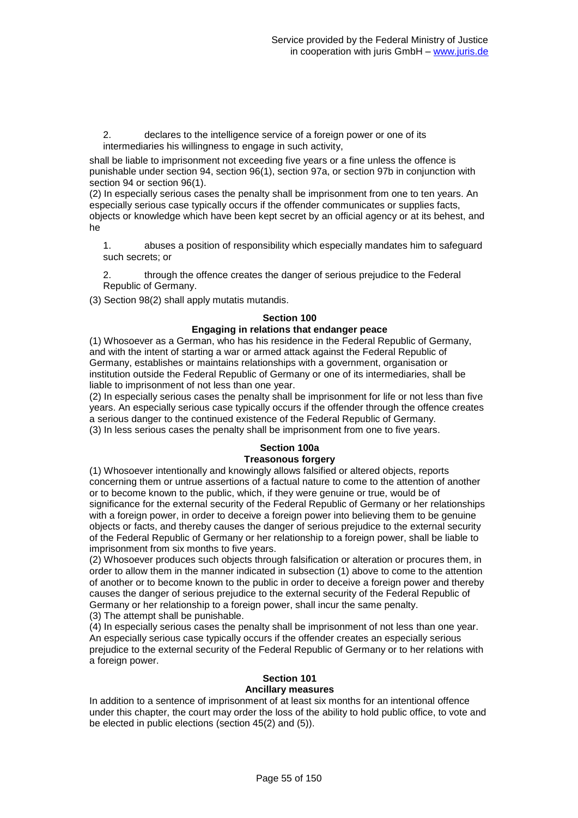2. declares to the intelligence service of a foreign power or one of its intermediaries his willingness to engage in such activity,

shall be liable to imprisonment not exceeding five years or a fine unless the offence is punishable under section 94, section 96(1), section 97a, or section 97b in conjunction with section 94 or section 96(1).

(2) In especially serious cases the penalty shall be imprisonment from one to ten years. An especially serious case typically occurs if the offender communicates or supplies facts, objects or knowledge which have been kept secret by an official agency or at its behest, and he

1. abuses a position of responsibility which especially mandates him to safeguard such secrets; or

2. through the offence creates the danger of serious prejudice to the Federal Republic of Germany.

(3) Section 98(2) shall apply mutatis mutandis.

#### **Section 100**

## **Engaging in relations that endanger peace**

(1) Whosoever as a German, who has his residence in the Federal Republic of Germany, and with the intent of starting a war or armed attack against the Federal Republic of Germany, establishes or maintains relationships with a government, organisation or institution outside the Federal Republic of Germany or one of its intermediaries, shall be liable to imprisonment of not less than one year.

(2) In especially serious cases the penalty shall be imprisonment for life or not less than five years. An especially serious case typically occurs if the offender through the offence creates a serious danger to the continued existence of the Federal Republic of Germany.

(3) In less serious cases the penalty shall be imprisonment from one to five years.

# **Section 100a**

## **Treasonous forgery**

(1) Whosoever intentionally and knowingly allows falsified or altered objects, reports concerning them or untrue assertions of a factual nature to come to the attention of another or to become known to the public, which, if they were genuine or true, would be of significance for the external security of the Federal Republic of Germany or her relationships with a foreign power, in order to deceive a foreign power into believing them to be genuine objects or facts, and thereby causes the danger of serious prejudice to the external security of the Federal Republic of Germany or her relationship to a foreign power, shall be liable to imprisonment from six months to five years.

(2) Whosoever produces such objects through falsification or alteration or procures them, in order to allow them in the manner indicated in subsection (1) above to come to the attention of another or to become known to the public in order to deceive a foreign power and thereby causes the danger of serious prejudice to the external security of the Federal Republic of Germany or her relationship to a foreign power, shall incur the same penalty.

(3) The attempt shall be punishable.

(4) In especially serious cases the penalty shall be imprisonment of not less than one year. An especially serious case typically occurs if the offender creates an especially serious prejudice to the external security of the Federal Republic of Germany or to her relations with a foreign power.

#### **Section 101 Ancillary measures**

In addition to a sentence of imprisonment of at least six months for an intentional offence under this chapter, the court may order the loss of the ability to hold public office, to vote and be elected in public elections (section 45(2) and (5)).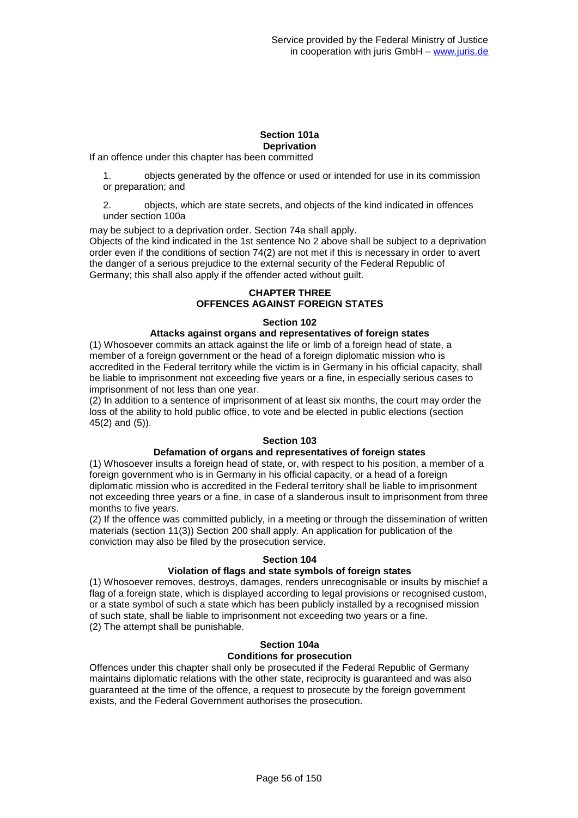## **Section 101a Deprivation**

If an offence under this chapter has been committed

1. objects generated by the offence or used or intended for use in its commission or preparation; and

2. objects, which are state secrets, and objects of the kind indicated in offences under section 100a

may be subject to a deprivation order. Section 74a shall apply.

Objects of the kind indicated in the 1st sentence No 2 above shall be subject to a deprivation order even if the conditions of section 74(2) are not met if this is necessary in order to avert the danger of a serious prejudice to the external security of the Federal Republic of Germany; this shall also apply if the offender acted without guilt.

#### **CHAPTER THREE OFFENCES AGAINST FOREIGN STATES**

#### **Section 102**

#### **Attacks against organs and representatives of foreign states**

(1) Whosoever commits an attack against the life or limb of a foreign head of state, a member of a foreign government or the head of a foreign diplomatic mission who is accredited in the Federal territory while the victim is in Germany in his official capacity, shall be liable to imprisonment not exceeding five years or a fine, in especially serious cases to imprisonment of not less than one year.

(2) In addition to a sentence of imprisonment of at least six months, the court may order the loss of the ability to hold public office, to vote and be elected in public elections (section 45(2) and (5)).

#### **Section 103**

#### **Defamation of organs and representatives of foreign states**

(1) Whosoever insults a foreign head of state, or, with respect to his position, a member of a foreign government who is in Germany in his official capacity, or a head of a foreign diplomatic mission who is accredited in the Federal territory shall be liable to imprisonment not exceeding three years or a fine, in case of a slanderous insult to imprisonment from three months to five years.

(2) If the offence was committed publicly, in a meeting or through the dissemination of written materials (section 11(3)) Section 200 shall apply. An application for publication of the conviction may also be filed by the prosecution service.

#### **Section 104**

#### **Violation of flags and state symbols of foreign states**

(1) Whosoever removes, destroys, damages, renders unrecognisable or insults by mischief a flag of a foreign state, which is displayed according to legal provisions or recognised custom, or a state symbol of such a state which has been publicly installed by a recognised mission of such state, shall be liable to imprisonment not exceeding two years or a fine. (2) The attempt shall be punishable.

#### **Section 104a Conditions for prosecution**

Offences under this chapter shall only be prosecuted if the Federal Republic of Germany maintains diplomatic relations with the other state, reciprocity is guaranteed and was also guaranteed at the time of the offence, a request to prosecute by the foreign government exists, and the Federal Government authorises the prosecution.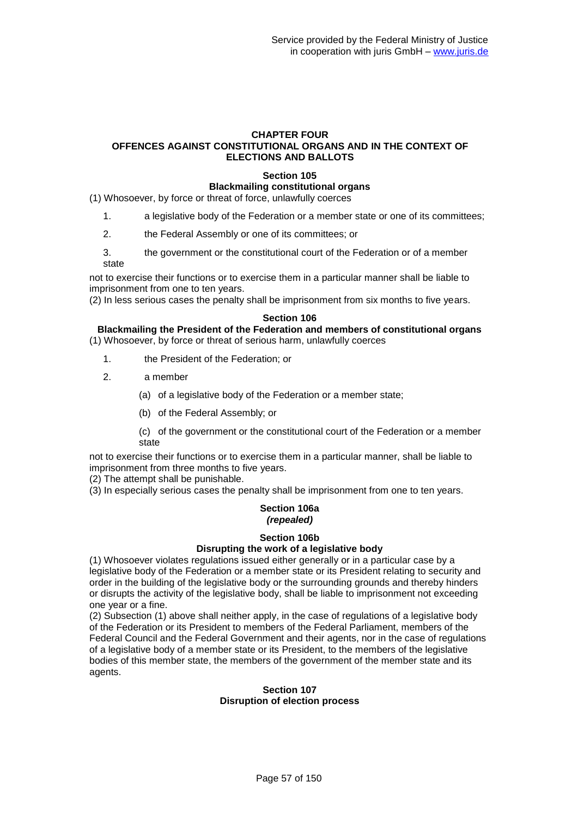# **CHAPTER FOUR**

#### **OFFENCES AGAINST CONSTITUTIONAL ORGANS AND IN THE CONTEXT OF ELECTIONS AND BALLOTS**

#### **Section 105**

**Blackmailing constitutional organs**

(1) Whosoever, by force or threat of force, unlawfully coerces

- 1. a legislative body of the Federation or a member state or one of its committees;
- 2. the Federal Assembly or one of its committees; or
- 3. the government or the constitutional court of the Federation or of a member state

not to exercise their functions or to exercise them in a particular manner shall be liable to imprisonment from one to ten years.

(2) In less serious cases the penalty shall be imprisonment from six months to five years.

#### **Section 106**

#### **Blackmailing the President of the Federation and members of constitutional organs** (1) Whosoever, by force or threat of serious harm, unlawfully coerces

- 1. the President of the Federation; or
- 2. a member
	- (a) of a legislative body of the Federation or a member state;
	- (b) of the Federal Assembly; or
	- (c) of the government or the constitutional court of the Federation or a member state

not to exercise their functions or to exercise them in a particular manner, shall be liable to imprisonment from three months to five years.

(2) The attempt shall be punishable.

(3) In especially serious cases the penalty shall be imprisonment from one to ten years.

#### **Section 106a** *(repealed)*

# **Section 106b**

#### **Disrupting the work of a legislative body**

(1) Whosoever violates regulations issued either generally or in a particular case by a legislative body of the Federation or a member state or its President relating to security and order in the building of the legislative body or the surrounding grounds and thereby hinders or disrupts the activity of the legislative body, shall be liable to imprisonment not exceeding one year or a fine.

(2) Subsection (1) above shall neither apply, in the case of regulations of a legislative body of the Federation or its President to members of the Federal Parliament, members of the Federal Council and the Federal Government and their agents, nor in the case of regulations of a legislative body of a member state or its President, to the members of the legislative bodies of this member state, the members of the government of the member state and its agents.

#### **Section 107 Disruption of election process**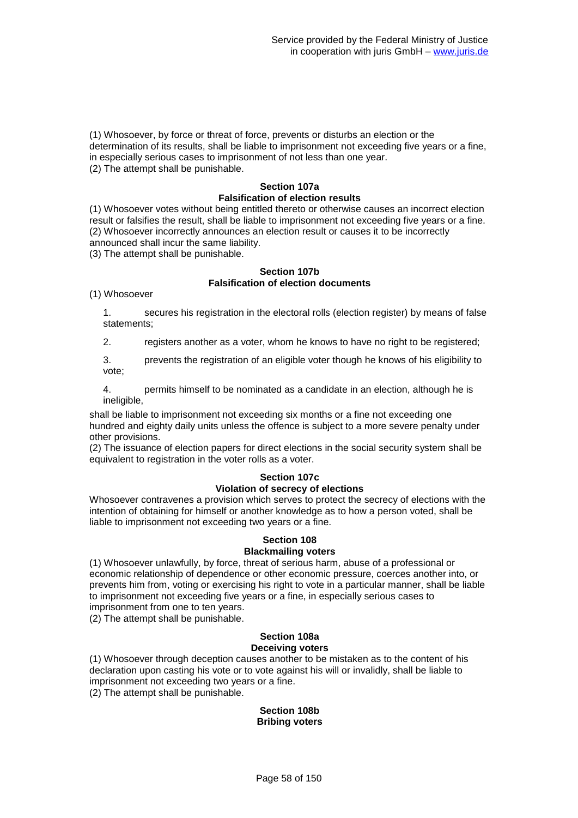(1) Whosoever, by force or threat of force, prevents or disturbs an election or the determination of its results, shall be liable to imprisonment not exceeding five years or a fine, in especially serious cases to imprisonment of not less than one year. (2) The attempt shall be punishable.

#### **Section 107a Falsification of election results**

(1) Whosoever votes without being entitled thereto or otherwise causes an incorrect election result or falsifies the result, shall be liable to imprisonment not exceeding five years or a fine. (2) Whosoever incorrectly announces an election result or causes it to be incorrectly announced shall incur the same liability.

(3) The attempt shall be punishable.

#### **Section 107b Falsification of election documents**

(1) Whosoever

1. secures his registration in the electoral rolls (election register) by means of false statements;

2. registers another as a voter, whom he knows to have no right to be registered;

3. prevents the registration of an eligible voter though he knows of his eligibility to vote;

4. permits himself to be nominated as a candidate in an election, although he is ineligible,

shall be liable to imprisonment not exceeding six months or a fine not exceeding one hundred and eighty daily units unless the offence is subject to a more severe penalty under other provisions.

(2) The issuance of election papers for direct elections in the social security system shall be equivalent to registration in the voter rolls as a voter.

#### **Section 107c Violation of secrecy of elections**

Whosoever contravenes a provision which serves to protect the secrecy of elections with the intention of obtaining for himself or another knowledge as to how a person voted, shall be liable to imprisonment not exceeding two years or a fine.

# **Section 108**

## **Blackmailing voters**

(1) Whosoever unlawfully, by force, threat of serious harm, abuse of a professional or economic relationship of dependence or other economic pressure, coerces another into, or prevents him from, voting or exercising his right to vote in a particular manner, shall be liable to imprisonment not exceeding five years or a fine, in especially serious cases to imprisonment from one to ten years.

(2) The attempt shall be punishable.

#### **Section 108a Deceiving voters**

(1) Whosoever through deception causes another to be mistaken as to the content of his declaration upon casting his vote or to vote against his will or invalidly, shall be liable to imprisonment not exceeding two years or a fine.

(2) The attempt shall be punishable.

#### **Section 108b Bribing voters**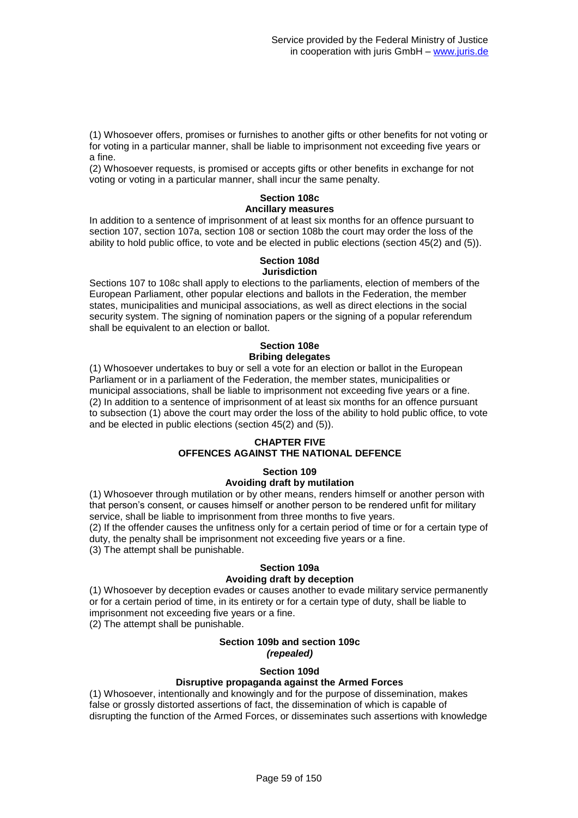(1) Whosoever offers, promises or furnishes to another gifts or other benefits for not voting or for voting in a particular manner, shall be liable to imprisonment not exceeding five years or a fine.

(2) Whosoever requests, is promised or accepts gifts or other benefits in exchange for not voting or voting in a particular manner, shall incur the same penalty.

# **Section 108c**

# **Ancillary measures**

In addition to a sentence of imprisonment of at least six months for an offence pursuant to section 107, section 107a, section 108 or section 108b the court may order the loss of the ability to hold public office, to vote and be elected in public elections (section 45(2) and (5)).

# **Section 108d**

#### **Jurisdiction**

Sections 107 to 108c shall apply to elections to the parliaments, election of members of the European Parliament, other popular elections and ballots in the Federation, the member states, municipalities and municipal associations, as well as direct elections in the social security system. The signing of nomination papers or the signing of a popular referendum shall be equivalent to an election or ballot.

# **Section 108e**

# **Bribing delegates**

(1) Whosoever undertakes to buy or sell a vote for an election or ballot in the European Parliament or in a parliament of the Federation, the member states, municipalities or municipal associations, shall be liable to imprisonment not exceeding five years or a fine. (2) In addition to a sentence of imprisonment of at least six months for an offence pursuant to subsection (1) above the court may order the loss of the ability to hold public office, to vote and be elected in public elections (section 45(2) and (5)).

# **CHAPTER FIVE OFFENCES AGAINST THE NATIONAL DEFENCE**

#### **Section 109 Avoiding draft by mutilation**

(1) Whosoever through mutilation or by other means, renders himself or another person with that person's consent, or causes himself or another person to be rendered unfit for military service, shall be liable to imprisonment from three months to five years.

(2) If the offender causes the unfitness only for a certain period of time or for a certain type of duty, the penalty shall be imprisonment not exceeding five years or a fine.

(3) The attempt shall be punishable.

# **Section 109a**

## **Avoiding draft by deception**

(1) Whosoever by deception evades or causes another to evade military service permanently or for a certain period of time, in its entirety or for a certain type of duty, shall be liable to imprisonment not exceeding five years or a fine.

(2) The attempt shall be punishable.

#### **Section 109b and section 109c** *(repealed)*

## **Section 109d**

## **Disruptive propaganda against the Armed Forces**

(1) Whosoever, intentionally and knowingly and for the purpose of dissemination, makes false or grossly distorted assertions of fact, the dissemination of which is capable of disrupting the function of the Armed Forces, or disseminates such assertions with knowledge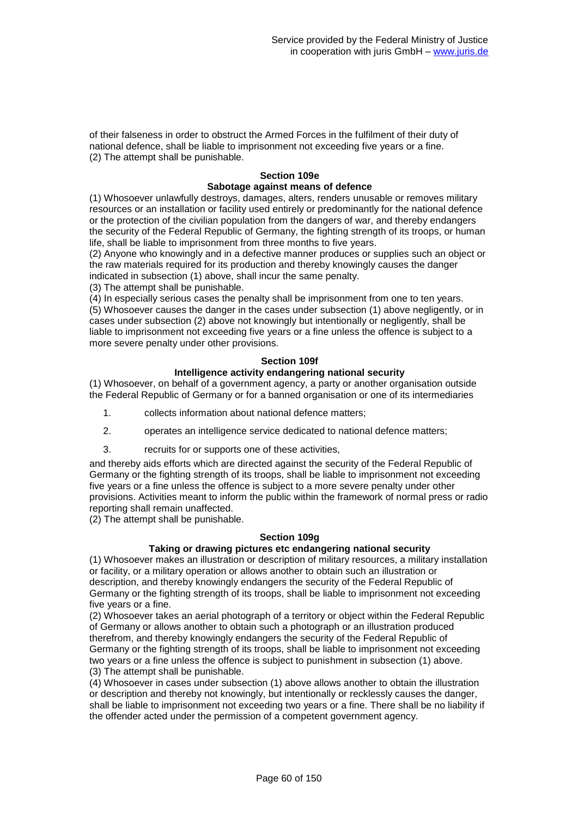of their falseness in order to obstruct the Armed Forces in the fulfilment of their duty of national defence, shall be liable to imprisonment not exceeding five years or a fine. (2) The attempt shall be punishable.

# **Section 109e**

# **Sabotage against means of defence**

(1) Whosoever unlawfully destroys, damages, alters, renders unusable or removes military resources or an installation or facility used entirely or predominantly for the national defence or the protection of the civilian population from the dangers of war, and thereby endangers the security of the Federal Republic of Germany, the fighting strength of its troops, or human life, shall be liable to imprisonment from three months to five years.

(2) Anyone who knowingly and in a defective manner produces or supplies such an object or the raw materials required for its production and thereby knowingly causes the danger indicated in subsection (1) above, shall incur the same penalty.

(3) The attempt shall be punishable.

(4) In especially serious cases the penalty shall be imprisonment from one to ten years.

(5) Whosoever causes the danger in the cases under subsection (1) above negligently, or in cases under subsection (2) above not knowingly but intentionally or negligently, shall be liable to imprisonment not exceeding five years or a fine unless the offence is subject to a more severe penalty under other provisions.

#### **Section 109f**

# **Intelligence activity endangering national security**

(1) Whosoever, on behalf of a government agency, a party or another organisation outside the Federal Republic of Germany or for a banned organisation or one of its intermediaries

- 1. collects information about national defence matters;
- 2. operates an intelligence service dedicated to national defence matters;
- 3. recruits for or supports one of these activities,

and thereby aids efforts which are directed against the security of the Federal Republic of Germany or the fighting strength of its troops, shall be liable to imprisonment not exceeding five years or a fine unless the offence is subject to a more severe penalty under other provisions. Activities meant to inform the public within the framework of normal press or radio reporting shall remain unaffected.

(2) The attempt shall be punishable.

#### **Section 109g**

#### **Taking or drawing pictures etc endangering national security**

(1) Whosoever makes an illustration or description of military resources, a military installation or facility, or a military operation or allows another to obtain such an illustration or description, and thereby knowingly endangers the security of the Federal Republic of Germany or the fighting strength of its troops, shall be liable to imprisonment not exceeding five years or a fine.

(2) Whosoever takes an aerial photograph of a territory or object within the Federal Republic of Germany or allows another to obtain such a photograph or an illustration produced therefrom, and thereby knowingly endangers the security of the Federal Republic of Germany or the fighting strength of its troops, shall be liable to imprisonment not exceeding two years or a fine unless the offence is subject to punishment in subsection (1) above. (3) The attempt shall be punishable.

(4) Whosoever in cases under subsection (1) above allows another to obtain the illustration or description and thereby not knowingly, but intentionally or recklessly causes the danger, shall be liable to imprisonment not exceeding two years or a fine. There shall be no liability if the offender acted under the permission of a competent government agency.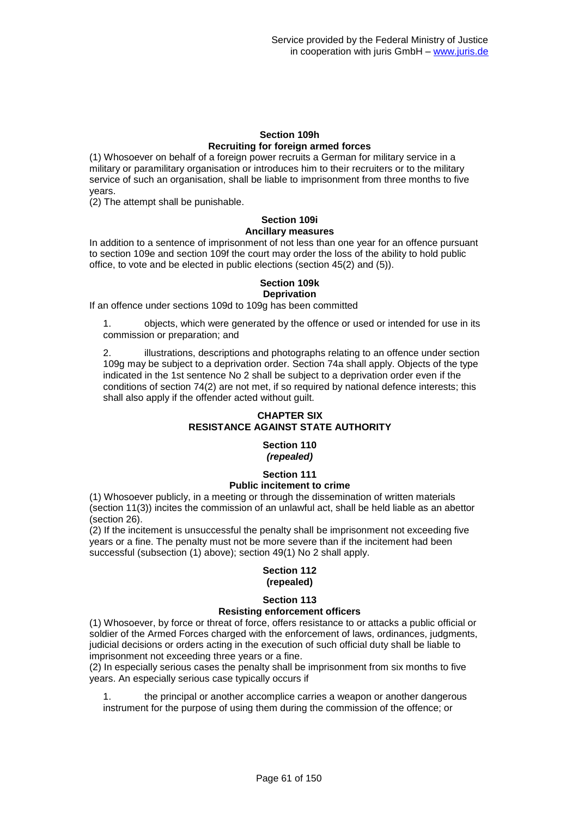# **Section 109h Recruiting for foreign armed forces**

(1) Whosoever on behalf of a foreign power recruits a German for military service in a military or paramilitary organisation or introduces him to their recruiters or to the military service of such an organisation, shall be liable to imprisonment from three months to five years.

(2) The attempt shall be punishable.

#### **Section 109i Ancillary measures**

In addition to a sentence of imprisonment of not less than one year for an offence pursuant to section 109e and section 109f the court may order the loss of the ability to hold public office, to vote and be elected in public elections (section 45(2) and (5)).

#### **Section 109k Deprivation**

If an offence under sections 109d to 109g has been committed

1. objects, which were generated by the offence or used or intended for use in its commission or preparation; and

2. illustrations, descriptions and photographs relating to an offence under section 109g may be subject to a deprivation order. Section 74a shall apply. Objects of the type indicated in the 1st sentence No 2 shall be subject to a deprivation order even if the conditions of section 74(2) are not met, if so required by national defence interests; this shall also apply if the offender acted without guilt.

#### **CHAPTER SIX RESISTANCE AGAINST STATE AUTHORITY**

#### **Section 110** *(repealed)*

# **Section 111**

## **Public incitement to crime**

(1) Whosoever publicly, in a meeting or through the dissemination of written materials (section 11(3)) incites the commission of an unlawful act, shall be held liable as an abettor (section 26).

(2) If the incitement is unsuccessful the penalty shall be imprisonment not exceeding five years or a fine. The penalty must not be more severe than if the incitement had been successful (subsection (1) above); section 49(1) No 2 shall apply.

#### **Section 112 (repealed)**

#### **Section 113 Resisting enforcement officers**

(1) Whosoever, by force or threat of force, offers resistance to or attacks a public official or soldier of the Armed Forces charged with the enforcement of laws, ordinances, judgments, judicial decisions or orders acting in the execution of such official duty shall be liable to imprisonment not exceeding three years or a fine.

(2) In especially serious cases the penalty shall be imprisonment from six months to five years. An especially serious case typically occurs if

1. the principal or another accomplice carries a weapon or another dangerous instrument for the purpose of using them during the commission of the offence; or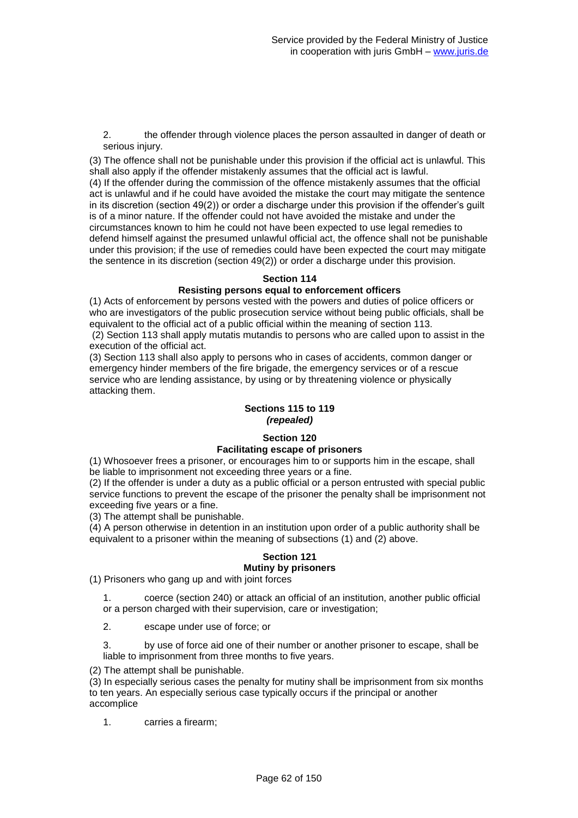2. the offender through violence places the person assaulted in danger of death or serious injury.

(3) The offence shall not be punishable under this provision if the official act is unlawful. This shall also apply if the offender mistakenly assumes that the official act is lawful. (4) If the offender during the commission of the offence mistakenly assumes that the official act is unlawful and if he could have avoided the mistake the court may mitigate the sentence in its discretion (section 49(2)) or order a discharge under this provision if the offender's guilt is of a minor nature. If the offender could not have avoided the mistake and under the circumstances known to him he could not have been expected to use legal remedies to defend himself against the presumed unlawful official act, the offence shall not be punishable under this provision; if the use of remedies could have been expected the court may mitigate the sentence in its discretion (section 49(2)) or order a discharge under this provision.

#### **Section 114**

#### **Resisting persons equal to enforcement officers**

(1) Acts of enforcement by persons vested with the powers and duties of police officers or who are investigators of the public prosecution service without being public officials, shall be equivalent to the official act of a public official within the meaning of section 113. (2) Section 113 shall apply mutatis mutandis to persons who are called upon to assist in the

execution of the official act. (3) Section 113 shall also apply to persons who in cases of accidents, common danger or emergency hinder members of the fire brigade, the emergency services or of a rescue

service who are lending assistance, by using or by threatening violence or physically attacking them.

#### **Sections 115 to 119** *(repealed)*

#### **Section 120**

## **Facilitating escape of prisoners**

(1) Whosoever frees a prisoner, or encourages him to or supports him in the escape, shall be liable to imprisonment not exceeding three years or a fine.

(2) If the offender is under a duty as a public official or a person entrusted with special public service functions to prevent the escape of the prisoner the penalty shall be imprisonment not exceeding five years or a fine.

(3) The attempt shall be punishable.

(4) A person otherwise in detention in an institution upon order of a public authority shall be equivalent to a prisoner within the meaning of subsections (1) and (2) above.

# **Section 121**

#### **Mutiny by prisoners**

(1) Prisoners who gang up and with joint forces

1. coerce (section 240) or attack an official of an institution, another public official or a person charged with their supervision, care or investigation;

2. escape under use of force; or

3. by use of force aid one of their number or another prisoner to escape, shall be liable to imprisonment from three months to five years.

(2) The attempt shall be punishable.

(3) In especially serious cases the penalty for mutiny shall be imprisonment from six months to ten years. An especially serious case typically occurs if the principal or another accomplice

1. carries a firearm;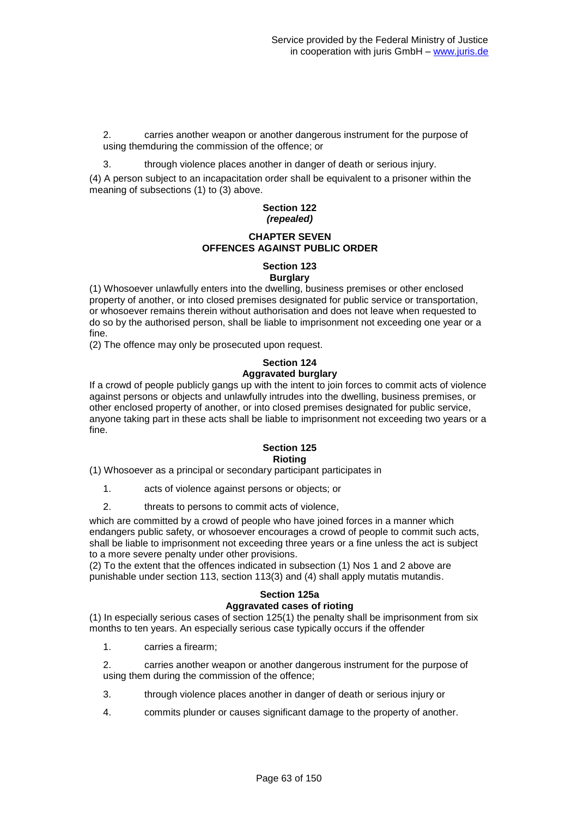2. carries another weapon or another dangerous instrument for the purpose of using themduring the commission of the offence; or

3. through violence places another in danger of death or serious injury.

(4) A person subject to an incapacitation order shall be equivalent to a prisoner within the meaning of subsections (1) to (3) above.

## **Section 122** *(repealed)*

#### **CHAPTER SEVEN OFFENCES AGAINST PUBLIC ORDER**

# **Section 123**

#### **Burglary**

(1) Whosoever unlawfully enters into the dwelling, business premises or other enclosed property of another, or into closed premises designated for public service or transportation, or whosoever remains therein without authorisation and does not leave when requested to do so by the authorised person, shall be liable to imprisonment not exceeding one year or a fine.

(2) The offence may only be prosecuted upon request.

#### **Section 124 Aggravated burglary**

If a crowd of people publicly gangs up with the intent to join forces to commit acts of violence against persons or objects and unlawfully intrudes into the dwelling, business premises, or other enclosed property of another, or into closed premises designated for public service, anyone taking part in these acts shall be liable to imprisonment not exceeding two years or a fine.

# **Section 125**

## **Rioting**

(1) Whosoever as a principal or secondary participant participates in

1. acts of violence against persons or objects; or

2. threats to persons to commit acts of violence,

which are committed by a crowd of people who have joined forces in a manner which endangers public safety, or whosoever encourages a crowd of people to commit such acts, shall be liable to imprisonment not exceeding three years or a fine unless the act is subject to a more severe penalty under other provisions.

(2) To the extent that the offences indicated in subsection (1) Nos 1 and 2 above are punishable under section 113, section 113(3) and (4) shall apply mutatis mutandis.

## **Section 125a Aggravated cases of rioting**

(1) In especially serious cases of section 125(1) the penalty shall be imprisonment from six months to ten years. An especially serious case typically occurs if the offender

1. carries a firearm;

2. carries another weapon or another dangerous instrument for the purpose of using them during the commission of the offence;

- 3. through violence places another in danger of death or serious injury or
- 4. commits plunder or causes significant damage to the property of another.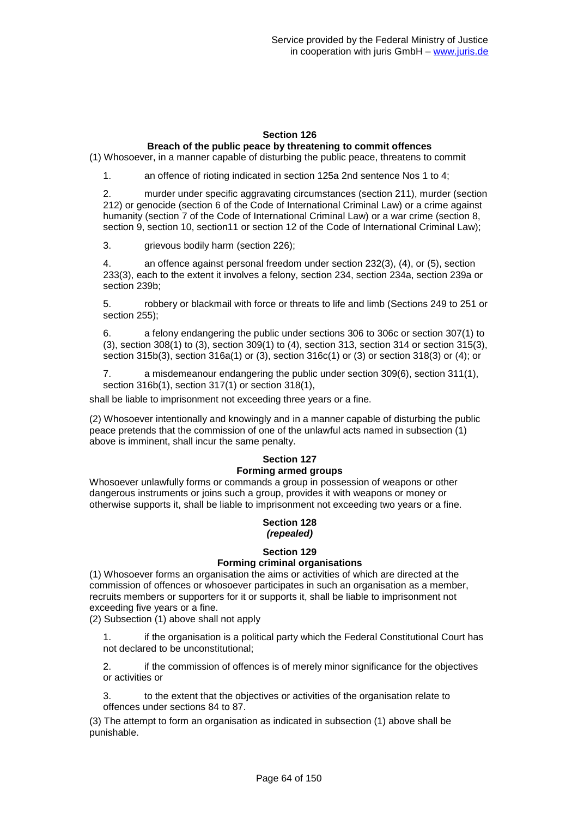#### **Section 126**

# **Breach of the public peace by threatening to commit offences**

(1) Whosoever, in a manner capable of disturbing the public peace, threatens to commit

1. an offence of rioting indicated in section 125a 2nd sentence Nos 1 to 4;

2. murder under specific aggravating circumstances (section 211), murder (section 212) or genocide (section 6 of the Code of International Criminal Law) or a crime against humanity (section 7 of the Code of International Criminal Law) or a war crime (section 8, section 9, section 10, section 11 or section 12 of the Code of International Criminal Law);

3. grievous bodily harm (section 226);

4. an offence against personal freedom under section 232(3), (4), or (5), section 233(3), each to the extent it involves a felony, section 234, section 234a, section 239a or section 239b;

5. robbery or blackmail with force or threats to life and limb (Sections 249 to 251 or section 255);

6. a felony endangering the public under sections 306 to 306c or section 307(1) to (3), section 308(1) to (3), section 309(1) to (4), section 313, section 314 or section 315(3), section 315b(3), section 316a(1) or (3), section 316c(1) or (3) or section 318(3) or (4); or

7. a misdemeanour endangering the public under section 309(6), section 311(1), section 316b(1), section 317(1) or section 318(1),

shall be liable to imprisonment not exceeding three years or a fine.

(2) Whosoever intentionally and knowingly and in a manner capable of disturbing the public peace pretends that the commission of one of the unlawful acts named in subsection (1) above is imminent, shall incur the same penalty.

#### **Section 127 Forming armed groups**

Whosoever unlawfully forms or commands a group in possession of weapons or other dangerous instruments or joins such a group, provides it with weapons or money or otherwise supports it, shall be liable to imprisonment not exceeding two years or a fine.

#### **Section 128** *(repealed)*

#### **Section 129**

#### **Forming criminal organisations**

(1) Whosoever forms an organisation the aims or activities of which are directed at the commission of offences or whosoever participates in such an organisation as a member, recruits members or supporters for it or supports it, shall be liable to imprisonment not exceeding five years or a fine.

(2) Subsection (1) above shall not apply

1. if the organisation is a political party which the Federal Constitutional Court has not declared to be unconstitutional;

2. if the commission of offences is of merely minor significance for the objectives or activities or

3. to the extent that the objectives or activities of the organisation relate to offences under sections 84 to 87.

(3) The attempt to form an organisation as indicated in subsection (1) above shall be punishable.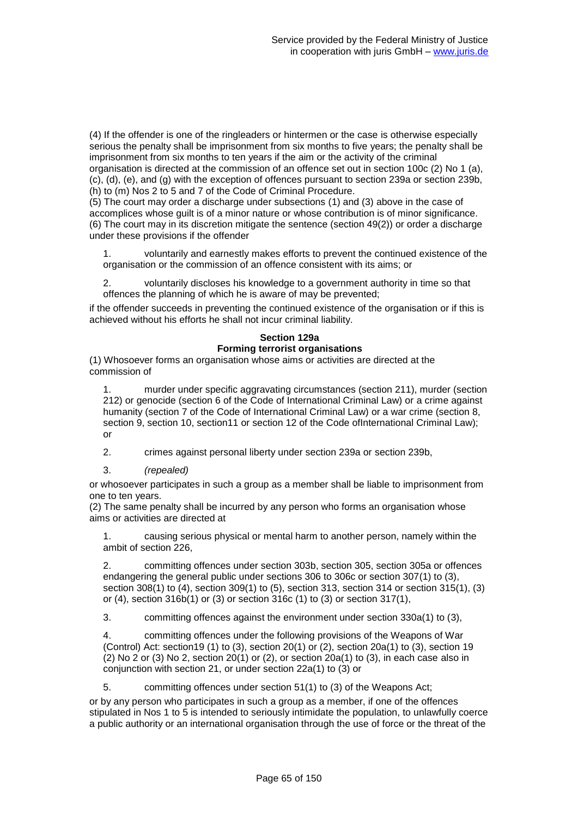(4) If the offender is one of the ringleaders or hintermen or the case is otherwise especially serious the penalty shall be imprisonment from six months to five years; the penalty shall be imprisonment from six months to ten years if the aim or the activity of the criminal organisation is directed at the commission of an offence set out in section 100c (2) No 1 (a), (c), (d), (e), and (g) with the exception of offences pursuant to section 239a or section 239b, (h) to (m) Nos 2 to 5 and 7 of the Code of Criminal Procedure.

(5) The court may order a discharge under subsections (1) and (3) above in the case of accomplices whose guilt is of a minor nature or whose contribution is of minor significance. (6) The court may in its discretion mitigate the sentence (section 49(2)) or order a discharge under these provisions if the offender

1. voluntarily and earnestly makes efforts to prevent the continued existence of the organisation or the commission of an offence consistent with its aims; or

2. voluntarily discloses his knowledge to a government authority in time so that offences the planning of which he is aware of may be prevented;

if the offender succeeds in preventing the continued existence of the organisation or if this is achieved without his efforts he shall not incur criminal liability.

# **Section 129a**

#### **Forming terrorist organisations**

(1) Whosoever forms an organisation whose aims or activities are directed at the commission of

1. murder under specific aggravating circumstances (section 211), murder (section 212) or genocide (section 6 of the Code of International Criminal Law) or a crime against humanity (section 7 of the Code of International Criminal Law) or a war crime (section 8, section 9, section 10, section 11 or section 12 of the Code of International Criminal Law); or

2. crimes against personal liberty under section 239a or section 239b,

3. *(repealed)*

or whosoever participates in such a group as a member shall be liable to imprisonment from one to ten years.

(2) The same penalty shall be incurred by any person who forms an organisation whose aims or activities are directed at

1. causing serious physical or mental harm to another person, namely within the ambit of section 226,

2. committing offences under section 303b, section 305, section 305a or offences endangering the general public under sections 306 to 306c or section 307(1) to (3), section 308(1) to (4), section 309(1) to (5), section 313, section 314 or section 315(1), (3) or (4), section 316b(1) or (3) or section 316c (1) to (3) or section 317(1),

3. committing offences against the environment under section 330a(1) to (3),

4. committing offences under the following provisions of the Weapons of War (Control) Act: section19 (1) to (3), section 20(1) or (2), section 20a(1) to (3), section 19  $(2)$  No 2 or  $(3)$  No 2, section  $20(1)$  or  $(2)$ , or section  $20a(1)$  to  $(3)$ , in each case also in conjunction with section 21, or under section 22a(1) to (3) or

5. committing offences under section 51(1) to (3) of the Weapons Act;

or by any person who participates in such a group as a member, if one of the offences stipulated in Nos 1 to 5 is intended to seriously intimidate the population, to unlawfully coerce a public authority or an international organisation through the use of force or the threat of the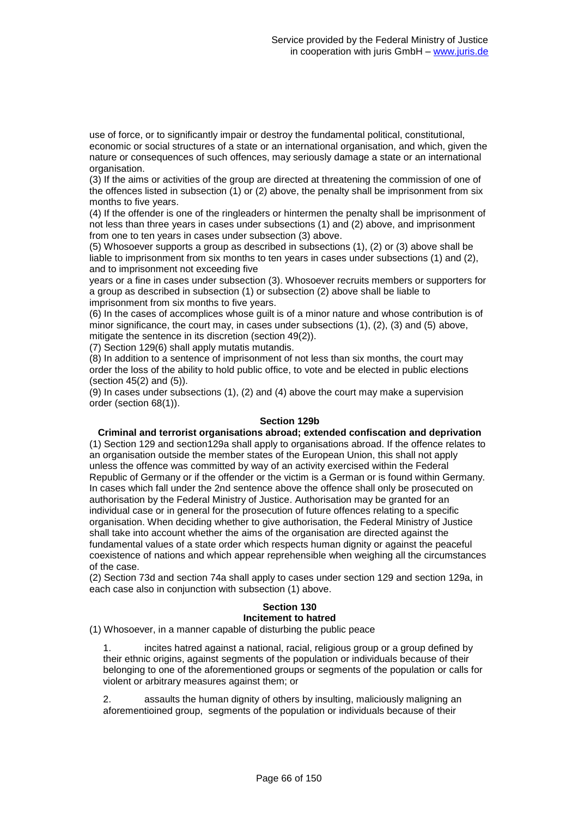use of force, or to significantly impair or destroy the fundamental political, constitutional, economic or social structures of a state or an international organisation, and which, given the nature or consequences of such offences, may seriously damage a state or an international organisation.

(3) If the aims or activities of the group are directed at threatening the commission of one of the offences listed in subsection (1) or (2) above, the penalty shall be imprisonment from six months to five years.

(4) If the offender is one of the ringleaders or hintermen the penalty shall be imprisonment of not less than three years in cases under subsections (1) and (2) above, and imprisonment from one to ten years in cases under subsection (3) above.

(5) Whosoever supports a group as described in subsections (1), (2) or (3) above shall be liable to imprisonment from six months to ten years in cases under subsections (1) and (2), and to imprisonment not exceeding five

years or a fine in cases under subsection (3). Whosoever recruits members or supporters for a group as described in subsection (1) or subsection (2) above shall be liable to imprisonment from six months to five years.

(6) In the cases of accomplices whose guilt is of a minor nature and whose contribution is of minor significance, the court may, in cases under subsections (1), (2), (3) and (5) above, mitigate the sentence in its discretion (section 49(2)).

(7) Section 129(6) shall apply mutatis mutandis.

(8) In addition to a sentence of imprisonment of not less than six months, the court may order the loss of the ability to hold public office, to vote and be elected in public elections (section 45(2) and (5)).

(9) In cases under subsections (1), (2) and (4) above the court may make a supervision order (section 68(1)).

#### **Section 129b**

# **Criminal and terrorist organisations abroad; extended confiscation and deprivation**

(1) Section 129 and section129a shall apply to organisations abroad. If the offence relates to an organisation outside the member states of the European Union, this shall not apply unless the offence was committed by way of an activity exercised within the Federal Republic of Germany or if the offender or the victim is a German or is found within Germany. In cases which fall under the 2nd sentence above the offence shall only be prosecuted on authorisation by the Federal Ministry of Justice. Authorisation may be granted for an individual case or in general for the prosecution of future offences relating to a specific organisation. When deciding whether to give authorisation, the Federal Ministry of Justice shall take into account whether the aims of the organisation are directed against the fundamental values of a state order which respects human dignity or against the peaceful coexistence of nations and which appear reprehensible when weighing all the circumstances of the case.

(2) Section 73d and section 74a shall apply to cases under section 129 and section 129a, in each case also in conjunction with subsection (1) above.

#### **Section 130**

#### **Incitement to hatred**

(1) Whosoever, in a manner capable of disturbing the public peace

incites hatred against a national, racial, religious group or a group defined by their ethnic origins, against segments of the population or individuals because of their belonging to one of the aforementioned groups or segments of the population or calls for violent or arbitrary measures against them; or

2. assaults the human dignity of others by insulting, maliciously maligning an aforementioined group, segments of the population or individuals because of their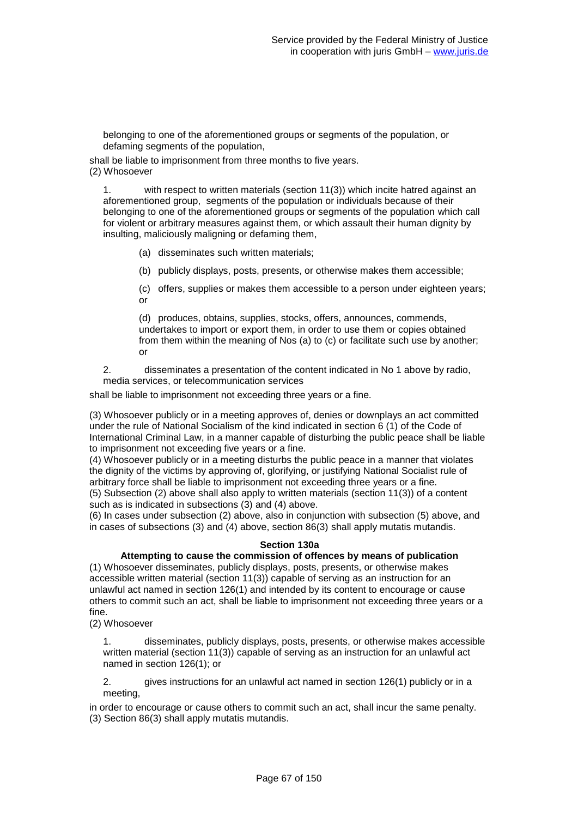belonging to one of the aforementioned groups or segments of the population, or defaming segments of the population,

shall be liable to imprisonment from three months to five years. (2) Whosoever

1. with respect to written materials (section 11(3)) which incite hatred against an aforementioned group, segments of the population or individuals because of their belonging to one of the aforementioned groups or segments of the population which call for violent or arbitrary measures against them, or which assault their human dignity by insulting, maliciously maligning or defaming them,

- (a) disseminates such written materials;
- (b) publicly displays, posts, presents, or otherwise makes them accessible;

(c) offers, supplies or makes them accessible to a person under eighteen years; or

(d) produces, obtains, supplies, stocks, offers, announces, commends, undertakes to import or export them, in order to use them or copies obtained from them within the meaning of Nos (a) to (c) or facilitate such use by another; or

2. disseminates a presentation of the content indicated in No 1 above by radio, media services, or telecommunication services

shall be liable to imprisonment not exceeding three years or a fine.

(3) Whosoever publicly or in a meeting approves of, denies or downplays an act committed under the rule of National Socialism of the kind indicated in section 6 (1) of the Code of International Criminal Law, in a manner capable of disturbing the public peace shall be liable to imprisonment not exceeding five years or a fine.

(4) Whosoever publicly or in a meeting disturbs the public peace in a manner that violates the dignity of the victims by approving of, glorifying, or justifying National Socialist rule of arbitrary force shall be liable to imprisonment not exceeding three years or a fine. (5) Subsection (2) above shall also apply to written materials (section 11(3)) of a content such as is indicated in subsections (3) and (4) above.

(6) In cases under subsection (2) above, also in conjunction with subsection (5) above, and in cases of subsections (3) and (4) above, section 86(3) shall apply mutatis mutandis.

#### **Section 130a**

## **Attempting to cause the commission of offences by means of publication**

(1) Whosoever disseminates, publicly displays, posts, presents, or otherwise makes accessible written material (section 11(3)) capable of serving as an instruction for an unlawful act named in section 126(1) and intended by its content to encourage or cause others to commit such an act, shall be liable to imprisonment not exceeding three years or a fine.

(2) Whosoever

1. disseminates, publicly displays, posts, presents, or otherwise makes accessible written material (section 11(3)) capable of serving as an instruction for an unlawful act named in section 126(1); or

2. gives instructions for an unlawful act named in section 126(1) publicly or in a meeting,

in order to encourage or cause others to commit such an act, shall incur the same penalty. (3) Section 86(3) shall apply mutatis mutandis.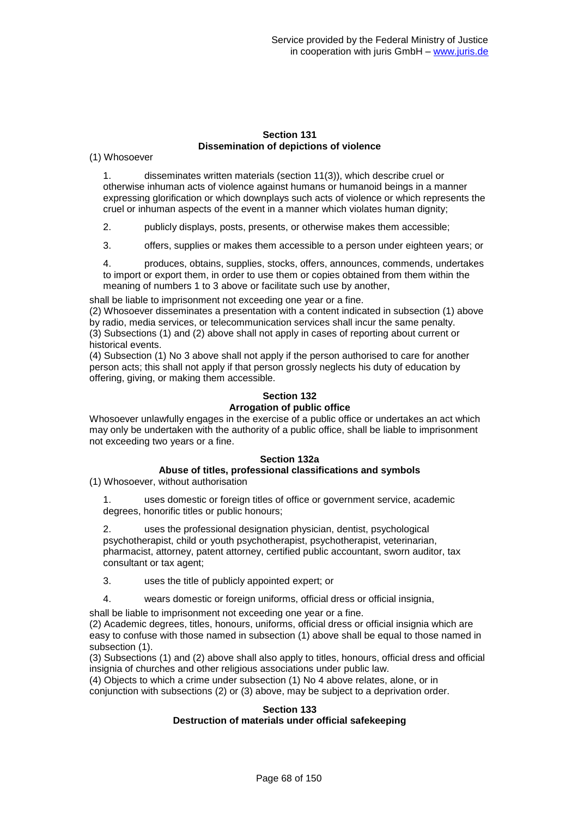#### **Section 131 Dissemination of depictions of violence**

(1) Whosoever

1. disseminates written materials (section 11(3)), which describe cruel or otherwise inhuman acts of violence against humans or humanoid beings in a manner expressing glorification or which downplays such acts of violence or which represents the cruel or inhuman aspects of the event in a manner which violates human dignity;

2. publicly displays, posts, presents, or otherwise makes them accessible;

3. offers, supplies or makes them accessible to a person under eighteen years; or

4. produces, obtains, supplies, stocks, offers, announces, commends, undertakes to import or export them, in order to use them or copies obtained from them within the meaning of numbers 1 to 3 above or facilitate such use by another,

shall be liable to imprisonment not exceeding one year or a fine.

(2) Whosoever disseminates a presentation with a content indicated in subsection (1) above by radio, media services, or telecommunication services shall incur the same penalty. (3) Subsections (1) and (2) above shall not apply in cases of reporting about current or historical events.

(4) Subsection (1) No 3 above shall not apply if the person authorised to care for another person acts; this shall not apply if that person grossly neglects his duty of education by offering, giving, or making them accessible.

#### **Section 132 Arrogation of public office**

Whosoever unlawfully engages in the exercise of a public office or undertakes an act which may only be undertaken with the authority of a public office, shall be liable to imprisonment not exceeding two years or a fine.

## **Section 132a**

## **Abuse of titles, professional classifications and symbols**

(1) Whosoever, without authorisation

1. uses domestic or foreign titles of office or government service, academic degrees, honorific titles or public honours;

2. uses the professional designation physician, dentist, psychological psychotherapist, child or youth psychotherapist, psychotherapist, veterinarian, pharmacist, attorney, patent attorney, certified public accountant, sworn auditor, tax consultant or tax agent;

3. uses the title of publicly appointed expert; or

4. wears domestic or foreign uniforms, official dress or official insignia,

shall be liable to imprisonment not exceeding one year or a fine.

(2) Academic degrees, titles, honours, uniforms, official dress or official insignia which are easy to confuse with those named in subsection (1) above shall be equal to those named in subsection (1).

(3) Subsections (1) and (2) above shall also apply to titles, honours, official dress and official insignia of churches and other religious associations under public law.

(4) Objects to which a crime under subsection (1) No 4 above relates, alone, or in conjunction with subsections (2) or (3) above, may be subject to a deprivation order.

#### **Section 133**

## **Destruction of materials under official safekeeping**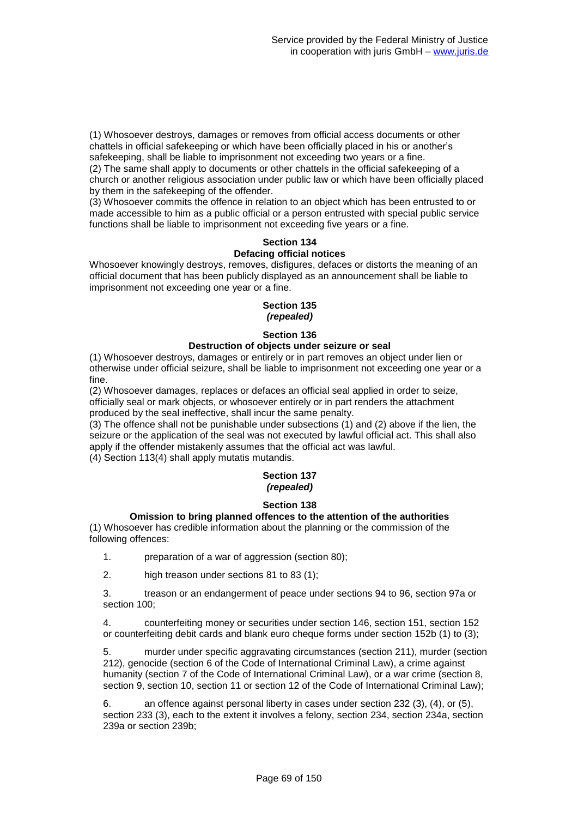(1) Whosoever destroys, damages or removes from official access documents or other chattels in official safekeeping or which have been officially placed in his or another's safekeeping, shall be liable to imprisonment not exceeding two years or a fine.

(2) The same shall apply to documents or other chattels in the official safekeeping of a church or another religious association under public law or which have been officially placed by them in the safekeeping of the offender.

(3) Whosoever commits the offence in relation to an object which has been entrusted to or made accessible to him as a public official or a person entrusted with special public service functions shall be liable to imprisonment not exceeding five years or a fine.

#### **Section 134 Defacing official notices**

Whosoever knowingly destroys, removes, disfigures, defaces or distorts the meaning of an official document that has been publicly displayed as an announcement shall be liable to imprisonment not exceeding one year or a fine.

#### **Section 135** *(repealed)*

# **Section 136**

## **Destruction of objects under seizure or seal**

(1) Whosoever destroys, damages or entirely or in part removes an object under lien or otherwise under official seizure, shall be liable to imprisonment not exceeding one year or a fine.

(2) Whosoever damages, replaces or defaces an official seal applied in order to seize, officially seal or mark objects, or whosoever entirely or in part renders the attachment produced by the seal ineffective, shall incur the same penalty.

(3) The offence shall not be punishable under subsections (1) and (2) above if the lien, the seizure or the application of the seal was not executed by lawful official act. This shall also apply if the offender mistakenly assumes that the official act was lawful.

(4) Section 113(4) shall apply mutatis mutandis.

#### **Section 137** *(repealed)*

## **Section 138**

## **Omission to bring planned offences to the attention of the authorities**

(1) Whosoever has credible information about the planning or the commission of the following offences:

1. preparation of a war of aggression (section 80);

2. high treason under sections 81 to 83 (1);

3. treason or an endangerment of peace under sections 94 to 96, section 97a or section 100;

4. counterfeiting money or securities under section 146, section 151, section 152 or counterfeiting debit cards and blank euro cheque forms under section 152b (1) to (3);

5. murder under specific aggravating circumstances (section 211), murder (section 212), genocide (section 6 of the Code of International Criminal Law), a crime against humanity (section 7 of the Code of International Criminal Law), or a war crime (section 8, section 9, section 10, section 11 or section 12 of the Code of International Criminal Law);

6. an offence against personal liberty in cases under section 232 (3), (4), or (5), section 233 (3), each to the extent it involves a felony, section 234, section 234a, section 239a or section 239b;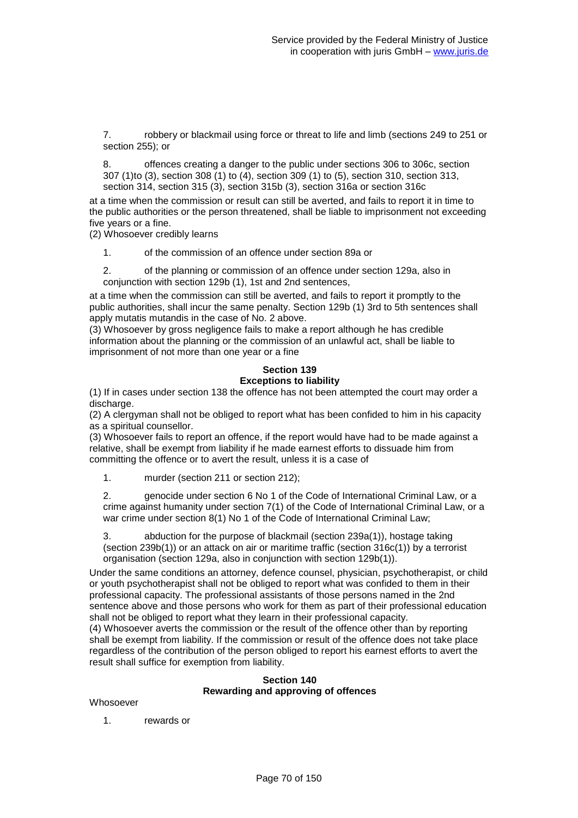7. robbery or blackmail using force or threat to life and limb (sections 249 to 251 or section 255); or

8. offences creating a danger to the public under sections 306 to 306c, section 307 (1)to (3), section 308 (1) to (4), section 309 (1) to (5), section 310, section 313, section 314, section 315 (3), section 315b (3), section 316a or section 316c

at a time when the commission or result can still be averted, and fails to report it in time to the public authorities or the person threatened, shall be liable to imprisonment not exceeding five years or a fine.

(2) Whosoever credibly learns

1. of the commission of an offence under section 89a or

2. of the planning or commission of an offence under section 129a, also in conjunction with section 129b (1), 1st and 2nd sentences,

at a time when the commission can still be averted, and fails to report it promptly to the public authorities, shall incur the same penalty. Section 129b (1) 3rd to 5th sentences shall apply mutatis mutandis in the case of No. 2 above.

(3) Whosoever by gross negligence fails to make a report although he has credible information about the planning or the commission of an unlawful act, shall be liable to imprisonment of not more than one year or a fine

# **Section 139**

## **Exceptions to liability**

(1) If in cases under section 138 the offence has not been attempted the court may order a discharge.

(2) A clergyman shall not be obliged to report what has been confided to him in his capacity as a spiritual counsellor.

(3) Whosoever fails to report an offence, if the report would have had to be made against a relative, shall be exempt from liability if he made earnest efforts to dissuade him from committing the offence or to avert the result, unless it is a case of

1. murder (section 211 or section 212);

2. genocide under section 6 No 1 of the Code of International Criminal Law, or a crime against humanity under section 7(1) of the Code of International Criminal Law, or a war crime under section 8(1) No 1 of the Code of International Criminal Law;

3. abduction for the purpose of blackmail (section 239a(1)), hostage taking (section 239b(1)) or an attack on air or maritime traffic (section 316c(1)) by a terrorist organisation (section 129a, also in conjunction with section 129b(1)).

Under the same conditions an attorney, defence counsel, physician, psychotherapist, or child or youth psychotherapist shall not be obliged to report what was confided to them in their professional capacity. The professional assistants of those persons named in the 2nd sentence above and those persons who work for them as part of their professional education shall not be obliged to report what they learn in their professional capacity.

(4) Whosoever averts the commission or the result of the offence other than by reporting shall be exempt from liability. If the commission or result of the offence does not take place regardless of the contribution of the person obliged to report his earnest efforts to avert the result shall suffice for exemption from liability.

#### **Section 140 Rewarding and approving of offences**

Whosoever

1. rewards or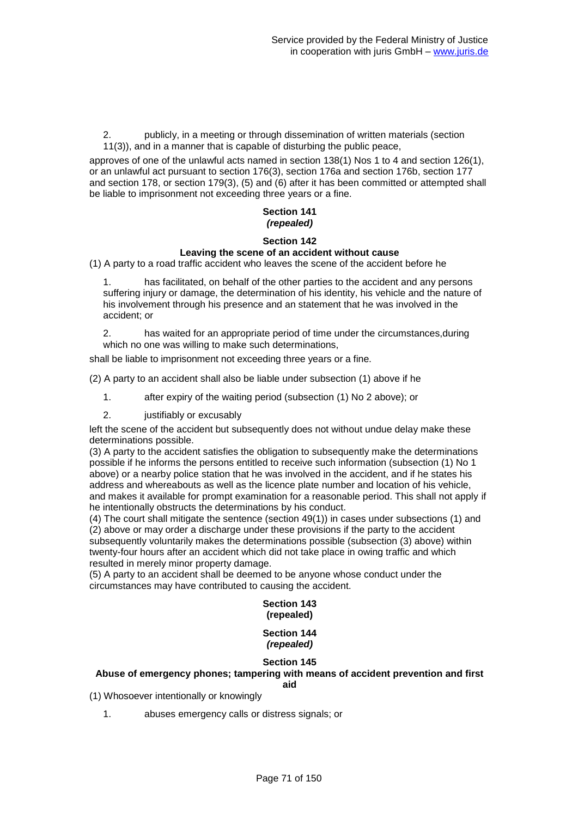2. publicly, in a meeting or through dissemination of written materials (section 11(3)), and in a manner that is capable of disturbing the public peace,

approves of one of the unlawful acts named in section 138(1) Nos 1 to 4 and section 126(1), or an unlawful act pursuant to section 176(3), section 176a and section 176b, section 177 and section 178, or section 179(3), (5) and (6) after it has been committed or attempted shall be liable to imprisonment not exceeding three years or a fine.

#### **Section 141** *(repealed)*

#### **Section 142 Leaving the scene of an accident without cause**

(1) A party to a road traffic accident who leaves the scene of the accident before he

1. has facilitated, on behalf of the other parties to the accident and any persons suffering injury or damage, the determination of his identity, his vehicle and the nature of his involvement through his presence and an statement that he was involved in the accident; or

2. has waited for an appropriate period of time under the circumstances,during which no one was willing to make such determinations,

shall be liable to imprisonment not exceeding three years or a fine.

(2) A party to an accident shall also be liable under subsection (1) above if he

1. after expiry of the waiting period (subsection (1) No 2 above); or

2. justifiably or excusably

left the scene of the accident but subsequently does not without undue delay make these determinations possible.

(3) A party to the accident satisfies the obligation to subsequently make the determinations possible if he informs the persons entitled to receive such information (subsection (1) No 1 above) or a nearby police station that he was involved in the accident, and if he states his address and whereabouts as well as the licence plate number and location of his vehicle, and makes it available for prompt examination for a reasonable period. This shall not apply if he intentionally obstructs the determinations by his conduct.

(4) The court shall mitigate the sentence (section 49(1)) in cases under subsections (1) and (2) above or may order a discharge under these provisions if the party to the accident subsequently voluntarily makes the determinations possible (subsection (3) above) within twenty-four hours after an accident which did not take place in owing traffic and which resulted in merely minor property damage.

(5) A party to an accident shall be deemed to be anyone whose conduct under the circumstances may have contributed to causing the accident.

# **Section 143**

# **(repealed)**

#### **Section 144** *(repealed)*

## **Section 145**

#### **Abuse of emergency phones; tampering with means of accident prevention and first aid**

(1) Whosoever intentionally or knowingly

1. abuses emergency calls or distress signals; or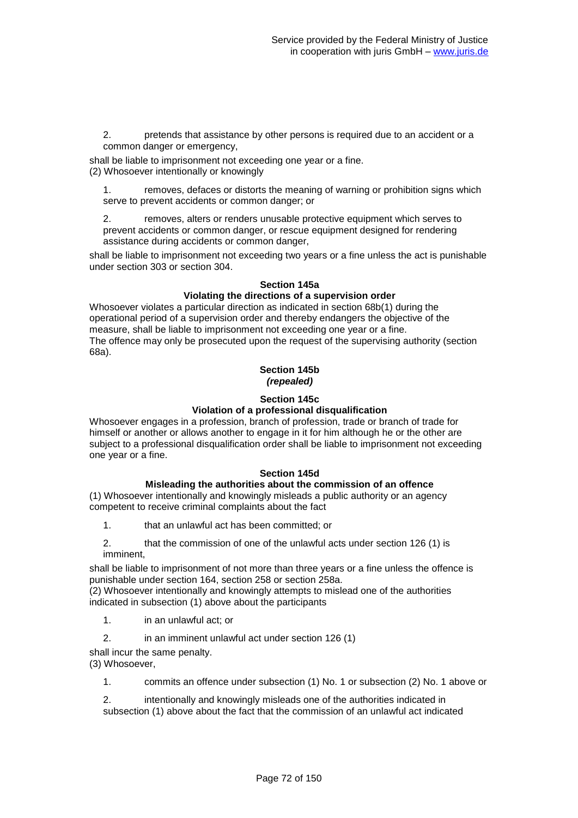2. pretends that assistance by other persons is required due to an accident or a common danger or emergency,

shall be liable to imprisonment not exceeding one year or a fine. (2) Whosoever intentionally or knowingly

1. removes, defaces or distorts the meaning of warning or prohibition signs which serve to prevent accidents or common danger; or

2. removes, alters or renders unusable protective equipment which serves to prevent accidents or common danger, or rescue equipment designed for rendering assistance during accidents or common danger,

shall be liable to imprisonment not exceeding two years or a fine unless the act is punishable under section 303 or section 304.

#### **Section 145a**

## **Violating the directions of a supervision order**

Whosoever violates a particular direction as indicated in section 68b(1) during the operational period of a supervision order and thereby endangers the objective of the measure, shall be liable to imprisonment not exceeding one year or a fine. The offence may only be prosecuted upon the request of the supervising authority (section 68a).

#### **Section 145b** *(repealed)*

## **Section 145c**

# **Violation of a professional disqualification**

Whosoever engages in a profession, branch of profession, trade or branch of trade for himself or another or allows another to engage in it for him although he or the other are subject to a professional disqualification order shall be liable to imprisonment not exceeding one year or a fine.

#### **Section 145d**

#### **Misleading the authorities about the commission of an offence**

(1) Whosoever intentionally and knowingly misleads a public authority or an agency competent to receive criminal complaints about the fact

- 1. that an unlawful act has been committed; or
- 2. that the commission of one of the unlawful acts under section 126 (1) is imminent,

shall be liable to imprisonment of not more than three years or a fine unless the offence is punishable under section 164, section 258 or section 258a.

(2) Whosoever intentionally and knowingly attempts to mislead one of the authorities indicated in subsection (1) above about the participants

1. in an unlawful act; or

2. in an imminent unlawful act under section 126 (1)

shall incur the same penalty.

(3) Whosoever,

1. commits an offence under subsection (1) No. 1 or subsection (2) No. 1 above or

2. intentionally and knowingly misleads one of the authorities indicated in subsection (1) above about the fact that the commission of an unlawful act indicated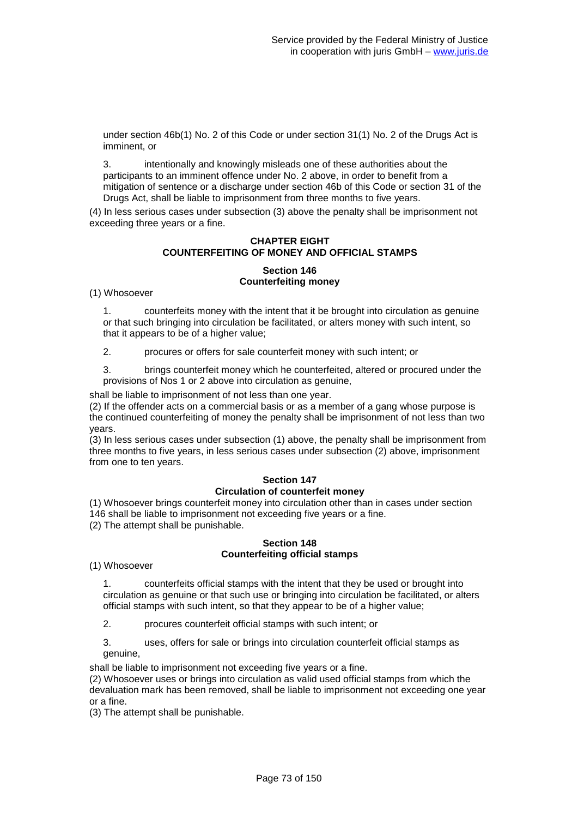under section 46b(1) No. 2 of this Code or under section 31(1) No. 2 of the Drugs Act is imminent, or

3. intentionally and knowingly misleads one of these authorities about the participants to an imminent offence under No. 2 above, in order to benefit from a mitigation of sentence or a discharge under section 46b of this Code or section 31 of the Drugs Act, shall be liable to imprisonment from three months to five years.

(4) In less serious cases under subsection (3) above the penalty shall be imprisonment not exceeding three years or a fine.

# **CHAPTER EIGHT COUNTERFEITING OF MONEY AND OFFICIAL STAMPS**

# **Section 146 Counterfeiting money**

(1) Whosoever

1. counterfeits money with the intent that it be brought into circulation as genuine or that such bringing into circulation be facilitated, or alters money with such intent, so that it appears to be of a higher value;

2. procures or offers for sale counterfeit money with such intent; or

3. brings counterfeit money which he counterfeited, altered or procured under the provisions of Nos 1 or 2 above into circulation as genuine,

shall be liable to imprisonment of not less than one year.

(2) If the offender acts on a commercial basis or as a member of a gang whose purpose is the continued counterfeiting of money the penalty shall be imprisonment of not less than two years.

(3) In less serious cases under subsection (1) above, the penalty shall be imprisonment from three months to five years, in less serious cases under subsection (2) above, imprisonment from one to ten years.

# **Section 147 Circulation of counterfeit money**

(1) Whosoever brings counterfeit money into circulation other than in cases under section 146 shall be liable to imprisonment not exceeding five years or a fine.

(2) The attempt shall be punishable.

# **Section 148 Counterfeiting official stamps**

(1) Whosoever

1. counterfeits official stamps with the intent that they be used or brought into circulation as genuine or that such use or bringing into circulation be facilitated, or alters official stamps with such intent, so that they appear to be of a higher value;

2. procures counterfeit official stamps with such intent; or

3. uses, offers for sale or brings into circulation counterfeit official stamps as genuine,

shall be liable to imprisonment not exceeding five years or a fine.

(2) Whosoever uses or brings into circulation as valid used official stamps from which the devaluation mark has been removed, shall be liable to imprisonment not exceeding one year or a fine.

(3) The attempt shall be punishable.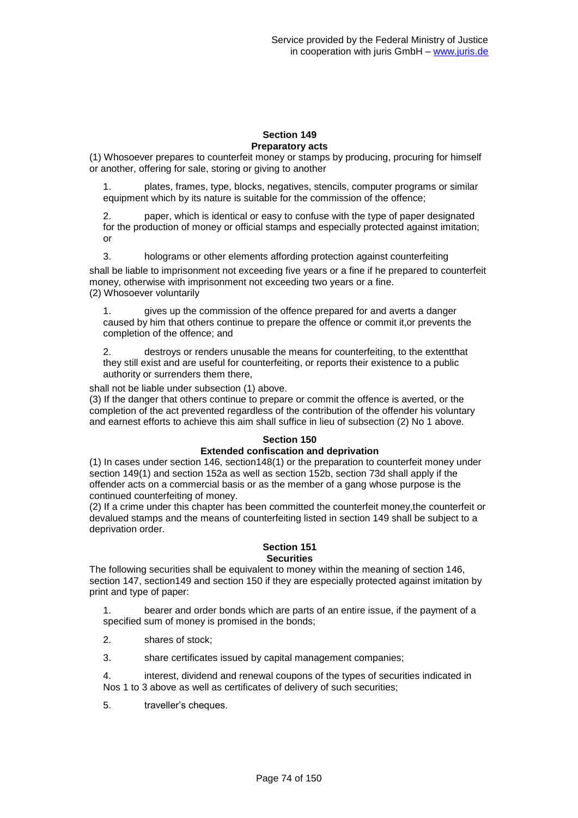### **Section 149 Preparatory acts**

(1) Whosoever prepares to counterfeit money or stamps by producing, procuring for himself or another, offering for sale, storing or giving to another

1. plates, frames, type, blocks, negatives, stencils, computer programs or similar equipment which by its nature is suitable for the commission of the offence:

2. paper, which is identical or easy to confuse with the type of paper designated for the production of money or official stamps and especially protected against imitation; or

3. holograms or other elements affording protection against counterfeiting shall be liable to imprisonment not exceeding five years or a fine if he prepared to counterfeit money, otherwise with imprisonment not exceeding two years or a fine. (2) Whosoever voluntarily

1. gives up the commission of the offence prepared for and averts a danger caused by him that others continue to prepare the offence or commit it,or prevents the completion of the offence; and

2. destroys or renders unusable the means for counterfeiting, to the extentthat they still exist and are useful for counterfeiting, or reports their existence to a public authority or surrenders them there,

shall not be liable under subsection (1) above.

(3) If the danger that others continue to prepare or commit the offence is averted, or the completion of the act prevented regardless of the contribution of the offender his voluntary and earnest efforts to achieve this aim shall suffice in lieu of subsection (2) No 1 above.

# **Section 150**

# **Extended confiscation and deprivation**

(1) In cases under section 146, section148(1) or the preparation to counterfeit money under section 149(1) and section 152a as well as section 152b, section 73d shall apply if the offender acts on a commercial basis or as the member of a gang whose purpose is the continued counterfeiting of money.

(2) If a crime under this chapter has been committed the counterfeit money,the counterfeit or devalued stamps and the means of counterfeiting listed in section 149 shall be subject to a deprivation order.

#### **Section 151 Securities**

The following securities shall be equivalent to money within the meaning of section 146, section 147, section 149 and section 150 if they are especially protected against imitation by print and type of paper:

1. bearer and order bonds which are parts of an entire issue, if the payment of a specified sum of money is promised in the bonds;

- 2. shares of stock;
- 3. share certificates issued by capital management companies;

4. interest, dividend and renewal coupons of the types of securities indicated in Nos 1 to 3 above as well as certificates of delivery of such securities;

5. traveller's cheques.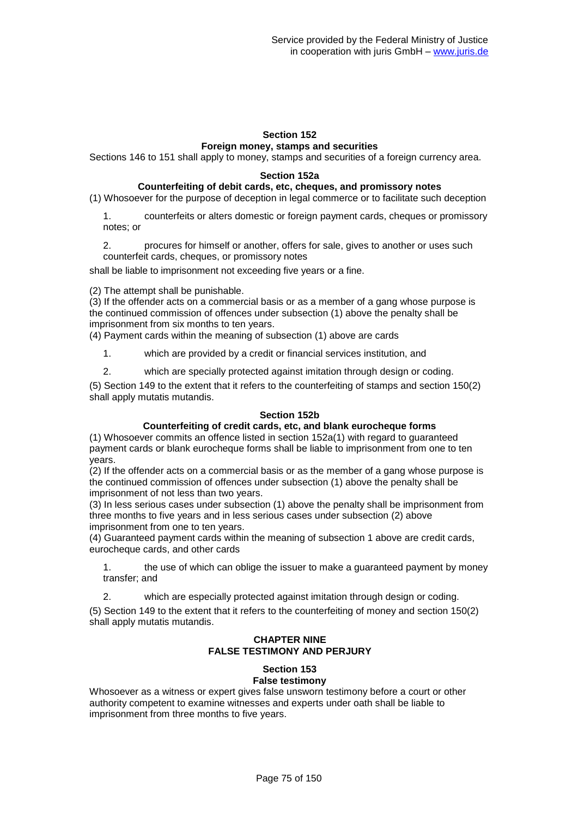### **Section 152 Foreign money, stamps and securities**

Sections 146 to 151 shall apply to money, stamps and securities of a foreign currency area.

### **Section 152a**

# **Counterfeiting of debit cards, etc, cheques, and promissory notes**

(1) Whosoever for the purpose of deception in legal commerce or to facilitate such deception

1. counterfeits or alters domestic or foreign payment cards, cheques or promissory notes; or

2. procures for himself or another, offers for sale, gives to another or uses such counterfeit cards, cheques, or promissory notes

shall be liable to imprisonment not exceeding five years or a fine.

(2) The attempt shall be punishable.

(3) If the offender acts on a commercial basis or as a member of a gang whose purpose is the continued commission of offences under subsection (1) above the penalty shall be imprisonment from six months to ten years.

(4) Payment cards within the meaning of subsection (1) above are cards

1. which are provided by a credit or financial services institution, and

2. which are specially protected against imitation through design or coding.

(5) Section 149 to the extent that it refers to the counterfeiting of stamps and section 150(2) shall apply mutatis mutandis.

### **Section 152b**

#### **Counterfeiting of credit cards, etc, and blank eurocheque forms**

(1) Whosoever commits an offence listed in section 152a(1) with regard to guaranteed payment cards or blank eurocheque forms shall be liable to imprisonment from one to ten years.

(2) If the offender acts on a commercial basis or as the member of a gang whose purpose is the continued commission of offences under subsection (1) above the penalty shall be imprisonment of not less than two years.

(3) In less serious cases under subsection (1) above the penalty shall be imprisonment from three months to five years and in less serious cases under subsection (2) above imprisonment from one to ten years.

(4) Guaranteed payment cards within the meaning of subsection 1 above are credit cards, eurocheque cards, and other cards

1. the use of which can oblige the issuer to make a guaranteed payment by money transfer; and

2. which are especially protected against imitation through design or coding.

(5) Section 149 to the extent that it refers to the counterfeiting of money and section 150(2) shall apply mutatis mutandis.

# **CHAPTER NINE FALSE TESTIMONY AND PERJURY**

# **Section 153**

# **False testimony**

Whosoever as a witness or expert gives false unsworn testimony before a court or other authority competent to examine witnesses and experts under oath shall be liable to imprisonment from three months to five years.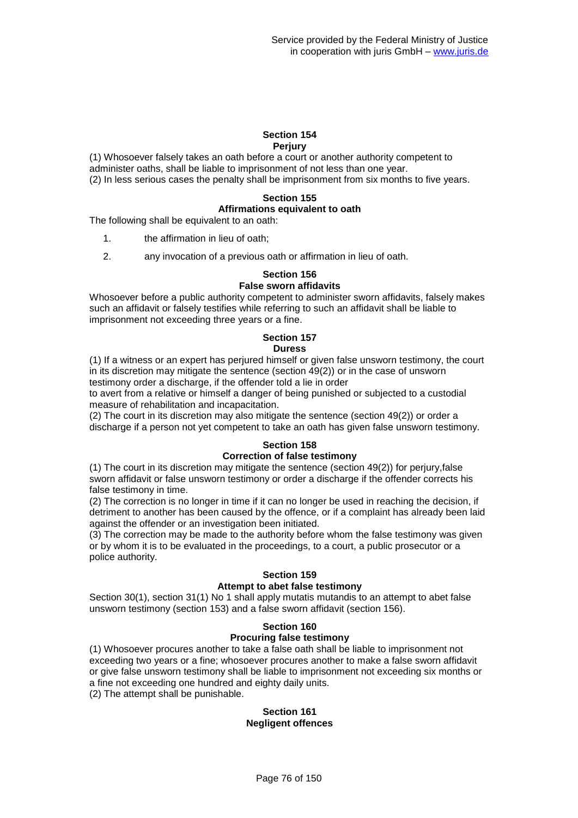#### **Section 154 Perjury**

(1) Whosoever falsely takes an oath before a court or another authority competent to administer oaths, shall be liable to imprisonment of not less than one year. (2) In less serious cases the penalty shall be imprisonment from six months to five years.

# **Section 155**

# **Affirmations equivalent to oath**

The following shall be equivalent to an oath:

- 1. the affirmation in lieu of oath;
- 2. any invocation of a previous oath or affirmation in lieu of oath.

#### **Section 156 False sworn affidavits**

Whosoever before a public authority competent to administer sworn affidavits, falsely makes such an affidavit or falsely testifies while referring to such an affidavit shall be liable to imprisonment not exceeding three years or a fine.

# **Section 157**

#### **Duress**

(1) If a witness or an expert has perjured himself or given false unsworn testimony, the court in its discretion may mitigate the sentence (section 49(2)) or in the case of unsworn testimony order a discharge, if the offender told a lie in order

to avert from a relative or himself a danger of being punished or subjected to a custodial measure of rehabilitation and incapacitation.

(2) The court in its discretion may also mitigate the sentence (section 49(2)) or order a discharge if a person not yet competent to take an oath has given false unsworn testimony.

### **Section 158 Correction of false testimony**

(1) The court in its discretion may mitigate the sentence (section  $49(2)$ ) for perjury, false sworn affidavit or false unsworn testimony or order a discharge if the offender corrects his false testimony in time.

(2) The correction is no longer in time if it can no longer be used in reaching the decision, if detriment to another has been caused by the offence, or if a complaint has already been laid against the offender or an investigation been initiated.

(3) The correction may be made to the authority before whom the false testimony was given or by whom it is to be evaluated in the proceedings, to a court, a public prosecutor or a police authority.

### **Section 159**

### **Attempt to abet false testimony**

Section 30(1), section 31(1) No 1 shall apply mutatis mutandis to an attempt to abet false unsworn testimony (section 153) and a false sworn affidavit (section 156).

### **Section 160 Procuring false testimony**

(1) Whosoever procures another to take a false oath shall be liable to imprisonment not exceeding two years or a fine; whosoever procures another to make a false sworn affidavit or give false unsworn testimony shall be liable to imprisonment not exceeding six months or a fine not exceeding one hundred and eighty daily units. (2) The attempt shall be punishable.

#### **Section 161 Negligent offences**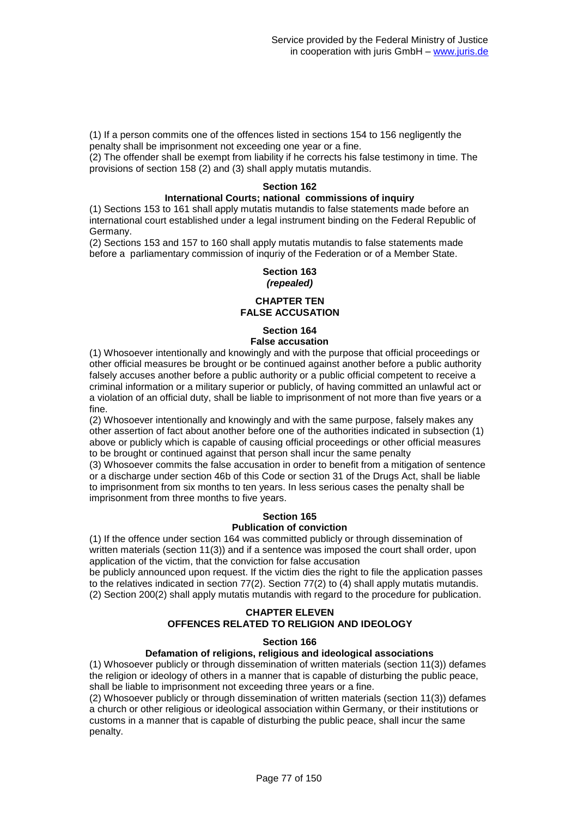(1) If a person commits one of the offences listed in sections 154 to 156 negligently the penalty shall be imprisonment not exceeding one year or a fine.

(2) The offender shall be exempt from liability if he corrects his false testimony in time. The provisions of section 158 (2) and (3) shall apply mutatis mutandis.

#### **Section 162**

# **International Courts; national commissions of inquiry**

(1) Sections 153 to 161 shall apply mutatis mutandis to false statements made before an international court established under a legal instrument binding on the Federal Republic of Germany.

(2) Sections 153 and 157 to 160 shall apply mutatis mutandis to false statements made before a parliamentary commission of inquriy of the Federation or of a Member State.

# **Section 163** *(repealed)*

#### **CHAPTER TEN FALSE ACCUSATION**

#### **Section 164 False accusation**

(1) Whosoever intentionally and knowingly and with the purpose that official proceedings or other official measures be brought or be continued against another before a public authority falsely accuses another before a public authority or a public official competent to receive a criminal information or a military superior or publicly, of having committed an unlawful act or a violation of an official duty, shall be liable to imprisonment of not more than five years or a fine.

(2) Whosoever intentionally and knowingly and with the same purpose, falsely makes any other assertion of fact about another before one of the authorities indicated in subsection (1) above or publicly which is capable of causing official proceedings or other official measures to be brought or continued against that person shall incur the same penalty

(3) Whosoever commits the false accusation in order to benefit from a mitigation of sentence or a discharge under section 46b of this Code or section 31 of the Drugs Act, shall be liable to imprisonment from six months to ten years. In less serious cases the penalty shall be imprisonment from three months to five years.

### **Section 165**

# **Publication of conviction**

(1) If the offence under section 164 was committed publicly or through dissemination of written materials (section 11(3)) and if a sentence was imposed the court shall order, upon application of the victim, that the conviction for false accusation

be publicly announced upon request. If the victim dies the right to file the application passes to the relatives indicated in section 77(2). Section 77(2) to (4) shall apply mutatis mutandis. (2) Section 200(2) shall apply mutatis mutandis with regard to the procedure for publication.

# **CHAPTER ELEVEN OFFENCES RELATED TO RELIGION AND IDEOLOGY**

### **Section 166**

# **Defamation of religions, religious and ideological associations**

(1) Whosoever publicly or through dissemination of written materials (section 11(3)) defames the religion or ideology of others in a manner that is capable of disturbing the public peace, shall be liable to imprisonment not exceeding three years or a fine.

(2) Whosoever publicly or through dissemination of written materials (section 11(3)) defames a church or other religious or ideological association within Germany, or their institutions or customs in a manner that is capable of disturbing the public peace, shall incur the same penalty.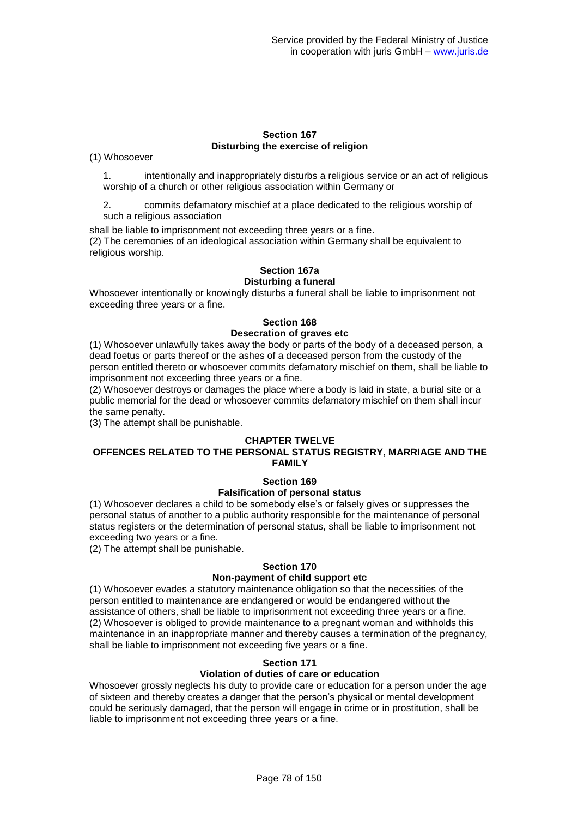# **Section 167 Disturbing the exercise of religion**

(1) Whosoever

1. intentionally and inappropriately disturbs a religious service or an act of religious worship of a church or other religious association within Germany or

2. commits defamatory mischief at a place dedicated to the religious worship of such a religious association

shall be liable to imprisonment not exceeding three years or a fine. (2) The ceremonies of an ideological association within Germany shall be equivalent to religious worship.

#### **Section 167a Disturbing a funeral**

Whosoever intentionally or knowingly disturbs a funeral shall be liable to imprisonment not exceeding three years or a fine.

# **Section 168 Desecration of graves etc**

(1) Whosoever unlawfully takes away the body or parts of the body of a deceased person, a dead foetus or parts thereof or the ashes of a deceased person from the custody of the person entitled thereto or whosoever commits defamatory mischief on them, shall be liable to imprisonment not exceeding three years or a fine.

(2) Whosoever destroys or damages the place where a body is laid in state, a burial site or a public memorial for the dead or whosoever commits defamatory mischief on them shall incur the same penalty.

(3) The attempt shall be punishable.

# **CHAPTER TWELVE**

# **OFFENCES RELATED TO THE PERSONAL STATUS REGISTRY, MARRIAGE AND THE FAMILY**

### **Section 169**

# **Falsification of personal status**

(1) Whosoever declares a child to be somebody else's or falsely gives or suppresses the personal status of another to a public authority responsible for the maintenance of personal status registers or the determination of personal status, shall be liable to imprisonment not exceeding two years or a fine.

(2) The attempt shall be punishable.

### **Section 170**

### **Non-payment of child support etc**

(1) Whosoever evades a statutory maintenance obligation so that the necessities of the person entitled to maintenance are endangered or would be endangered without the assistance of others, shall be liable to imprisonment not exceeding three years or a fine. (2) Whosoever is obliged to provide maintenance to a pregnant woman and withholds this maintenance in an inappropriate manner and thereby causes a termination of the pregnancy, shall be liable to imprisonment not exceeding five years or a fine.

### **Section 171**

# **Violation of duties of care or education**

Whosoever grossly neglects his duty to provide care or education for a person under the age of sixteen and thereby creates a danger that the person's physical or mental development could be seriously damaged, that the person will engage in crime or in prostitution, shall be liable to imprisonment not exceeding three years or a fine.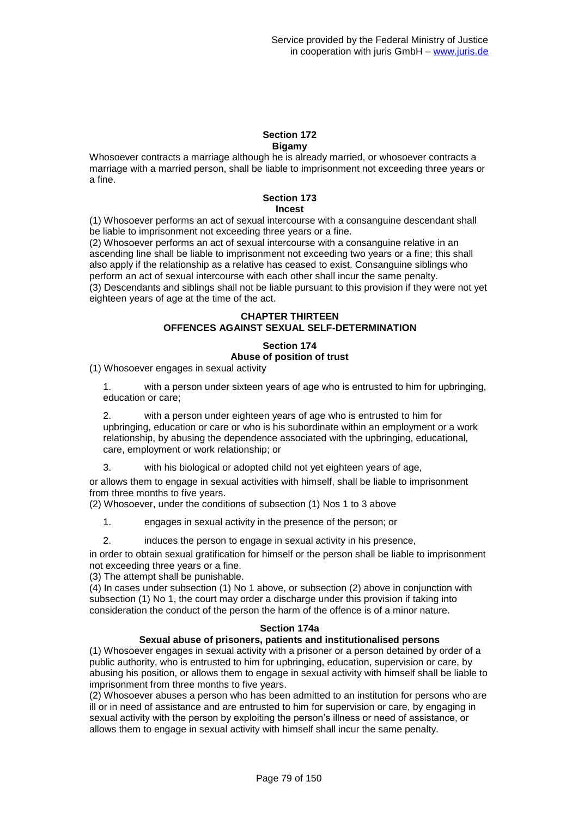### **Section 172 Bigamy**

Whosoever contracts a marriage although he is already married, or whosoever contracts a marriage with a married person, shall be liable to imprisonment not exceeding three years or a fine.

### **Section 173 Incest**

(1) Whosoever performs an act of sexual intercourse with a consanguine descendant shall be liable to imprisonment not exceeding three years or a fine.

(2) Whosoever performs an act of sexual intercourse with a consanguine relative in an ascending line shall be liable to imprisonment not exceeding two years or a fine; this shall also apply if the relationship as a relative has ceased to exist. Consanguine siblings who perform an act of sexual intercourse with each other shall incur the same penalty. (3) Descendants and siblings shall not be liable pursuant to this provision if they were not yet eighteen years of age at the time of the act.

# **CHAPTER THIRTEEN OFFENCES AGAINST SEXUAL SELF-DETERMINATION**

# **Section 174**

# **Abuse of position of trust**

(1) Whosoever engages in sexual activity

1. with a person under sixteen years of age who is entrusted to him for upbringing, education or care;

2. with a person under eighteen years of age who is entrusted to him for upbringing, education or care or who is his subordinate within an employment or a work relationship, by abusing the dependence associated with the upbringing, educational, care, employment or work relationship; or

3. with his biological or adopted child not yet eighteen years of age,

or allows them to engage in sexual activities with himself, shall be liable to imprisonment from three months to five years.

(2) Whosoever, under the conditions of subsection (1) Nos 1 to 3 above

1. engages in sexual activity in the presence of the person; or

2. induces the person to engage in sexual activity in his presence,

in order to obtain sexual gratification for himself or the person shall be liable to imprisonment not exceeding three years or a fine.

(3) The attempt shall be punishable.

(4) In cases under subsection (1) No 1 above, or subsection (2) above in conjunction with subsection (1) No 1, the court may order a discharge under this provision if taking into consideration the conduct of the person the harm of the offence is of a minor nature.

### **Section 174a**

# **Sexual abuse of prisoners, patients and institutionalised persons**

(1) Whosoever engages in sexual activity with a prisoner or a person detained by order of a public authority, who is entrusted to him for upbringing, education, supervision or care, by abusing his position, or allows them to engage in sexual activity with himself shall be liable to imprisonment from three months to five years.

(2) Whosoever abuses a person who has been admitted to an institution for persons who are ill or in need of assistance and are entrusted to him for supervision or care, by engaging in sexual activity with the person by exploiting the person's illness or need of assistance, or allows them to engage in sexual activity with himself shall incur the same penalty.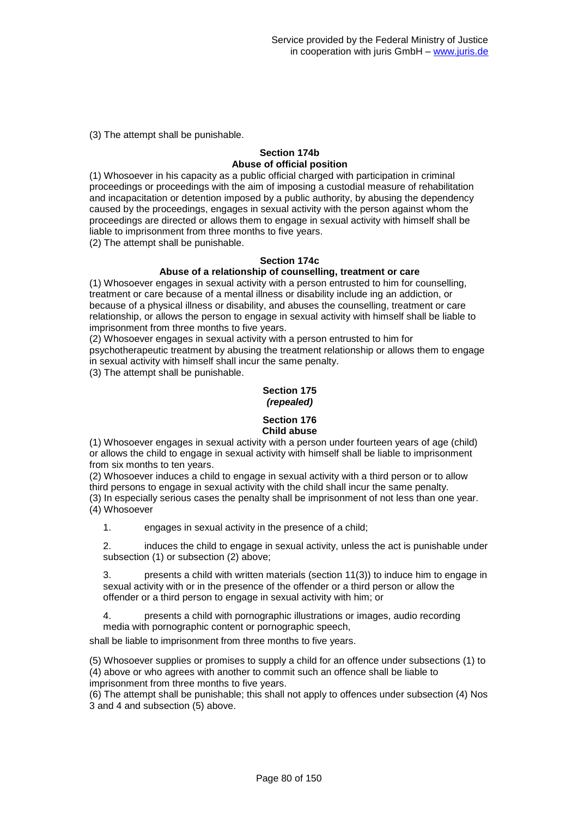(3) The attempt shall be punishable.

# **Section 174b Abuse of official position**

(1) Whosoever in his capacity as a public official charged with participation in criminal proceedings or proceedings with the aim of imposing a custodial measure of rehabilitation and incapacitation or detention imposed by a public authority, by abusing the dependency caused by the proceedings, engages in sexual activity with the person against whom the proceedings are directed or allows them to engage in sexual activity with himself shall be liable to imprisonment from three months to five years.

(2) The attempt shall be punishable.

### **Section 174c**

# **Abuse of a relationship of counselling, treatment or care**

(1) Whosoever engages in sexual activity with a person entrusted to him for counselling, treatment or care because of a mental illness or disability include ing an addiction, or because of a physical illness or disability, and abuses the counselling, treatment or care relationship, or allows the person to engage in sexual activity with himself shall be liable to imprisonment from three months to five years.

(2) Whosoever engages in sexual activity with a person entrusted to him for

psychotherapeutic treatment by abusing the treatment relationship or allows them to engage in sexual activity with himself shall incur the same penalty.

(3) The attempt shall be punishable.

# **Section 175** *(repealed)*

#### **Section 176 Child abuse**

(1) Whosoever engages in sexual activity with a person under fourteen years of age (child) or allows the child to engage in sexual activity with himself shall be liable to imprisonment from six months to ten years.

(2) Whosoever induces a child to engage in sexual activity with a third person or to allow third persons to engage in sexual activity with the child shall incur the same penalty. (3) In especially serious cases the penalty shall be imprisonment of not less than one year. (4) Whosoever

1. engages in sexual activity in the presence of a child;

2. induces the child to engage in sexual activity, unless the act is punishable under subsection (1) or subsection (2) above;

3. presents a child with written materials (section 11(3)) to induce him to engage in sexual activity with or in the presence of the offender or a third person or allow the offender or a third person to engage in sexual activity with him; or

4. presents a child with pornographic illustrations or images, audio recording media with pornographic content or pornographic speech,

shall be liable to imprisonment from three months to five years.

(5) Whosoever supplies or promises to supply a child for an offence under subsections (1) to (4) above or who agrees with another to commit such an offence shall be liable to

imprisonment from three months to five years.

(6) The attempt shall be punishable; this shall not apply to offences under subsection (4) Nos 3 and 4 and subsection (5) above.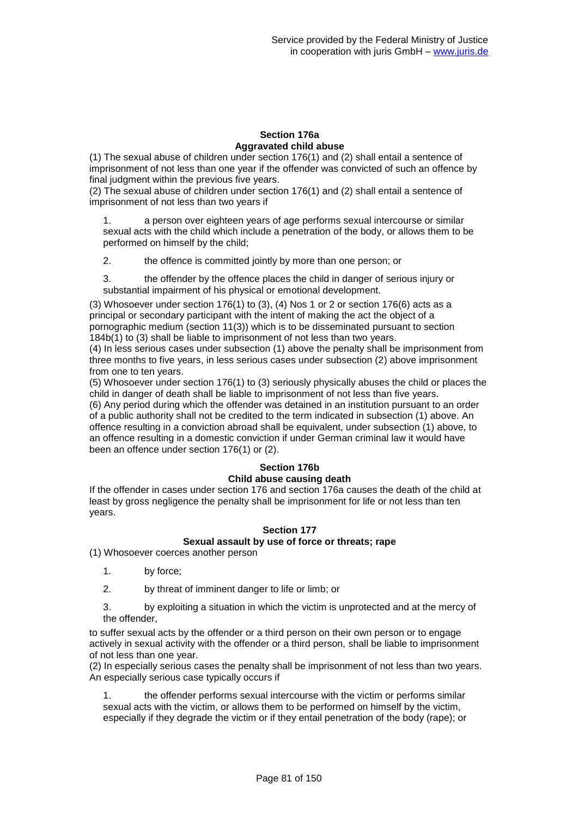# **Section 176a Aggravated child abuse**

(1) The sexual abuse of children under section 176(1) and (2) shall entail a sentence of imprisonment of not less than one year if the offender was convicted of such an offence by final judgment within the previous five years.

(2) The sexual abuse of children under section 176(1) and (2) shall entail a sentence of imprisonment of not less than two years if

1. a person over eighteen years of age performs sexual intercourse or similar sexual acts with the child which include a penetration of the body, or allows them to be performed on himself by the child;

2. the offence is committed jointly by more than one person; or

3. the offender by the offence places the child in danger of serious injury or substantial impairment of his physical or emotional development.

(3) Whosoever under section 176(1) to (3), (4) Nos 1 or 2 or section 176(6) acts as a principal or secondary participant with the intent of making the act the object of a pornographic medium (section 11(3)) which is to be disseminated pursuant to section 184b(1) to (3) shall be liable to imprisonment of not less than two years.

(4) In less serious cases under subsection (1) above the penalty shall be imprisonment from three months to five years, in less serious cases under subsection (2) above imprisonment from one to ten years.

(5) Whosoever under section 176(1) to (3) seriously physically abuses the child or places the child in danger of death shall be liable to imprisonment of not less than five years. (6) Any period during which the offender was detained in an institution pursuant to an order of a public authority shall not be credited to the term indicated in subsection (1) above. An offence resulting in a conviction abroad shall be equivalent, under subsection (1) above, to an offence resulting in a domestic conviction if under German criminal law it would have been an offence under section 176(1) or (2).

# **Section 176b**

# **Child abuse causing death**

If the offender in cases under section 176 and section 176a causes the death of the child at least by gross negligence the penalty shall be imprisonment for life or not less than ten years.

# **Section 177 Sexual assault by use of force or threats; rape**

(1) Whosoever coerces another person

- 1. by force;
- 2. by threat of imminent danger to life or limb; or

3. by exploiting a situation in which the victim is unprotected and at the mercy of the offender,

to suffer sexual acts by the offender or a third person on their own person or to engage actively in sexual activity with the offender or a third person, shall be liable to imprisonment of not less than one year.

(2) In especially serious cases the penalty shall be imprisonment of not less than two years. An especially serious case typically occurs if

1. the offender performs sexual intercourse with the victim or performs similar sexual acts with the victim, or allows them to be performed on himself by the victim, especially if they degrade the victim or if they entail penetration of the body (rape); or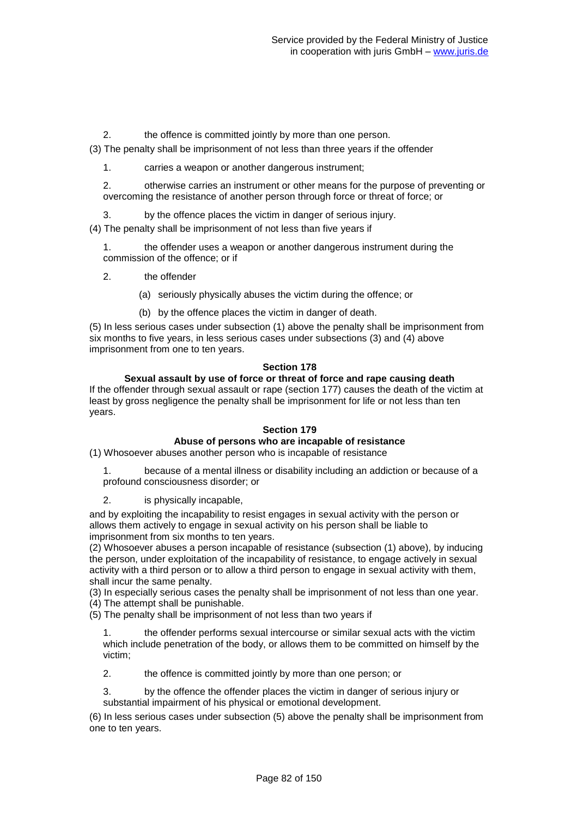2. the offence is committed jointly by more than one person.

(3) The penalty shall be imprisonment of not less than three years if the offender

1. carries a weapon or another dangerous instrument;

2. otherwise carries an instrument or other means for the purpose of preventing or overcoming the resistance of another person through force or threat of force; or

3. by the offence places the victim in danger of serious injury.

(4) The penalty shall be imprisonment of not less than five years if

1. the offender uses a weapon or another dangerous instrument during the commission of the offence; or if

- 2. the offender
	- (a) seriously physically abuses the victim during the offence; or
	- (b) by the offence places the victim in danger of death.

(5) In less serious cases under subsection (1) above the penalty shall be imprisonment from six months to five years, in less serious cases under subsections (3) and (4) above imprisonment from one to ten years.

### **Section 178**

### **Sexual assault by use of force or threat of force and rape causing death** If the offender through sexual assault or rape (section 177) causes the death of the victim at

least by gross negligence the penalty shall be imprisonment for life or not less than ten years.

### **Section 179**

# **Abuse of persons who are incapable of resistance**

(1) Whosoever abuses another person who is incapable of resistance

1. because of a mental illness or disability including an addiction or because of a profound consciousness disorder; or

2. is physically incapable,

and by exploiting the incapability to resist engages in sexual activity with the person or allows them actively to engage in sexual activity on his person shall be liable to imprisonment from six months to ten years.

(2) Whosoever abuses a person incapable of resistance (subsection (1) above), by inducing the person, under exploitation of the incapability of resistance, to engage actively in sexual activity with a third person or to allow a third person to engage in sexual activity with them, shall incur the same penalty.

(3) In especially serious cases the penalty shall be imprisonment of not less than one year.

- (4) The attempt shall be punishable.
- (5) The penalty shall be imprisonment of not less than two years if

1. the offender performs sexual intercourse or similar sexual acts with the victim which include penetration of the body, or allows them to be committed on himself by the victim;

2. the offence is committed jointly by more than one person; or

3. by the offence the offender places the victim in danger of serious injury or substantial impairment of his physical or emotional development.

(6) In less serious cases under subsection (5) above the penalty shall be imprisonment from one to ten years.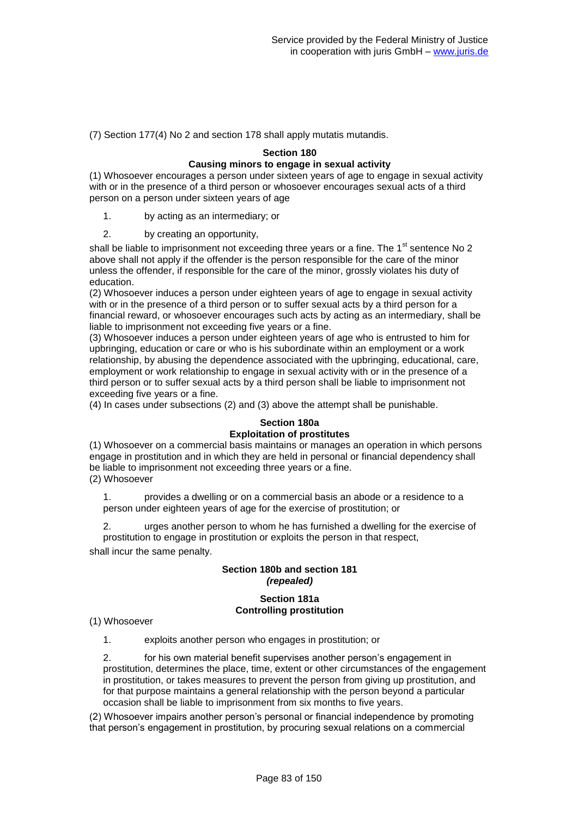(7) Section 177(4) No 2 and section 178 shall apply mutatis mutandis.

### **Section 180 Causing minors to engage in sexual activity**

(1) Whosoever encourages a person under sixteen years of age to engage in sexual activity with or in the presence of a third person or whosoever encourages sexual acts of a third person on a person under sixteen years of age

1. by acting as an intermediary; or

2. by creating an opportunity,

shall be liable to imprisonment not exceeding three years or a fine. The  $1<sup>st</sup>$  sentence No 2 above shall not apply if the offender is the person responsible for the care of the minor unless the offender, if responsible for the care of the minor, grossly violates his duty of education.

(2) Whosoever induces a person under eighteen years of age to engage in sexual activity with or in the presence of a third person or to suffer sexual acts by a third person for a financial reward, or whosoever encourages such acts by acting as an intermediary, shall be liable to imprisonment not exceeding five years or a fine.

(3) Whosoever induces a person under eighteen years of age who is entrusted to him for upbringing, education or care or who is his subordinate within an employment or a work relationship, by abusing the dependence associated with the upbringing, educational, care, employment or work relationship to engage in sexual activity with or in the presence of a third person or to suffer sexual acts by a third person shall be liable to imprisonment not exceeding five years or a fine.

(4) In cases under subsections (2) and (3) above the attempt shall be punishable.

# **Section 180a Exploitation of prostitutes**

(1) Whosoever on a commercial basis maintains or manages an operation in which persons engage in prostitution and in which they are held in personal or financial dependency shall be liable to imprisonment not exceeding three years or a fine.

(2) Whosoever

1. provides a dwelling or on a commercial basis an abode or a residence to a person under eighteen years of age for the exercise of prostitution; or

2. urges another person to whom he has furnished a dwelling for the exercise of prostitution to engage in prostitution or exploits the person in that respect, shall incur the same penalty.

# **Section 180b and section 181** *(repealed)*

# **Section 181a Controlling prostitution**

(1) Whosoever

1. exploits another person who engages in prostitution; or

2. for his own material benefit supervises another person's engagement in prostitution, determines the place, time, extent or other circumstances of the engagement in prostitution, or takes measures to prevent the person from giving up prostitution, and for that purpose maintains a general relationship with the person beyond a particular occasion shall be liable to imprisonment from six months to five years.

(2) Whosoever impairs another person's personal or financial independence by promoting that person's engagement in prostitution, by procuring sexual relations on a commercial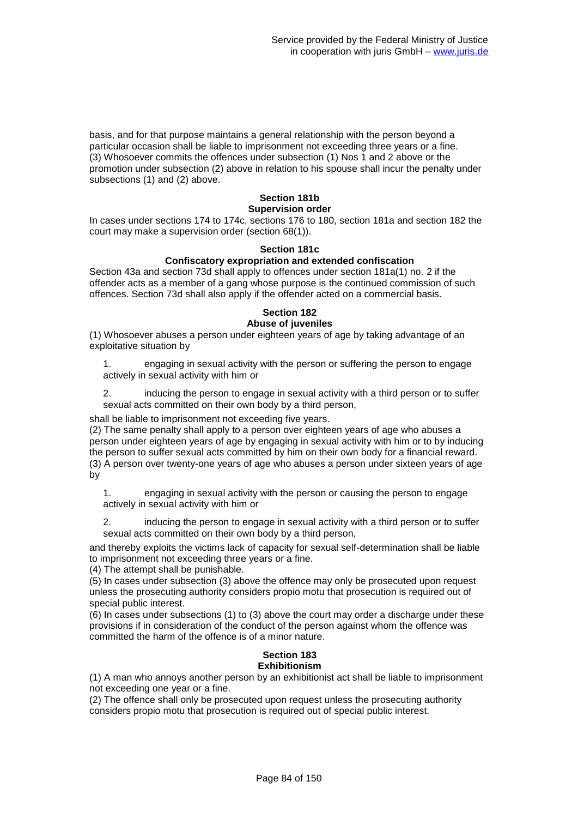basis, and for that purpose maintains a general relationship with the person beyond a particular occasion shall be liable to imprisonment not exceeding three years or a fine. (3) Whosoever commits the offences under subsection (1) Nos 1 and 2 above or the promotion under subsection (2) above in relation to his spouse shall incur the penalty under subsections (1) and (2) above.

### **Section 181b Supervision order**

In cases under sections 174 to 174c, sections 176 to 180, section 181a and section 182 the court may make a supervision order (section 68(1)).

# **Section 181c**

# **Confiscatory expropriation and extended confiscation**

Section 43a and section 73d shall apply to offences under section 181a(1) no. 2 if the offender acts as a member of a gang whose purpose is the continued commission of such offences. Section 73d shall also apply if the offender acted on a commercial basis.

### **Section 182 Abuse of juveniles**

(1) Whosoever abuses a person under eighteen years of age by taking advantage of an exploitative situation by

1. engaging in sexual activity with the person or suffering the person to engage actively in sexual activity with him or

2. inducing the person to engage in sexual activity with a third person or to suffer sexual acts committed on their own body by a third person,

shall be liable to imprisonment not exceeding five years.

(2) The same penalty shall apply to a person over eighteen years of age who abuses a person under eighteen years of age by engaging in sexual activity with him or to by inducing the person to suffer sexual acts committed by him on their own body for a financial reward. (3) A person over twenty-one years of age who abuses a person under sixteen years of age by

1. engaging in sexual activity with the person or causing the person to engage actively in sexual activity with him or

2. inducing the person to engage in sexual activity with a third person or to suffer sexual acts committed on their own body by a third person,

and thereby exploits the victims lack of capacity for sexual self-determination shall be liable to imprisonment not exceeding three years or a fine.

(4) The attempt shall be punishable.

(5) In cases under subsection (3) above the offence may only be prosecuted upon request unless the prosecuting authority considers propio motu that prosecution is required out of special public interest.

(6) In cases under subsections (1) to (3) above the court may order a discharge under these provisions if in consideration of the conduct of the person against whom the offence was committed the harm of the offence is of a minor nature.

#### **Section 183 Exhibitionism**

(1) A man who annoys another person by an exhibitionist act shall be liable to imprisonment not exceeding one year or a fine.

(2) The offence shall only be prosecuted upon request unless the prosecuting authority considers propio motu that prosecution is required out of special public interest.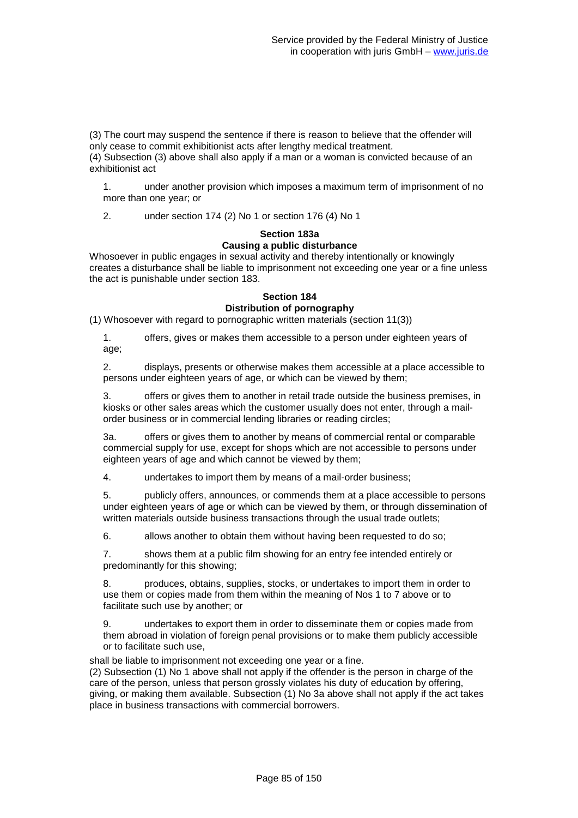(3) The court may suspend the sentence if there is reason to believe that the offender will only cease to commit exhibitionist acts after lengthy medical treatment.

(4) Subsection (3) above shall also apply if a man or a woman is convicted because of an exhibitionist act

1. under another provision which imposes a maximum term of imprisonment of no more than one year; or

2. under section 174 (2) No 1 or section 176 (4) No 1

# **Section 183a Causing a public disturbance**

Whosoever in public engages in sexual activity and thereby intentionally or knowingly creates a disturbance shall be liable to imprisonment not exceeding one year or a fine unless the act is punishable under section 183.

### **Section 184 Distribution of pornography**

(1) Whosoever with regard to pornographic written materials (section 11(3))

1. offers, gives or makes them accessible to a person under eighteen years of age;

2. displays, presents or otherwise makes them accessible at a place accessible to persons under eighteen years of age, or which can be viewed by them;

3. offers or gives them to another in retail trade outside the business premises, in kiosks or other sales areas which the customer usually does not enter, through a mailorder business or in commercial lending libraries or reading circles;

3a. offers or gives them to another by means of commercial rental or comparable commercial supply for use, except for shops which are not accessible to persons under eighteen years of age and which cannot be viewed by them;

4. undertakes to import them by means of a mail-order business;

5. publicly offers, announces, or commends them at a place accessible to persons under eighteen years of age or which can be viewed by them, or through dissemination of written materials outside business transactions through the usual trade outlets;

6. allows another to obtain them without having been requested to do so;

7. shows them at a public film showing for an entry fee intended entirely or predominantly for this showing;

8. produces, obtains, supplies, stocks, or undertakes to import them in order to use them or copies made from them within the meaning of Nos 1 to 7 above or to facilitate such use by another; or

9. undertakes to export them in order to disseminate them or copies made from them abroad in violation of foreign penal provisions or to make them publicly accessible or to facilitate such use,

shall be liable to imprisonment not exceeding one year or a fine.

(2) Subsection (1) No 1 above shall not apply if the offender is the person in charge of the care of the person, unless that person grossly violates his duty of education by offering, giving, or making them available. Subsection (1) No 3a above shall not apply if the act takes place in business transactions with commercial borrowers.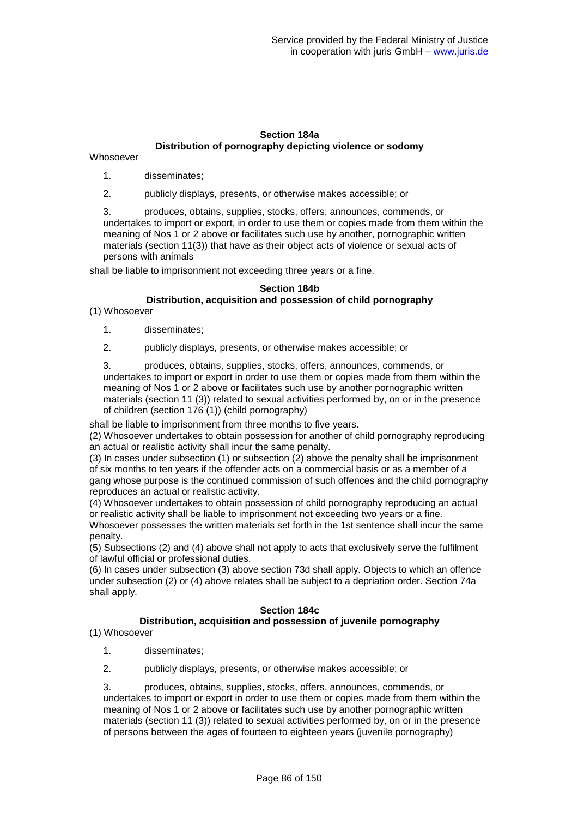# **Section 184a Distribution of pornography depicting violence or sodomy**

Whosoever

- 1. disseminates;
- 2. publicly displays, presents, or otherwise makes accessible; or

3. produces, obtains, supplies, stocks, offers, announces, commends, or undertakes to import or export, in order to use them or copies made from them within the meaning of Nos 1 or 2 above or facilitates such use by another, pornographic written materials (section 11(3)) that have as their object acts of violence or sexual acts of persons with animals

shall be liable to imprisonment not exceeding three years or a fine.

### **Section 184b Distribution, acquisition and possession of child pornography**

(1) Whosoever

- 1. disseminates;
- 2. publicly displays, presents, or otherwise makes accessible; or

3. produces, obtains, supplies, stocks, offers, announces, commends, or undertakes to import or export in order to use them or copies made from them within the meaning of Nos 1 or 2 above or facilitates such use by another pornographic written materials (section 11 (3)) related to sexual activities performed by, on or in the presence of children (section 176 (1)) (child pornography)

shall be liable to imprisonment from three months to five years.

(2) Whosoever undertakes to obtain possession for another of child pornography reproducing an actual or realistic activity shall incur the same penalty.

(3) In cases under subsection (1) or subsection (2) above the penalty shall be imprisonment of six months to ten years if the offender acts on a commercial basis or as a member of a gang whose purpose is the continued commission of such offences and the child pornography reproduces an actual or realistic activity.

(4) Whosoever undertakes to obtain possession of child pornography reproducing an actual or realistic activity shall be liable to imprisonment not exceeding two years or a fine.

Whosoever possesses the written materials set forth in the 1st sentence shall incur the same penalty.

(5) Subsections (2) and (4) above shall not apply to acts that exclusively serve the fulfilment of lawful official or professional duties.

(6) In cases under subsection (3) above section 73d shall apply. Objects to which an offence under subsection (2) or (4) above relates shall be subject to a depriation order. Section 74a shall apply.

### **Section 184c**

# **Distribution, acquisition and possession of juvenile pornography**

(1) Whosoever

- 1. disseminates;
- 2. publicly displays, presents, or otherwise makes accessible; or

3. produces, obtains, supplies, stocks, offers, announces, commends, or undertakes to import or export in order to use them or copies made from them within the meaning of Nos 1 or 2 above or facilitates such use by another pornographic written materials (section 11 (3)) related to sexual activities performed by, on or in the presence of persons between the ages of fourteen to eighteen years (juvenile pornography)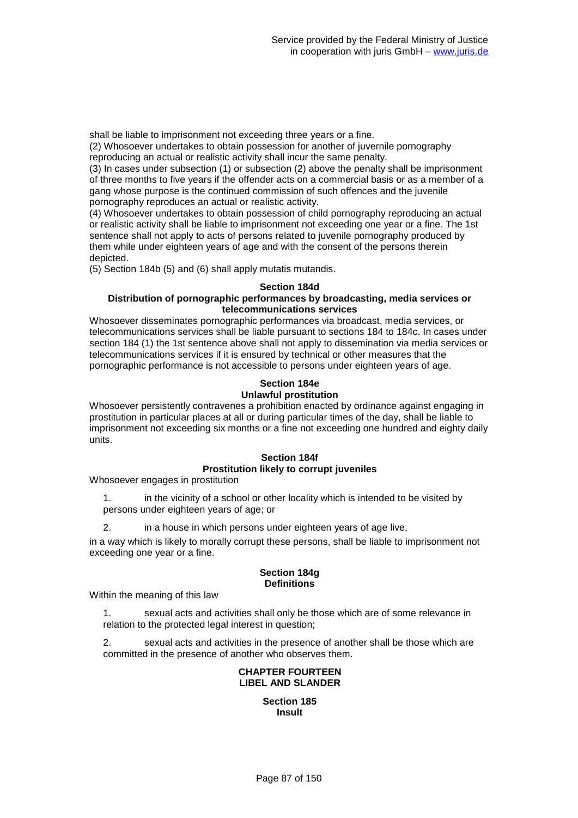shall be liable to imprisonment not exceeding three years or a fine.

(2) Whosoever undertakes to obtain possession for another of juvernile pornography reproducing an actual or realistic activity shall incur the same penalty.

(3) In cases under subsection (1) or subsection (2) above the penalty shall be imprisonment of three months to five years if the offender acts on a commercial basis or as a member of a gang whose purpose is the continued commission of such offences and the juvenile pornography reproduces an actual or realistic activity.

(4) Whosoever undertakes to obtain possession of child pornography reproducing an actual or realistic activity shall be liable to imprisonment not exceeding one year or a fine. The 1st sentence shall not apply to acts of persons related to juvenile pornography produced by them while under eighteen years of age and with the consent of the persons therein depicted.

(5) Section 184b (5) and (6) shall apply mutatis mutandis.

#### **Section 184d**

# **Distribution of pornographic performances by broadcasting, media services or telecommunications services**

Whosoever disseminates pornographic performances via broadcast, media services, or telecommunications services shall be liable pursuant to sections 184 to 184c. In cases under section 184 (1) the 1st sentence above shall not apply to dissemination via media services or telecommunications services if it is ensured by technical or other measures that the pornographic performance is not accessible to persons under eighteen years of age.

# **Section 184e**

# **Unlawful prostitution**

Whosoever persistently contravenes a prohibition enacted by ordinance against engaging in prostitution in particular places at all or during particular times of the day, shall be liable to imprisonment not exceeding six months or a fine not exceeding one hundred and eighty daily units.

# **Section 184f Prostitution likely to corrupt juveniles**

Whosoever engages in prostitution

1. in the vicinity of a school or other locality which is intended to be visited by persons under eighteen years of age; or

2. in a house in which persons under eighteen years of age live,

in a way which is likely to morally corrupt these persons, shall be liable to imprisonment not exceeding one year or a fine.

### **Section 184g Definitions**

Within the meaning of this law

1. sexual acts and activities shall only be those which are of some relevance in relation to the protected legal interest in question;

2. sexual acts and activities in the presence of another shall be those which are committed in the presence of another who observes them.

### **CHAPTER FOURTEEN LIBEL AND SLANDER**

**Section 185 Insult**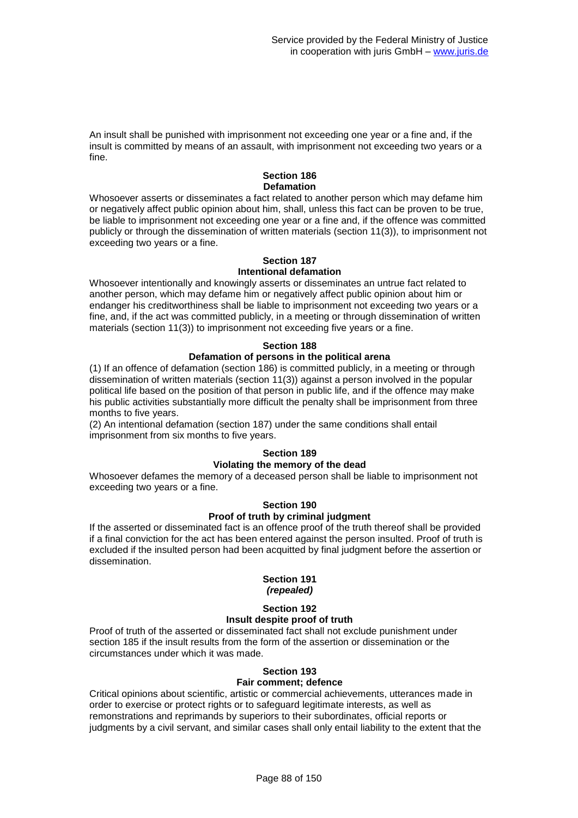An insult shall be punished with imprisonment not exceeding one year or a fine and, if the insult is committed by means of an assault, with imprisonment not exceeding two years or a fine.

# **Section 186 Defamation**

Whosoever asserts or disseminates a fact related to another person which may defame him or negatively affect public opinion about him, shall, unless this fact can be proven to be true, be liable to imprisonment not exceeding one year or a fine and, if the offence was committed publicly or through the dissemination of written materials (section 11(3)), to imprisonment not exceeding two years or a fine.

#### **Section 187 Intentional defamation**

Whosoever intentionally and knowingly asserts or disseminates an untrue fact related to another person, which may defame him or negatively affect public opinion about him or endanger his creditworthiness shall be liable to imprisonment not exceeding two years or a fine, and, if the act was committed publicly, in a meeting or through dissemination of written materials (section 11(3)) to imprisonment not exceeding five years or a fine.

# **Section 188**

# **Defamation of persons in the political arena**

(1) If an offence of defamation (section 186) is committed publicly, in a meeting or through dissemination of written materials (section 11(3)) against a person involved in the popular political life based on the position of that person in public life, and if the offence may make his public activities substantially more difficult the penalty shall be imprisonment from three months to five years.

(2) An intentional defamation (section 187) under the same conditions shall entail imprisonment from six months to five years.

# **Section 189**

## **Violating the memory of the dead**

Whosoever defames the memory of a deceased person shall be liable to imprisonment not exceeding two years or a fine.

#### **Section 190 Proof of truth by criminal judgment**

If the asserted or disseminated fact is an offence proof of the truth thereof shall be provided if a final conviction for the act has been entered against the person insulted. Proof of truth is excluded if the insulted person had been acquitted by final judgment before the assertion or dissemination.

#### **Section 191** *(repealed)*

# **Section 192**

# **Insult despite proof of truth**

Proof of truth of the asserted or disseminated fact shall not exclude punishment under section 185 if the insult results from the form of the assertion or dissemination or the circumstances under which it was made.

# **Section 193**

# **Fair comment; defence**

Critical opinions about scientific, artistic or commercial achievements, utterances made in order to exercise or protect rights or to safeguard legitimate interests, as well as remonstrations and reprimands by superiors to their subordinates, official reports or judgments by a civil servant, and similar cases shall only entail liability to the extent that the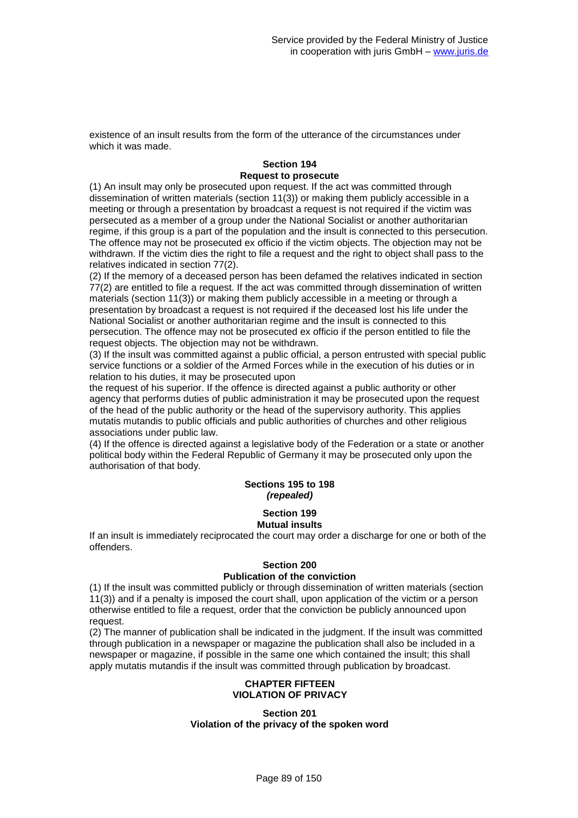existence of an insult results from the form of the utterance of the circumstances under which it was made.

### **Section 194 Request to prosecute**

(1) An insult may only be prosecuted upon request. If the act was committed through dissemination of written materials (section 11(3)) or making them publicly accessible in a meeting or through a presentation by broadcast a request is not required if the victim was persecuted as a member of a group under the National Socialist or another authoritarian regime, if this group is a part of the population and the insult is connected to this persecution. The offence may not be prosecuted ex officio if the victim objects. The objection may not be withdrawn. If the victim dies the right to file a request and the right to object shall pass to the relatives indicated in section 77(2).

(2) If the memory of a deceased person has been defamed the relatives indicated in section 77(2) are entitled to file a request. If the act was committed through dissemination of written materials (section 11(3)) or making them publicly accessible in a meeting or through a presentation by broadcast a request is not required if the deceased lost his life under the National Socialist or another authoritarian regime and the insult is connected to this persecution. The offence may not be prosecuted ex officio if the person entitled to file the request objects. The objection may not be withdrawn.

(3) If the insult was committed against a public official, a person entrusted with special public service functions or a soldier of the Armed Forces while in the execution of his duties or in relation to his duties, it may be prosecuted upon

the request of his superior. If the offence is directed against a public authority or other agency that performs duties of public administration it may be prosecuted upon the request of the head of the public authority or the head of the supervisory authority. This applies mutatis mutandis to public officials and public authorities of churches and other religious associations under public law.

(4) If the offence is directed against a legislative body of the Federation or a state or another political body within the Federal Republic of Germany it may be prosecuted only upon the authorisation of that body.

# **Sections 195 to 198** *(repealed)*

#### **Section 199 Mutual insults**

If an insult is immediately reciprocated the court may order a discharge for one or both of the offenders.

# **Section 200**

### **Publication of the conviction**

(1) If the insult was committed publicly or through dissemination of written materials (section 11(3)) and if a penalty is imposed the court shall, upon application of the victim or a person otherwise entitled to file a request, order that the conviction be publicly announced upon request.

(2) The manner of publication shall be indicated in the judgment. If the insult was committed through publication in a newspaper or magazine the publication shall also be included in a newspaper or magazine, if possible in the same one which contained the insult; this shall apply mutatis mutandis if the insult was committed through publication by broadcast.

### **CHAPTER FIFTEEN VIOLATION OF PRIVACY**

**Section 201 Violation of the privacy of the spoken word**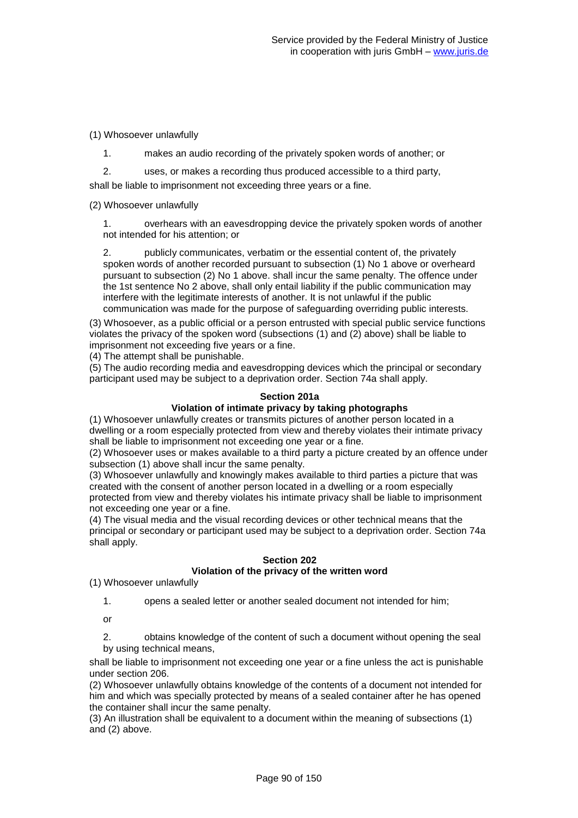# (1) Whosoever unlawfully

1. makes an audio recording of the privately spoken words of another; or

2. uses, or makes a recording thus produced accessible to a third party,

shall be liable to imprisonment not exceeding three years or a fine.

### (2) Whosoever unlawfully

1. overhears with an eavesdropping device the privately spoken words of another not intended for his attention; or

2. publicly communicates, verbatim or the essential content of, the privately spoken words of another recorded pursuant to subsection (1) No 1 above or overheard pursuant to subsection (2) No 1 above. shall incur the same penalty. The offence under the 1st sentence No 2 above, shall only entail liability if the public communication may interfere with the legitimate interests of another. It is not unlawful if the public communication was made for the purpose of safeguarding overriding public interests.

(3) Whosoever, as a public official or a person entrusted with special public service functions violates the privacy of the spoken word (subsections (1) and (2) above) shall be liable to imprisonment not exceeding five years or a fine.

(4) The attempt shall be punishable.

(5) The audio recording media and eavesdropping devices which the principal or secondary participant used may be subject to a deprivation order. Section 74a shall apply.

# **Section 201a**

# **Violation of intimate privacy by taking photographs**

(1) Whosoever unlawfully creates or transmits pictures of another person located in a dwelling or a room especially protected from view and thereby violates their intimate privacy shall be liable to imprisonment not exceeding one year or a fine.

(2) Whosoever uses or makes available to a third party a picture created by an offence under subsection (1) above shall incur the same penalty.

(3) Whosoever unlawfully and knowingly makes available to third parties a picture that was created with the consent of another person located in a dwelling or a room especially protected from view and thereby violates his intimate privacy shall be liable to imprisonment not exceeding one year or a fine.

(4) The visual media and the visual recording devices or other technical means that the principal or secondary or participant used may be subject to a deprivation order. Section 74a shall apply.

### **Section 202 Violation of the privacy of the written word**

(1) Whosoever unlawfully

1. opens a sealed letter or another sealed document not intended for him;

or

2. obtains knowledge of the content of such a document without opening the seal by using technical means,

shall be liable to imprisonment not exceeding one year or a fine unless the act is punishable under section 206.

(2) Whosoever unlawfully obtains knowledge of the contents of a document not intended for him and which was specially protected by means of a sealed container after he has opened the container shall incur the same penalty.

(3) An illustration shall be equivalent to a document within the meaning of subsections (1) and (2) above.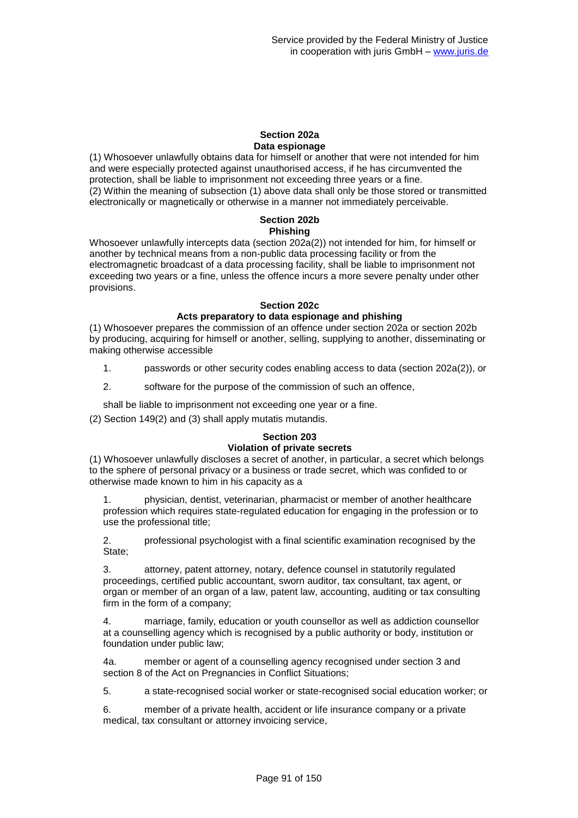### **Section 202a Data espionage**

(1) Whosoever unlawfully obtains data for himself or another that were not intended for him and were especially protected against unauthorised access, if he has circumvented the protection, shall be liable to imprisonment not exceeding three years or a fine. (2) Within the meaning of subsection (1) above data shall only be those stored or transmitted electronically or magnetically or otherwise in a manner not immediately perceivable.

# **Section 202b Phishing**

Whosoever unlawfully intercepts data (section 202a(2)) not intended for him, for himself or another by technical means from a non-public data processing facility or from the electromagnetic broadcast of a data processing facility, shall be liable to imprisonment not exceeding two years or a fine, unless the offence incurs a more severe penalty under other provisions.

### **Section 202c Acts preparatory to data espionage and phishing**

(1) Whosoever prepares the commission of an offence under section 202a or section 202b by producing, acquiring for himself or another, selling, supplying to another, disseminating or making otherwise accessible

- 1. passwords or other security codes enabling access to data (section 202a(2)), or
- 2. software for the purpose of the commission of such an offence,

shall be liable to imprisonment not exceeding one year or a fine.

(2) Section 149(2) and (3) shall apply mutatis mutandis.

# **Section 203**

# **Violation of private secrets**

(1) Whosoever unlawfully discloses a secret of another, in particular, a secret which belongs to the sphere of personal privacy or a business or trade secret, which was confided to or otherwise made known to him in his capacity as a

1. physician, dentist, veterinarian, pharmacist or member of another healthcare profession which requires state-regulated education for engaging in the profession or to use the professional title;

2. professional psychologist with a final scientific examination recognised by the State;

3. attorney, patent attorney, notary, defence counsel in statutorily regulated proceedings, certified public accountant, sworn auditor, tax consultant, tax agent, or organ or member of an organ of a law, patent law, accounting, auditing or tax consulting firm in the form of a company;

4. marriage, family, education or youth counsellor as well as addiction counsellor at a counselling agency which is recognised by a public authority or body, institution or foundation under public law;

4a. member or agent of a counselling agency recognised under section 3 and section 8 of the Act on Pregnancies in Conflict Situations;

5. a state-recognised social worker or state-recognised social education worker; or

6. member of a private health, accident or life insurance company or a private medical, tax consultant or attorney invoicing service,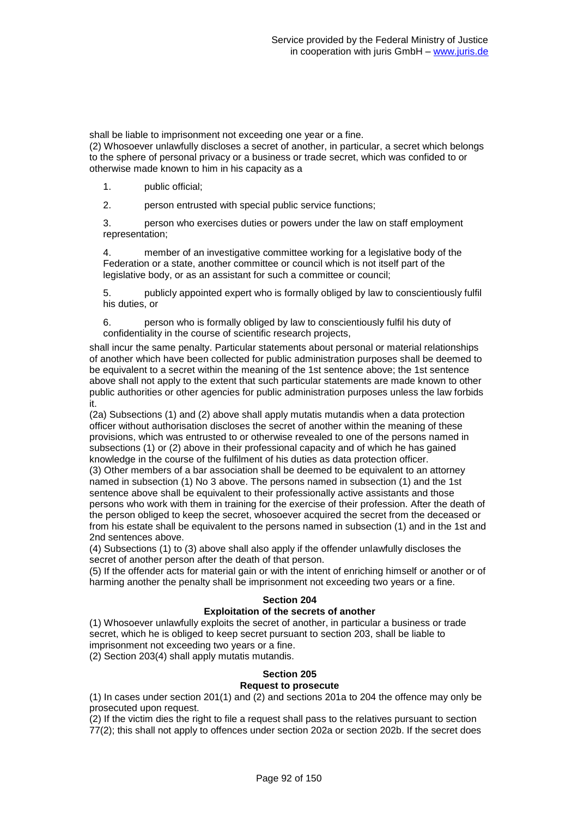shall be liable to imprisonment not exceeding one year or a fine.

(2) Whosoever unlawfully discloses a secret of another, in particular, a secret which belongs to the sphere of personal privacy or a business or trade secret, which was confided to or otherwise made known to him in his capacity as a

1. public official;

2. person entrusted with special public service functions;

3. person who exercises duties or powers under the law on staff employment representation;

4. member of an investigative committee working for a legislative body of the Federation or a state, another committee or council which is not itself part of the legislative body, or as an assistant for such a committee or council;

5. publicly appointed expert who is formally obliged by law to conscientiously fulfil his duties, or

6. person who is formally obliged by law to conscientiously fulfil his duty of confidentiality in the course of scientific research projects,

shall incur the same penalty. Particular statements about personal or material relationships of another which have been collected for public administration purposes shall be deemed to be equivalent to a secret within the meaning of the 1st sentence above; the 1st sentence above shall not apply to the extent that such particular statements are made known to other public authorities or other agencies for public administration purposes unless the law forbids it.

(2a) Subsections (1) and (2) above shall apply mutatis mutandis when a data protection officer without authorisation discloses the secret of another within the meaning of these provisions, which was entrusted to or otherwise revealed to one of the persons named in subsections (1) or (2) above in their professional capacity and of which he has gained knowledge in the course of the fulfilment of his duties as data protection officer. (3) Other members of a bar association shall be deemed to be equivalent to an attorney named in subsection (1) No 3 above. The persons named in subsection (1) and the 1st sentence above shall be equivalent to their professionally active assistants and those persons who work with them in training for the exercise of their profession. After the death of the person obliged to keep the secret, whosoever acquired the secret from the deceased or

from his estate shall be equivalent to the persons named in subsection (1) and in the 1st and 2nd sentences above.

(4) Subsections (1) to (3) above shall also apply if the offender unlawfully discloses the secret of another person after the death of that person.

(5) If the offender acts for material gain or with the intent of enriching himself or another or of harming another the penalty shall be imprisonment not exceeding two years or a fine.

### **Section 204**

### **Exploitation of the secrets of another**

(1) Whosoever unlawfully exploits the secret of another, in particular a business or trade secret, which he is obliged to keep secret pursuant to section 203, shall be liable to imprisonment not exceeding two years or a fine.

(2) Section 203(4) shall apply mutatis mutandis.

# **Section 205**

# **Request to prosecute**

(1) In cases under section 201(1) and (2) and sections 201a to 204 the offence may only be prosecuted upon request.

(2) If the victim dies the right to file a request shall pass to the relatives pursuant to section 77(2); this shall not apply to offences under section 202a or section 202b. If the secret does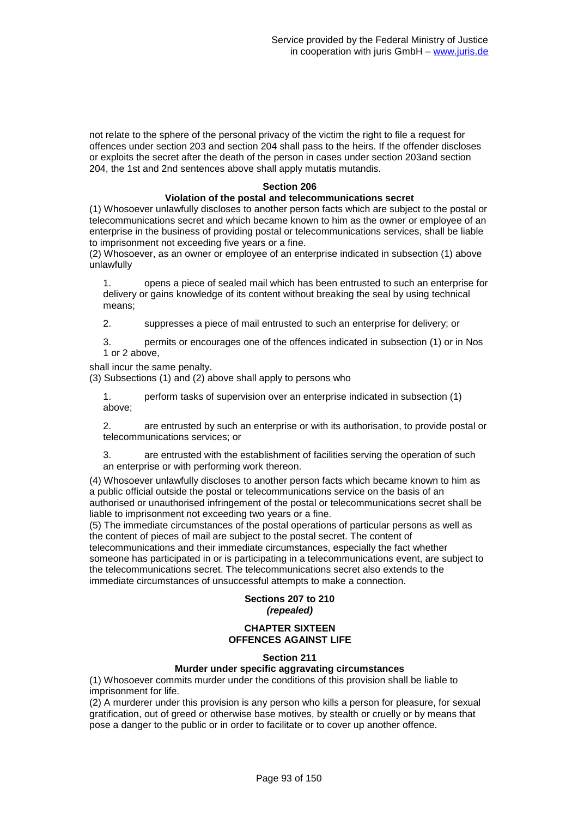not relate to the sphere of the personal privacy of the victim the right to file a request for offences under section 203 and section 204 shall pass to the heirs. If the offender discloses or exploits the secret after the death of the person in cases under section 203and section 204, the 1st and 2nd sentences above shall apply mutatis mutandis.

### **Section 206**

### **Violation of the postal and telecommunications secret**

(1) Whosoever unlawfully discloses to another person facts which are subject to the postal or telecommunications secret and which became known to him as the owner or employee of an enterprise in the business of providing postal or telecommunications services, shall be liable to imprisonment not exceeding five years or a fine.

(2) Whosoever, as an owner or employee of an enterprise indicated in subsection (1) above unlawfully

1. opens a piece of sealed mail which has been entrusted to such an enterprise for delivery or gains knowledge of its content without breaking the seal by using technical means;

2. suppresses a piece of mail entrusted to such an enterprise for delivery; or

3. permits or encourages one of the offences indicated in subsection (1) or in Nos 1 or 2 above,

shall incur the same penalty.

(3) Subsections (1) and (2) above shall apply to persons who

1. perform tasks of supervision over an enterprise indicated in subsection (1) above;

2. are entrusted by such an enterprise or with its authorisation, to provide postal or telecommunications services; or

3. are entrusted with the establishment of facilities serving the operation of such an enterprise or with performing work thereon.

(4) Whosoever unlawfully discloses to another person facts which became known to him as a public official outside the postal or telecommunications service on the basis of an authorised or unauthorised infringement of the postal or telecommunications secret shall be liable to imprisonment not exceeding two years or a fine.

(5) The immediate circumstances of the postal operations of particular persons as well as the content of pieces of mail are subject to the postal secret. The content of telecommunications and their immediate circumstances, especially the fact whether someone has participated in or is participating in a telecommunications event, are subject to the telecommunications secret. The telecommunications secret also extends to the immediate circumstances of unsuccessful attempts to make a connection.

# **Sections 207 to 210** *(repealed)*

# **CHAPTER SIXTEEN OFFENCES AGAINST LIFE**

# **Section 211**

# **Murder under specific aggravating circumstances**

(1) Whosoever commits murder under the conditions of this provision shall be liable to imprisonment for life.

(2) A murderer under this provision is any person who kills a person for pleasure, for sexual gratification, out of greed or otherwise base motives, by stealth or cruelly or by means that pose a danger to the public or in order to facilitate or to cover up another offence.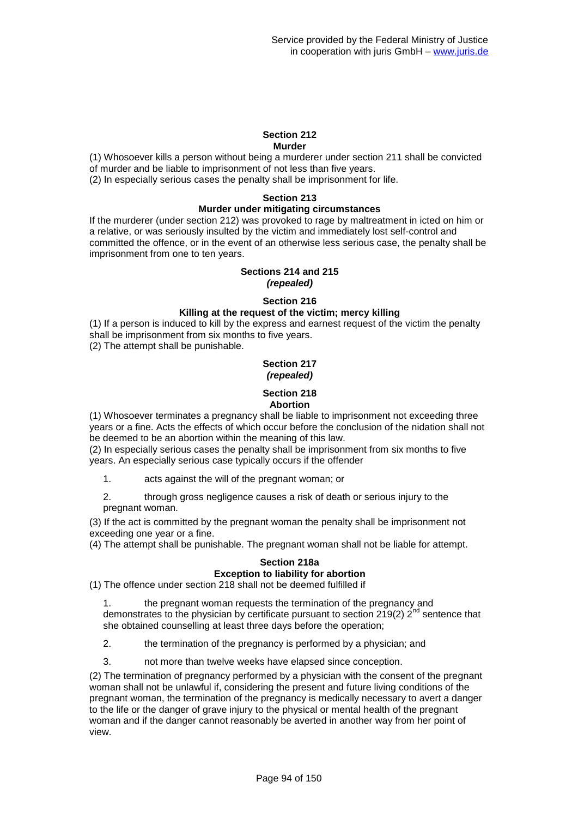#### **Section 212 Murder**

(1) Whosoever kills a person without being a murderer under section 211 shall be convicted

of murder and be liable to imprisonment of not less than five years.

(2) In especially serious cases the penalty shall be imprisonment for life.

# **Section 213**

# **Murder under mitigating circumstances**

If the murderer (under section 212) was provoked to rage by maltreatment in icted on him or a relative, or was seriously insulted by the victim and immediately lost self-control and committed the offence, or in the event of an otherwise less serious case, the penalty shall be imprisonment from one to ten years.

# **Sections 214 and 215** *(repealed)*

# **Section 216**

# **Killing at the request of the victim; mercy killing**

(1) If a person is induced to kill by the express and earnest request of the victim the penalty shall be imprisonment from six months to five years.

(2) The attempt shall be punishable.

# **Section 217** *(repealed)*

# **Section 218 Abortion**

(1) Whosoever terminates a pregnancy shall be liable to imprisonment not exceeding three years or a fine. Acts the effects of which occur before the conclusion of the nidation shall not be deemed to be an abortion within the meaning of this law.

(2) In especially serious cases the penalty shall be imprisonment from six months to five years. An especially serious case typically occurs if the offender

1. acts against the will of the pregnant woman; or

2. through gross negligence causes a risk of death or serious injury to the pregnant woman.

(3) If the act is committed by the pregnant woman the penalty shall be imprisonment not exceeding one year or a fine.

(4) The attempt shall be punishable. The pregnant woman shall not be liable for attempt.

# **Section 218a Exception to liability for abortion**

(1) The offence under section 218 shall not be deemed fulfilled if

1. the pregnant woman requests the termination of the pregnancy and demonstrates to the physician by certificate pursuant to section 219(2)  $2^{nd}$  sentence that she obtained counselling at least three days before the operation;

2. the termination of the pregnancy is performed by a physician; and

3. not more than twelve weeks have elapsed since conception.

(2) The termination of pregnancy performed by a physician with the consent of the pregnant woman shall not be unlawful if, considering the present and future living conditions of the pregnant woman, the termination of the pregnancy is medically necessary to avert a danger to the life or the danger of grave injury to the physical or mental health of the pregnant woman and if the danger cannot reasonably be averted in another way from her point of view.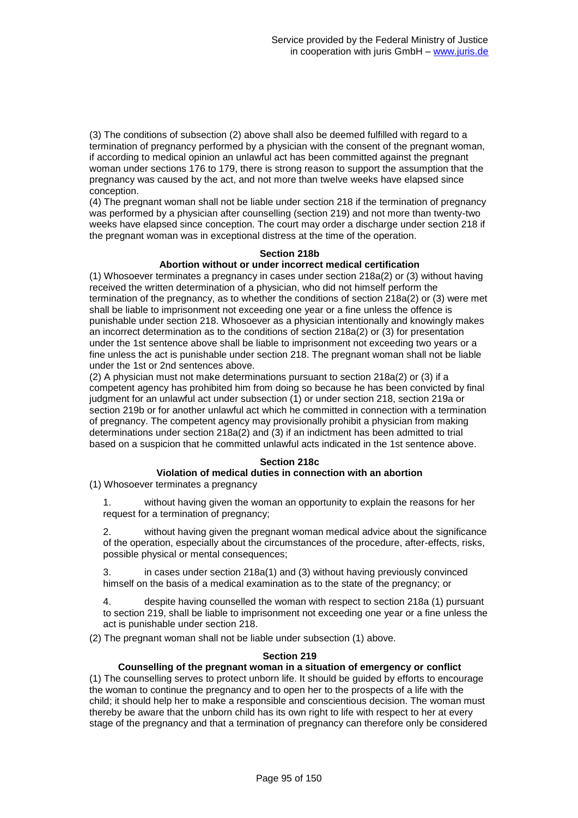(3) The conditions of subsection (2) above shall also be deemed fulfilled with regard to a termination of pregnancy performed by a physician with the consent of the pregnant woman, if according to medical opinion an unlawful act has been committed against the pregnant woman under sections 176 to 179, there is strong reason to support the assumption that the pregnancy was caused by the act, and not more than twelve weeks have elapsed since conception.

(4) The pregnant woman shall not be liable under section 218 if the termination of pregnancy was performed by a physician after counselling (section 219) and not more than twenty-two weeks have elapsed since conception. The court may order a discharge under section 218 if the pregnant woman was in exceptional distress at the time of the operation.

#### **Section 218b**

# **Abortion without or under incorrect medical certification**

(1) Whosoever terminates a pregnancy in cases under section 218a(2) or (3) without having received the written determination of a physician, who did not himself perform the termination of the pregnancy, as to whether the conditions of section 218a(2) or (3) were met shall be liable to imprisonment not exceeding one year or a fine unless the offence is punishable under section 218. Whosoever as a physician intentionally and knowingly makes an incorrect determination as to the conditions of section 218a(2) or (3) for presentation under the 1st sentence above shall be liable to imprisonment not exceeding two years or a fine unless the act is punishable under section 218. The pregnant woman shall not be liable under the 1st or 2nd sentences above.

(2) A physician must not make determinations pursuant to section 218a(2) or (3) if a competent agency has prohibited him from doing so because he has been convicted by final judgment for an unlawful act under subsection (1) or under section 218, section 219a or section 219b or for another unlawful act which he committed in connection with a termination of pregnancy. The competent agency may provisionally prohibit a physician from making determinations under section 218a(2) and (3) if an indictment has been admitted to trial based on a suspicion that he committed unlawful acts indicated in the 1st sentence above.

# **Section 218c**

# **Violation of medical duties in connection with an abortion**

(1) Whosoever terminates a pregnancy

1. without having given the woman an opportunity to explain the reasons for her request for a termination of pregnancy;

2. without having given the pregnant woman medical advice about the significance of the operation, especially about the circumstances of the procedure, after-effects, risks, possible physical or mental consequences;

3. in cases under section 218a(1) and (3) without having previously convinced himself on the basis of a medical examination as to the state of the pregnancy; or

4. despite having counselled the woman with respect to section 218a (1) pursuant to section 219, shall be liable to imprisonment not exceeding one year or a fine unless the act is punishable under section 218.

(2) The pregnant woman shall not be liable under subsection (1) above.

### **Section 219**

**Counselling of the pregnant woman in a situation of emergency or conflict** (1) The counselling serves to protect unborn life. It should be guided by efforts to encourage the woman to continue the pregnancy and to open her to the prospects of a life with the child; it should help her to make a responsible and conscientious decision. The woman must thereby be aware that the unborn child has its own right to life with respect to her at every stage of the pregnancy and that a termination of pregnancy can therefore only be considered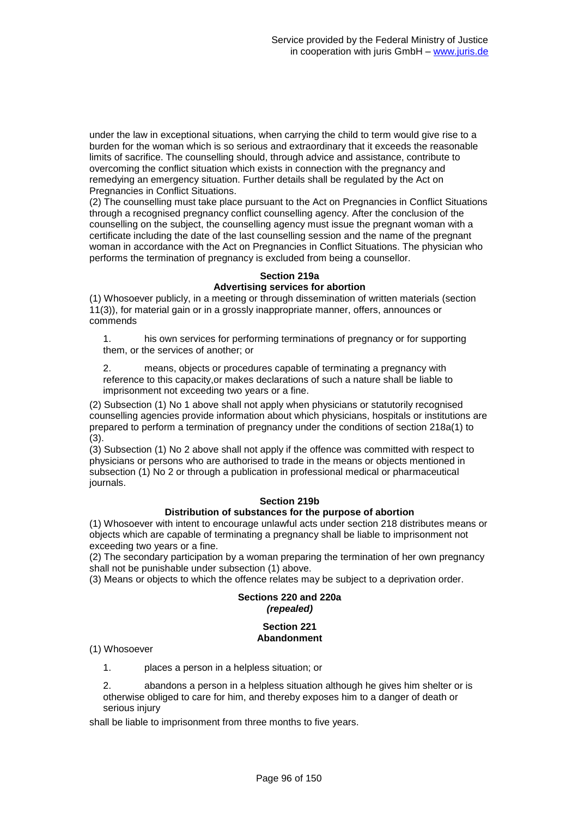under the law in exceptional situations, when carrying the child to term would give rise to a burden for the woman which is so serious and extraordinary that it exceeds the reasonable limits of sacrifice. The counselling should, through advice and assistance, contribute to overcoming the conflict situation which exists in connection with the pregnancy and remedying an emergency situation. Further details shall be regulated by the Act on Pregnancies in Conflict Situations.

(2) The counselling must take place pursuant to the Act on Pregnancies in Conflict Situations through a recognised pregnancy conflict counselling agency. After the conclusion of the counselling on the subject, the counselling agency must issue the pregnant woman with a certificate including the date of the last counselling session and the name of the pregnant woman in accordance with the Act on Pregnancies in Conflict Situations. The physician who performs the termination of pregnancy is excluded from being a counsellor.

# **Section 219a**

### **Advertising services for abortion**

(1) Whosoever publicly, in a meeting or through dissemination of written materials (section 11(3)), for material gain or in a grossly inappropriate manner, offers, announces or commends

1. his own services for performing terminations of pregnancy or for supporting them, or the services of another; or

2. means, objects or procedures capable of terminating a pregnancy with reference to this capacity,or makes declarations of such a nature shall be liable to imprisonment not exceeding two years or a fine.

(2) Subsection (1) No 1 above shall not apply when physicians or statutorily recognised counselling agencies provide information about which physicians, hospitals or institutions are prepared to perform a termination of pregnancy under the conditions of section 218a(1) to (3).

(3) Subsection (1) No 2 above shall not apply if the offence was committed with respect to physicians or persons who are authorised to trade in the means or objects mentioned in subsection (1) No 2 or through a publication in professional medical or pharmaceutical journals.

### **Section 219b**

### **Distribution of substances for the purpose of abortion**

(1) Whosoever with intent to encourage unlawful acts under section 218 distributes means or objects which are capable of terminating a pregnancy shall be liable to imprisonment not exceeding two years or a fine.

(2) The secondary participation by a woman preparing the termination of her own pregnancy shall not be punishable under subsection (1) above.

(3) Means or objects to which the offence relates may be subject to a deprivation order.

### **Sections 220 and 220a** *(repealed)*

# **Section 221 Abandonment**

(1) Whosoever

1. places a person in a helpless situation; or

2. abandons a person in a helpless situation although he gives him shelter or is otherwise obliged to care for him, and thereby exposes him to a danger of death or serious injury

shall be liable to imprisonment from three months to five years.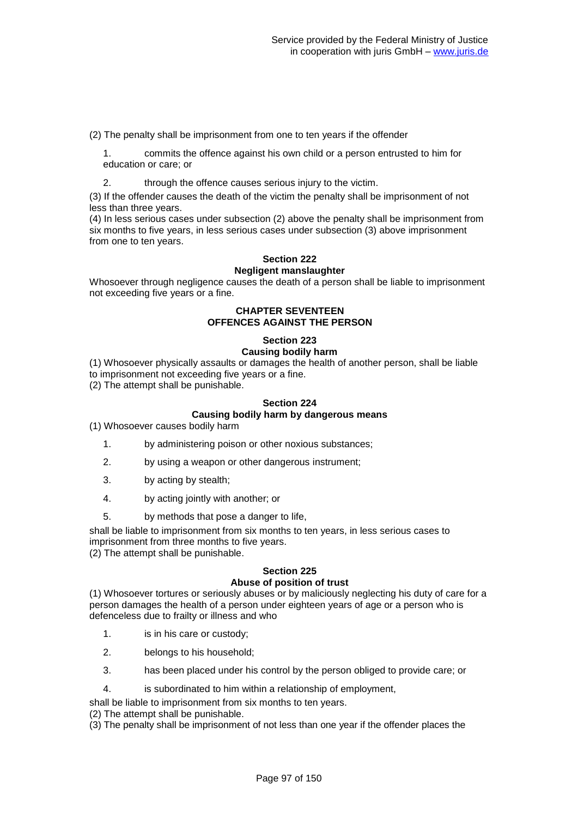(2) The penalty shall be imprisonment from one to ten years if the offender

1. commits the offence against his own child or a person entrusted to him for education or care; or

2. through the offence causes serious injury to the victim.

(3) If the offender causes the death of the victim the penalty shall be imprisonment of not less than three years.

(4) In less serious cases under subsection (2) above the penalty shall be imprisonment from six months to five years, in less serious cases under subsection (3) above imprisonment from one to ten years.

#### **Section 222 Negligent manslaughter**

Whosoever through negligence causes the death of a person shall be liable to imprisonment not exceeding five years or a fine.

### **CHAPTER SEVENTEEN OFFENCES AGAINST THE PERSON**

### **Section 223 Causing bodily harm**

(1) Whosoever physically assaults or damages the health of another person, shall be liable to imprisonment not exceeding five years or a fine.

(2) The attempt shall be punishable.

### **Section 224 Causing bodily harm by dangerous means**

(1) Whosoever causes bodily harm

- 1. by administering poison or other noxious substances;
- 2. by using a weapon or other dangerous instrument;
- 3. by acting by stealth;
- 4. by acting jointly with another; or
- 5. by methods that pose a danger to life,

shall be liable to imprisonment from six months to ten years, in less serious cases to imprisonment from three months to five years.

(2) The attempt shall be punishable.

### **Section 225 Abuse of position of trust**

(1) Whosoever tortures or seriously abuses or by maliciously neglecting his duty of care for a person damages the health of a person under eighteen years of age or a person who is defenceless due to frailty or illness and who

- 1. is in his care or custody;
- 2. belongs to his household;
- 3. has been placed under his control by the person obliged to provide care; or
- 4. is subordinated to him within a relationship of employment,

shall be liable to imprisonment from six months to ten years.

(2) The attempt shall be punishable.

(3) The penalty shall be imprisonment of not less than one year if the offender places the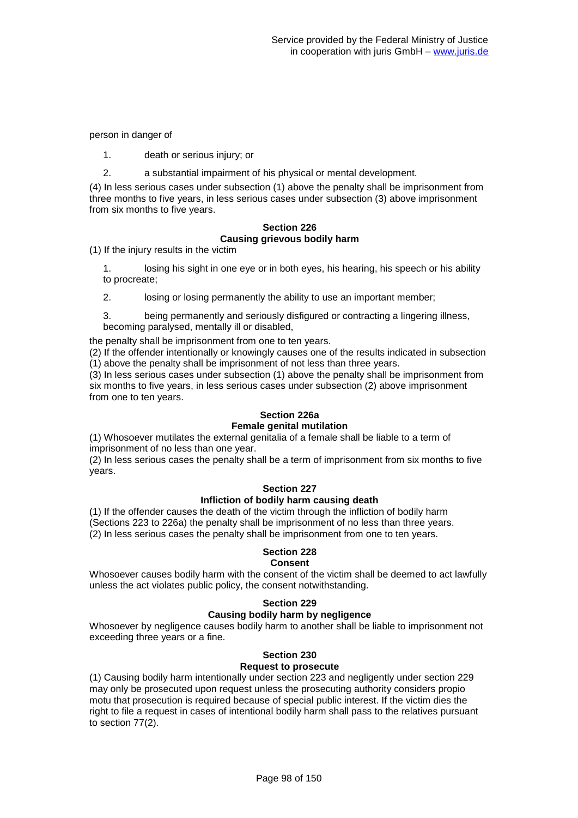person in danger of

1. death or serious injury; or

2. a substantial impairment of his physical or mental development.

(4) In less serious cases under subsection (1) above the penalty shall be imprisonment from three months to five years, in less serious cases under subsection (3) above imprisonment from six months to five years.

# **Section 226 Causing grievous bodily harm**

(1) If the injury results in the victim

1. losing his sight in one eye or in both eyes, his hearing, his speech or his ability to procreate;

2. losing or losing permanently the ability to use an important member;

3. being permanently and seriously disfigured or contracting a lingering illness, becoming paralysed, mentally ill or disabled,

the penalty shall be imprisonment from one to ten years.

(2) If the offender intentionally or knowingly causes one of the results indicated in subsection (1) above the penalty shall be imprisonment of not less than three years.

(3) In less serious cases under subsection (1) above the penalty shall be imprisonment from six months to five years, in less serious cases under subsection (2) above imprisonment from one to ten years.

# **Section 226a**

### **Female genital mutilation**

(1) Whosoever mutilates the external genitalia of a female shall be liable to a term of imprisonment of no less than one year.

(2) In less serious cases the penalty shall be a term of imprisonment from six months to five years.

### **Section 227**

### **Infliction of bodily harm causing death**

(1) If the offender causes the death of the victim through the infliction of bodily harm (Sections 223 to 226a) the penalty shall be imprisonment of no less than three years. (2) In less serious cases the penalty shall be imprisonment from one to ten years.

# **Section 228**

#### **Consent**

Whosoever causes bodily harm with the consent of the victim shall be deemed to act lawfully unless the act violates public policy, the consent notwithstanding.

# **Section 229**

#### **Causing bodily harm by negligence**

Whosoever by negligence causes bodily harm to another shall be liable to imprisonment not exceeding three years or a fine.

# **Section 230**

### **Request to prosecute**

(1) Causing bodily harm intentionally under section 223 and negligently under section 229 may only be prosecuted upon request unless the prosecuting authority considers propio motu that prosecution is required because of special public interest. If the victim dies the right to file a request in cases of intentional bodily harm shall pass to the relatives pursuant to section 77(2).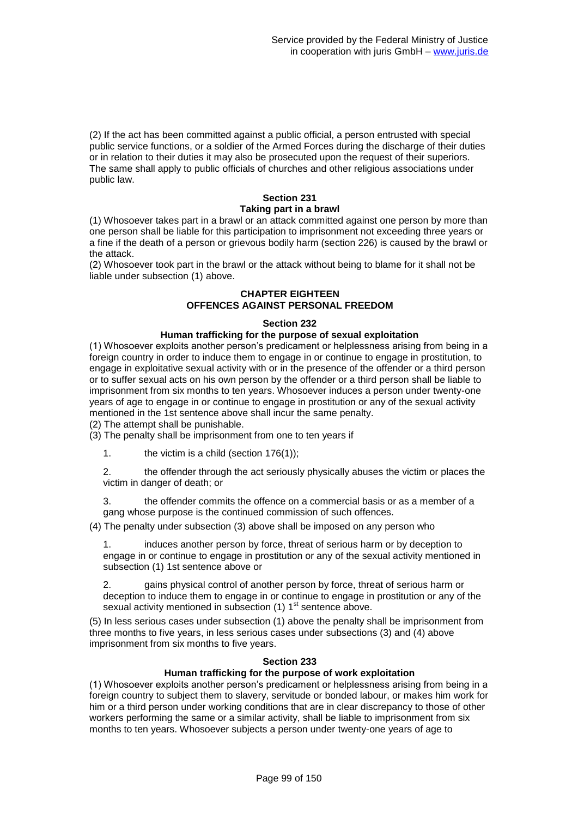(2) If the act has been committed against a public official, a person entrusted with special public service functions, or a soldier of the Armed Forces during the discharge of their duties or in relation to their duties it may also be prosecuted upon the request of their superiors. The same shall apply to public officials of churches and other religious associations under public law.

### **Section 231 Taking part in a brawl**

(1) Whosoever takes part in a brawl or an attack committed against one person by more than one person shall be liable for this participation to imprisonment not exceeding three years or a fine if the death of a person or grievous bodily harm (section 226) is caused by the brawl or the attack.

(2) Whosoever took part in the brawl or the attack without being to blame for it shall not be liable under subsection (1) above.

# **CHAPTER EIGHTEEN OFFENCES AGAINST PERSONAL FREEDOM**

# **Section 232**

# **Human trafficking for the purpose of sexual exploitation**

(1) Whosoever exploits another person's predicament or helplessness arising from being in a foreign country in order to induce them to engage in or continue to engage in prostitution, to engage in exploitative sexual activity with or in the presence of the offender or a third person or to suffer sexual acts on his own person by the offender or a third person shall be liable to imprisonment from six months to ten years. Whosoever induces a person under twenty-one years of age to engage in or continue to engage in prostitution or any of the sexual activity mentioned in the 1st sentence above shall incur the same penalty.

(2) The attempt shall be punishable.

(3) The penalty shall be imprisonment from one to ten years if

1. the victim is a child (section 176(1));

2. the offender through the act seriously physically abuses the victim or places the victim in danger of death; or

3. the offender commits the offence on a commercial basis or as a member of a gang whose purpose is the continued commission of such offences.

(4) The penalty under subsection (3) above shall be imposed on any person who

1. induces another person by force, threat of serious harm or by deception to engage in or continue to engage in prostitution or any of the sexual activity mentioned in subsection (1) 1st sentence above or

2. gains physical control of another person by force, threat of serious harm or deception to induce them to engage in or continue to engage in prostitution or any of the sexual activity mentioned in subsection (1) 1<sup>st</sup> sentence above.

(5) In less serious cases under subsection (1) above the penalty shall be imprisonment from three months to five years, in less serious cases under subsections (3) and (4) above imprisonment from six months to five years.

### **Section 233**

### **Human trafficking for the purpose of work exploitation**

(1) Whosoever exploits another person's predicament or helplessness arising from being in a foreign country to subject them to slavery, servitude or bonded labour, or makes him work for him or a third person under working conditions that are in clear discrepancy to those of other workers performing the same or a similar activity, shall be liable to imprisonment from six months to ten years. Whosoever subjects a person under twenty-one years of age to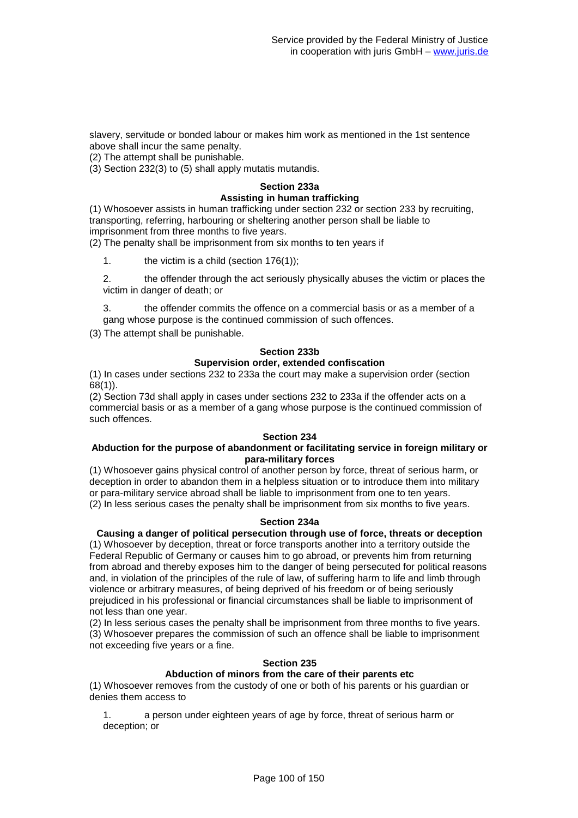slavery, servitude or bonded labour or makes him work as mentioned in the 1st sentence above shall incur the same penalty.

(2) The attempt shall be punishable.

(3) Section 232(3) to (5) shall apply mutatis mutandis.

# **Section 233a**

# **Assisting in human trafficking**

(1) Whosoever assists in human trafficking under section 232 or section 233 by recruiting, transporting, referring, harbouring or sheltering another person shall be liable to imprisonment from three months to five years.

(2) The penalty shall be imprisonment from six months to ten years if

1. the victim is a child (section 176(1));

2. the offender through the act seriously physically abuses the victim or places the victim in danger of death; or

3. the offender commits the offence on a commercial basis or as a member of a gang whose purpose is the continued commission of such offences.

(3) The attempt shall be punishable.

# **Section 233b**

# **Supervision order, extended confiscation**

(1) In cases under sections 232 to 233a the court may make a supervision order (section 68(1)).

(2) Section 73d shall apply in cases under sections 232 to 233a if the offender acts on a commercial basis or as a member of a gang whose purpose is the continued commission of such offences.

### **Section 234**

### **Abduction for the purpose of abandonment or facilitating service in foreign military or para-military forces**

(1) Whosoever gains physical control of another person by force, threat of serious harm, or deception in order to abandon them in a helpless situation or to introduce them into military or para-military service abroad shall be liable to imprisonment from one to ten years. (2) In less serious cases the penalty shall be imprisonment from six months to five years.

#### **Section 234a**

### **Causing a danger of political persecution through use of force, threats or deception**

(1) Whosoever by deception, threat or force transports another into a territory outside the Federal Republic of Germany or causes him to go abroad, or prevents him from returning from abroad and thereby exposes him to the danger of being persecuted for political reasons and, in violation of the principles of the rule of law, of suffering harm to life and limb through violence or arbitrary measures, of being deprived of his freedom or of being seriously prejudiced in his professional or financial circumstances shall be liable to imprisonment of not less than one year.

(2) In less serious cases the penalty shall be imprisonment from three months to five years. (3) Whosoever prepares the commission of such an offence shall be liable to imprisonment not exceeding five years or a fine.

### **Section 235**

# **Abduction of minors from the care of their parents etc**

(1) Whosoever removes from the custody of one or both of his parents or his guardian or denies them access to

1. a person under eighteen years of age by force, threat of serious harm or deception; or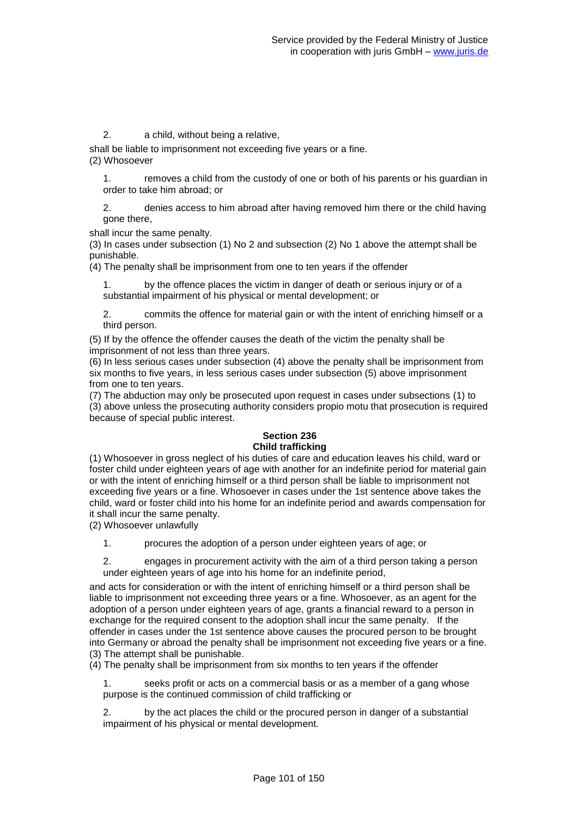2. a child, without being a relative,

shall be liable to imprisonment not exceeding five years or a fine. (2) Whosoever

1. removes a child from the custody of one or both of his parents or his guardian in order to take him abroad; or

2. denies access to him abroad after having removed him there or the child having gone there,

shall incur the same penalty.

(3) In cases under subsection (1) No 2 and subsection (2) No 1 above the attempt shall be punishable.

(4) The penalty shall be imprisonment from one to ten years if the offender

1. by the offence places the victim in danger of death or serious injury or of a substantial impairment of his physical or mental development; or

2. commits the offence for material gain or with the intent of enriching himself or a third person.

(5) If by the offence the offender causes the death of the victim the penalty shall be imprisonment of not less than three years.

(6) In less serious cases under subsection (4) above the penalty shall be imprisonment from six months to five years, in less serious cases under subsection (5) above imprisonment from one to ten years.

(7) The abduction may only be prosecuted upon request in cases under subsections (1) to (3) above unless the prosecuting authority considers propio motu that prosecution is required because of special public interest.

### **Section 236 Child trafficking**

(1) Whosoever in gross neglect of his duties of care and education leaves his child, ward or foster child under eighteen years of age with another for an indefinite period for material gain or with the intent of enriching himself or a third person shall be liable to imprisonment not exceeding five years or a fine. Whosoever in cases under the 1st sentence above takes the child, ward or foster child into his home for an indefinite period and awards compensation for it shall incur the same penalty.

(2) Whosoever unlawfully

1. procures the adoption of a person under eighteen years of age; or

2. engages in procurement activity with the aim of a third person taking a person under eighteen years of age into his home for an indefinite period,

and acts for consideration or with the intent of enriching himself or a third person shall be liable to imprisonment not exceeding three years or a fine. Whosoever, as an agent for the adoption of a person under eighteen years of age, grants a financial reward to a person in exchange for the required consent to the adoption shall incur the same penalty. If the offender in cases under the 1st sentence above causes the procured person to be brought into Germany or abroad the penalty shall be imprisonment not exceeding five years or a fine. (3) The attempt shall be punishable.

(4) The penalty shall be imprisonment from six months to ten years if the offender

1. seeks profit or acts on a commercial basis or as a member of a gang whose purpose is the continued commission of child trafficking or

2. by the act places the child or the procured person in danger of a substantial impairment of his physical or mental development.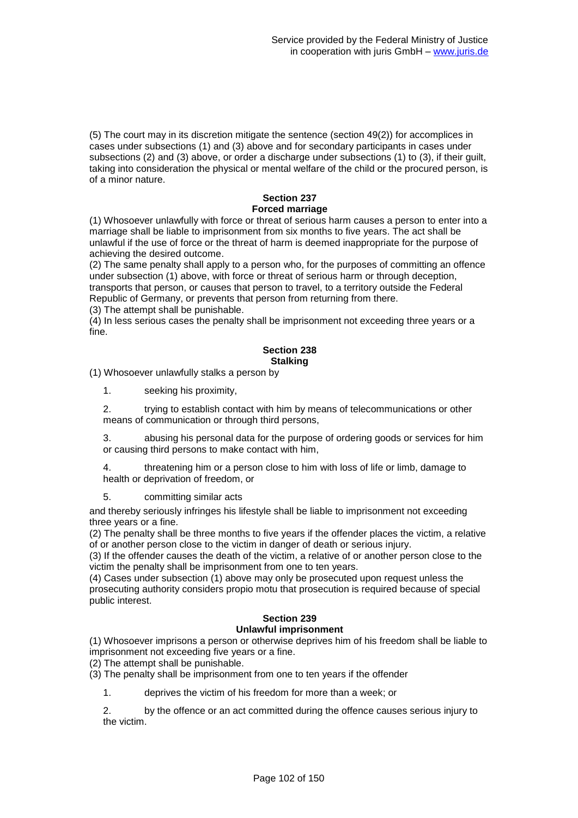(5) The court may in its discretion mitigate the sentence (section 49(2)) for accomplices in cases under subsections (1) and (3) above and for secondary participants in cases under subsections (2) and (3) above, or order a discharge under subsections (1) to (3), if their guilt, taking into consideration the physical or mental welfare of the child or the procured person, is of a minor nature.

### **Section 237 Forced marriage**

(1) Whosoever unlawfully with force or threat of serious harm causes a person to enter into a marriage shall be liable to imprisonment from six months to five years. The act shall be unlawful if the use of force or the threat of harm is deemed inappropriate for the purpose of achieving the desired outcome.

(2) The same penalty shall apply to a person who, for the purposes of committing an offence under subsection (1) above, with force or threat of serious harm or through deception, transports that person, or causes that person to travel, to a territory outside the Federal Republic of Germany, or prevents that person from returning from there.

(3) The attempt shall be punishable.

(4) In less serious cases the penalty shall be imprisonment not exceeding three years or a fine.

# **Section 238**

# **Stalking**

(1) Whosoever unlawfully stalks a person by

1. seeking his proximity,

2. trying to establish contact with him by means of telecommunications or other means of communication or through third persons,

3. abusing his personal data for the purpose of ordering goods or services for him or causing third persons to make contact with him,

4. threatening him or a person close to him with loss of life or limb, damage to health or deprivation of freedom, or

5. committing similar acts

and thereby seriously infringes his lifestyle shall be liable to imprisonment not exceeding three years or a fine.

(2) The penalty shall be three months to five years if the offender places the victim, a relative of or another person close to the victim in danger of death or serious injury.

(3) If the offender causes the death of the victim, a relative of or another person close to the victim the penalty shall be imprisonment from one to ten years.

(4) Cases under subsection (1) above may only be prosecuted upon request unless the prosecuting authority considers propio motu that prosecution is required because of special public interest.

#### **Section 239 Unlawful imprisonment**

(1) Whosoever imprisons a person or otherwise deprives him of his freedom shall be liable to imprisonment not exceeding five years or a fine.

(2) The attempt shall be punishable.

(3) The penalty shall be imprisonment from one to ten years if the offender

1. deprives the victim of his freedom for more than a week; or

2. by the offence or an act committed during the offence causes serious injury to the victim.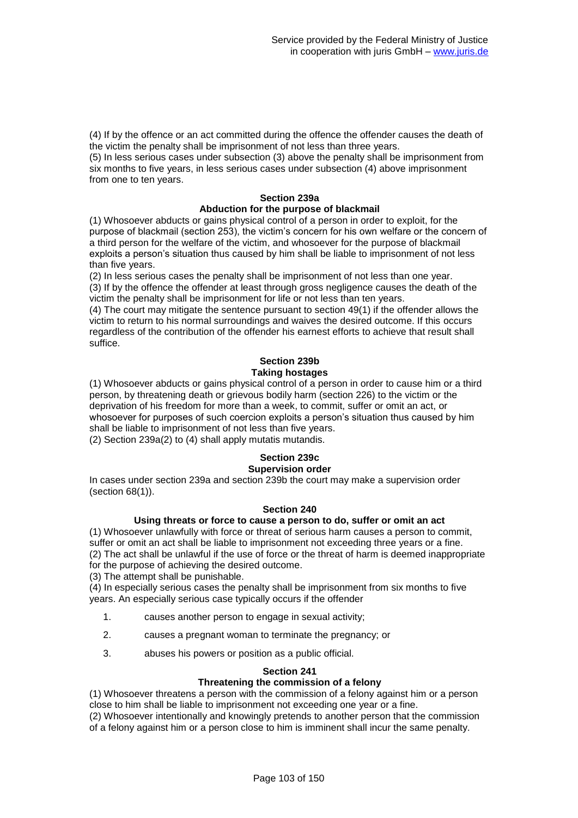(4) If by the offence or an act committed during the offence the offender causes the death of the victim the penalty shall be imprisonment of not less than three years.

(5) In less serious cases under subsection (3) above the penalty shall be imprisonment from six months to five years, in less serious cases under subsection (4) above imprisonment from one to ten years.

### **Section 239a Abduction for the purpose of blackmail**

(1) Whosoever abducts or gains physical control of a person in order to exploit, for the purpose of blackmail (section 253), the victim's concern for his own welfare or the concern of a third person for the welfare of the victim, and whosoever for the purpose of blackmail exploits a person's situation thus caused by him shall be liable to imprisonment of not less than five years.

(2) In less serious cases the penalty shall be imprisonment of not less than one year. (3) If by the offence the offender at least through gross negligence causes the death of the victim the penalty shall be imprisonment for life or not less than ten years.

(4) The court may mitigate the sentence pursuant to section 49(1) if the offender allows the victim to return to his normal surroundings and waives the desired outcome. If this occurs regardless of the contribution of the offender his earnest efforts to achieve that result shall suffice.

# **Section 239b Taking hostages**

(1) Whosoever abducts or gains physical control of a person in order to cause him or a third person, by threatening death or grievous bodily harm (section 226) to the victim or the deprivation of his freedom for more than a week, to commit, suffer or omit an act, or whosoever for purposes of such coercion exploits a person's situation thus caused by him shall be liable to imprisonment of not less than five years. (2) Section 239a(2) to (4) shall apply mutatis mutandis.

# **Section 239c Supervision order**

In cases under section 239a and section 239b the court may make a supervision order (section 68(1)).

# **Section 240**

# **Using threats or force to cause a person to do, suffer or omit an act**

(1) Whosoever unlawfully with force or threat of serious harm causes a person to commit, suffer or omit an act shall be liable to imprisonment not exceeding three years or a fine. (2) The act shall be unlawful if the use of force or the threat of harm is deemed inappropriate for the purpose of achieving the desired outcome.

(3) The attempt shall be punishable.

(4) In especially serious cases the penalty shall be imprisonment from six months to five years. An especially serious case typically occurs if the offender

- 1. causes another person to engage in sexual activity;
- 2. causes a pregnant woman to terminate the pregnancy; or
- 3. abuses his powers or position as a public official.

# **Section 241**

# **Threatening the commission of a felony**

(1) Whosoever threatens a person with the commission of a felony against him or a person close to him shall be liable to imprisonment not exceeding one year or a fine.

(2) Whosoever intentionally and knowingly pretends to another person that the commission of a felony against him or a person close to him is imminent shall incur the same penalty.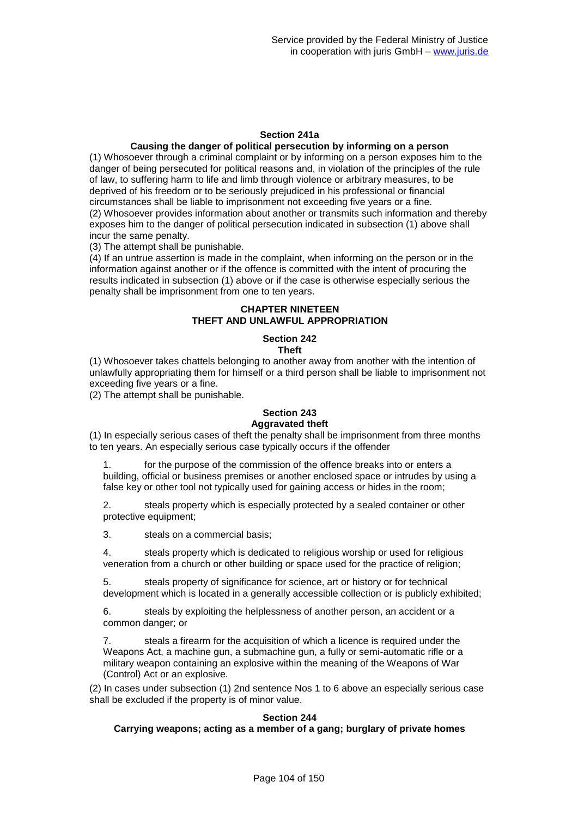#### **Section 241a**

### **Causing the danger of political persecution by informing on a person**

(1) Whosoever through a criminal complaint or by informing on a person exposes him to the danger of being persecuted for political reasons and, in violation of the principles of the rule of law, to suffering harm to life and limb through violence or arbitrary measures, to be deprived of his freedom or to be seriously prejudiced in his professional or financial circumstances shall be liable to imprisonment not exceeding five years or a fine. (2) Whosoever provides information about another or transmits such information and thereby exposes him to the danger of political persecution indicated in subsection (1) above shall incur the same penalty.

(3) The attempt shall be punishable.

(4) If an untrue assertion is made in the complaint, when informing on the person or in the information against another or if the offence is committed with the intent of procuring the results indicated in subsection (1) above or if the case is otherwise especially serious the penalty shall be imprisonment from one to ten years.

# **CHAPTER NINETEEN THEFT AND UNLAWFUL APPROPRIATION**

#### **Section 242 Theft**

(1) Whosoever takes chattels belonging to another away from another with the intention of unlawfully appropriating them for himself or a third person shall be liable to imprisonment not exceeding five years or a fine.

(2) The attempt shall be punishable.

### **Section 243 Aggravated theft**

(1) In especially serious cases of theft the penalty shall be imprisonment from three months to ten years. An especially serious case typically occurs if the offender

1. for the purpose of the commission of the offence breaks into or enters a building, official or business premises or another enclosed space or intrudes by using a false key or other tool not typically used for gaining access or hides in the room;

2. steals property which is especially protected by a sealed container or other protective equipment;

3. steals on a commercial basis;

4. steals property which is dedicated to religious worship or used for religious veneration from a church or other building or space used for the practice of religion;

5. steals property of significance for science, art or history or for technical development which is located in a generally accessible collection or is publicly exhibited;

6. steals by exploiting the helplessness of another person, an accident or a common danger; or

7. steals a firearm for the acquisition of which a licence is required under the Weapons Act, a machine gun, a submachine gun, a fully or semi-automatic rifle or a military weapon containing an explosive within the meaning of the Weapons of War (Control) Act or an explosive.

(2) In cases under subsection (1) 2nd sentence Nos 1 to 6 above an especially serious case shall be excluded if the property is of minor value.

# **Section 244 Carrying weapons; acting as a member of a gang; burglary of private homes**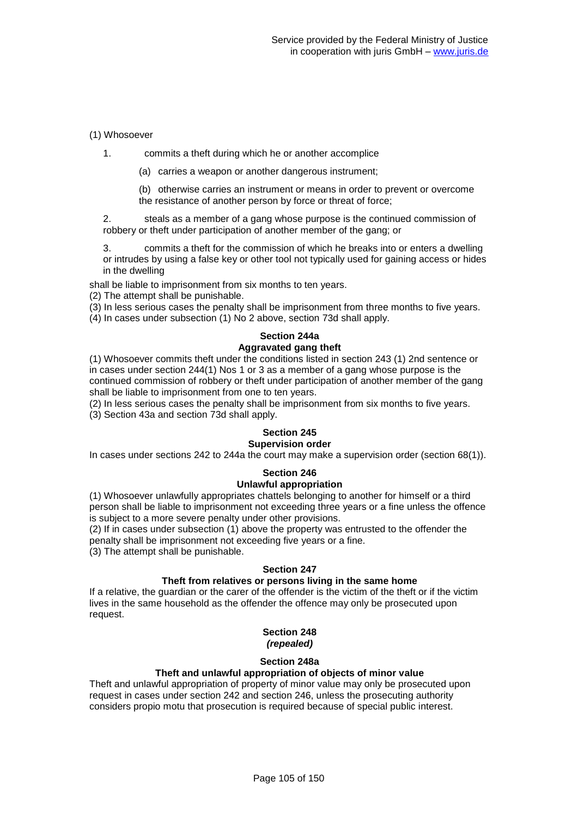### (1) Whosoever

- 1. commits a theft during which he or another accomplice
	- (a) carries a weapon or another dangerous instrument;
	- (b) otherwise carries an instrument or means in order to prevent or overcome the resistance of another person by force or threat of force;

2. steals as a member of a gang whose purpose is the continued commission of robbery or theft under participation of another member of the gang; or

3. commits a theft for the commission of which he breaks into or enters a dwelling or intrudes by using a false key or other tool not typically used for gaining access or hides in the dwelling

shall be liable to imprisonment from six months to ten years.

(2) The attempt shall be punishable.

(3) In less serious cases the penalty shall be imprisonment from three months to five years.

(4) In cases under subsection (1) No 2 above, section 73d shall apply.

# **Section 244a**

# **Aggravated gang theft**

(1) Whosoever commits theft under the conditions listed in section 243 (1) 2nd sentence or in cases under section 244(1) Nos 1 or 3 as a member of a gang whose purpose is the continued commission of robbery or theft under participation of another member of the gang shall be liable to imprisonment from one to ten years.

(2) In less serious cases the penalty shall be imprisonment from six months to five years. (3) Section 43a and section 73d shall apply.

# **Section 245**

# **Supervision order**

In cases under sections 242 to 244a the court may make a supervision order (section 68(1)).

# **Section 246**

# **Unlawful appropriation**

(1) Whosoever unlawfully appropriates chattels belonging to another for himself or a third person shall be liable to imprisonment not exceeding three years or a fine unless the offence is subject to a more severe penalty under other provisions.

(2) If in cases under subsection (1) above the property was entrusted to the offender the penalty shall be imprisonment not exceeding five years or a fine.

(3) The attempt shall be punishable.

# **Section 247**

# **Theft from relatives or persons living in the same home**

If a relative, the guardian or the carer of the offender is the victim of the theft or if the victim lives in the same household as the offender the offence may only be prosecuted upon request.

#### **Section 248** *(repealed)*

### **Section 248a**

# **Theft and unlawful appropriation of objects of minor value**

Theft and unlawful appropriation of property of minor value may only be prosecuted upon request in cases under section 242 and section 246, unless the prosecuting authority considers propio motu that prosecution is required because of special public interest.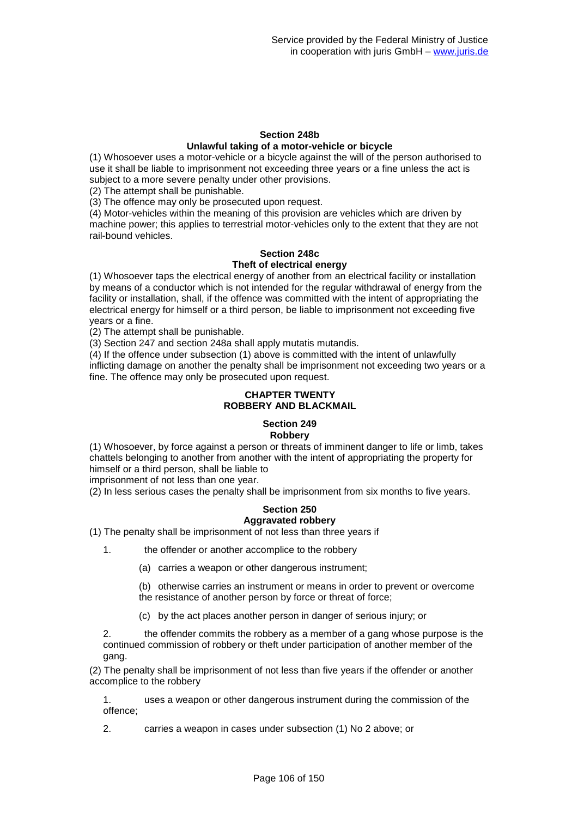## **Section 248b Unlawful taking of a motor-vehicle or bicycle**

(1) Whosoever uses a motor-vehicle or a bicycle against the will of the person authorised to use it shall be liable to imprisonment not exceeding three years or a fine unless the act is subject to a more severe penalty under other provisions.

(2) The attempt shall be punishable.

(3) The offence may only be prosecuted upon request.

(4) Motor-vehicles within the meaning of this provision are vehicles which are driven by machine power; this applies to terrestrial motor-vehicles only to the extent that they are not rail-bound vehicles.

# **Section 248c Theft of electrical energy**

(1) Whosoever taps the electrical energy of another from an electrical facility or installation by means of a conductor which is not intended for the regular withdrawal of energy from the facility or installation, shall, if the offence was committed with the intent of appropriating the electrical energy for himself or a third person, be liable to imprisonment not exceeding five years or a fine.

(2) The attempt shall be punishable.

(3) Section 247 and section 248a shall apply mutatis mutandis.

(4) If the offence under subsection (1) above is committed with the intent of unlawfully inflicting damage on another the penalty shall be imprisonment not exceeding two years or a fine. The offence may only be prosecuted upon request.

### **CHAPTER TWENTY ROBBERY AND BLACKMAIL**

#### **Section 249 Robbery**

(1) Whosoever, by force against a person or threats of imminent danger to life or limb, takes chattels belonging to another from another with the intent of appropriating the property for himself or a third person, shall be liable to

imprisonment of not less than one year.

(2) In less serious cases the penalty shall be imprisonment from six months to five years.

#### **Section 250 Aggravated robbery**

(1) The penalty shall be imprisonment of not less than three years if

1. the offender or another accomplice to the robbery

(a) carries a weapon or other dangerous instrument;

(b) otherwise carries an instrument or means in order to prevent or overcome the resistance of another person by force or threat of force;

(c) by the act places another person in danger of serious injury; or

2. the offender commits the robbery as a member of a gang whose purpose is the continued commission of robbery or theft under participation of another member of the gang.

(2) The penalty shall be imprisonment of not less than five years if the offender or another accomplice to the robbery

1. uses a weapon or other dangerous instrument during the commission of the offence;

2. carries a weapon in cases under subsection (1) No 2 above; or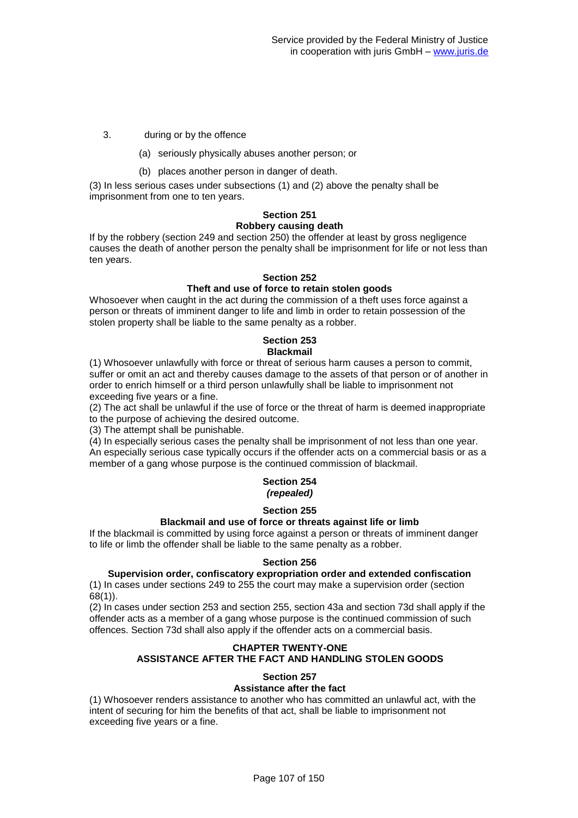3. during or by the offence

- (a) seriously physically abuses another person; or
- (b) places another person in danger of death.

(3) In less serious cases under subsections (1) and (2) above the penalty shall be imprisonment from one to ten years.

# **Section 251 Robbery causing death**

If by the robbery (section 249 and section 250) the offender at least by gross negligence causes the death of another person the penalty shall be imprisonment for life or not less than ten years.

### **Section 252**

# **Theft and use of force to retain stolen goods**

Whosoever when caught in the act during the commission of a theft uses force against a person or threats of imminent danger to life and limb in order to retain possession of the stolen property shall be liable to the same penalty as a robber.

### **Section 253 Blackmail**

(1) Whosoever unlawfully with force or threat of serious harm causes a person to commit, suffer or omit an act and thereby causes damage to the assets of that person or of another in order to enrich himself or a third person unlawfully shall be liable to imprisonment not exceeding five years or a fine.

(2) The act shall be unlawful if the use of force or the threat of harm is deemed inappropriate to the purpose of achieving the desired outcome.

(3) The attempt shall be punishable.

(4) In especially serious cases the penalty shall be imprisonment of not less than one year. An especially serious case typically occurs if the offender acts on a commercial basis or as a member of a gang whose purpose is the continued commission of blackmail.

### **Section 254** *(repealed)*

# **Section 255**

### **Blackmail and use of force or threats against life or limb**

If the blackmail is committed by using force against a person or threats of imminent danger to life or limb the offender shall be liable to the same penalty as a robber.

### **Section 256**

### **Supervision order, confiscatory expropriation order and extended confiscation**

(1) In cases under sections 249 to 255 the court may make a supervision order (section 68(1)).

(2) In cases under section 253 and section 255, section 43a and section 73d shall apply if the offender acts as a member of a gang whose purpose is the continued commission of such offences. Section 73d shall also apply if the offender acts on a commercial basis.

# **CHAPTER TWENTY-ONE ASSISTANCE AFTER THE FACT AND HANDLING STOLEN GOODS**

# **Section 257**

# **Assistance after the fact**

(1) Whosoever renders assistance to another who has committed an unlawful act, with the intent of securing for him the benefits of that act, shall be liable to imprisonment not exceeding five years or a fine.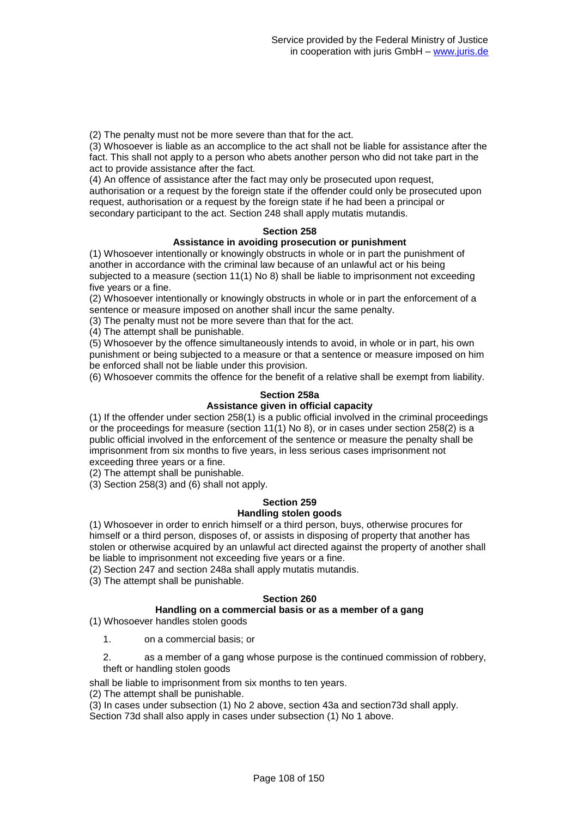(2) The penalty must not be more severe than that for the act.

(3) Whosoever is liable as an accomplice to the act shall not be liable for assistance after the fact. This shall not apply to a person who abets another person who did not take part in the act to provide assistance after the fact.

(4) An offence of assistance after the fact may only be prosecuted upon request,

authorisation or a request by the foreign state if the offender could only be prosecuted upon request, authorisation or a request by the foreign state if he had been a principal or secondary participant to the act. Section 248 shall apply mutatis mutandis.

### **Section 258**

### **Assistance in avoiding prosecution or punishment**

(1) Whosoever intentionally or knowingly obstructs in whole or in part the punishment of another in accordance with the criminal law because of an unlawful act or his being subjected to a measure (section 11(1) No 8) shall be liable to imprisonment not exceeding five years or a fine.

(2) Whosoever intentionally or knowingly obstructs in whole or in part the enforcement of a sentence or measure imposed on another shall incur the same penalty.

(3) The penalty must not be more severe than that for the act.

(4) The attempt shall be punishable.

(5) Whosoever by the offence simultaneously intends to avoid, in whole or in part, his own punishment or being subjected to a measure or that a sentence or measure imposed on him be enforced shall not be liable under this provision.

(6) Whosoever commits the offence for the benefit of a relative shall be exempt from liability.

# **Section 258a**

# **Assistance given in official capacity**

(1) If the offender under section 258(1) is a public official involved in the criminal proceedings or the proceedings for measure (section 11(1) No 8), or in cases under section 258(2) is a public official involved in the enforcement of the sentence or measure the penalty shall be imprisonment from six months to five years, in less serious cases imprisonment not exceeding three years or a fine.

(2) The attempt shall be punishable.

(3) Section 258(3) and (6) shall not apply.

# **Section 259**

### **Handling stolen goods**

(1) Whosoever in order to enrich himself or a third person, buys, otherwise procures for himself or a third person, disposes of, or assists in disposing of property that another has stolen or otherwise acquired by an unlawful act directed against the property of another shall be liable to imprisonment not exceeding five years or a fine.

(2) Section 247 and section 248a shall apply mutatis mutandis.

(3) The attempt shall be punishable.

#### **Section 260**

# **Handling on a commercial basis or as a member of a gang**

(1) Whosoever handles stolen goods

- 1. on a commercial basis; or
- 2. as a member of a gang whose purpose is the continued commission of robbery, theft or handling stolen goods

shall be liable to imprisonment from six months to ten years.

(2) The attempt shall be punishable.

(3) In cases under subsection (1) No 2 above, section 43a and section73d shall apply. Section 73d shall also apply in cases under subsection (1) No 1 above.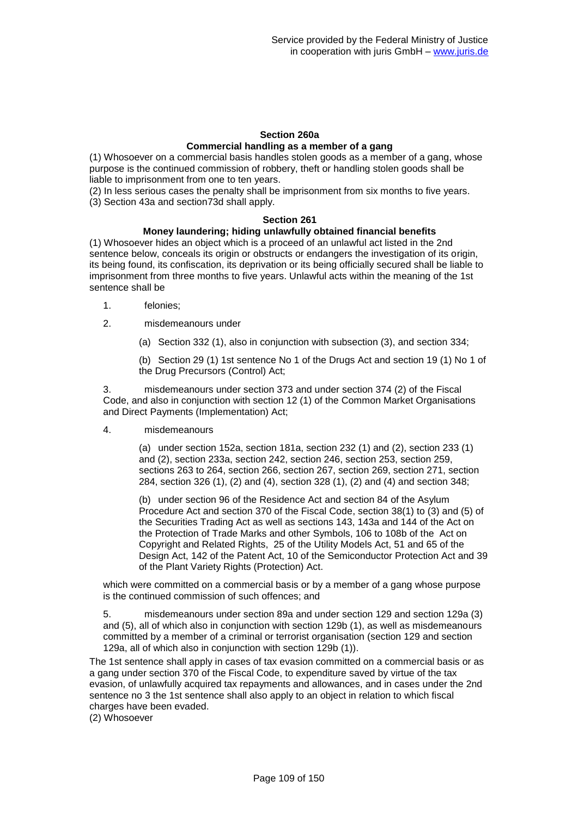#### **Section 260a Commercial handling as a member of a gang**

(1) Whosoever on a commercial basis handles stolen goods as a member of a gang, whose purpose is the continued commission of robbery, theft or handling stolen goods shall be liable to imprisonment from one to ten years.

(2) In less serious cases the penalty shall be imprisonment from six months to five years. (3) Section 43a and section73d shall apply.

### **Section 261**

### **Money laundering; hiding unlawfully obtained financial benefits**

(1) Whosoever hides an object which is a proceed of an unlawful act listed in the 2nd sentence below, conceals its origin or obstructs or endangers the investigation of its origin. its being found, its confiscation, its deprivation or its being officially secured shall be liable to imprisonment from three months to five years. Unlawful acts within the meaning of the 1st sentence shall be

- 1. felonies;
- 2. misdemeanours under
	- (a) Section 332 (1), also in conjunction with subsection (3), and section 334;

(b) Section 29 (1) 1st sentence No 1 of the Drugs Act and section 19 (1) No 1 of the Drug Precursors (Control) Act;

3. misdemeanours under section 373 and under section 374 (2) of the Fiscal Code, and also in conjunction with section 12 (1) of the Common Market Organisations and Direct Payments (Implementation) Act;

### 4. misdemeanours

(a) under section 152a, section 181a, section 232 (1) and (2), section 233 (1) and (2), section 233a, section 242, section 246, section 253, section 259, sections 263 to 264, section 266, section 267, section 269, section 271, section 284, section 326 (1), (2) and (4), section 328 (1), (2) and (4) and section 348;

(b) under section 96 of the Residence Act and section 84 of the Asylum Procedure Act and section 370 of the Fiscal Code, section 38(1) to (3) and (5) of the Securities Trading Act as well as sections 143, 143a and 144 of the Act on the Protection of Trade Marks and other Symbols, 106 to 108b of the Act on Copyright and Related Rights, 25 of the Utility Models Act, 51 and 65 of the Design Act, 142 of the Patent Act, 10 of the Semiconductor Protection Act and 39 of the Plant Variety Rights (Protection) Act.

which were committed on a commercial basis or by a member of a gang whose purpose is the continued commission of such offences; and

5. misdemeanours under section 89a and under section 129 and section 129a (3) and (5), all of which also in conjunction with section 129b (1), as well as misdemeanours committed by a member of a criminal or terrorist organisation (section 129 and section 129a, all of which also in conjunction with section 129b (1)).

The 1st sentence shall apply in cases of tax evasion committed on a commercial basis or as a gang under section 370 of the Fiscal Code, to expenditure saved by virtue of the tax evasion, of unlawfully acquired tax repayments and allowances, and in cases under the 2nd sentence no 3 the 1st sentence shall also apply to an object in relation to which fiscal charges have been evaded.

(2) Whosoever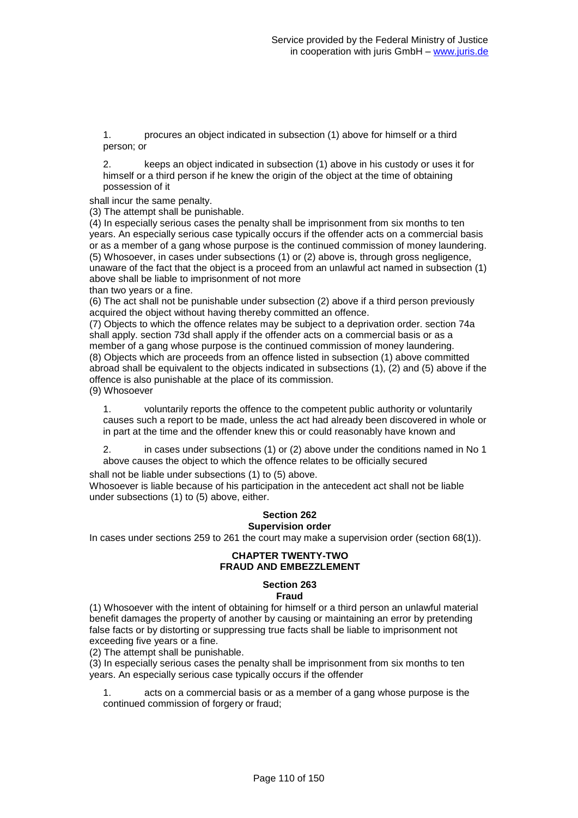1. procures an object indicated in subsection (1) above for himself or a third person; or

2. keeps an object indicated in subsection (1) above in his custody or uses it for himself or a third person if he knew the origin of the object at the time of obtaining possession of it

shall incur the same penalty.

(3) The attempt shall be punishable.

(4) In especially serious cases the penalty shall be imprisonment from six months to ten years. An especially serious case typically occurs if the offender acts on a commercial basis or as a member of a gang whose purpose is the continued commission of money laundering. (5) Whosoever, in cases under subsections (1) or (2) above is, through gross negligence, unaware of the fact that the object is a proceed from an unlawful act named in subsection (1) above shall be liable to imprisonment of not more than two years or a fine.

(6) The act shall not be punishable under subsection (2) above if a third person previously acquired the object without having thereby committed an offence.

(7) Objects to which the offence relates may be subject to a deprivation order. section 74a shall apply. section 73d shall apply if the offender acts on a commercial basis or as a member of a gang whose purpose is the continued commission of money laundering. (8) Objects which are proceeds from an offence listed in subsection (1) above committed abroad shall be equivalent to the objects indicated in subsections (1), (2) and (5) above if the offence is also punishable at the place of its commission. (9) Whosoever

1. voluntarily reports the offence to the competent public authority or voluntarily causes such a report to be made, unless the act had already been discovered in whole or in part at the time and the offender knew this or could reasonably have known and

2. in cases under subsections (1) or (2) above under the conditions named in No 1 above causes the object to which the offence relates to be officially secured

shall not be liable under subsections (1) to (5) above. Whosoever is liable because of his participation in the antecedent act shall not be liable under subsections (1) to (5) above, either.

### **Section 262 Supervision order**

In cases under sections 259 to 261 the court may make a supervision order (section 68(1)).

### **CHAPTER TWENTY-TWO FRAUD AND EMBEZZLEMENT**

# **Section 263**

### **Fraud**

(1) Whosoever with the intent of obtaining for himself or a third person an unlawful material benefit damages the property of another by causing or maintaining an error by pretending false facts or by distorting or suppressing true facts shall be liable to imprisonment not exceeding five years or a fine.

(2) The attempt shall be punishable.

(3) In especially serious cases the penalty shall be imprisonment from six months to ten years. An especially serious case typically occurs if the offender

1. acts on a commercial basis or as a member of a gang whose purpose is the continued commission of forgery or fraud;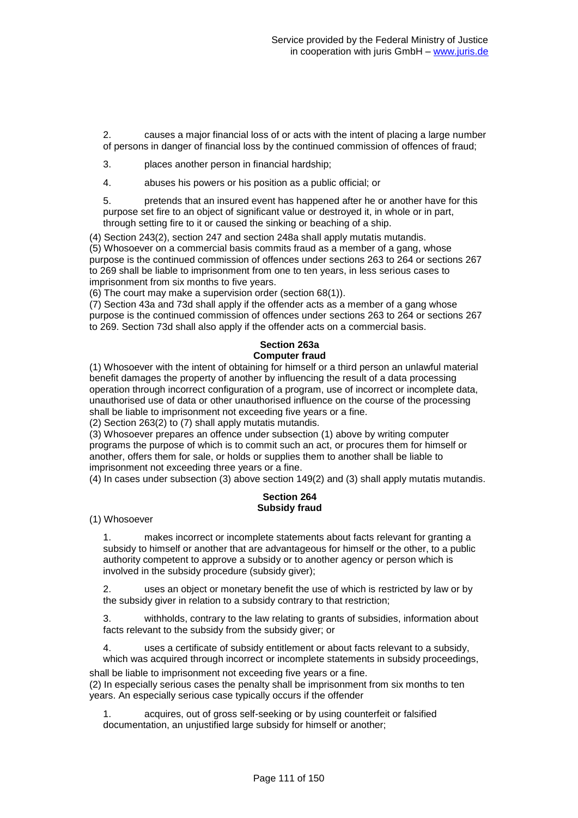2. causes a major financial loss of or acts with the intent of placing a large number of persons in danger of financial loss by the continued commission of offences of fraud;

3. places another person in financial hardship;

4. abuses his powers or his position as a public official; or

5. pretends that an insured event has happened after he or another have for this purpose set fire to an object of significant value or destroyed it, in whole or in part, through setting fire to it or caused the sinking or beaching of a ship.

(4) Section 243(2), section 247 and section 248a shall apply mutatis mutandis.

(5) Whosoever on a commercial basis commits fraud as a member of a gang, whose purpose is the continued commission of offences under sections 263 to 264 or sections 267 to 269 shall be liable to imprisonment from one to ten years, in less serious cases to imprisonment from six months to five years.

(6) The court may make a supervision order (section 68(1)).

(7) Section 43a and 73d shall apply if the offender acts as a member of a gang whose purpose is the continued commission of offences under sections 263 to 264 or sections 267 to 269. Section 73d shall also apply if the offender acts on a commercial basis.

### **Section 263a Computer fraud**

(1) Whosoever with the intent of obtaining for himself or a third person an unlawful material benefit damages the property of another by influencing the result of a data processing operation through incorrect configuration of a program, use of incorrect or incomplete data, unauthorised use of data or other unauthorised influence on the course of the processing shall be liable to imprisonment not exceeding five years or a fine.

(2) Section 263(2) to (7) shall apply mutatis mutandis.

(3) Whosoever prepares an offence under subsection (1) above by writing computer programs the purpose of which is to commit such an act, or procures them for himself or another, offers them for sale, or holds or supplies them to another shall be liable to imprisonment not exceeding three years or a fine.

(4) In cases under subsection (3) above section 149(2) and (3) shall apply mutatis mutandis.

### **Section 264 Subsidy fraud**

(1) Whosoever

1. makes incorrect or incomplete statements about facts relevant for granting a subsidy to himself or another that are advantageous for himself or the other, to a public authority competent to approve a subsidy or to another agency or person which is involved in the subsidy procedure (subsidy giver);

2. uses an object or monetary benefit the use of which is restricted by law or by the subsidy giver in relation to a subsidy contrary to that restriction;

3. withholds, contrary to the law relating to grants of subsidies, information about facts relevant to the subsidy from the subsidy giver; or

uses a certificate of subsidy entitlement or about facts relevant to a subsidy, which was acquired through incorrect or incomplete statements in subsidy proceedings,

shall be liable to imprisonment not exceeding five years or a fine. (2) In especially serious cases the penalty shall be imprisonment from six months to ten years. An especially serious case typically occurs if the offender

1. acquires, out of gross self-seeking or by using counterfeit or falsified documentation, an unjustified large subsidy for himself or another;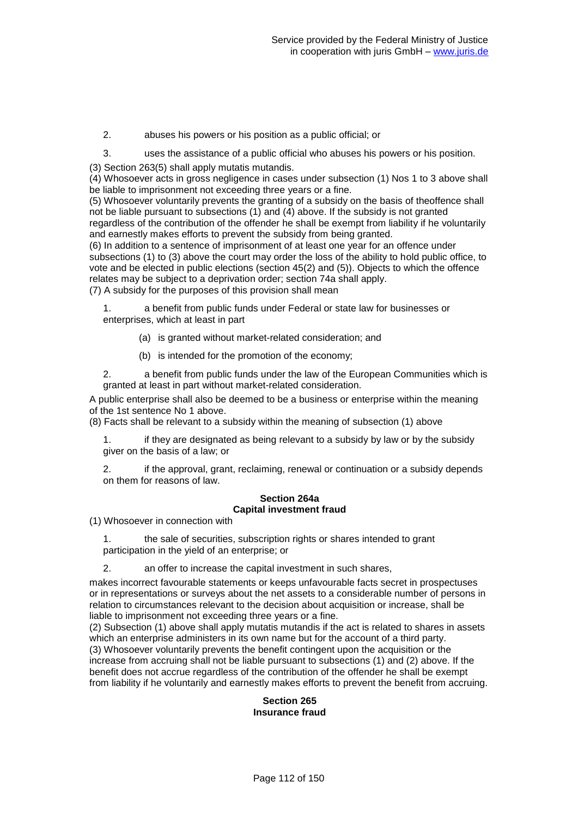2. abuses his powers or his position as a public official; or

3. uses the assistance of a public official who abuses his powers or his position.

(3) Section 263(5) shall apply mutatis mutandis.

(4) Whosoever acts in gross negligence in cases under subsection (1) Nos 1 to 3 above shall be liable to imprisonment not exceeding three years or a fine.

(5) Whosoever voluntarily prevents the granting of a subsidy on the basis of theoffence shall not be liable pursuant to subsections (1) and (4) above. If the subsidy is not granted regardless of the contribution of the offender he shall be exempt from liability if he voluntarily and earnestly makes efforts to prevent the subsidy from being granted.

(6) In addition to a sentence of imprisonment of at least one year for an offence under subsections (1) to (3) above the court may order the loss of the ability to hold public office, to vote and be elected in public elections (section 45(2) and (5)). Objects to which the offence relates may be subject to a deprivation order; section 74a shall apply.

(7) A subsidy for the purposes of this provision shall mean

1. a benefit from public funds under Federal or state law for businesses or enterprises, which at least in part

(a) is granted without market-related consideration; and

(b) is intended for the promotion of the economy;

2. a benefit from public funds under the law of the European Communities which is granted at least in part without market-related consideration.

A public enterprise shall also be deemed to be a business or enterprise within the meaning of the 1st sentence No 1 above.

(8) Facts shall be relevant to a subsidy within the meaning of subsection (1) above

1. if they are designated as being relevant to a subsidy by law or by the subsidy giver on the basis of a law; or

2. if the approval, grant, reclaiming, renewal or continuation or a subsidy depends on them for reasons of law.

### **Section 264a Capital investment fraud**

(1) Whosoever in connection with

1. the sale of securities, subscription rights or shares intended to grant participation in the yield of an enterprise; or

2. an offer to increase the capital investment in such shares,

makes incorrect favourable statements or keeps unfavourable facts secret in prospectuses or in representations or surveys about the net assets to a considerable number of persons in relation to circumstances relevant to the decision about acquisition or increase, shall be liable to imprisonment not exceeding three years or a fine.

(2) Subsection (1) above shall apply mutatis mutandis if the act is related to shares in assets which an enterprise administers in its own name but for the account of a third party. (3) Whosoever voluntarily prevents the benefit contingent upon the acquisition or the increase from accruing shall not be liable pursuant to subsections (1) and (2) above. If the benefit does not accrue regardless of the contribution of the offender he shall be exempt from liability if he voluntarily and earnestly makes efforts to prevent the benefit from accruing.

### **Section 265 Insurance fraud**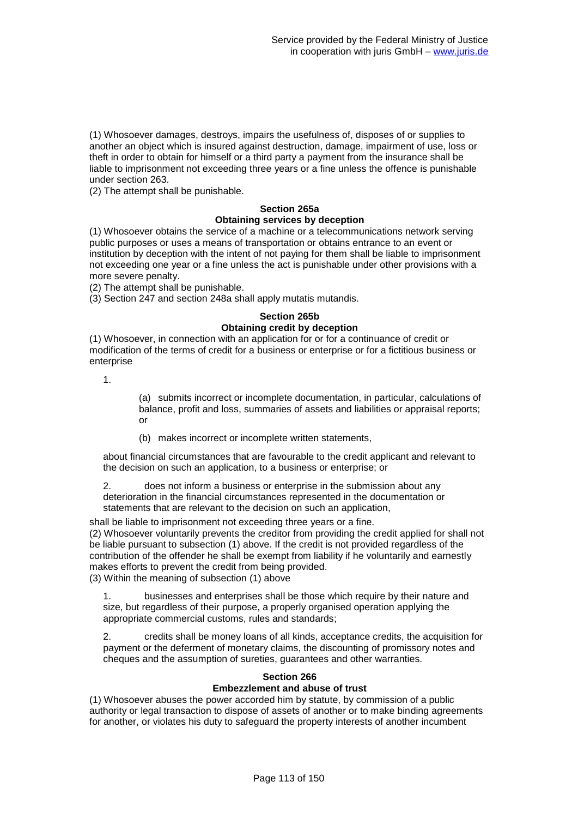(1) Whosoever damages, destroys, impairs the usefulness of, disposes of or supplies to another an object which is insured against destruction, damage, impairment of use, loss or theft in order to obtain for himself or a third party a payment from the insurance shall be liable to imprisonment not exceeding three years or a fine unless the offence is punishable under section 263.

(2) The attempt shall be punishable.

#### **Section 265a Obtaining services by deception**

(1) Whosoever obtains the service of a machine or a telecommunications network serving public purposes or uses a means of transportation or obtains entrance to an event or institution by deception with the intent of not paying for them shall be liable to imprisonment not exceeding one year or a fine unless the act is punishable under other provisions with a more severe penalty.

(2) The attempt shall be punishable.

(3) Section 247 and section 248a shall apply mutatis mutandis.

# **Section 265b Obtaining credit by deception**

(1) Whosoever, in connection with an application for or for a continuance of credit or modification of the terms of credit for a business or enterprise or for a fictitious business or enterprise

1.

(a) submits incorrect or incomplete documentation, in particular, calculations of balance, profit and loss, summaries of assets and liabilities or appraisal reports; or

(b) makes incorrect or incomplete written statements,

about financial circumstances that are favourable to the credit applicant and relevant to the decision on such an application, to a business or enterprise; or

2. does not inform a business or enterprise in the submission about any deterioration in the financial circumstances represented in the documentation or statements that are relevant to the decision on such an application,

shall be liable to imprisonment not exceeding three years or a fine.

(2) Whosoever voluntarily prevents the creditor from providing the credit applied for shall not be liable pursuant to subsection (1) above. If the credit is not provided regardless of the contribution of the offender he shall be exempt from liability if he voluntarily and earnestly makes efforts to prevent the credit from being provided. (3) Within the meaning of subsection (1) above

1. businesses and enterprises shall be those which require by their nature and size, but regardless of their purpose, a properly organised operation applying the appropriate commercial customs, rules and standards;

2. credits shall be money loans of all kinds, acceptance credits, the acquisition for payment or the deferment of monetary claims, the discounting of promissory notes and cheques and the assumption of sureties, guarantees and other warranties.

### **Section 266**

# **Embezzlement and abuse of trust**

(1) Whosoever abuses the power accorded him by statute, by commission of a public authority or legal transaction to dispose of assets of another or to make binding agreements for another, or violates his duty to safeguard the property interests of another incumbent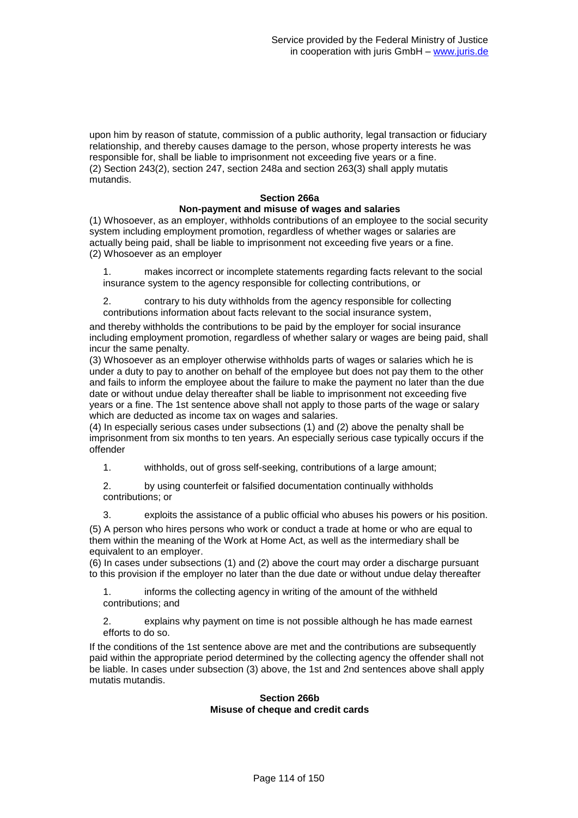upon him by reason of statute, commission of a public authority, legal transaction or fiduciary relationship, and thereby causes damage to the person, whose property interests he was responsible for, shall be liable to imprisonment not exceeding five years or a fine. (2) Section 243(2), section 247, section 248a and section 263(3) shall apply mutatis mutandis.

# **Section 266a**

### **Non-payment and misuse of wages and salaries**

(1) Whosoever, as an employer, withholds contributions of an employee to the social security system including employment promotion, regardless of whether wages or salaries are actually being paid, shall be liable to imprisonment not exceeding five years or a fine. (2) Whosoever as an employer

1. makes incorrect or incomplete statements regarding facts relevant to the social insurance system to the agency responsible for collecting contributions, or

2. contrary to his duty withholds from the agency responsible for collecting contributions information about facts relevant to the social insurance system,

and thereby withholds the contributions to be paid by the employer for social insurance including employment promotion, regardless of whether salary or wages are being paid, shall incur the same penalty.

(3) Whosoever as an employer otherwise withholds parts of wages or salaries which he is under a duty to pay to another on behalf of the employee but does not pay them to the other and fails to inform the employee about the failure to make the payment no later than the due date or without undue delay thereafter shall be liable to imprisonment not exceeding five years or a fine. The 1st sentence above shall not apply to those parts of the wage or salary which are deducted as income tax on wages and salaries.

(4) In especially serious cases under subsections (1) and (2) above the penalty shall be imprisonment from six months to ten years. An especially serious case typically occurs if the offender

1. withholds, out of gross self-seeking, contributions of a large amount;

2. by using counterfeit or falsified documentation continually withholds contributions; or

3. exploits the assistance of a public official who abuses his powers or his position.

(5) A person who hires persons who work or conduct a trade at home or who are equal to them within the meaning of the Work at Home Act, as well as the intermediary shall be equivalent to an employer.

(6) In cases under subsections (1) and (2) above the court may order a discharge pursuant to this provision if the employer no later than the due date or without undue delay thereafter

1. informs the collecting agency in writing of the amount of the withheld contributions; and

2. explains why payment on time is not possible although he has made earnest efforts to do so.

If the conditions of the 1st sentence above are met and the contributions are subsequently paid within the appropriate period determined by the collecting agency the offender shall not be liable. In cases under subsection (3) above, the 1st and 2nd sentences above shall apply mutatis mutandis.

### **Section 266b Misuse of cheque and credit cards**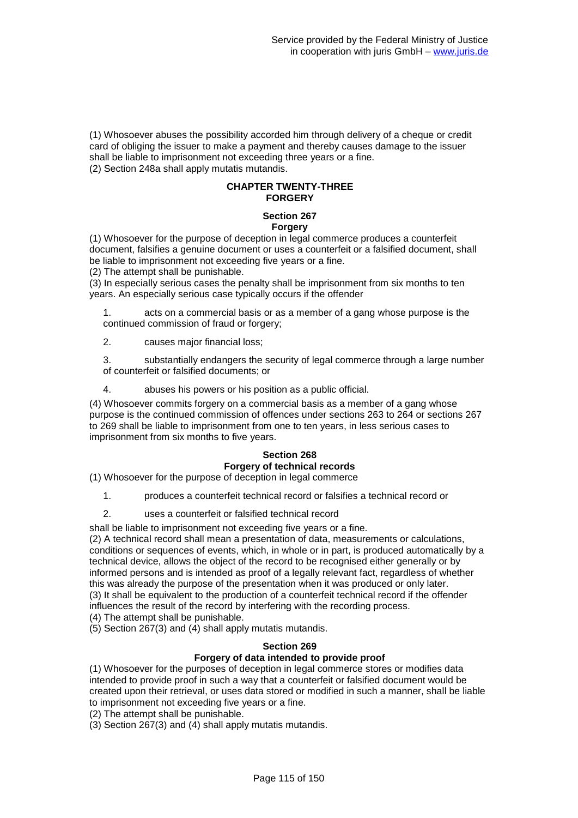(1) Whosoever abuses the possibility accorded him through delivery of a cheque or credit card of obliging the issuer to make a payment and thereby causes damage to the issuer shall be liable to imprisonment not exceeding three years or a fine. (2) Section 248a shall apply mutatis mutandis.

### **CHAPTER TWENTY-THREE FORGERY**

#### **Section 267 Forgery**

(1) Whosoever for the purpose of deception in legal commerce produces a counterfeit document, falsifies a genuine document or uses a counterfeit or a falsified document, shall be liable to imprisonment not exceeding five years or a fine.

(2) The attempt shall be punishable.

(3) In especially serious cases the penalty shall be imprisonment from six months to ten years. An especially serious case typically occurs if the offender

1. acts on a commercial basis or as a member of a gang whose purpose is the continued commission of fraud or forgery;

2. causes major financial loss;

3. substantially endangers the security of legal commerce through a large number of counterfeit or falsified documents; or

4. abuses his powers or his position as a public official.

(4) Whosoever commits forgery on a commercial basis as a member of a gang whose purpose is the continued commission of offences under sections 263 to 264 or sections 267 to 269 shall be liable to imprisonment from one to ten years, in less serious cases to imprisonment from six months to five years.

# **Section 268 Forgery of technical records**

(1) Whosoever for the purpose of deception in legal commerce

- 1. produces a counterfeit technical record or falsifies a technical record or
- 2. uses a counterfeit or falsified technical record

shall be liable to imprisonment not exceeding five years or a fine.

(2) A technical record shall mean a presentation of data, measurements or calculations, conditions or sequences of events, which, in whole or in part, is produced automatically by a technical device, allows the object of the record to be recognised either generally or by informed persons and is intended as proof of a legally relevant fact, regardless of whether this was already the purpose of the presentation when it was produced or only later. (3) It shall be equivalent to the production of a counterfeit technical record if the offender influences the result of the record by interfering with the recording process.

(4) The attempt shall be punishable.

(5) Section 267(3) and (4) shall apply mutatis mutandis.

### **Section 269**

### **Forgery of data intended to provide proof**

(1) Whosoever for the purposes of deception in legal commerce stores or modifies data intended to provide proof in such a way that a counterfeit or falsified document would be created upon their retrieval, or uses data stored or modified in such a manner, shall be liable to imprisonment not exceeding five years or a fine.

(2) The attempt shall be punishable.

(3) Section 267(3) and (4) shall apply mutatis mutandis.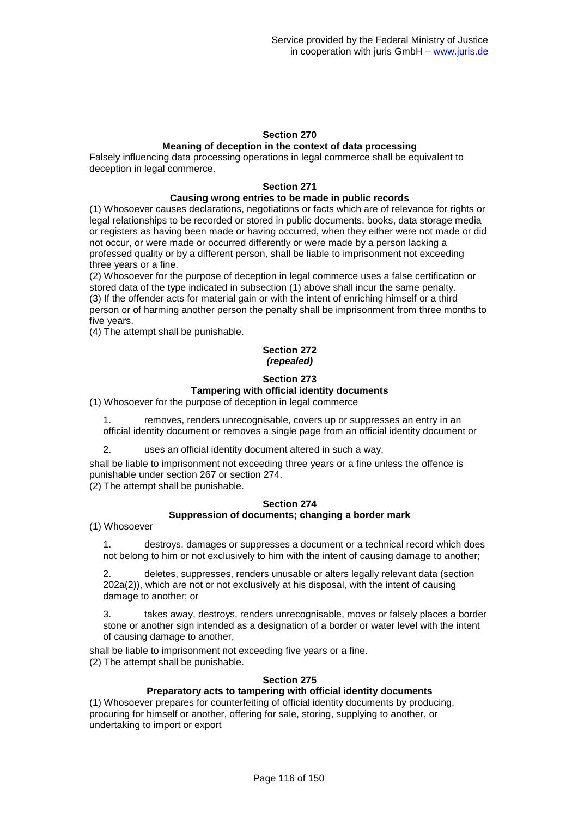### **Section 270 Meaning of deception in the context of data processing**

Falsely influencing data processing operations in legal commerce shall be equivalent to deception in legal commerce.

### **Section 271**

### **Causing wrong entries to be made in public records**

(1) Whosoever causes declarations, negotiations or facts which are of relevance for rights or legal relationships to be recorded or stored in public documents, books, data storage media or registers as having been made or having occurred, when they either were not made or did not occur, or were made or occurred differently or were made by a person lacking a professed quality or by a different person, shall be liable to imprisonment not exceeding three years or a fine.

(2) Whosoever for the purpose of deception in legal commerce uses a false certification or stored data of the type indicated in subsection (1) above shall incur the same penalty. (3) If the offender acts for material gain or with the intent of enriching himself or a third person or of harming another person the penalty shall be imprisonment from three months to five years.

(4) The attempt shall be punishable.

### **Section 272** *(repealed)*

# **Section 273**

### **Tampering with official identity documents**

(1) Whosoever for the purpose of deception in legal commerce

1. removes, renders unrecognisable, covers up or suppresses an entry in an official identity document or removes a single page from an official identity document or

uses an official identity document altered in such a way,

shall be liable to imprisonment not exceeding three years or a fine unless the offence is punishable under section 267 or section 274.

(2) The attempt shall be punishable.

### **Section 274 Suppression of documents; changing a border mark**

(1) Whosoever

1. destroys, damages or suppresses a document or a technical record which does not belong to him or not exclusively to him with the intent of causing damage to another;

2. deletes, suppresses, renders unusable or alters legally relevant data (section 202a(2)), which are not or not exclusively at his disposal, with the intent of causing damage to another; or

3. takes away, destroys, renders unrecognisable, moves or falsely places a border stone or another sign intended as a designation of a border or water level with the intent of causing damage to another,

shall be liable to imprisonment not exceeding five years or a fine. (2) The attempt shall be punishable.

### **Section 275**

### **Preparatory acts to tampering with official identity documents**

(1) Whosoever prepares for counterfeiting of official identity documents by producing, procuring for himself or another, offering for sale, storing, supplying to another, or undertaking to import or export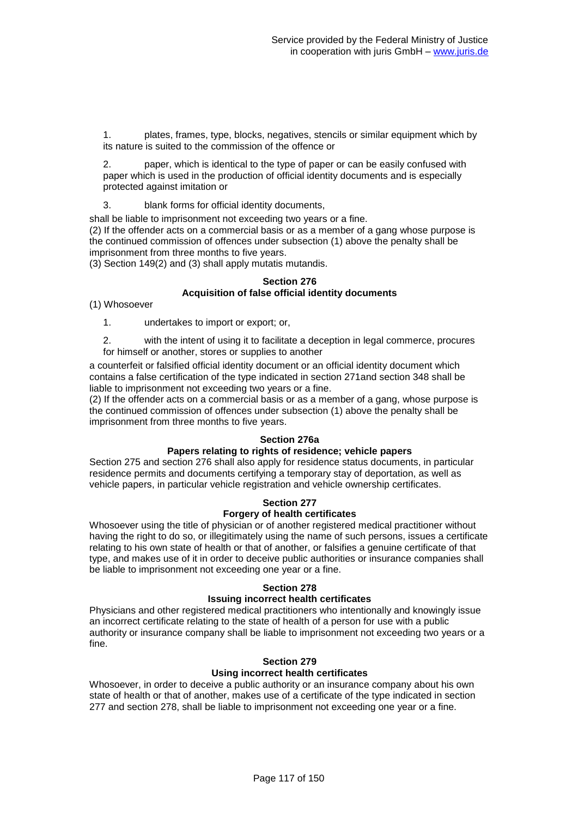1. plates, frames, type, blocks, negatives, stencils or similar equipment which by its nature is suited to the commission of the offence or

2. paper, which is identical to the type of paper or can be easily confused with paper which is used in the production of official identity documents and is especially protected against imitation or

3. blank forms for official identity documents,

shall be liable to imprisonment not exceeding two years or a fine.

(2) If the offender acts on a commercial basis or as a member of a gang whose purpose is the continued commission of offences under subsection (1) above the penalty shall be imprisonment from three months to five years.

(3) Section 149(2) and (3) shall apply mutatis mutandis.

### **Section 276**

# **Acquisition of false official identity documents**

(1) Whosoever

- 1. undertakes to import or export; or,
- 2. with the intent of using it to facilitate a deception in legal commerce, procures for himself or another, stores or supplies to another

a counterfeit or falsified official identity document or an official identity document which contains a false certification of the type indicated in section 271and section 348 shall be liable to imprisonment not exceeding two years or a fine.

(2) If the offender acts on a commercial basis or as a member of a gang, whose purpose is the continued commission of offences under subsection (1) above the penalty shall be imprisonment from three months to five years.

### **Section 276a**

### **Papers relating to rights of residence; vehicle papers**

Section 275 and section 276 shall also apply for residence status documents, in particular residence permits and documents certifying a temporary stay of deportation, as well as vehicle papers, in particular vehicle registration and vehicle ownership certificates.

#### **Section 277 Forgery of health certificates**

# Whosoever using the title of physician or of another registered medical practitioner without having the right to do so, or illegitimately using the name of such persons, issues a certificate relating to his own state of health or that of another, or falsifies a genuine certificate of that

type, and makes use of it in order to deceive public authorities or insurance companies shall be liable to imprisonment not exceeding one year or a fine.

### **Section 278**

# **Issuing incorrect health certificates**

Physicians and other registered medical practitioners who intentionally and knowingly issue an incorrect certificate relating to the state of health of a person for use with a public authority or insurance company shall be liable to imprisonment not exceeding two years or a fine.

### **Section 279**

### **Using incorrect health certificates**

Whosoever, in order to deceive a public authority or an insurance company about his own state of health or that of another, makes use of a certificate of the type indicated in section 277 and section 278, shall be liable to imprisonment not exceeding one year or a fine.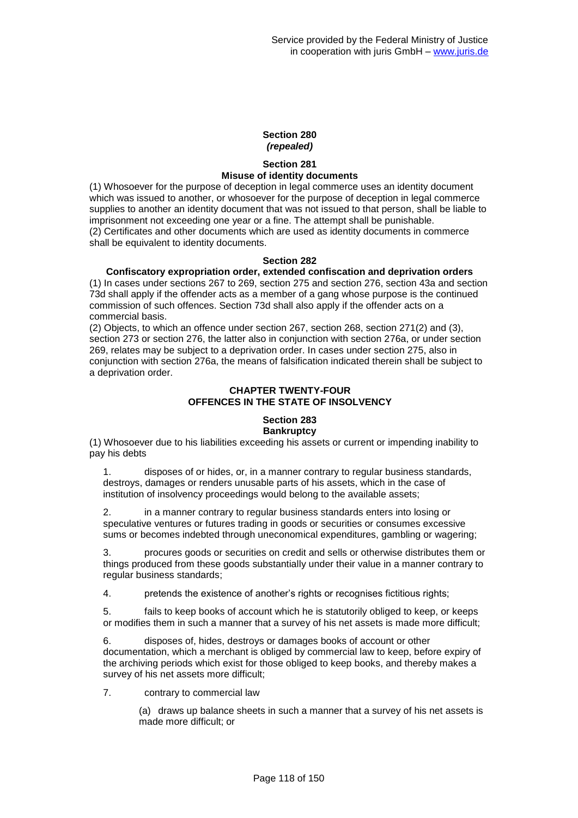#### **Section 280** *(repealed)*

#### **Section 281 Misuse of identity documents**

(1) Whosoever for the purpose of deception in legal commerce uses an identity document which was issued to another, or whosoever for the purpose of deception in legal commerce supplies to another an identity document that was not issued to that person, shall be liable to imprisonment not exceeding one year or a fine. The attempt shall be punishable. (2) Certificates and other documents which are used as identity documents in commerce shall be equivalent to identity documents.

### **Section 282**

### **Confiscatory expropriation order, extended confiscation and deprivation orders**

(1) In cases under sections 267 to 269, section 275 and section 276, section 43a and section 73d shall apply if the offender acts as a member of a gang whose purpose is the continued commission of such offences. Section 73d shall also apply if the offender acts on a commercial basis.

(2) Objects, to which an offence under section 267, section 268, section 271(2) and (3), section 273 or section 276, the latter also in conjunction with section 276a, or under section 269, relates may be subject to a deprivation order. In cases under section 275, also in conjunction with section 276a, the means of falsification indicated therein shall be subject to a deprivation order.

### **CHAPTER TWENTY-FOUR OFFENCES IN THE STATE OF INSOLVENCY**

#### **Section 283 Bankruptcy**

(1) Whosoever due to his liabilities exceeding his assets or current or impending inability to pay his debts

1. disposes of or hides, or, in a manner contrary to regular business standards, destroys, damages or renders unusable parts of his assets, which in the case of institution of insolvency proceedings would belong to the available assets;

2. in a manner contrary to regular business standards enters into losing or speculative ventures or futures trading in goods or securities or consumes excessive sums or becomes indebted through uneconomical expenditures, gambling or wagering;

3. procures goods or securities on credit and sells or otherwise distributes them or things produced from these goods substantially under their value in a manner contrary to regular business standards;

4. pretends the existence of another's rights or recognises fictitious rights;

5. fails to keep books of account which he is statutorily obliged to keep, or keeps or modifies them in such a manner that a survey of his net assets is made more difficult;

6. disposes of, hides, destroys or damages books of account or other documentation, which a merchant is obliged by commercial law to keep, before expiry of the archiving periods which exist for those obliged to keep books, and thereby makes a survey of his net assets more difficult;

7. contrary to commercial law

(a) draws up balance sheets in such a manner that a survey of his net assets is made more difficult; or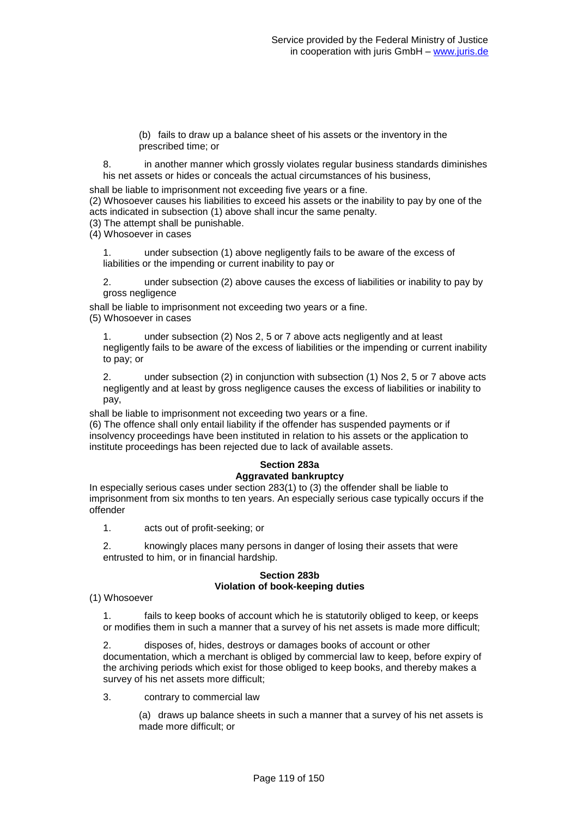(b) fails to draw up a balance sheet of his assets or the inventory in the prescribed time; or

8. in another manner which grossly violates regular business standards diminishes his net assets or hides or conceals the actual circumstances of his business,

shall be liable to imprisonment not exceeding five years or a fine.

(2) Whosoever causes his liabilities to exceed his assets or the inability to pay by one of the acts indicated in subsection (1) above shall incur the same penalty.

(3) The attempt shall be punishable.

(4) Whosoever in cases

1. under subsection (1) above negligently fails to be aware of the excess of liabilities or the impending or current inability to pay or

2. under subsection (2) above causes the excess of liabilities or inability to pay by gross negligence

shall be liable to imprisonment not exceeding two years or a fine.

(5) Whosoever in cases

1. under subsection (2) Nos 2, 5 or 7 above acts negligently and at least negligently fails to be aware of the excess of liabilities or the impending or current inability to pay; or

2. under subsection (2) in conjunction with subsection (1) Nos 2, 5 or 7 above acts negligently and at least by gross negligence causes the excess of liabilities or inability to pay,

shall be liable to imprisonment not exceeding two years or a fine.

(6) The offence shall only entail liability if the offender has suspended payments or if insolvency proceedings have been instituted in relation to his assets or the application to institute proceedings has been rejected due to lack of available assets.

#### **Section 283a Aggravated bankruptcy**

In especially serious cases under section 283(1) to (3) the offender shall be liable to

imprisonment from six months to ten years. An especially serious case typically occurs if the offender

1. acts out of profit-seeking; or

2. knowingly places many persons in danger of losing their assets that were entrusted to him, or in financial hardship.

#### **Section 283b Violation of book-keeping duties**

(1) Whosoever

1. fails to keep books of account which he is statutorily obliged to keep, or keeps or modifies them in such a manner that a survey of his net assets is made more difficult;

2. disposes of, hides, destroys or damages books of account or other documentation, which a merchant is obliged by commercial law to keep, before expiry of the archiving periods which exist for those obliged to keep books, and thereby makes a survey of his net assets more difficult;

3. contrary to commercial law

(a) draws up balance sheets in such a manner that a survey of his net assets is made more difficult; or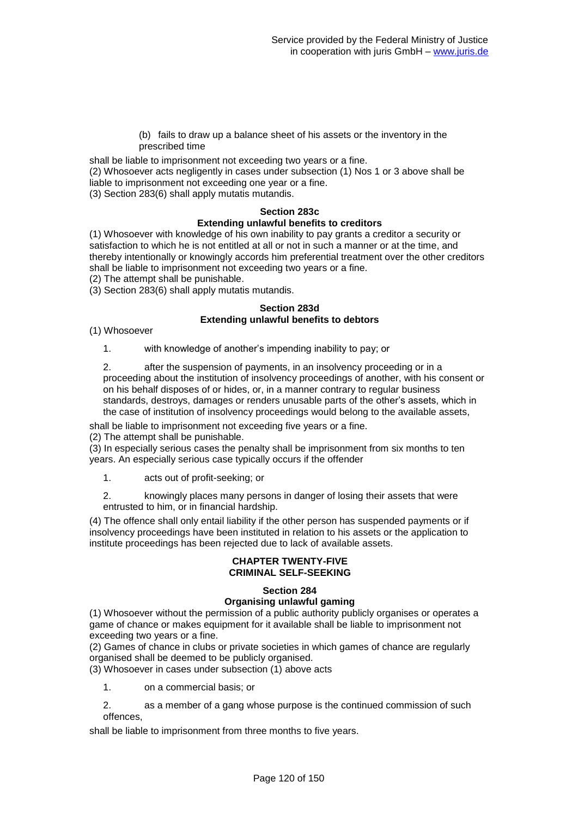(b) fails to draw up a balance sheet of his assets or the inventory in the prescribed time

shall be liable to imprisonment not exceeding two years or a fine. (2) Whosoever acts negligently in cases under subsection (1) Nos 1 or 3 above shall be liable to imprisonment not exceeding one year or a fine. (3) Section 283(6) shall apply mutatis mutandis.

### **Section 283c**

### **Extending unlawful benefits to creditors**

(1) Whosoever with knowledge of his own inability to pay grants a creditor a security or satisfaction to which he is not entitled at all or not in such a manner or at the time, and thereby intentionally or knowingly accords him preferential treatment over the other creditors shall be liable to imprisonment not exceeding two years or a fine.

(2) The attempt shall be punishable.

(3) Section 283(6) shall apply mutatis mutandis.

### **Section 283d Extending unlawful benefits to debtors**

(1) Whosoever

1. with knowledge of another's impending inability to pay; or

2. after the suspension of payments, in an insolvency proceeding or in a proceeding about the institution of insolvency proceedings of another, with his consent or on his behalf disposes of or hides, or, in a manner contrary to regular business standards, destroys, damages or renders unusable parts of the other's assets, which in the case of institution of insolvency proceedings would belong to the available assets,

shall be liable to imprisonment not exceeding five years or a fine.

(2) The attempt shall be punishable.

(3) In especially serious cases the penalty shall be imprisonment from six months to ten years. An especially serious case typically occurs if the offender

1. acts out of profit-seeking; or

2. knowingly places many persons in danger of losing their assets that were entrusted to him, or in financial hardship.

(4) The offence shall only entail liability if the other person has suspended payments or if insolvency proceedings have been instituted in relation to his assets or the application to institute proceedings has been rejected due to lack of available assets.

### **CHAPTER TWENTY-FIVE CRIMINAL SELF-SEEKING**

### **Section 284 Organising unlawful gaming**

(1) Whosoever without the permission of a public authority publicly organises or operates a game of chance or makes equipment for it available shall be liable to imprisonment not exceeding two years or a fine.

(2) Games of chance in clubs or private societies in which games of chance are regularly organised shall be deemed to be publicly organised.

(3) Whosoever in cases under subsection (1) above acts

1. on a commercial basis; or

2. as a member of a gang whose purpose is the continued commission of such offences,

shall be liable to imprisonment from three months to five years.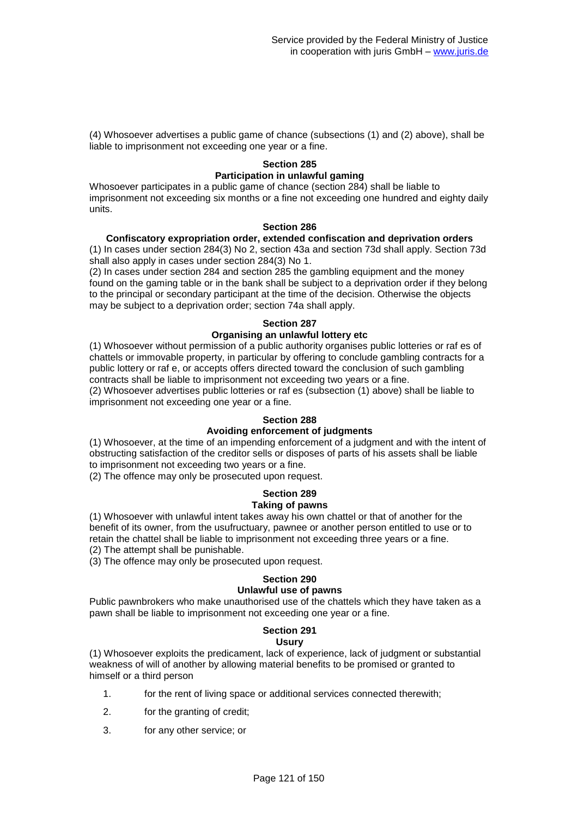(4) Whosoever advertises a public game of chance (subsections (1) and (2) above), shall be liable to imprisonment not exceeding one year or a fine.

### **Section 285**

### **Participation in unlawful gaming**

Whosoever participates in a public game of chance (section 284) shall be liable to imprisonment not exceeding six months or a fine not exceeding one hundred and eighty daily units.

#### **Section 286**

### **Confiscatory expropriation order, extended confiscation and deprivation orders**

(1) In cases under section 284(3) No 2, section 43a and section 73d shall apply. Section 73d shall also apply in cases under section 284(3) No 1.

(2) In cases under section 284 and section 285 the gambling equipment and the money found on the gaming table or in the bank shall be subject to a deprivation order if they belong to the principal or secondary participant at the time of the decision. Otherwise the objects may be subject to a deprivation order; section 74a shall apply.

### **Section 287**

### **Organising an unlawful lottery etc**

(1) Whosoever without permission of a public authority organises public lotteries or raf es of chattels or immovable property, in particular by offering to conclude gambling contracts for a public lottery or raf e, or accepts offers directed toward the conclusion of such gambling contracts shall be liable to imprisonment not exceeding two years or a fine.

(2) Whosoever advertises public lotteries or raf es (subsection (1) above) shall be liable to imprisonment not exceeding one year or a fine.

### **Section 288**

### **Avoiding enforcement of judgments**

(1) Whosoever, at the time of an impending enforcement of a judgment and with the intent of obstructing satisfaction of the creditor sells or disposes of parts of his assets shall be liable to imprisonment not exceeding two years or a fine.

(2) The offence may only be prosecuted upon request.

#### **Section 289 Taking of pawns**

(1) Whosoever with unlawful intent takes away his own chattel or that of another for the benefit of its owner, from the usufructuary, pawnee or another person entitled to use or to retain the chattel shall be liable to imprisonment not exceeding three years or a fine.

(2) The attempt shall be punishable.

(3) The offence may only be prosecuted upon request.

# **Section 290**

# **Unlawful use of pawns**

Public pawnbrokers who make unauthorised use of the chattels which they have taken as a pawn shall be liable to imprisonment not exceeding one year or a fine.

#### **Section 291 Usury**

(1) Whosoever exploits the predicament, lack of experience, lack of judgment or substantial weakness of will of another by allowing material benefits to be promised or granted to himself or a third person

- 1. for the rent of living space or additional services connected therewith;
- 2. for the granting of credit;
- 3. for any other service; or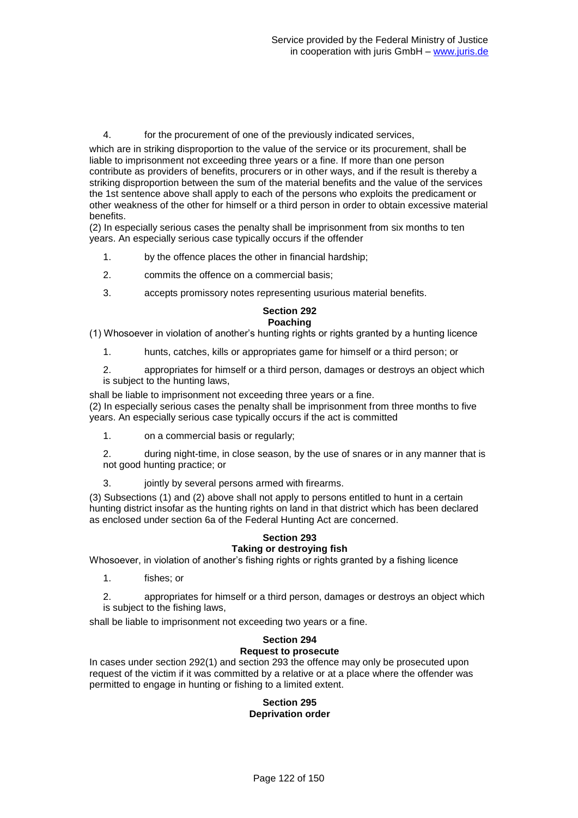4. for the procurement of one of the previously indicated services,

which are in striking disproportion to the value of the service or its procurement, shall be liable to imprisonment not exceeding three years or a fine. If more than one person contribute as providers of benefits, procurers or in other ways, and if the result is thereby a striking disproportion between the sum of the material benefits and the value of the services the 1st sentence above shall apply to each of the persons who exploits the predicament or other weakness of the other for himself or a third person in order to obtain excessive material benefits.

(2) In especially serious cases the penalty shall be imprisonment from six months to ten years. An especially serious case typically occurs if the offender

- 1. by the offence places the other in financial hardship;
- 2. commits the offence on a commercial basis;
- 3. accepts promissory notes representing usurious material benefits.

#### **Section 292 Poaching**

(1) Whosoever in violation of another's hunting rights or rights granted by a hunting licence

1. hunts, catches, kills or appropriates game for himself or a third person; or

2. appropriates for himself or a third person, damages or destroys an object which is subject to the hunting laws,

shall be liable to imprisonment not exceeding three years or a fine. (2) In especially serious cases the penalty shall be imprisonment from three months to five years. An especially serious case typically occurs if the act is committed

1. on a commercial basis or regularly;

2. during night-time, in close season, by the use of snares or in any manner that is not good hunting practice; or

3. jointly by several persons armed with firearms.

(3) Subsections (1) and (2) above shall not apply to persons entitled to hunt in a certain hunting district insofar as the hunting rights on land in that district which has been declared as enclosed under section 6a of the Federal Hunting Act are concerned.

#### **Section 293 Taking or destroying fish**

Whosoever, in violation of another's fishing rights or rights granted by a fishing licence

1. fishes; or

2. appropriates for himself or a third person, damages or destroys an object which is subject to the fishing laws,

shall be liable to imprisonment not exceeding two years or a fine.

# **Section 294**

# **Request to prosecute**

In cases under section 292(1) and section 293 the offence may only be prosecuted upon request of the victim if it was committed by a relative or at a place where the offender was permitted to engage in hunting or fishing to a limited extent.

### **Section 295 Deprivation order**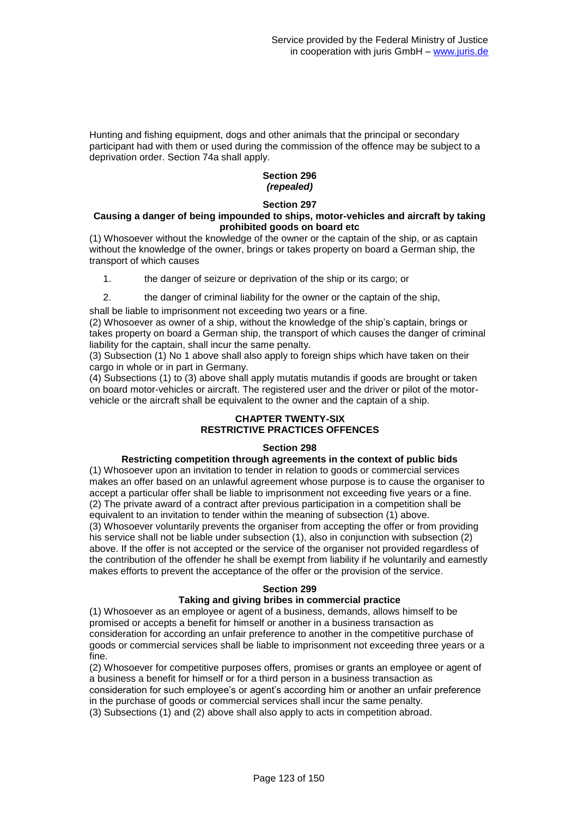Hunting and fishing equipment, dogs and other animals that the principal or secondary participant had with them or used during the commission of the offence may be subject to a deprivation order. Section 74a shall apply.

#### **Section 296** *(repealed)*

### **Section 297**

### **Causing a danger of being impounded to ships, motor-vehicles and aircraft by taking prohibited goods on board etc**

(1) Whosoever without the knowledge of the owner or the captain of the ship, or as captain without the knowledge of the owner, brings or takes property on board a German ship, the transport of which causes

1. the danger of seizure or deprivation of the ship or its cargo; or

2. the danger of criminal liability for the owner or the captain of the ship,

shall be liable to imprisonment not exceeding two years or a fine.

(2) Whosoever as owner of a ship, without the knowledge of the ship's captain, brings or takes property on board a German ship, the transport of which causes the danger of criminal liability for the captain, shall incur the same penalty.

(3) Subsection (1) No 1 above shall also apply to foreign ships which have taken on their cargo in whole or in part in Germany.

(4) Subsections (1) to (3) above shall apply mutatis mutandis if goods are brought or taken on board motor-vehicles or aircraft. The registered user and the driver or pilot of the motorvehicle or the aircraft shall be equivalent to the owner and the captain of a ship.

### **CHAPTER TWENTY-SIX RESTRICTIVE PRACTICES OFFENCES**

### **Section 298**

### **Restricting competition through agreements in the context of public bids**

(1) Whosoever upon an invitation to tender in relation to goods or commercial services makes an offer based on an unlawful agreement whose purpose is to cause the organiser to accept a particular offer shall be liable to imprisonment not exceeding five years or a fine. (2) The private award of a contract after previous participation in a competition shall be equivalent to an invitation to tender within the meaning of subsection (1) above. (3) Whosoever voluntarily prevents the organiser from accepting the offer or from providing his service shall not be liable under subsection (1), also in conjunction with subsection (2) above. If the offer is not accepted or the service of the organiser not provided regardless of the contribution of the offender he shall be exempt from liability if he voluntarily and earnestly makes efforts to prevent the acceptance of the offer or the provision of the service.

### **Section 299**

### **Taking and giving bribes in commercial practice**

(1) Whosoever as an employee or agent of a business, demands, allows himself to be promised or accepts a benefit for himself or another in a business transaction as consideration for according an unfair preference to another in the competitive purchase of goods or commercial services shall be liable to imprisonment not exceeding three years or a fine.

(2) Whosoever for competitive purposes offers, promises or grants an employee or agent of a business a benefit for himself or for a third person in a business transaction as

consideration for such employee's or agent's according him or another an unfair preference in the purchase of goods or commercial services shall incur the same penalty.

(3) Subsections (1) and (2) above shall also apply to acts in competition abroad.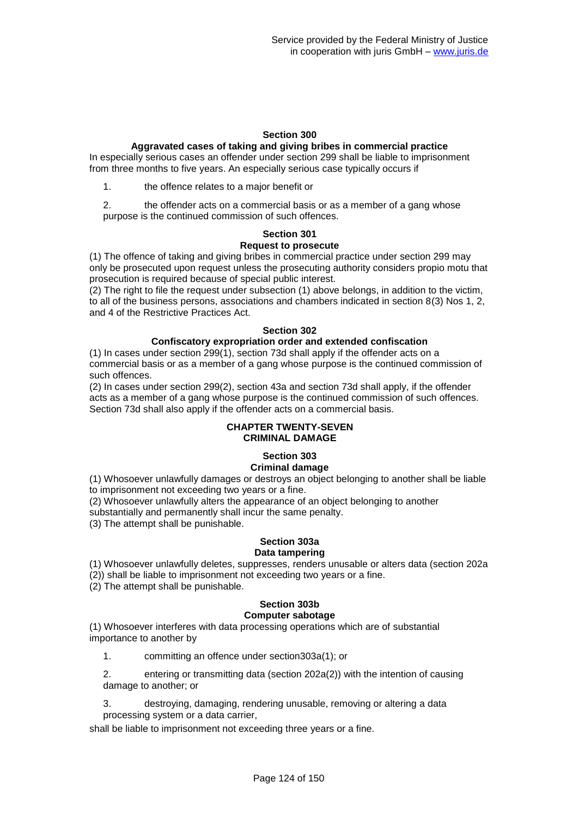### **Section 300**

### **Aggravated cases of taking and giving bribes in commercial practice**

In especially serious cases an offender under section 299 shall be liable to imprisonment from three months to five years. An especially serious case typically occurs if

1. the offence relates to a major benefit or

2. the offender acts on a commercial basis or as a member of a gang whose purpose is the continued commission of such offences.

### **Section 301 Request to prosecute**

(1) The offence of taking and giving bribes in commercial practice under section 299 may only be prosecuted upon request unless the prosecuting authority considers propio motu that prosecution is required because of special public interest.

(2) The right to file the request under subsection (1) above belongs, in addition to the victim, to all of the business persons, associations and chambers indicated in section 8(3) Nos 1, 2, and 4 of the Restrictive Practices Act.

### **Section 302**

### **Confiscatory expropriation order and extended confiscation**

(1) In cases under section 299(1), section 73d shall apply if the offender acts on a commercial basis or as a member of a gang whose purpose is the continued commission of such offences.

(2) In cases under section 299(2), section 43a and section 73d shall apply, if the offender acts as a member of a gang whose purpose is the continued commission of such offences. Section 73d shall also apply if the offender acts on a commercial basis.

#### **CHAPTER TWENTY-SEVEN CRIMINAL DAMAGE**

# **Section 303**

### **Criminal damage**

(1) Whosoever unlawfully damages or destroys an object belonging to another shall be liable to imprisonment not exceeding two years or a fine.

(2) Whosoever unlawfully alters the appearance of an object belonging to another

substantially and permanently shall incur the same penalty.

(3) The attempt shall be punishable.

#### **Section 303a Data tampering**

(1) Whosoever unlawfully deletes, suppresses, renders unusable or alters data (section 202a

(2)) shall be liable to imprisonment not exceeding two years or a fine.

(2) The attempt shall be punishable.

### **Section 303b**

### **Computer sabotage**

(1) Whosoever interferes with data processing operations which are of substantial importance to another by

1. committing an offence under section303a(1); or

2. entering or transmitting data (section 202a(2)) with the intention of causing damage to another; or

3. destroying, damaging, rendering unusable, removing or altering a data processing system or a data carrier,

shall be liable to imprisonment not exceeding three years or a fine.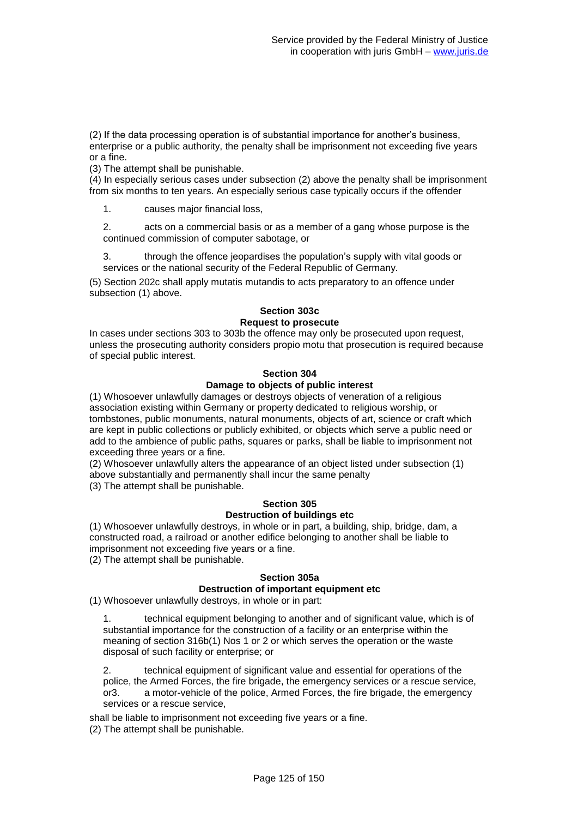(2) If the data processing operation is of substantial importance for another's business, enterprise or a public authority, the penalty shall be imprisonment not exceeding five years or a fine.

(3) The attempt shall be punishable.

(4) In especially serious cases under subsection (2) above the penalty shall be imprisonment from six months to ten years. An especially serious case typically occurs if the offender

1. causes major financial loss,

2. acts on a commercial basis or as a member of a gang whose purpose is the continued commission of computer sabotage, or

3. through the offence jeopardises the population's supply with vital goods or services or the national security of the Federal Republic of Germany.

(5) Section 202c shall apply mutatis mutandis to acts preparatory to an offence under subsection (1) above.

### **Section 303c Request to prosecute**

In cases under sections 303 to 303b the offence may only be prosecuted upon request, unless the prosecuting authority considers propio motu that prosecution is required because of special public interest.

#### **Section 304 Damage to objects of public interest**

(1) Whosoever unlawfully damages or destroys objects of veneration of a religious association existing within Germany or property dedicated to religious worship, or tombstones, public monuments, natural monuments, objects of art, science or craft which are kept in public collections or publicly exhibited, or objects which serve a public need or add to the ambience of public paths, squares or parks, shall be liable to imprisonment not exceeding three years or a fine.

(2) Whosoever unlawfully alters the appearance of an object listed under subsection (1) above substantially and permanently shall incur the same penalty

(3) The attempt shall be punishable.

### **Section 305**

### **Destruction of buildings etc**

(1) Whosoever unlawfully destroys, in whole or in part, a building, ship, bridge, dam, a constructed road, a railroad or another edifice belonging to another shall be liable to imprisonment not exceeding five years or a fine. (2) The attempt shall be punishable.

### **Section 305a Destruction of important equipment etc**

(1) Whosoever unlawfully destroys, in whole or in part:

1. technical equipment belonging to another and of significant value, which is of substantial importance for the construction of a facility or an enterprise within the meaning of section 316b(1) Nos 1 or 2 or which serves the operation or the waste disposal of such facility or enterprise; or

2. technical equipment of significant value and essential for operations of the police, the Armed Forces, the fire brigade, the emergency services or a rescue service, or3. a motor-vehicle of the police, Armed Forces, the fire brigade, the emergency services or a rescue service,

shall be liable to imprisonment not exceeding five years or a fine.

(2) The attempt shall be punishable.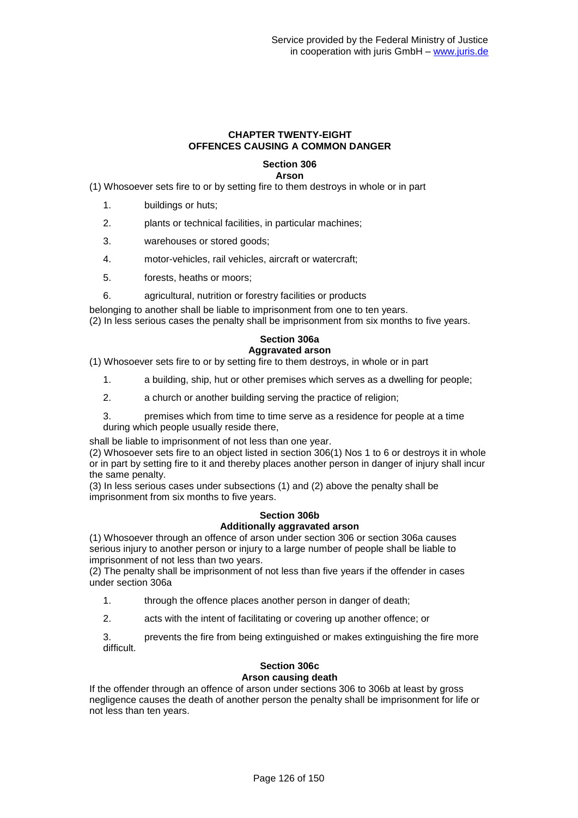### **CHAPTER TWENTY-EIGHT OFFENCES CAUSING A COMMON DANGER**

#### **Section 306 Arson**

(1) Whosoever sets fire to or by setting fire to them destroys in whole or in part

- 1. buildings or huts;
- 2. plants or technical facilities, in particular machines;
- 3. warehouses or stored goods;
- 4. motor-vehicles, rail vehicles, aircraft or watercraft;
- 5. forests, heaths or moors;
- 6. agricultural, nutrition or forestry facilities or products

belonging to another shall be liable to imprisonment from one to ten years. (2) In less serious cases the penalty shall be imprisonment from six months to five years.

### **Section 306a**

### **Aggravated arson**

(1) Whosoever sets fire to or by setting fire to them destroys, in whole or in part

- 1. a building, ship, hut or other premises which serves as a dwelling for people;
- 2. a church or another building serving the practice of religion;

3. premises which from time to time serve as a residence for people at a time during which people usually reside there,

shall be liable to imprisonment of not less than one year.

(2) Whosoever sets fire to an object listed in section 306(1) Nos 1 to 6 or destroys it in whole or in part by setting fire to it and thereby places another person in danger of injury shall incur the same penalty.

(3) In less serious cases under subsections (1) and (2) above the penalty shall be imprisonment from six months to five years.

#### **Section 306b Additionally aggravated arson**

(1) Whosoever through an offence of arson under section 306 or section 306a causes serious injury to another person or injury to a large number of people shall be liable to imprisonment of not less than two years.

(2) The penalty shall be imprisonment of not less than five years if the offender in cases under section 306a

1. through the offence places another person in danger of death;

2. acts with the intent of facilitating or covering up another offence; or

3. prevents the fire from being extinguished or makes extinguishing the fire more difficult.

### **Section 306c**

### **Arson causing death**

If the offender through an offence of arson under sections 306 to 306b at least by gross negligence causes the death of another person the penalty shall be imprisonment for life or not less than ten years.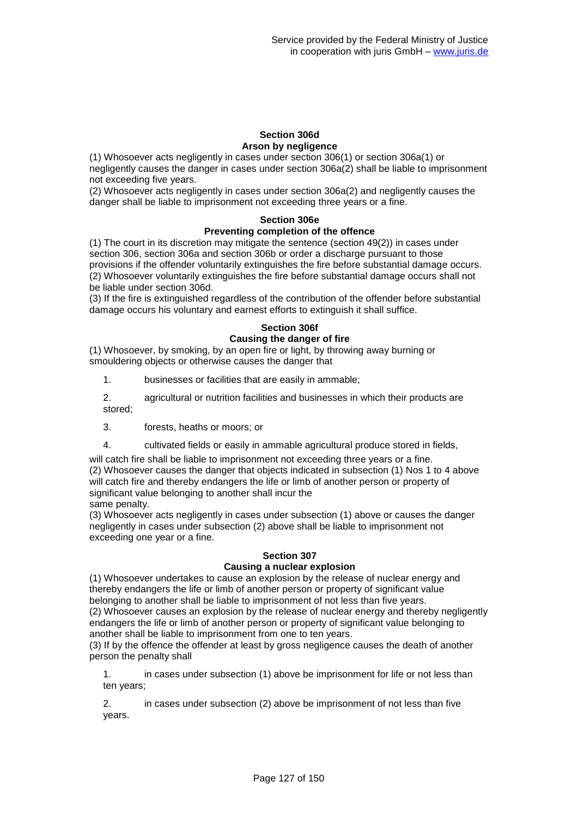#### **Section 306d Arson by negligence**

(1) Whosoever acts negligently in cases under section 306(1) or section 306a(1) or negligently causes the danger in cases under section 306a(2) shall be liable to imprisonment not exceeding five years.

(2) Whosoever acts negligently in cases under section 306a(2) and negligently causes the danger shall be liable to imprisonment not exceeding three years or a fine.

### **Section 306e Preventing completion of the offence**

(1) The court in its discretion may mitigate the sentence (section 49(2)) in cases under section 306, section 306a and section 306b or order a discharge pursuant to those provisions if the offender voluntarily extinguishes the fire before substantial damage occurs. (2) Whosoever voluntarily extinguishes the fire before substantial damage occurs shall not be liable under section 306d.

(3) If the fire is extinguished regardless of the contribution of the offender before substantial damage occurs his voluntary and earnest efforts to extinguish it shall suffice.

# **Section 306f**

### **Causing the danger of fire**

(1) Whosoever, by smoking, by an open fire or light, by throwing away burning or smouldering objects or otherwise causes the danger that

1. businesses or facilities that are easily in ammable;

2. agricultural or nutrition facilities and businesses in which their products are stored;

3. forests, heaths or moors; or

4. cultivated fields or easily in ammable agricultural produce stored in fields,

will catch fire shall be liable to imprisonment not exceeding three years or a fine. (2) Whosoever causes the danger that objects indicated in subsection (1) Nos 1 to 4 above will catch fire and thereby endangers the life or limb of another person or property of significant value belonging to another shall incur the same penalty.

(3) Whosoever acts negligently in cases under subsection (1) above or causes the danger negligently in cases under subsection (2) above shall be liable to imprisonment not exceeding one year or a fine.

### **Section 307**

### **Causing a nuclear explosion**

(1) Whosoever undertakes to cause an explosion by the release of nuclear energy and thereby endangers the life or limb of another person or property of significant value belonging to another shall be liable to imprisonment of not less than five years. (2) Whosoever causes an explosion by the release of nuclear energy and thereby negligently endangers the life or limb of another person or property of significant value belonging to

another shall be liable to imprisonment from one to ten years.

(3) If by the offence the offender at least by gross negligence causes the death of another person the penalty shall

1. in cases under subsection (1) above be imprisonment for life or not less than ten years;

2. in cases under subsection (2) above be imprisonment of not less than five years.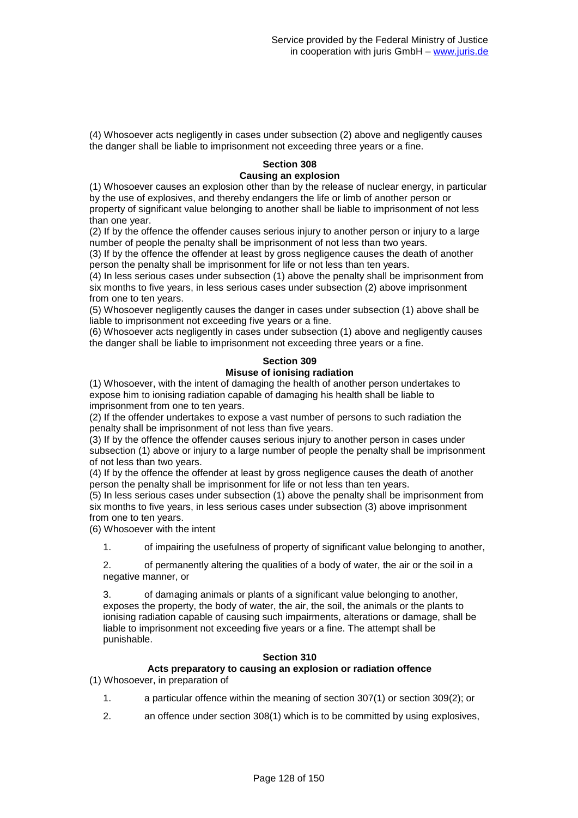(4) Whosoever acts negligently in cases under subsection (2) above and negligently causes the danger shall be liable to imprisonment not exceeding three years or a fine.

### **Section 308**

#### **Causing an explosion**

(1) Whosoever causes an explosion other than by the release of nuclear energy, in particular by the use of explosives, and thereby endangers the life or limb of another person or property of significant value belonging to another shall be liable to imprisonment of not less than one year.

(2) If by the offence the offender causes serious injury to another person or injury to a large number of people the penalty shall be imprisonment of not less than two years.

(3) If by the offence the offender at least by gross negligence causes the death of another person the penalty shall be imprisonment for life or not less than ten years.

(4) In less serious cases under subsection (1) above the penalty shall be imprisonment from six months to five years, in less serious cases under subsection (2) above imprisonment from one to ten years.

(5) Whosoever negligently causes the danger in cases under subsection (1) above shall be liable to imprisonment not exceeding five years or a fine.

(6) Whosoever acts negligently in cases under subsection (1) above and negligently causes the danger shall be liable to imprisonment not exceeding three years or a fine.

# **Section 309**

### **Misuse of ionising radiation**

(1) Whosoever, with the intent of damaging the health of another person undertakes to expose him to ionising radiation capable of damaging his health shall be liable to imprisonment from one to ten years.

(2) If the offender undertakes to expose a vast number of persons to such radiation the penalty shall be imprisonment of not less than five years.

(3) If by the offence the offender causes serious injury to another person in cases under subsection (1) above or injury to a large number of people the penalty shall be imprisonment of not less than two years.

(4) If by the offence the offender at least by gross negligence causes the death of another person the penalty shall be imprisonment for life or not less than ten years.

(5) In less serious cases under subsection (1) above the penalty shall be imprisonment from six months to five years, in less serious cases under subsection (3) above imprisonment from one to ten years.

(6) Whosoever with the intent

1. of impairing the usefulness of property of significant value belonging to another,

2. of permanently altering the qualities of a body of water, the air or the soil in a negative manner, or

3. of damaging animals or plants of a significant value belonging to another, exposes the property, the body of water, the air, the soil, the animals or the plants to ionising radiation capable of causing such impairments, alterations or damage, shall be liable to imprisonment not exceeding five years or a fine. The attempt shall be punishable.

### **Section 310**

# **Acts preparatory to causing an explosion or radiation offence**

(1) Whosoever, in preparation of

- 1. a particular offence within the meaning of section 307(1) or section 309(2); or
- 2. an offence under section 308(1) which is to be committed by using explosives,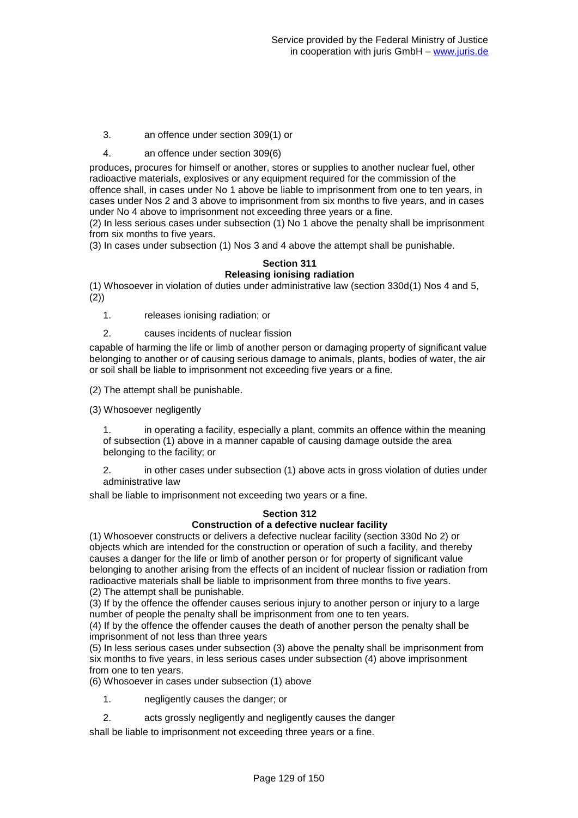- 3. an offence under section 309(1) or
- 4. an offence under section 309(6)

produces, procures for himself or another, stores or supplies to another nuclear fuel, other radioactive materials, explosives or any equipment required for the commission of the offence shall, in cases under No 1 above be liable to imprisonment from one to ten years, in cases under Nos 2 and 3 above to imprisonment from six months to five years, and in cases under No 4 above to imprisonment not exceeding three years or a fine.

(2) In less serious cases under subsection (1) No 1 above the penalty shall be imprisonment from six months to five years.

(3) In cases under subsection (1) Nos 3 and 4 above the attempt shall be punishable.

#### **Section 311 Releasing ionising radiation**

(1) Whosoever in violation of duties under administrative law (section 330d(1) Nos 4 and 5, (2))

1. releases ionising radiation; or

2. causes incidents of nuclear fission

capable of harming the life or limb of another person or damaging property of significant value belonging to another or of causing serious damage to animals, plants, bodies of water, the air or soil shall be liable to imprisonment not exceeding five years or a fine.

(2) The attempt shall be punishable.

(3) Whosoever negligently

in operating a facility, especially a plant, commits an offence within the meaning of subsection (1) above in a manner capable of causing damage outside the area belonging to the facility; or

2. in other cases under subsection (1) above acts in gross violation of duties under administrative law

shall be liable to imprisonment not exceeding two years or a fine.

### **Section 312 Construction of a defective nuclear facility**

(1) Whosoever constructs or delivers a defective nuclear facility (section 330d No 2) or objects which are intended for the construction or operation of such a facility, and thereby causes a danger for the life or limb of another person or for property of significant value belonging to another arising from the effects of an incident of nuclear fission or radiation from radioactive materials shall be liable to imprisonment from three months to five years. (2) The attempt shall be punishable.

(3) If by the offence the offender causes serious injury to another person or injury to a large number of people the penalty shall be imprisonment from one to ten years.

(4) If by the offence the offender causes the death of another person the penalty shall be imprisonment of not less than three years

(5) In less serious cases under subsection (3) above the penalty shall be imprisonment from six months to five years, in less serious cases under subsection (4) above imprisonment from one to ten years.

(6) Whosoever in cases under subsection (1) above

- 1. negligently causes the danger; or
- 2. acts grossly negligently and negligently causes the danger

shall be liable to imprisonment not exceeding three years or a fine.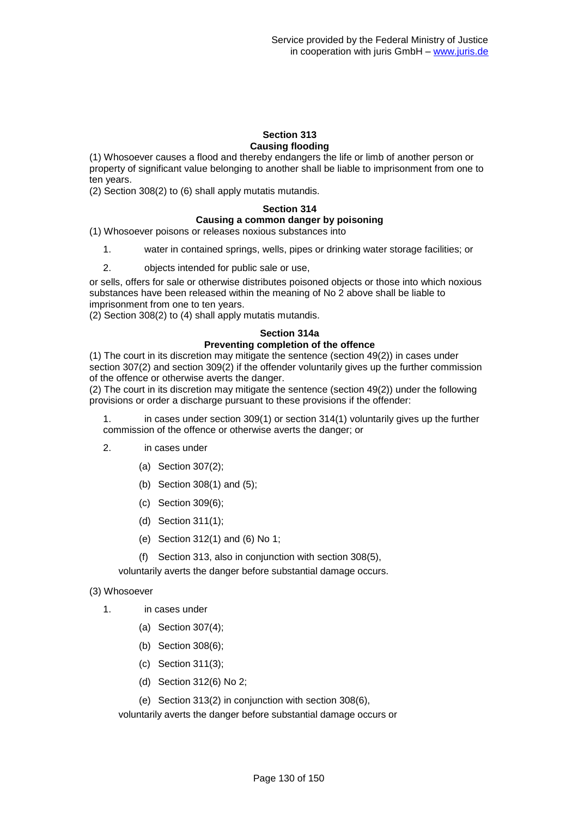#### **Section 313 Causing flooding**

(1) Whosoever causes a flood and thereby endangers the life or limb of another person or property of significant value belonging to another shall be liable to imprisonment from one to ten years.

(2) Section 308(2) to (6) shall apply mutatis mutandis.

# **Section 314**

### **Causing a common danger by poisoning**

(1) Whosoever poisons or releases noxious substances into

- 1. water in contained springs, wells, pipes or drinking water storage facilities; or
- 2. objects intended for public sale or use,

or sells, offers for sale or otherwise distributes poisoned objects or those into which noxious substances have been released within the meaning of No 2 above shall be liable to imprisonment from one to ten years.

(2) Section 308(2) to (4) shall apply mutatis mutandis.

### **Section 314a**

### **Preventing completion of the offence**

(1) The court in its discretion may mitigate the sentence (section 49(2)) in cases under section 307(2) and section 309(2) if the offender voluntarily gives up the further commission of the offence or otherwise averts the danger.

(2) The court in its discretion may mitigate the sentence (section 49(2)) under the following provisions or order a discharge pursuant to these provisions if the offender:

1. in cases under section 309(1) or section 314(1) voluntarily gives up the further commission of the offence or otherwise averts the danger; or

- 2. in cases under
	- (a) Section 307(2);
	- (b) Section 308(1) and (5);
	- (c) Section 309(6);
	- (d) Section 311(1);
	- (e) Section 312(1) and (6) No 1;
	- (f) Section 313, also in conjunction with section 308(5),

voluntarily averts the danger before substantial damage occurs.

#### (3) Whosoever

- 1. in cases under
	- (a) Section 307(4);
	- (b) Section 308(6);
	- (c) Section 311(3);
	- (d) Section 312(6) No 2;
	- (e) Section 313(2) in conjunction with section 308(6),

voluntarily averts the danger before substantial damage occurs or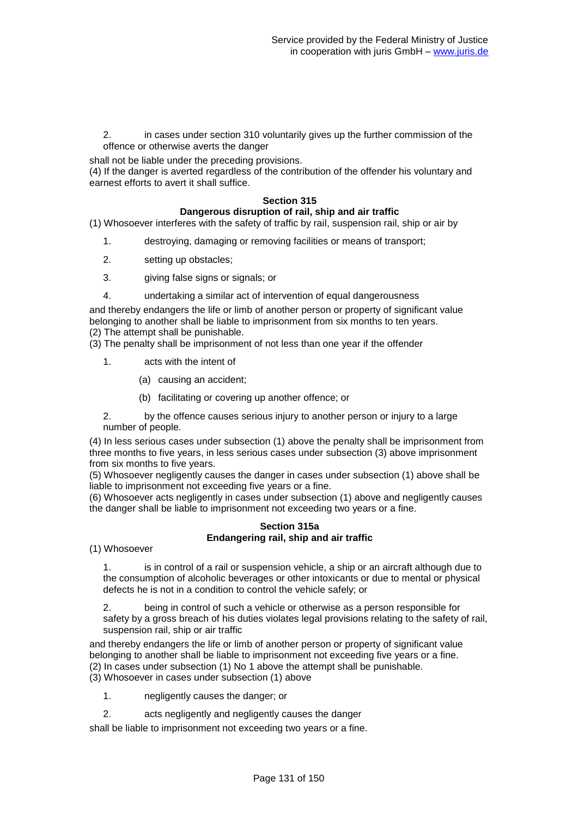2. in cases under section 310 voluntarily gives up the further commission of the offence or otherwise averts the danger

shall not be liable under the preceding provisions.

(4) If the danger is averted regardless of the contribution of the offender his voluntary and earnest efforts to avert it shall suffice.

### **Section 315**

### **Dangerous disruption of rail, ship and air traffic**

(1) Whosoever interferes with the safety of traffic by rail, suspension rail, ship or air by

- 1. destroying, damaging or removing facilities or means of transport;
- 2. setting up obstacles;
- 3. giving false signs or signals; or
- 4. undertaking a similar act of intervention of equal dangerousness

and thereby endangers the life or limb of another person or property of significant value belonging to another shall be liable to imprisonment from six months to ten years. (2) The attempt shall be punishable.

(3) The penalty shall be imprisonment of not less than one year if the offender

- 1. acts with the intent of
	- (a) causing an accident;
	- (b) facilitating or covering up another offence; or

2. by the offence causes serious injury to another person or injury to a large number of people.

(4) In less serious cases under subsection (1) above the penalty shall be imprisonment from three months to five years, in less serious cases under subsection (3) above imprisonment from six months to five years.

(5) Whosoever negligently causes the danger in cases under subsection (1) above shall be liable to imprisonment not exceeding five years or a fine.

(6) Whosoever acts negligently in cases under subsection (1) above and negligently causes the danger shall be liable to imprisonment not exceeding two years or a fine.

### **Section 315a Endangering rail, ship and air traffic**

(1) Whosoever

1. is in control of a rail or suspension vehicle, a ship or an aircraft although due to the consumption of alcoholic beverages or other intoxicants or due to mental or physical defects he is not in a condition to control the vehicle safely; or

2. being in control of such a vehicle or otherwise as a person responsible for safety by a gross breach of his duties violates legal provisions relating to the safety of rail, suspension rail, ship or air traffic

and thereby endangers the life or limb of another person or property of significant value belonging to another shall be liable to imprisonment not exceeding five years or a fine. (2) In cases under subsection (1) No 1 above the attempt shall be punishable.

- (3) Whosoever in cases under subsection (1) above
	- 1. negligently causes the danger; or
	- 2. acts negligently and negligently causes the danger

shall be liable to imprisonment not exceeding two years or a fine.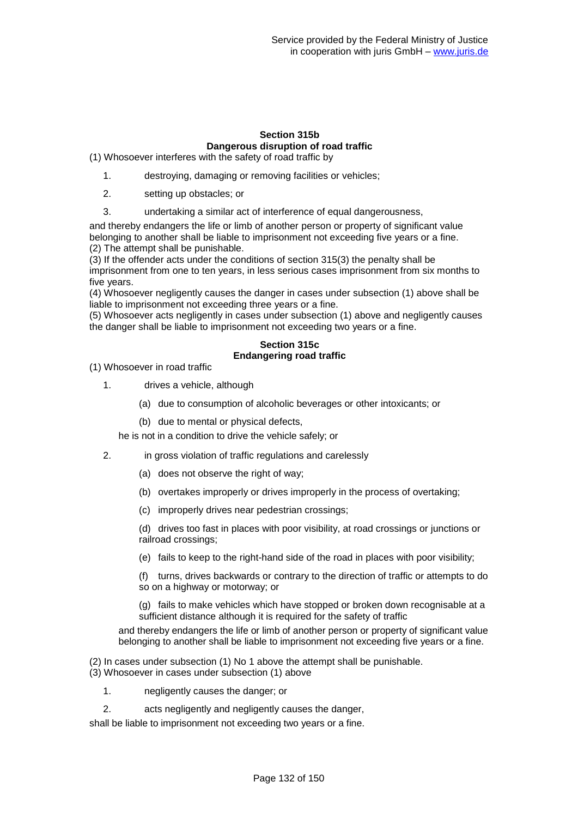# **Section 315b Dangerous disruption of road traffic**

(1) Whosoever interferes with the safety of road traffic by

- 1. destroying, damaging or removing facilities or vehicles;
- 2. setting up obstacles; or
- 3. undertaking a similar act of interference of equal dangerousness,

and thereby endangers the life or limb of another person or property of significant value belonging to another shall be liable to imprisonment not exceeding five years or a fine. (2) The attempt shall be punishable.

(3) If the offender acts under the conditions of section 315(3) the penalty shall be imprisonment from one to ten years, in less serious cases imprisonment from six months to five years.

(4) Whosoever negligently causes the danger in cases under subsection (1) above shall be liable to imprisonment not exceeding three years or a fine.

(5) Whosoever acts negligently in cases under subsection (1) above and negligently causes the danger shall be liable to imprisonment not exceeding two years or a fine.

### **Section 315c Endangering road traffic**

(1) Whosoever in road traffic

- 1. drives a vehicle, although
	- (a) due to consumption of alcoholic beverages or other intoxicants; or
	- (b) due to mental or physical defects,

he is not in a condition to drive the vehicle safely; or

- 2. in gross violation of traffic regulations and carelessly
	- (a) does not observe the right of way;
	- (b) overtakes improperly or drives improperly in the process of overtaking;
	- (c) improperly drives near pedestrian crossings;

(d) drives too fast in places with poor visibility, at road crossings or junctions or railroad crossings;

(e) fails to keep to the right-hand side of the road in places with poor visibility;

(f) turns, drives backwards or contrary to the direction of traffic or attempts to do so on a highway or motorway; or

(g) fails to make vehicles which have stopped or broken down recognisable at a sufficient distance although it is required for the safety of traffic

and thereby endangers the life or limb of another person or property of significant value belonging to another shall be liable to imprisonment not exceeding five years or a fine.

(2) In cases under subsection (1) No 1 above the attempt shall be punishable.

(3) Whosoever in cases under subsection (1) above

- 1. negligently causes the danger; or
- 2. acts negligently and negligently causes the danger,

shall be liable to imprisonment not exceeding two years or a fine.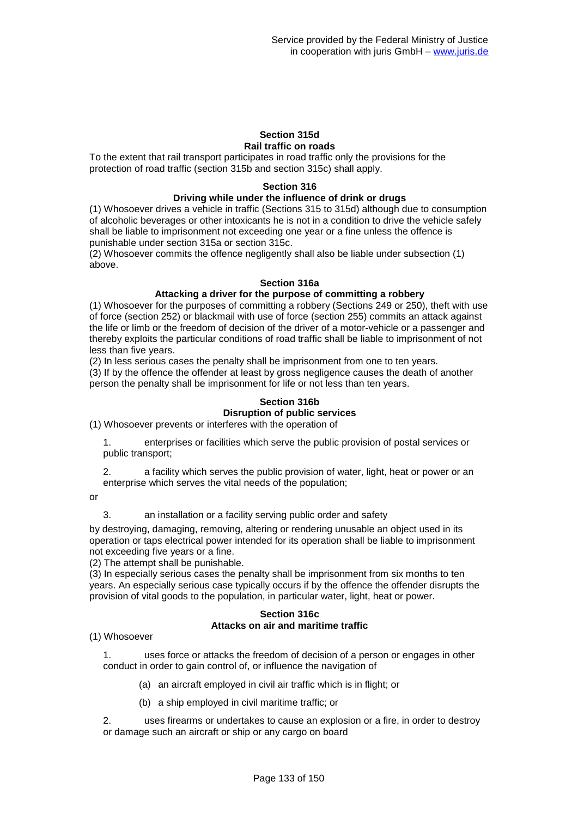#### **Section 315d Rail traffic on roads**

To the extent that rail transport participates in road traffic only the provisions for the protection of road traffic (section 315b and section 315c) shall apply.

### **Section 316**

### **Driving while under the influence of drink or drugs**

(1) Whosoever drives a vehicle in traffic (Sections 315 to 315d) although due to consumption of alcoholic beverages or other intoxicants he is not in a condition to drive the vehicle safely shall be liable to imprisonment not exceeding one year or a fine unless the offence is punishable under section 315a or section 315c.

(2) Whosoever commits the offence negligently shall also be liable under subsection (1) above.

### **Section 316a**

### **Attacking a driver for the purpose of committing a robbery**

(1) Whosoever for the purposes of committing a robbery (Sections 249 or 250), theft with use of force (section 252) or blackmail with use of force (section 255) commits an attack against the life or limb or the freedom of decision of the driver of a motor-vehicle or a passenger and thereby exploits the particular conditions of road traffic shall be liable to imprisonment of not less than five years.

(2) In less serious cases the penalty shall be imprisonment from one to ten years.

(3) If by the offence the offender at least by gross negligence causes the death of another person the penalty shall be imprisonment for life or not less than ten years.

#### **Section 316b Disruption of public services**

(1) Whosoever prevents or interferes with the operation of

1. enterprises or facilities which serve the public provision of postal services or public transport;

2. a facility which serves the public provision of water, light, heat or power or an enterprise which serves the vital needs of the population;

or

3. an installation or a facility serving public order and safety

by destroying, damaging, removing, altering or rendering unusable an object used in its operation or taps electrical power intended for its operation shall be liable to imprisonment not exceeding five years or a fine.

(2) The attempt shall be punishable.

(3) In especially serious cases the penalty shall be imprisonment from six months to ten years. An especially serious case typically occurs if by the offence the offender disrupts the provision of vital goods to the population, in particular water, light, heat or power.

### **Section 316c Attacks on air and maritime traffic**

(1) Whosoever

1. uses force or attacks the freedom of decision of a person or engages in other conduct in order to gain control of, or influence the navigation of

- (a) an aircraft employed in civil air traffic which is in flight; or
- (b) a ship employed in civil maritime traffic; or

2. uses firearms or undertakes to cause an explosion or a fire, in order to destroy or damage such an aircraft or ship or any cargo on board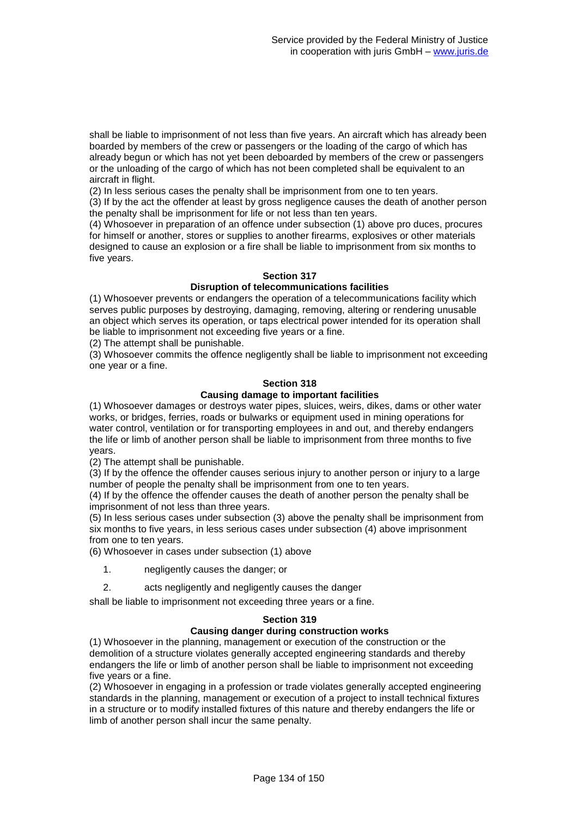shall be liable to imprisonment of not less than five years. An aircraft which has already been boarded by members of the crew or passengers or the loading of the cargo of which has already begun or which has not yet been deboarded by members of the crew or passengers or the unloading of the cargo of which has not been completed shall be equivalent to an aircraft in flight.

(2) In less serious cases the penalty shall be imprisonment from one to ten years.

(3) If by the act the offender at least by gross negligence causes the death of another person the penalty shall be imprisonment for life or not less than ten years.

(4) Whosoever in preparation of an offence under subsection (1) above pro duces, procures for himself or another, stores or supplies to another firearms, explosives or other materials designed to cause an explosion or a fire shall be liable to imprisonment from six months to five years.

### **Section 317**

### **Disruption of telecommunications facilities**

(1) Whosoever prevents or endangers the operation of a telecommunications facility which serves public purposes by destroying, damaging, removing, altering or rendering unusable an object which serves its operation, or taps electrical power intended for its operation shall be liable to imprisonment not exceeding five years or a fine.

(2) The attempt shall be punishable.

(3) Whosoever commits the offence negligently shall be liable to imprisonment not exceeding one year or a fine.

#### **Section 318**

#### **Causing damage to important facilities**

(1) Whosoever damages or destroys water pipes, sluices, weirs, dikes, dams or other water works, or bridges, ferries, roads or bulwarks or equipment used in mining operations for water control, ventilation or for transporting employees in and out, and thereby endangers the life or limb of another person shall be liable to imprisonment from three months to five years.

(2) The attempt shall be punishable.

(3) If by the offence the offender causes serious injury to another person or injury to a large number of people the penalty shall be imprisonment from one to ten years.

(4) If by the offence the offender causes the death of another person the penalty shall be imprisonment of not less than three years.

(5) In less serious cases under subsection (3) above the penalty shall be imprisonment from six months to five years, in less serious cases under subsection (4) above imprisonment from one to ten years.

(6) Whosoever in cases under subsection (1) above

1. negligently causes the danger; or

2. acts negligently and negligently causes the danger

shall be liable to imprisonment not exceeding three years or a fine.

#### **Section 319**

### **Causing danger during construction works**

(1) Whosoever in the planning, management or execution of the construction or the demolition of a structure violates generally accepted engineering standards and thereby endangers the life or limb of another person shall be liable to imprisonment not exceeding five years or a fine.

(2) Whosoever in engaging in a profession or trade violates generally accepted engineering standards in the planning, management or execution of a project to install technical fixtures in a structure or to modify installed fixtures of this nature and thereby endangers the life or limb of another person shall incur the same penalty.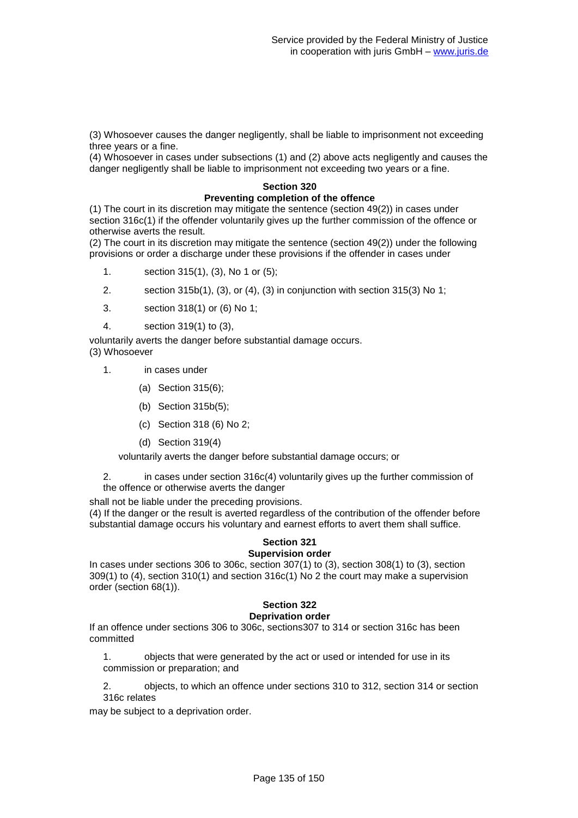(3) Whosoever causes the danger negligently, shall be liable to imprisonment not exceeding three years or a fine.

(4) Whosoever in cases under subsections (1) and (2) above acts negligently and causes the danger negligently shall be liable to imprisonment not exceeding two years or a fine.

### **Section 320 Preventing completion of the offence**

(1) The court in its discretion may mitigate the sentence (section 49(2)) in cases under section 316c(1) if the offender voluntarily gives up the further commission of the offence or otherwise averts the result.

(2) The court in its discretion may mitigate the sentence (section 49(2)) under the following provisions or order a discharge under these provisions if the offender in cases under

- 1. section 315(1), (3), No 1 or (5);
- 2. section 315b(1), (3), or (4), (3) in conjunction with section 315(3) No 1;
- 3. section 318(1) or (6) No 1;
- 4. section 319(1) to (3),

voluntarily averts the danger before substantial damage occurs. (3) Whosoever

- 1. in cases under
	- (a) Section 315(6);
	- (b) Section 315b(5);
	- (c) Section 318 (6) No 2;
	- (d) Section 319(4)

voluntarily averts the danger before substantial damage occurs; or

2. in cases under section 316c(4) voluntarily gives up the further commission of the offence or otherwise averts the danger

shall not be liable under the preceding provisions.

(4) If the danger or the result is averted regardless of the contribution of the offender before substantial damage occurs his voluntary and earnest efforts to avert them shall suffice.

#### **Section 321 Supervision order**

In cases under sections 306 to 306c, section 307(1) to (3), section 308(1) to (3), section 309(1) to (4), section 310(1) and section 316c(1) No 2 the court may make a supervision order (section 68(1)).

### **Section 322**

### **Deprivation order**

If an offence under sections 306 to 306c, sections307 to 314 or section 316c has been committed

1. objects that were generated by the act or used or intended for use in its commission or preparation; and

2. objects, to which an offence under sections 310 to 312, section 314 or section 316c relates

may be subject to a deprivation order.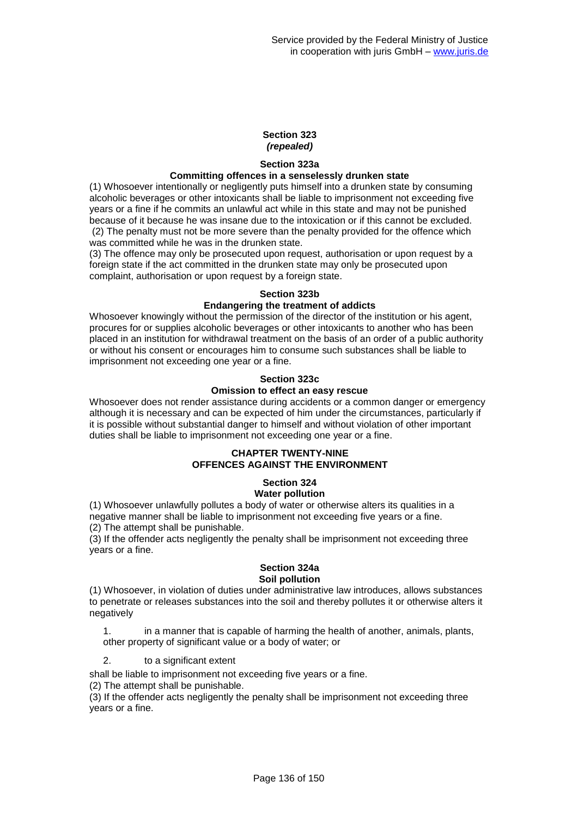#### **Section 323** *(repealed)*

### **Section 323a**

### **Committing offences in a senselessly drunken state**

(1) Whosoever intentionally or negligently puts himself into a drunken state by consuming alcoholic beverages or other intoxicants shall be liable to imprisonment not exceeding five years or a fine if he commits an unlawful act while in this state and may not be punished because of it because he was insane due to the intoxication or if this cannot be excluded. (2) The penalty must not be more severe than the penalty provided for the offence which was committed while he was in the drunken state.

(3) The offence may only be prosecuted upon request, authorisation or upon request by a foreign state if the act committed in the drunken state may only be prosecuted upon complaint, authorisation or upon request by a foreign state.

#### **Section 323b**

### **Endangering the treatment of addicts**

Whosoever knowingly without the permission of the director of the institution or his agent, procures for or supplies alcoholic beverages or other intoxicants to another who has been placed in an institution for withdrawal treatment on the basis of an order of a public authority or without his consent or encourages him to consume such substances shall be liable to imprisonment not exceeding one year or a fine.

### **Section 323c**

#### **Omission to effect an easy rescue**

Whosoever does not render assistance during accidents or a common danger or emergency although it is necessary and can be expected of him under the circumstances, particularly if it is possible without substantial danger to himself and without violation of other important duties shall be liable to imprisonment not exceeding one year or a fine.

### **CHAPTER TWENTY-NINE OFFENCES AGAINST THE ENVIRONMENT**

#### **Section 324 Water pollution**

(1) Whosoever unlawfully pollutes a body of water or otherwise alters its qualities in a negative manner shall be liable to imprisonment not exceeding five years or a fine. (2) The attempt shall be punishable.

(3) If the offender acts negligently the penalty shall be imprisonment not exceeding three years or a fine.

# **Section 324a**

# **Soil pollution**

(1) Whosoever, in violation of duties under administrative law introduces, allows substances to penetrate or releases substances into the soil and thereby pollutes it or otherwise alters it negatively

1. in a manner that is capable of harming the health of another, animals, plants, other property of significant value or a body of water; or

2. to a significant extent

shall be liable to imprisonment not exceeding five years or a fine.

(2) The attempt shall be punishable.

(3) If the offender acts negligently the penalty shall be imprisonment not exceeding three years or a fine.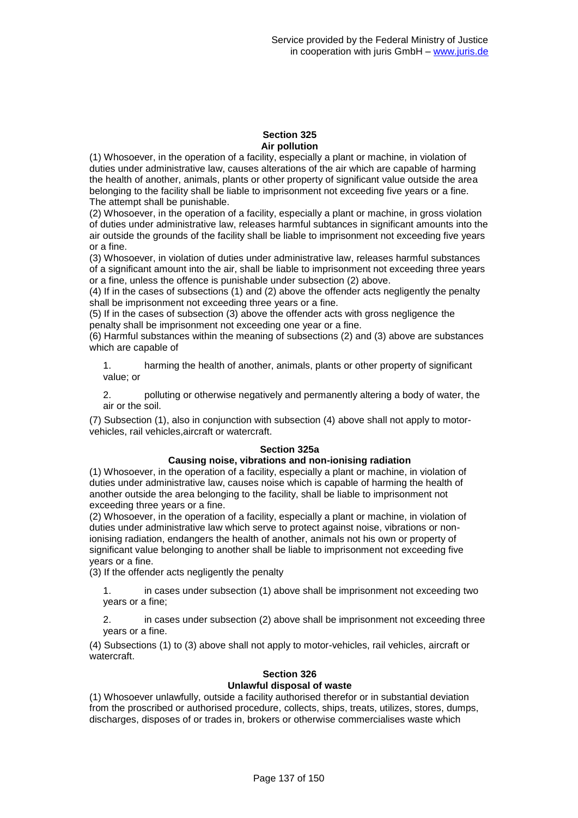#### **Section 325 Air pollution**

(1) Whosoever, in the operation of a facility, especially a plant or machine, in violation of duties under administrative law, causes alterations of the air which are capable of harming the health of another, animals, plants or other property of significant value outside the area belonging to the facility shall be liable to imprisonment not exceeding five years or a fine. The attempt shall be punishable.

(2) Whosoever, in the operation of a facility, especially a plant or machine, in gross violation of duties under administrative law, releases harmful subtances in significant amounts into the air outside the grounds of the facility shall be liable to imprisonment not exceeding five years or a fine.

(3) Whosoever, in violation of duties under administrative law, releases harmful substances of a significant amount into the air, shall be liable to imprisonment not exceeding three years or a fine, unless the offence is punishable under subsection (2) above.

(4) If in the cases of subsections (1) and (2) above the offender acts negligently the penalty shall be imprisonment not exceeding three years or a fine.

(5) If in the cases of subsection (3) above the offender acts with gross negligence the penalty shall be imprisonment not exceeding one year or a fine.

(6) Harmful substances within the meaning of subsections (2) and (3) above are substances which are capable of

1. harming the health of another, animals, plants or other property of significant value; or

2. polluting or otherwise negatively and permanently altering a body of water, the air or the soil.

(7) Subsection (1), also in conjunction with subsection (4) above shall not apply to motorvehicles, rail vehicles,aircraft or watercraft.

### **Section 325a**

### **Causing noise, vibrations and non-ionising radiation**

(1) Whosoever, in the operation of a facility, especially a plant or machine, in violation of duties under administrative law, causes noise which is capable of harming the health of another outside the area belonging to the facility, shall be liable to imprisonment not exceeding three years or a fine.

(2) Whosoever, in the operation of a facility, especially a plant or machine, in violation of duties under administrative law which serve to protect against noise, vibrations or nonionising radiation, endangers the health of another, animals not his own or property of significant value belonging to another shall be liable to imprisonment not exceeding five years or a fine.

(3) If the offender acts negligently the penalty

1. in cases under subsection (1) above shall be imprisonment not exceeding two years or a fine;

2. in cases under subsection (2) above shall be imprisonment not exceeding three years or a fine.

(4) Subsections (1) to (3) above shall not apply to motor-vehicles, rail vehicles, aircraft or watercraft.

#### **Section 326 Unlawful disposal of waste**

(1) Whosoever unlawfully, outside a facility authorised therefor or in substantial deviation from the proscribed or authorised procedure, collects, ships, treats, utilizes, stores, dumps, discharges, disposes of or trades in, brokers or otherwise commercialises waste which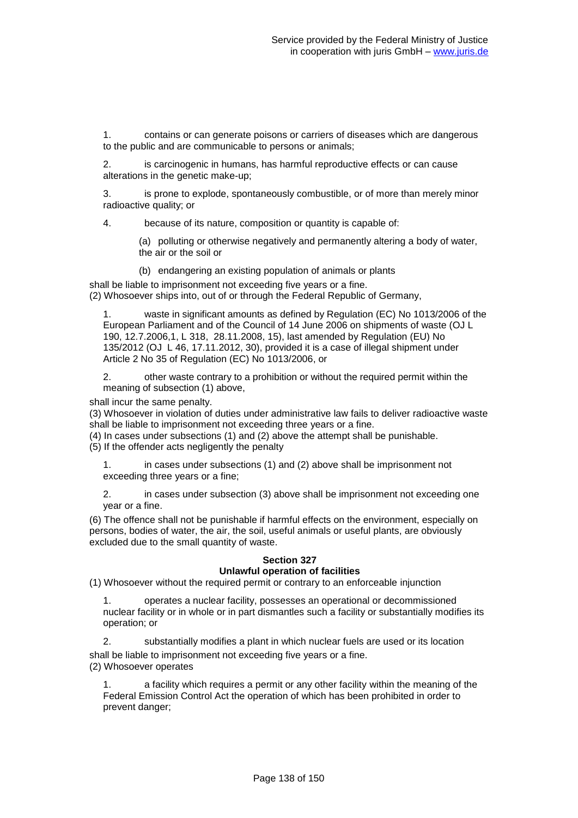1. contains or can generate poisons or carriers of diseases which are dangerous to the public and are communicable to persons or animals;

2. is carcinogenic in humans, has harmful reproductive effects or can cause alterations in the genetic make-up;

3. is prone to explode, spontaneously combustible, or of more than merely minor radioactive quality; or

4. because of its nature, composition or quantity is capable of:

(a) polluting or otherwise negatively and permanently altering a body of water, the air or the soil or

(b) endangering an existing population of animals or plants

shall be liable to imprisonment not exceeding five years or a fine.

(2) Whosoever ships into, out of or through the Federal Republic of Germany,

1. waste in significant amounts as defined by Regulation (EC) No 1013/2006 of the European Parliament and of the Council of 14 June 2006 on shipments of waste (OJ L 190, 12.7.2006,1, L 318, 28.11.2008, 15), last amended by Regulation (EU) No 135/2012 (OJ L 46, 17.11.2012, 30), provided it is a case of illegal shipment under Article 2 No 35 of Regulation (EC) No 1013/2006, or

2. other waste contrary to a prohibition or without the required permit within the meaning of subsection (1) above,

shall incur the same penalty.

(3) Whosoever in violation of duties under administrative law fails to deliver radioactive waste shall be liable to imprisonment not exceeding three years or a fine.

(4) In cases under subsections (1) and (2) above the attempt shall be punishable.

(5) If the offender acts negligently the penalty

1. in cases under subsections (1) and (2) above shall be imprisonment not exceeding three years or a fine;

2. in cases under subsection (3) above shall be imprisonment not exceeding one year or a fine.

(6) The offence shall not be punishable if harmful effects on the environment, especially on persons, bodies of water, the air, the soil, useful animals or useful plants, are obviously excluded due to the small quantity of waste.

### **Section 327 Unlawful operation of facilities**

(1) Whosoever without the required permit or contrary to an enforceable injunction

1. operates a nuclear facility, possesses an operational or decommissioned nuclear facility or in whole or in part dismantles such a facility or substantially modifies its operation; or

2. substantially modifies a plant in which nuclear fuels are used or its location shall be liable to imprisonment not exceeding five years or a fine. (2) Whosoever operates

1. a facility which requires a permit or any other facility within the meaning of the Federal Emission Control Act the operation of which has been prohibited in order to prevent danger;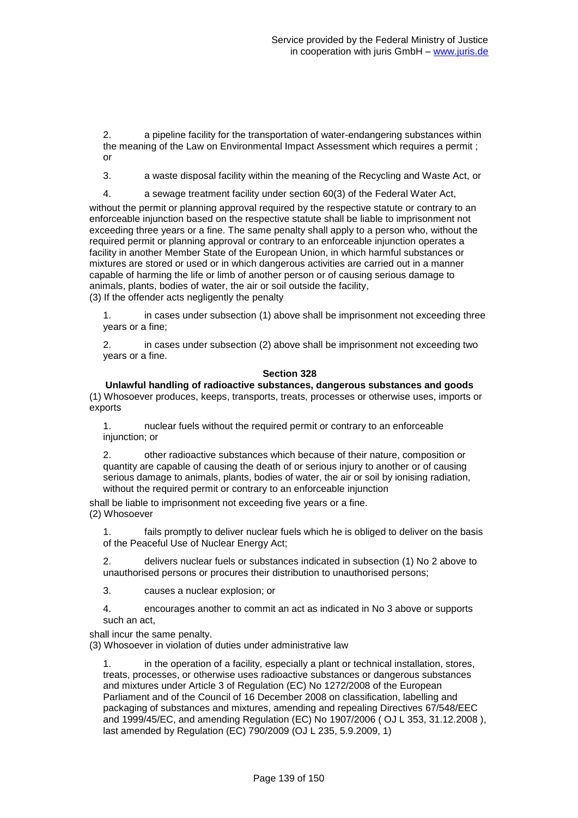2. a pipeline facility for the transportation of water-endangering substances within the meaning of the Law on Environmental Impact Assessment which requires a permit ; or

3. a waste disposal facility within the meaning of the Recycling and Waste Act, or

4. a sewage treatment facility under section 60(3) of the Federal Water Act,

without the permit or planning approval required by the respective statute or contrary to an enforceable injunction based on the respective statute shall be liable to imprisonment not exceeding three years or a fine. The same penalty shall apply to a person who, without the required permit or planning approval or contrary to an enforceable injunction operates a facility in another Member State of the European Union, in which harmful substances or mixtures are stored or used or in which dangerous activities are carried out in a manner capable of harming the life or limb of another person or of causing serious damage to animals, plants, bodies of water, the air or soil outside the facility,

(3) If the offender acts negligently the penalty

1. in cases under subsection (1) above shall be imprisonment not exceeding three years or a fine;

2. in cases under subsection (2) above shall be imprisonment not exceeding two years or a fine.

### **Section 328**

**Unlawful handling of radioactive substances, dangerous substances and goods** (1) Whosoever produces, keeps, transports, treats, processes or otherwise uses, imports or exports

1. nuclear fuels without the required permit or contrary to an enforceable injunction; or

2. other radioactive substances which because of their nature, composition or quantity are capable of causing the death of or serious injury to another or of causing serious damage to animals, plants, bodies of water, the air or soil by ionising radiation, without the required permit or contrary to an enforceable injunction

shall be liable to imprisonment not exceeding five years or a fine. (2) Whosoever

1. fails promptly to deliver nuclear fuels which he is obliged to deliver on the basis of the Peaceful Use of Nuclear Energy Act;

2. delivers nuclear fuels or substances indicated in subsection (1) No 2 above to unauthorised persons or procures their distribution to unauthorised persons;

3. causes a nuclear explosion; or

4. encourages another to commit an act as indicated in No 3 above or supports such an act,

shall incur the same penalty.

(3) Whosoever in violation of duties under administrative law

1. in the operation of a facility, especially a plant or technical installation, stores, treats, processes, or otherwise uses radioactive substances or dangerous substances and mixtures under Article 3 of Regulation (EC) No 1272/2008 of the European Parliament and of the Council of 16 December 2008 on classification, labelling and packaging of substances and mixtures, amending and repealing Directives 67/548/EEC and 1999/45/EC, and amending Regulation (EC) No 1907/2006 ( OJ L 353, 31.12.2008 ), last amended by Regulation (EC) 790/2009 (OJ L 235, 5.9.2009, 1)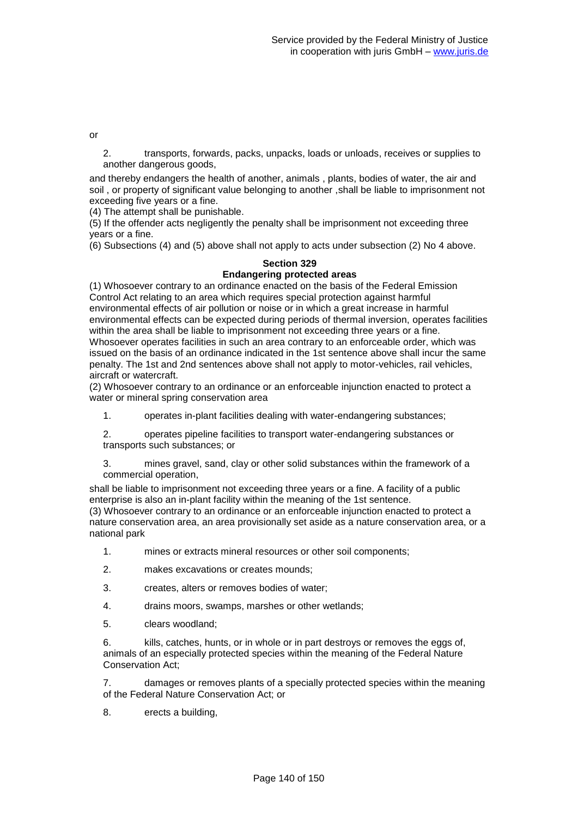or

2. transports, forwards, packs, unpacks, loads or unloads, receives or supplies to another dangerous goods,

and thereby endangers the health of another, animals , plants, bodies of water, the air and soil , or property of significant value belonging to another ,shall be liable to imprisonment not exceeding five years or a fine.

(4) The attempt shall be punishable.

(5) If the offender acts negligently the penalty shall be imprisonment not exceeding three years or a fine.

(6) Subsections (4) and (5) above shall not apply to acts under subsection (2) No 4 above.

### **Section 329 Endangering protected areas**

(1) Whosoever contrary to an ordinance enacted on the basis of the Federal Emission Control Act relating to an area which requires special protection against harmful environmental effects of air pollution or noise or in which a great increase in harmful environmental effects can be expected during periods of thermal inversion, operates facilities within the area shall be liable to imprisonment not exceeding three years or a fine. Whosoever operates facilities in such an area contrary to an enforceable order, which was issued on the basis of an ordinance indicated in the 1st sentence above shall incur the same penalty. The 1st and 2nd sentences above shall not apply to motor-vehicles, rail vehicles, aircraft or watercraft.

(2) Whosoever contrary to an ordinance or an enforceable injunction enacted to protect a water or mineral spring conservation area

1. operates in-plant facilities dealing with water-endangering substances;

2. operates pipeline facilities to transport water-endangering substances or transports such substances; or

3. mines gravel, sand, clay or other solid substances within the framework of a commercial operation,

shall be liable to imprisonment not exceeding three years or a fine. A facility of a public enterprise is also an in-plant facility within the meaning of the 1st sentence. (3) Whosoever contrary to an ordinance or an enforceable injunction enacted to protect a nature conservation area, an area provisionally set aside as a nature conservation area, or a national park

- 1. mines or extracts mineral resources or other soil components;
- 2. makes excavations or creates mounds;
- 3. creates, alters or removes bodies of water;
- 4. drains moors, swamps, marshes or other wetlands;
- 5. clears woodland;

6. kills, catches, hunts, or in whole or in part destroys or removes the eggs of, animals of an especially protected species within the meaning of the Federal Nature Conservation Act;

7. damages or removes plants of a specially protected species within the meaning of the Federal Nature Conservation Act; or

8. erects a building,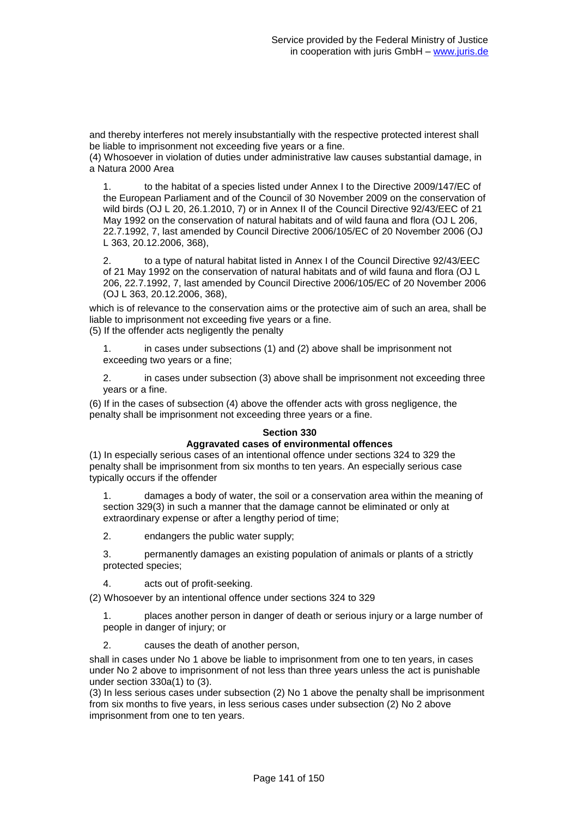and thereby interferes not merely insubstantially with the respective protected interest shall be liable to imprisonment not exceeding five years or a fine.

(4) Whosoever in violation of duties under administrative law causes substantial damage, in a Natura 2000 Area

1. to the habitat of a species listed under Annex I to the Directive 2009/147/EC of the European Parliament and of the Council of 30 November 2009 on the conservation of wild birds (OJ L 20, 26.1.2010, 7) or in Annex II of the Council Directive 92/43/EEC of 21 May 1992 on the conservation of natural habitats and of wild fauna and flora (OJ L 206, 22.7.1992, 7, last amended by Council Directive 2006/105/EC of 20 November 2006 (OJ L 363, 20.12.2006, 368),

2. to a type of natural habitat listed in Annex I of the Council Directive 92/43/EEC of 21 May 1992 on the conservation of natural habitats and of wild fauna and flora (OJ L 206, 22.7.1992, 7, last amended by Council Directive 2006/105/EC of 20 November 2006 (OJ L 363, 20.12.2006, 368),

which is of relevance to the conservation aims or the protective aim of such an area, shall be liable to imprisonment not exceeding five years or a fine. (5) If the offender acts negligently the penalty

1. in cases under subsections (1) and (2) above shall be imprisonment not exceeding two years or a fine;

2. in cases under subsection (3) above shall be imprisonment not exceeding three years or a fine.

(6) If in the cases of subsection (4) above the offender acts with gross negligence, the penalty shall be imprisonment not exceeding three years or a fine.

#### **Section 330 Aggravated cases of environmental offences**

(1) In especially serious cases of an intentional offence under sections 324 to 329 the penalty shall be imprisonment from six months to ten years. An especially serious case typically occurs if the offender

1. damages a body of water, the soil or a conservation area within the meaning of section 329(3) in such a manner that the damage cannot be eliminated or only at extraordinary expense or after a lengthy period of time;

2. endangers the public water supply;

3. permanently damages an existing population of animals or plants of a strictly protected species;

4. acts out of profit-seeking.

(2) Whosoever by an intentional offence under sections 324 to 329

1. places another person in danger of death or serious injury or a large number of people in danger of injury; or

2. causes the death of another person,

shall in cases under No 1 above be liable to imprisonment from one to ten years, in cases under No 2 above to imprisonment of not less than three years unless the act is punishable under section 330a(1) to (3).

(3) In less serious cases under subsection (2) No 1 above the penalty shall be imprisonment from six months to five years, in less serious cases under subsection (2) No 2 above imprisonment from one to ten years.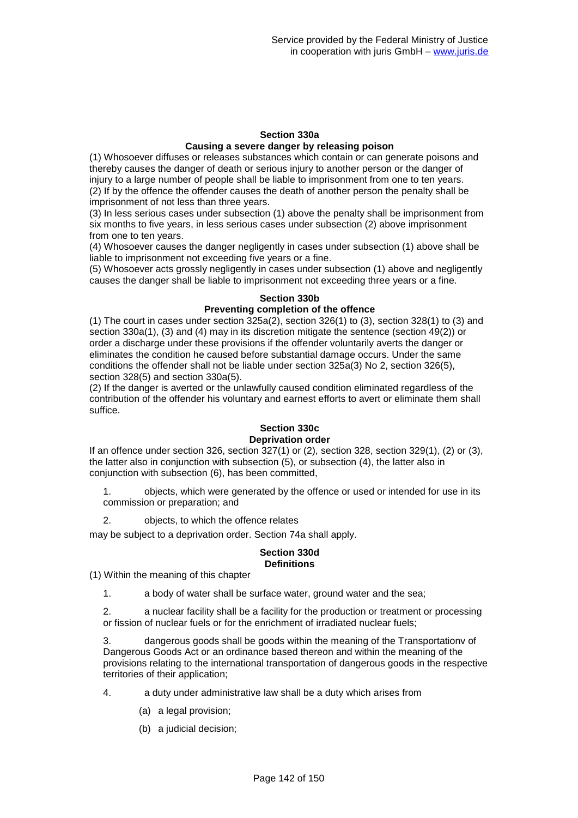#### **Section 330a Causing a severe danger by releasing poison**

(1) Whosoever diffuses or releases substances which contain or can generate poisons and thereby causes the danger of death or serious injury to another person or the danger of injury to a large number of people shall be liable to imprisonment from one to ten years. (2) If by the offence the offender causes the death of another person the penalty shall be imprisonment of not less than three years.

(3) In less serious cases under subsection (1) above the penalty shall be imprisonment from six months to five years, in less serious cases under subsection (2) above imprisonment from one to ten years.

(4) Whosoever causes the danger negligently in cases under subsection (1) above shall be liable to imprisonment not exceeding five years or a fine.

(5) Whosoever acts grossly negligently in cases under subsection (1) above and negligently causes the danger shall be liable to imprisonment not exceeding three years or a fine.

### **Section 330b**

### **Preventing completion of the offence**

 $(1)$  The court in cases under section 325a $(2)$ , section 326 $(1)$  to  $(3)$ , section 328 $(1)$  to  $(3)$  and section 330a(1), (3) and (4) may in its discretion mitigate the sentence (section 49(2)) or order a discharge under these provisions if the offender voluntarily averts the danger or eliminates the condition he caused before substantial damage occurs. Under the same conditions the offender shall not be liable under section 325a(3) No 2, section 326(5), section 328(5) and section 330a(5).

(2) If the danger is averted or the unlawfully caused condition eliminated regardless of the contribution of the offender his voluntary and earnest efforts to avert or eliminate them shall suffice.

#### **Section 330c Deprivation order**

If an offence under section 326, section 327(1) or (2), section 328, section 329(1), (2) or (3), the latter also in conjunction with subsection (5), or subsection (4), the latter also in conjunction with subsection (6), has been committed,

1. objects, which were generated by the offence or used or intended for use in its commission or preparation; and

2. objects, to which the offence relates

may be subject to a deprivation order. Section 74a shall apply.

#### **Section 330d Definitions**

(1) Within the meaning of this chapter

1. a body of water shall be surface water, ground water and the sea;

2. a nuclear facility shall be a facility for the production or treatment or processing or fission of nuclear fuels or for the enrichment of irradiated nuclear fuels;

3. dangerous goods shall be goods within the meaning of the Transportationv of Dangerous Goods Act or an ordinance based thereon and within the meaning of the provisions relating to the international transportation of dangerous goods in the respective territories of their application;

4. a duty under administrative law shall be a duty which arises from

- (a) a legal provision;
- (b) a judicial decision;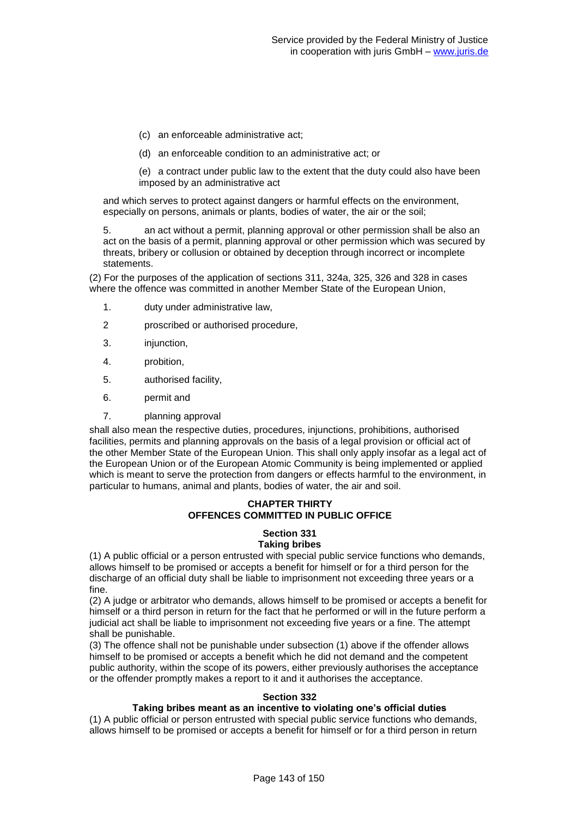- (c) an enforceable administrative act;
- (d) an enforceable condition to an administrative act; or

(e) a contract under public law to the extent that the duty could also have been imposed by an administrative act

and which serves to protect against dangers or harmful effects on the environment, especially on persons, animals or plants, bodies of water, the air or the soil;

5. an act without a permit, planning approval or other permission shall be also an act on the basis of a permit, planning approval or other permission which was secured by threats, bribery or collusion or obtained by deception through incorrect or incomplete statements.

(2) For the purposes of the application of sections 311, 324a, 325, 326 and 328 in cases where the offence was committed in another Member State of the European Union,

- 1. duty under administrative law,
- 2 proscribed or authorised procedure,
- 3. injunction,
- 4. probition,
- 5. authorised facility,
- 6. permit and
- 7. planning approval

shall also mean the respective duties, procedures, injunctions, prohibitions, authorised facilities, permits and planning approvals on the basis of a legal provision or official act of the other Member State of the European Union. This shall only apply insofar as a legal act of the European Union or of the European Atomic Community is being implemented or applied which is meant to serve the protection from dangers or effects harmful to the environment, in particular to humans, animal and plants, bodies of water, the air and soil.

### **CHAPTER THIRTY OFFENCES COMMITTED IN PUBLIC OFFICE**

#### **Section 331 Taking bribes**

(1) A public official or a person entrusted with special public service functions who demands, allows himself to be promised or accepts a benefit for himself or for a third person for the discharge of an official duty shall be liable to imprisonment not exceeding three years or a fine.

(2) A judge or arbitrator who demands, allows himself to be promised or accepts a benefit for himself or a third person in return for the fact that he performed or will in the future perform a judicial act shall be liable to imprisonment not exceeding five years or a fine. The attempt shall be punishable.

(3) The offence shall not be punishable under subsection (1) above if the offender allows himself to be promised or accepts a benefit which he did not demand and the competent public authority, within the scope of its powers, either previously authorises the acceptance or the offender promptly makes a report to it and it authorises the acceptance.

#### **Section 332**

#### **Taking bribes meant as an incentive to violating one's official duties**

(1) A public official or person entrusted with special public service functions who demands, allows himself to be promised or accepts a benefit for himself or for a third person in return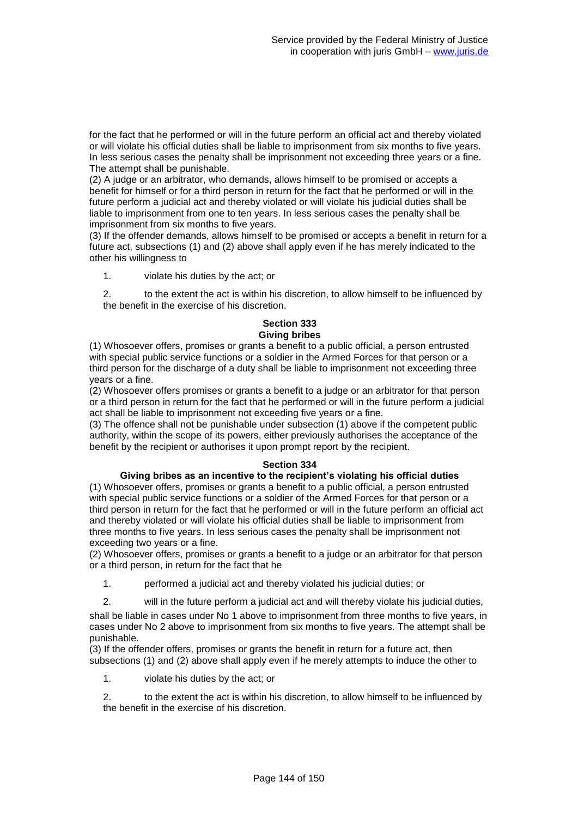for the fact that he performed or will in the future perform an official act and thereby violated or will violate his official duties shall be liable to imprisonment from six months to five years. In less serious cases the penalty shall be imprisonment not exceeding three years or a fine. The attempt shall be punishable.

(2) A judge or an arbitrator, who demands, allows himself to be promised or accepts a benefit for himself or for a third person in return for the fact that he performed or will in the future perform a judicial act and thereby violated or will violate his judicial duties shall be liable to imprisonment from one to ten years. In less serious cases the penalty shall be imprisonment from six months to five years.

(3) If the offender demands, allows himself to be promised or accepts a benefit in return for a future act, subsections (1) and (2) above shall apply even if he has merely indicated to the other his willingness to

1. violate his duties by the act; or

2. to the extent the act is within his discretion, to allow himself to be influenced by the benefit in the exercise of his discretion.

### **Section 333 Giving bribes**

(1) Whosoever offers, promises or grants a benefit to a public official, a person entrusted with special public service functions or a soldier in the Armed Forces for that person or a third person for the discharge of a duty shall be liable to imprisonment not exceeding three years or a fine.

(2) Whosoever offers promises or grants a benefit to a judge or an arbitrator for that person or a third person in return for the fact that he performed or will in the future perform a judicial act shall be liable to imprisonment not exceeding five years or a fine.

(3) The offence shall not be punishable under subsection (1) above if the competent public authority, within the scope of its powers, either previously authorises the acceptance of the benefit by the recipient or authorises it upon prompt report by the recipient.

### **Section 334**

#### **Giving bribes as an incentive to the recipient's violating his official duties** (1) Whosoever offers, promises or grants a benefit to a public official, a person entrusted

with special public service functions or a soldier of the Armed Forces for that person or a third person in return for the fact that he performed or will in the future perform an official act and thereby violated or will violate his official duties shall be liable to imprisonment from three months to five years. In less serious cases the penalty shall be imprisonment not exceeding two years or a fine.

(2) Whosoever offers, promises or grants a benefit to a judge or an arbitrator for that person or a third person, in return for the fact that he

1. performed a judicial act and thereby violated his judicial duties; or

2. will in the future perform a judicial act and will thereby violate his judicial duties,

shall be liable in cases under No 1 above to imprisonment from three months to five years, in cases under No 2 above to imprisonment from six months to five years. The attempt shall be punishable.

(3) If the offender offers, promises or grants the benefit in return for a future act, then subsections (1) and (2) above shall apply even if he merely attempts to induce the other to

1. violate his duties by the act; or

2. to the extent the act is within his discretion, to allow himself to be influenced by the benefit in the exercise of his discretion.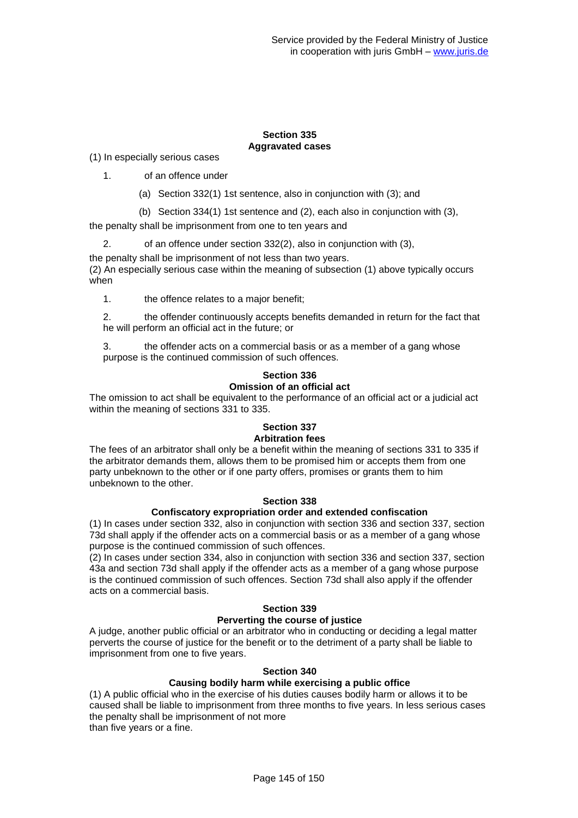## **Section 335 Aggravated cases**

(1) In especially serious cases

- 1. of an offence under
	- (a) Section 332(1) 1st sentence, also in conjunction with (3); and
	- (b) Section 334(1) 1st sentence and (2), each also in conjunction with (3),

the penalty shall be imprisonment from one to ten years and

2. of an offence under section 332(2), also in conjunction with (3),

the penalty shall be imprisonment of not less than two years. (2) An especially serious case within the meaning of subsection (1) above typically occurs when

1. the offence relates to a major benefit;

2. the offender continuously accepts benefits demanded in return for the fact that he will perform an official act in the future; or

3. the offender acts on a commercial basis or as a member of a gang whose purpose is the continued commission of such offences.

# **Section 336**

# **Omission of an official act**

The omission to act shall be equivalent to the performance of an official act or a judicial act within the meaning of sections 331 to 335.

#### **Section 337 Arbitration fees**

The fees of an arbitrator shall only be a benefit within the meaning of sections 331 to 335 if the arbitrator demands them, allows them to be promised him or accepts them from one party unbeknown to the other or if one party offers, promises or grants them to him unbeknown to the other.

# **Section 338**

#### **Confiscatory expropriation order and extended confiscation**

(1) In cases under section 332, also in conjunction with section 336 and section 337, section 73d shall apply if the offender acts on a commercial basis or as a member of a gang whose purpose is the continued commission of such offences.

(2) In cases under section 334, also in conjunction with section 336 and section 337, section 43a and section 73d shall apply if the offender acts as a member of a gang whose purpose is the continued commission of such offences. Section 73d shall also apply if the offender acts on a commercial basis.

#### **Section 339**

#### **Perverting the course of justice**

A judge, another public official or an arbitrator who in conducting or deciding a legal matter perverts the course of justice for the benefit or to the detriment of a party shall be liable to imprisonment from one to five years.

#### **Section 340**

# **Causing bodily harm while exercising a public office**

(1) A public official who in the exercise of his duties causes bodily harm or allows it to be caused shall be liable to imprisonment from three months to five years. In less serious cases the penalty shall be imprisonment of not more than five years or a fine.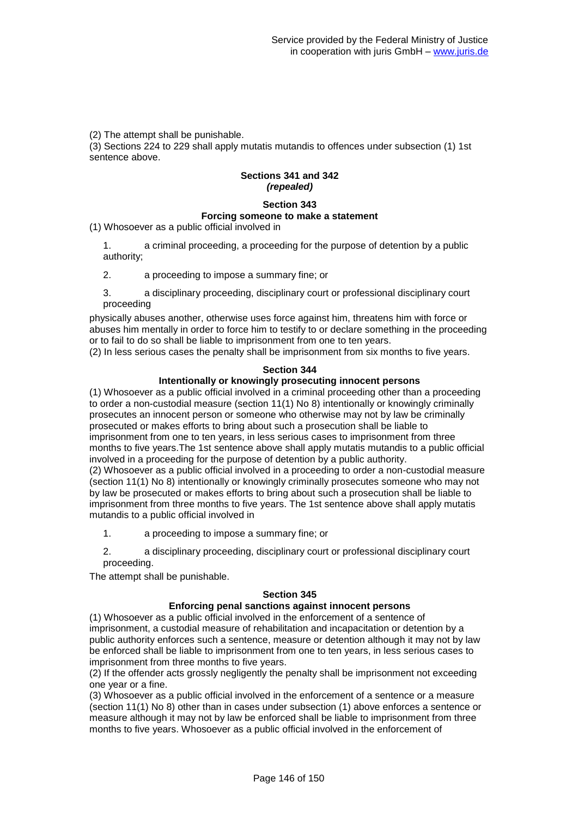(2) The attempt shall be punishable.

(3) Sections 224 to 229 shall apply mutatis mutandis to offences under subsection (1) 1st sentence above.

#### **Sections 341 and 342** *(repealed)*

# **Section 343 Forcing someone to make a statement**

(1) Whosoever as a public official involved in

1. a criminal proceeding, a proceeding for the purpose of detention by a public authority;

2. a proceeding to impose a summary fine; or

3. a disciplinary proceeding, disciplinary court or professional disciplinary court proceeding

physically abuses another, otherwise uses force against him, threatens him with force or abuses him mentally in order to force him to testify to or declare something in the proceeding or to fail to do so shall be liable to imprisonment from one to ten years.

(2) In less serious cases the penalty shall be imprisonment from six months to five years.

#### **Section 344**

#### **Intentionally or knowingly prosecuting innocent persons**

(1) Whosoever as a public official involved in a criminal proceeding other than a proceeding to order a non-custodial measure (section 11(1) No 8) intentionally or knowingly criminally prosecutes an innocent person or someone who otherwise may not by law be criminally prosecuted or makes efforts to bring about such a prosecution shall be liable to imprisonment from one to ten years, in less serious cases to imprisonment from three months to five years.The 1st sentence above shall apply mutatis mutandis to a public official involved in a proceeding for the purpose of detention by a public authority. (2) Whosoever as a public official involved in a proceeding to order a non-custodial measure (section 11(1) No 8) intentionally or knowingly criminally prosecutes someone who may not by law be prosecuted or makes efforts to bring about such a prosecution shall be liable to imprisonment from three months to five years. The 1st sentence above shall apply mutatis

1. a proceeding to impose a summary fine; or

2. a disciplinary proceeding, disciplinary court or professional disciplinary court proceeding.

The attempt shall be punishable.

mutandis to a public official involved in

#### **Section 345**

#### **Enforcing penal sanctions against innocent persons**

(1) Whosoever as a public official involved in the enforcement of a sentence of imprisonment, a custodial measure of rehabilitation and incapacitation or detention by a public authority enforces such a sentence, measure or detention although it may not by law be enforced shall be liable to imprisonment from one to ten years, in less serious cases to imprisonment from three months to five years.

(2) If the offender acts grossly negligently the penalty shall be imprisonment not exceeding one year or a fine.

(3) Whosoever as a public official involved in the enforcement of a sentence or a measure (section 11(1) No 8) other than in cases under subsection (1) above enforces a sentence or measure although it may not by law be enforced shall be liable to imprisonment from three months to five years. Whosoever as a public official involved in the enforcement of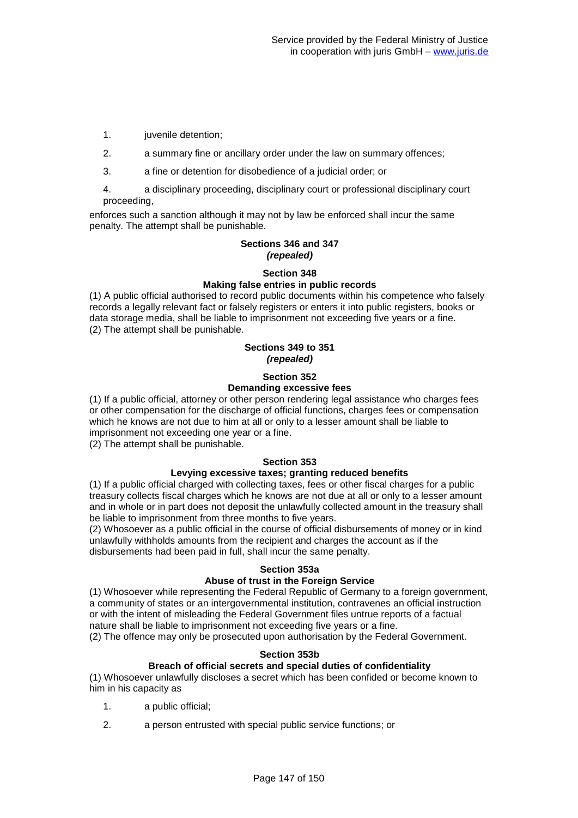1. juvenile detention;

2. a summary fine or ancillary order under the law on summary offences;

3. a fine or detention for disobedience of a judicial order; or

4. a disciplinary proceeding, disciplinary court or professional disciplinary court proceeding,

enforces such a sanction although it may not by law be enforced shall incur the same penalty. The attempt shall be punishable.

#### **Sections 346 and 347** *(repealed)*

# **Section 348 Making false entries in public records**

(1) A public official authorised to record public documents within his competence who falsely records a legally relevant fact or falsely registers or enters it into public registers, books or data storage media, shall be liable to imprisonment not exceeding five years or a fine. (2) The attempt shall be punishable.

#### **Sections 349 to 351** *(repealed)*

## **Section 352 Demanding excessive fees**

(1) If a public official, attorney or other person rendering legal assistance who charges fees or other compensation for the discharge of official functions, charges fees or compensation which he knows are not due to him at all or only to a lesser amount shall be liable to imprisonment not exceeding one year or a fine.

(2) The attempt shall be punishable.

#### **Section 353**

# **Levying excessive taxes; granting reduced benefits**

(1) If a public official charged with collecting taxes, fees or other fiscal charges for a public treasury collects fiscal charges which he knows are not due at all or only to a lesser amount and in whole or in part does not deposit the unlawfully collected amount in the treasury shall be liable to imprisonment from three months to five years.

(2) Whosoever as a public official in the course of official disbursements of money or in kind unlawfully withholds amounts from the recipient and charges the account as if the disbursements had been paid in full, shall incur the same penalty.

#### **Section 353a**

#### **Abuse of trust in the Foreign Service**

(1) Whosoever while representing the Federal Republic of Germany to a foreign government, a community of states or an intergovernmental institution, contravenes an official instruction or with the intent of misleading the Federal Government files untrue reports of a factual nature shall be liable to imprisonment not exceeding five years or a fine. (2) The offence may only be prosecuted upon authorisation by the Federal Government.

#### **Section 353b**

## **Breach of official secrets and special duties of confidentiality**

(1) Whosoever unlawfully discloses a secret which has been confided or become known to him in his capacity as

- 1. a public official;
- 2. a person entrusted with special public service functions; or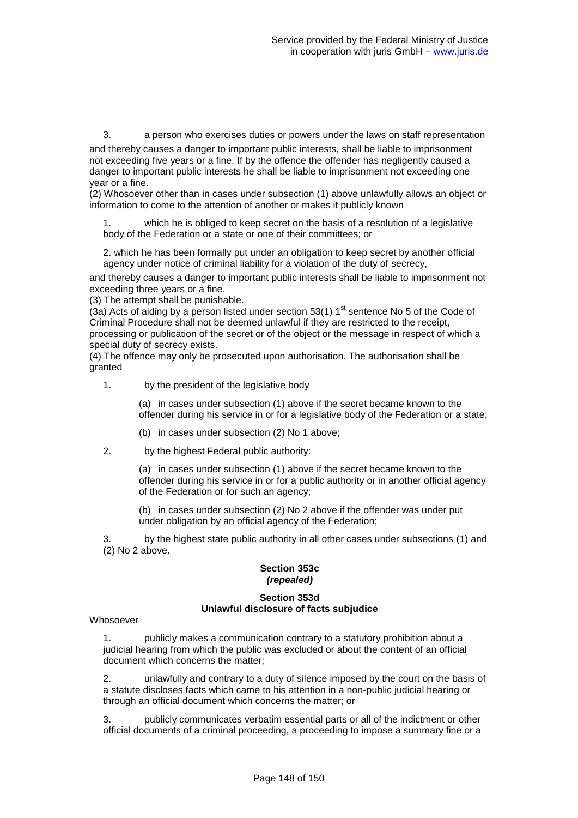3. a person who exercises duties or powers under the laws on staff representation

and thereby causes a danger to important public interests, shall be liable to imprisonment not exceeding five years or a fine. If by the offence the offender has negligently caused a danger to important public interests he shall be liable to imprisonment not exceeding one year or a fine.

(2) Whosoever other than in cases under subsection (1) above unlawfully allows an object or information to come to the attention of another or makes it publicly known

1. which he is obliged to keep secret on the basis of a resolution of a legislative body of the Federation or a state or one of their committees; or

2. which he has been formally put under an obligation to keep secret by another official agency under notice of criminal liability for a violation of the duty of secrecy,

and thereby causes a danger to important public interests shall be liable to imprisonment not exceeding three years or a fine.

(3) The attempt shall be punishable.

(3a) Acts of aiding by a person listed under section 53(1)  $1<sup>st</sup>$  sentence No 5 of the Code of Criminal Procedure shall not be deemed unlawful if they are restricted to the receipt, processing or publication of the secret or of the object or the message in respect of which a special duty of secrecy exists.

(4) The offence may only be prosecuted upon authorisation. The authorisation shall be granted

1. by the president of the legislative body

(a) in cases under subsection (1) above if the secret became known to the offender during his service in or for a legislative body of the Federation or a state;

(b) in cases under subsection (2) No 1 above;

2. by the highest Federal public authority:

(a) in cases under subsection (1) above if the secret became known to the offender during his service in or for a public authority or in another official agency of the Federation or for such an agency;

(b) in cases under subsection (2) No 2 above if the offender was under put under obligation by an official agency of the Federation;

by the highest state public authority in all other cases under subsections (1) and (2) No 2 above.

#### **Section 353c** *(repealed)*

## **Section 353d Unlawful disclosure of facts subjudice**

Whosoever

1. publicly makes a communication contrary to a statutory prohibition about a judicial hearing from which the public was excluded or about the content of an official document which concerns the matter;

2. unlawfully and contrary to a duty of silence imposed by the court on the basis of a statute discloses facts which came to his attention in a non-public judicial hearing or through an official document which concerns the matter; or

3. publicly communicates verbatim essential parts or all of the indictment or other official documents of a criminal proceeding, a proceeding to impose a summary fine or a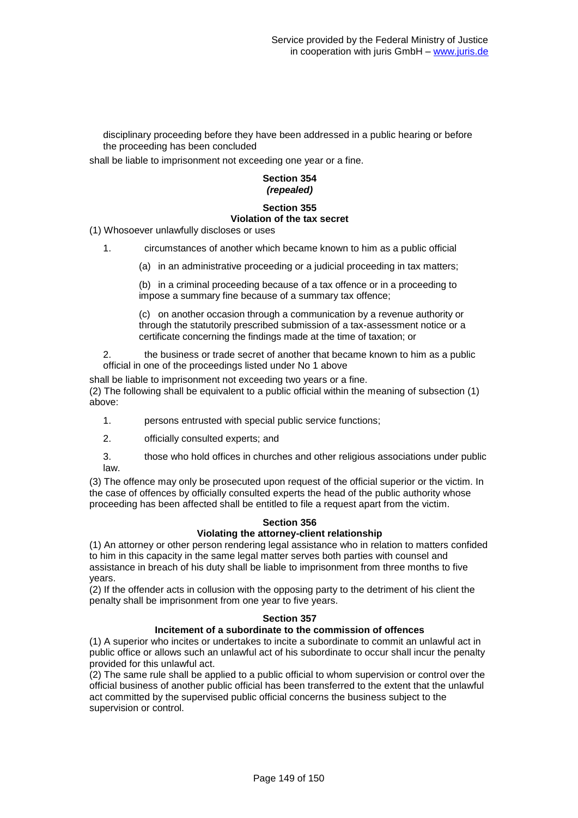disciplinary proceeding before they have been addressed in a public hearing or before the proceeding has been concluded

shall be liable to imprisonment not exceeding one year or a fine.

#### **Section 354** *(repealed)*

## **Section 355 Violation of the tax secret**

(1) Whosoever unlawfully discloses or uses

- 1. circumstances of another which became known to him as a public official
	- (a) in an administrative proceeding or a judicial proceeding in tax matters;

(b) in a criminal proceeding because of a tax offence or in a proceeding to impose a summary fine because of a summary tax offence;

(c) on another occasion through a communication by a revenue authority or through the statutorily prescribed submission of a tax-assessment notice or a certificate concerning the findings made at the time of taxation; or

2. the business or trade secret of another that became known to him as a public official in one of the proceedings listed under No 1 above

shall be liable to imprisonment not exceeding two years or a fine. (2) The following shall be equivalent to a public official within the meaning of subsection (1) above:

- 1. persons entrusted with special public service functions;
- 2. officially consulted experts; and

3. those who hold offices in churches and other religious associations under public law.

(3) The offence may only be prosecuted upon request of the official superior or the victim. In the case of offences by officially consulted experts the head of the public authority whose proceeding has been affected shall be entitled to file a request apart from the victim.

#### **Section 356**

#### **Violating the attorney-client relationship**

(1) An attorney or other person rendering legal assistance who in relation to matters confided to him in this capacity in the same legal matter serves both parties with counsel and assistance in breach of his duty shall be liable to imprisonment from three months to five years.

(2) If the offender acts in collusion with the opposing party to the detriment of his client the penalty shall be imprisonment from one year to five years.

#### **Section 357**

#### **Incitement of a subordinate to the commission of offences**

(1) A superior who incites or undertakes to incite a subordinate to commit an unlawful act in public office or allows such an unlawful act of his subordinate to occur shall incur the penalty provided for this unlawful act.

(2) The same rule shall be applied to a public official to whom supervision or control over the official business of another public official has been transferred to the extent that the unlawful act committed by the supervised public official concerns the business subject to the supervision or control.